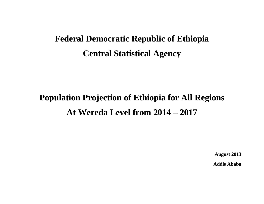# **Federal Democratic Republic of Ethiopia Central Statistical Agency**

# **Population Projection of Ethiopia for All Regions At Wereda Level from 2014 – 2017**

**August 2013** 

**Addis Ababa**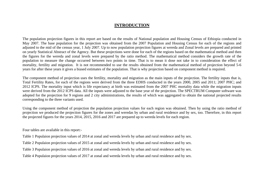# **INTRODUCTION**

The population projection figures in this report are based on the results of National population and Housing Census of Ethiopia conducted in May 2007. The base population for the projection was obtained from the 2007 Population and Housing Census for each of the regions and adjusted to the mid of the census year, 1 July 2007. Up to now population projection figures at wereda and Zonal levels are prepared and printed on yearly Statistical Abstract of the Agency. But these projections were done for each of the regions based on the mathematical method and then the figures for the wereda and zonal levels were prepared by the ratio method. The mathematical method considers the growth rate of the population to measure the change occurred between two points in time. That is to mean it dose not take in to consideration the effect of mortality, fertility and migration. It is not recommended to use the results obtained from the mathematical method of projection beyond 5-6 years for after these years it gives a biased estimates of the population. That is why projection based on component method is required.

The component method of projection uses the fertility, mortality and migration as the main inputs of the projection. The fertility inputs that is, Total Fertility Rates, for each of the regions were derived from the three EDHS conducted in the years 2000, 2005 and 2011; 2007 PHC; and 2012 ICPS. The mortality input which is life expectancy at birth was estimated from the 2007 PHC mortality data while the migration inputs were derived from the 2012 ICPS data. All the inputs were adjusted to the base year of the projection. The SPECTRUM Computer software was adopted for the projection for 9 regions and 2 city administrations, the results of which was aggregated to obtain the national projected results corresponding to the three variants used.

Using the component method of projection the population projection values for each region was obtained. Then by using the ratio method of projection we produced the projection figures for the zones and weredas by urban and rural residence and by sex, too. Therefore, in this report the projected figures for the years 2014, 2015, 2016 and 2017 are prepared up to wereda levels for each region.

Four tables are available in this report:-

Table 1 Populaion projection values of 2014 at zonal and wereda levels by urban and rural residence and by sex.

Table 2 Populaion projection values of 2015 at zonal and wereda levels by urban and rural residence and by sex.

Table 3 Populaion projection values of 2016 at zonal and wereda levels by urban and rural residence and by sex.

Table 4 Populaion projection values of 2017 at zonal and wereda levels by urban and rural residence and by sex.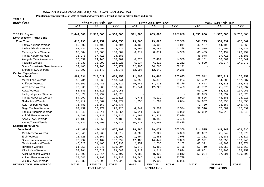**Populaion projection values of 2014 at zonal and wereda levels by urban and rural residence and by sex.**

#### **TABLE-1**

| ክልል/ዞን/ወረዳ                      |                   | ጠቅሳሳ የሕዝብ ብዛት በጾታ |              |                   | <i>የከተማ ሕዝ</i> ብ ብዛት በጾ <i>ታ</i> |              |             | የንጠር ሕዝብ ብዛት በጾታ                   |              |
|---------------------------------|-------------------|-------------------|--------------|-------------------|----------------------------------|--------------|-------------|------------------------------------|--------------|
|                                 | ወንድ               | ሴት                | ድምር          | ወንድ               | ሴት                               | ድምር          | ወንድ         | ሴት                                 | ድምር          |
|                                 |                   |                   |              |                   |                                  |              |             |                                    |              |
| <b>TIGRAY Region</b>            | 2,444,000         | 2,516,003         | 4,960,003    | 591,000           | 609,000                          | 1,200,000    | 1,853,000   | 1,907,000                          | 3,760,000    |
| North Western Tigray-Zone       |                   |                   |              |                   |                                  |              |             |                                    |              |
| <b>Zone Total</b>               | 415,293           | 418,757           | 834,050      | 73,568            | 79,820                           | 153,388      | 341,725     | 338,937                            | 680,662      |
| Tahtay Adiyabo-Wereda           | 50,302            | 49,402            | 99,704       | 4,135             | 4,906                            | 9,041        | 46,167      | 44,496                             | 90,663       |
| Laelay Adiyabo-Wereda           | 62,234            | 63,691            | 125,925      | 5,199             | 6,189                            | 11,388       | 57,035      | 57,502                             | 114,537      |
| Medebay Zana-Wereda             | 68,384            | 70,505            | 138,889      | 6,919             | 8,011                            | 14,930       | 61,465      | 62,494                             | 123,959      |
| Tahtay Koraro-Wereda            | 36,978            | 37,710            | 74,688       |                   |                                  |              | 36,978      | 37,710                             | 74,688       |
| Asegede Tsimbila-Wereda         | 76,059            | 74,143            | 150,202      | 6,878             | 7,482                            | 14,360       | 69,181      | 66,661                             | 135,842      |
| Tselemti-Wereda                 | 76,833            | 76,392            | 153,225      | 5,934             | 6,318                            | 12,252       | 70,899      | 70,074                             | 140,973      |
| Shere Endasilasie /Town/-Wereda | 32,406            | 34,765            | 67,171       | 32,406            | 34,765                           | 67,171       |             |                                    |              |
| Shiraro /Town/-Wereda           | 12,097            | 12,149            | 24,246       | 12,097            | 12,149                           | 24,246       |             |                                    |              |
| Central Tigray-Zone             |                   |                   |              |                   |                                  |              |             |                                    |              |
| <b>Zone Total</b>               | 691,831           | 716,622           | 1,408,453    | 121,290           | 129,405                          | 250,695      | 570,542     | 587,217                            | 1,157,759    |
| Mereb Lehe-Wereda               | 58,781            | 59,960            | 118,741      | 5,359             | 5,875                            | 11,234       | 53,422      | 54,085                             | 107,507      |
| Ahiferom-Wereda                 | 94,569            | 101,443           | 196,012      | 16,146            | 17,133                           | 33,279       | 78,423      | 84,310                             | 162,733      |
| Were Lehe-Wereda                | 79,963            | 83,803            | 163,766      | 11,241            | 12,228                           | 23,469       | 68,722      | 71,575                             | 140,297      |
| Adwa-Wereda                     | 53,140            | 54,813            | 107,953      |                   |                                  |              | 53,140      | 54,813                             | 107,953      |
| Laelay Maychew-Wereda           | 38,829            | 39,797            | 78,626       |                   |                                  |              | 38,829      | 39,797                             | 78,626       |
| Tahtay Maychew-Wereda           | 54,297            | 56,814            | 111, 111     | 7,771             | 8,129                            | 15,900       | 46,526      | 48,685                             | 95,211       |
| Nader Adet-Wereda               | 56,212            | 58,062            | 114,274      | 1,355             | 1,269                            | 2,624        | 54,857      | 56,793                             | 111,650      |
| Kola Temben-Wereda              | 71,780            | 73,657            | 145,437      |                   |                                  |              | 71,780      | 73,657                             | 145,437      |
| Dega Temben-Wereda              | 62,452            | 62,971            | 125,423      | 4,942             | 5,382                            | 10,324       | 57,510      | 57,589                             | 115,099      |
| Tanqua Abergele-Wereda          | 52,343            | 50,911            | 103,254      | 5,011             | 4,998                            | 10,009       | 47,332      | 45,913                             | 93,245       |
| Abi Adi /Town/-Wereda           | 11,598            | 11,338            | 22,936       | 11,598            | 11,338                           | 22,936       |             |                                    |              |
| Adwa /Town/-Wereda              | 27,130            | 30,355            | 57,485       | 27,130            | 30,355                           | 57,485       |             |                                    |              |
| Axum /Town/-Wereda              | 30,737            | 32,698            | 63,435       | 30,737            | 32,698                           | 63,435       |             |                                    |              |
| <b>Eastern Tigray-Zone</b>      |                   |                   |              |                   |                                  |              |             |                                    |              |
| <b>Zone Total</b>               | 412,881           | 454,312           | 867,193      | 98,285            | 109,071                          | 207,356      | 314,595     | 345,240                            | 659,835      |
| Gulo Meheda-Wereda              | 45,343            | 49,269            | 94,612       | 6,706             | 7,627                            | 14,333       | 38,637      | 41,642                             | 80,279       |
| Erob-Wereda                     | 13,725            | 14,567            | 28,292       | 1,494             | 1,481                            | 2,975        | 12,231      | 13,086                             | 25,317       |
| Saesi Tsadamba-Wereda           | 73,997            | 83,102            | 157,099      | 12,406            | 14,447                           | 26,853       | 61,591      | 68,655                             | 130,246      |
| Ganta Afeshum-Wereda            | 45,828            | 51,405            | 97,233       | 2,457             | 2,705                            | 5,162        | 43,371      | 48,700                             | 92,071       |
| Hawuzen-Wereda                  | 61,958            | 68,346            | 130,304      | 5,248             | 5,488                            | 10,736       | 56,710      | 62,858                             | 119,568      |
| Kilte Awlalo-Wereda             | 53,061            | 56,522            | 109,583      | 3,210             | 3,614                            | 6,824        | 49,851      | 52,908                             | 102,759      |
| Atsbi Wonberta-Wereda           | 59,593            | 65,814            | 125,407      | 7,389             | 8,423                            | 15,812       | 52,204      | 57,391                             | 109,595      |
| Adigrat /Town/-Wereda           | 38,546            | 43,192            | 81,738       | 38,546            | 43,192                           | 81,738       |             |                                    |              |
| Wukro /Town/-Wereda             | 20,830            | 22,095            | 42,925       | 20,830            | 22,095                           | 42,925       |             |                                    |              |
| <b>REGION, ZONE AND WEREDA</b>  | <b>MALE</b>       | <b>FEMALE</b>     | <b>TOTAL</b> | <b>MALE</b>       | <b>FEMALE</b>                    | <b>TOTAL</b> | <b>MALE</b> | <b>FEMALE</b><br><b>POPULATION</b> | <b>TOTAL</b> |
|                                 | <b>POPULATION</b> |                   |              | <b>POPULATION</b> |                                  |              |             |                                    |              |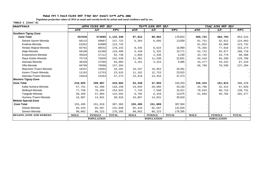**Populaion projection values of 2014 at zonal and wereda levels by urban and rural residence and by sex.**

| ክልል/ዞን/ወረዳ                     | ጠቅሳሳ የሕዝብ ብዛት በጾታ |                   |              |             | <i>የከተማ ሕዝ</i> ብ ብዛት በጾ <i>ታ</i> |              | የንጠር ሕዝብ ብዛት በጾታ  |               |              |
|--------------------------------|-------------------|-------------------|--------------|-------------|----------------------------------|--------------|-------------------|---------------|--------------|
|                                | ወንድ               | ሴት                | ድምር          | ወንድ         | ሴት                               | ድምር          | ወንድ               | ሴት            | ድምር          |
| Southern Tigray-Zone           |                   |                   |              |             |                                  |              |                   |               |              |
| <b>Zone Total</b>              | 557645            | 574695            | 1,132,340    | 87,922      | 90,902                           | 178,824      | 469,722           | 483,793       | 953,515      |
| Seharti Samre-Wereda           | 68115             | 69607             | 137,722      | 6,364       | 6,695                            | 13,059       | 61,751            | 62,912        | 124,663      |
| Enderta-Wereda                 | 61652             | 62080             | 123,732      |             |                                  |              | 61,652            | 62,080        | 123,732      |
| Hintalo Wajirat-Wereda         | 83701             | 86542             | 170,243      | 8,345       | 8,624                            | 16,969       | 75,356            | 77,918        | 153,274      |
| Alaje-Wereda                   | 58180             | 61309             | 119,489      | 5,439       | 5,332                            | 10,771       | 52,741            | 55,977        | 108,718      |
| Endamehoni-Wereda              | 45626             | 47112             | 92,738       | 1,894       | 2,336                            | 4,230        | 43,732            | 44,776        | 88,508       |
| Raya Azebo-Wereda              | 75719             | 76820             | 152,539      | 11,301      | 11,530                           | 22,831       | 64,418            | 65,290        | 129,708      |
| Alamata-Wereda                 | 46438             | 47566             | 94,004       | 3,161       | 3,324                            | 6,485        | 43,277            | 44,242        | 87,519       |
| Ofla-Wereda                    | 66796             | 70598             | 137,394      |             |                                  |              | 66,796            | 70,598        | 137,394      |
| Maychew /Town/-Wereda          | 16337             | 16954             | 33,291       | 16,337      | 16,954                           | 33,291       |                   |               |              |
| Korem /Town/-Wereda            | 11162             | 12753             | 23,915       | 11,162      | 12,753                           | 23,915       |                   |               |              |
| Alamata /Town/-Wereda          | 23919             | 23354             | 47,273       | 23,919      | 23,354                           | 47,273       |                   |               |              |
| <b>Western Tigray-Zone</b>     |                   |                   |              |             |                                  |              |                   |               |              |
| <b>Zone Total</b>              | 210,855           | 199,807           | 410,662      | 54,440      | 47,993                           | 102,433      | 156,415           | 151,813       | 308,228      |
| Kafta Humera-Wereda            | 57,751            | 52,399            | 110,150      | 23,045      | 20,085                           | 43,130       | 34,706            | 32,314        | 67,020       |
| Welkayit-Wereda                | 77,758            | 76,284            | 154,042      | 7,743       | 7,568                            | 15,311       | 70,015            | 68,716        | 138,731      |
| Tsegede-Wereda                 | 58,459            | 57,093            | 115,552      | 6,765       | 6,310                            | 13,075       | 51,694            | 50,783        | 102,477      |
| Humera /Town/-Wereda           | 16,887            | 14,031            | 30,918       | 16,887      | 14,031                           | 30,918       |                   |               |              |
| <b>Mekele Special-Zone</b>     |                   |                   |              |             |                                  |              |                   |               |              |
| <b>Zone Total</b>              | 155,495           | 151,810           | 307,305      | 155,495     | 151,809                          | 307,304      |                   |               |              |
| Debub-Wereda                   | 65,433            | 65,587            | 131,020      | 65,433      | 65,587                           | 131,020      |                   |               |              |
| Semen-Wereda                   | 90,062            | 86,223            | 176,285      | 90,062      | 86,223                           | 176,285      |                   |               |              |
| <b>REGION, ZONE AND WEREDA</b> | <b>MALE</b>       | <b>FEMALE</b>     | <b>TOTAL</b> | <b>MALE</b> | <b>FEMALE</b>                    | <b>TOTAL</b> | <b>MALE</b>       | <b>FEMALE</b> | <b>TOTAL</b> |
|                                |                   | <b>POPULATION</b> |              |             | <b>POPULATION</b>                |              | <b>POPULATION</b> |               |              |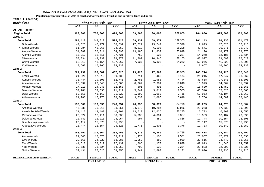**Populaion projection values of 2014 at zonal and wereda levels by urban and rural residence and by sex.**

| ክልል/ዞን/ወረዳ                     |                   | ጠቅላሳ የሕዝብ ብዛት በጾታ |              |                   | <i>የከተማ ሕዝ</i> ብ ብዛት በጾ <i>ታ</i> |                   |             | የንጠር ሕዝብ ብዛት በጾታ |              |
|--------------------------------|-------------------|-------------------|--------------|-------------------|----------------------------------|-------------------|-------------|------------------|--------------|
|                                | ወንድ               | ሴት                | ድምር          | ወንድ               | ሴት                               | ድምር               | ወንድ         | ቤት               | ደምር          |
| <b>AFFAR Region*</b>           |                   |                   |              |                   |                                  |                   |             |                  |              |
| <b>Region Total</b>            | 923,000           | 755,000           | 1,678,000    | 159,000           | 130,000                          | 289,000           | 764,000     | 625,000          | 1,389,000    |
| ZONE <sub>1</sub>              |                   |                   |              |                   |                                  |                   |             |                  |              |
| <b>Zone Total</b>              | 284,410           | 240,618           | 525,028      | 69,932            | 59,371                           | 129,303           | 201,143     | 170,336          | 371,479      |
| Dubti-Wereda                   | 47,320            | 40,772            | 88,092       | 27,627            | 23,749                           | 51,376            | 19,693      | 17,023           | 36,716       |
| Elidar-Wereda                  | 51,284            | 42,966            | 94,250       | 8,613             | 6,595                            | 15,208            | 42,671      | 36,371           | 79,042       |
| Asayita-Wereda                 | 34,382            | 30,011            | 64,393       | 13,186            | 11,832                           | 25,018            | 21,196      | 18,179           | 39,375       |
| Afambo-Wereda                  | 15,010            | 12,711            | 27,721       | 762               | 525                              | 1,287             | 14,248      | 12,186           | 26,434       |
| Mile-Wereda                    | 58,834            | 49,939            | 108,773      | 11,807            | 10,346                           | 22,153            | 47,027      | 39,593           | 86,620       |
| Chifra-Wereda                  | 58,913            | 48,154            | 107,067      | 7,937             | 6,325                            | 14,262            | 50,976      | 41,829           | 92,805       |
| Kori-Wereda                    | 18,667            | 16,065            | 34,732       |                   |                                  |                   | 18,667      | 16,065           | 34,732       |
| Zone 2                         |                   |                   |              |                   |                                  |                   |             |                  |              |
| <b>Zone Total</b>              | 224,139           | 183,687           | 407,826      | 23,423            | 17,562                           | 40,985            | 200,714     | 166,126          | 366,840      |
| Erebti-Wereda                  | 21,926            | 17,810            | 39,736       | 711               | 463                              | 1,174             | 21,215      | 17,347           | 38,562       |
| Kunoba-Wereda                  | 33,444            | 29,301            | 62,745       | 2,786             | 1,958                            | 4,744             | 30,658      | 27,343           | 58,001       |
| Abala-Wereda                   | 25,337            | 22,048            | 47,385       | 8,364             | 7,684                            | 16,048            | 16,973      | 14,364           | 31,337       |
| Megale-Wereda                  | 17,210            | 14,948            | 32,158       | 601               | 496                              | 1,097             | 16,609      | 14,452           | 31,061       |
| Berahile-Wereda                | 52,281            | 39,638            | 91,919       | 5,741             | 3,812                            | 9,553             | 46,540      | 35,826           | 82,366       |
| Dalol-Wereda                   | 52,655            | 43,167            | 95,822       | 1,692             | 1,063                            | 2,755             | 50,963      | 42,104           | 93,067       |
| Afdera-Wereda                  | 21,286            | 16,775            | 38,061       | 3,530             | 2,086                            | 5,616             | 17,756      | 14,689           | 32,445       |
| Zone 3                         |                   |                   |              |                   |                                  |                   |             |                  |              |
| <b>Zone Total</b>              | 135,301           | 113,056           | 248,357      | 46,093            | 38,677                           | 84,770            | 89,209      | 74,378           | 163,587      |
| Amibara-Wereda                 | 46,935            | 36,916            | 83,851       | 24,672            | 19,284                           | 43,956            | 22,263      | 17,632           | 39,895       |
| Awash Fentale-Wereda           | 21,412            | 19,489            | 40,901       | 13,619            | 12,626                           | 26,245            | 7,793       | 6,863            | 14,656       |
| Gewane-Wereda                  | 20,622            | 17,411            | 38,033       | 5,033             | 4,304                            | 9,337             | 15,589      | 13,107           | 28,696       |
| Dulacha-Wereda                 | 12,741            | 11,213            | 23,954       | 997               | 859                              | 1,856             | 11,744      | 10,354           | 22,098       |
| Bure Mudayitu-Wereda           | 20,117            | 15,873            | 35,990       |                   |                                  |                   | 20,117      | 15,873           | 35,990       |
| Argoba Liyu-Wereda             | 13,474            | 12,154            | 25,628       | 1,771             | 1,605                            | 3,376             | 11,703      | 10,549           | 22,252       |
| Zone 4                         |                   |                   |              |                   |                                  |                   |             |                  |              |
| <b>Zone Total</b>              | 158,792           | 124,664           | 283,456      | 8,375             | 6,380                            | 14,755            | 150,418     | 118,284          | 268,702      |
| Awra-Wereda                    | 21,543            | 18,376            | 39,919       | 1,476             | 1,105                            | 2,581             | 20,067      | 17,271           | 37,338       |
| Ewa-Wereda                     | 29,665            | 24,320            | 53,985       | 1,050             | 880                              | 1,930             | 28,615      | 23,440           | 52,055       |
| Teru-Wereda                    | 44,618            | 32,819            | 77,437       | 1,705             | 1,173                            | 2,878             | 42,913      | 31,646           | 74,559       |
| Yalo-Wereda                    | 30,535            | 23,524            | 54,059       | 702               | 532                              | 1,234             | 29,833      | 22,992           | 52,825       |
| Golina-Wereda                  | 32,431            | 25,625            | 58,056       | 3,441             | 2,690                            | 6,131             | 28,990      | 22,935           | 51,925       |
|                                |                   |                   |              |                   |                                  |                   |             |                  |              |
| <b>REGION, ZONE AND WEREDA</b> | <b>MALE</b>       | <b>FEMALE</b>     | <b>TOTAL</b> | <b>MALE</b>       | <b>FEMALE</b>                    | <b>TOTAL</b>      | <b>MALE</b> | <b>FEMALE</b>    | <b>TOTAL</b> |
|                                | <b>POPULATION</b> |                   |              | <b>POPULATION</b> |                                  | <b>POPULATION</b> |             |                  |              |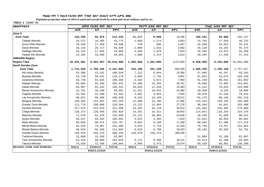**Populaion projection values of 2014 at zonal and wereda levels by urban and rural residence and by sex.**

| <b>ክልል/ዞን/ወረዳ</b>              |             | ጠቅሳሳ የሕዝብ ብዛት በጾታ |              |             | <u>የከተማ ሕዝብ ብዛት በጾታ</u> |              |                   | የንጠር ሕዝብ ብዛት በጾታ |              |
|--------------------------------|-------------|-------------------|--------------|-------------|-------------------------|--------------|-------------------|------------------|--------------|
|                                | ወንድ         | ሴት                | ድምር          | ወንድ         | ሴት                      | ድምር          | ወንድ               | ሴት               | ድምር          |
| Zone 5                         |             |                   |              |             |                         |              |                   |                  |              |
| <b>Zone Total</b>              | 120,358     | 92,975            | 213,333      | 11,177      | 8,009                   | 19,186       | 109,181           | 84,966           | 194,147      |
| Telalak-Wereda                 | 25,372      | 18,403            | 43,775       | 1,669       | 1,374                   | 3,043        | 23,703            | 17,029           | 40,732       |
| Sumu Robi-Wereda               | 19,348      | 17,350            | 36,698       | 759         | 698                     | 1,457        | 18,589            | 16,652           | 35,241       |
| Dawe-Wereda                    | 28,219      | 20,717            | 48,936       | 2,009       | 1,553                   | 3,562        | 26,210            | 19,164           | 45,374       |
| Dalifage-Wereda                | 25,224      | 17,845            | 43,069       | 4,840       | 2,970                   | 7,810        | 20,384            | 14,875           | 35,259       |
| Hadele Ele-Wereda              | 22,195      | 18,660            | 40,855       | 1,900       | 1,414                   | 3,314        | 20,295            | 17,246           | 37,541       |
| <b>AMHARA Region</b>           |             |                   |              |             |                         |              |                   |                  |              |
| <b>Region Total</b>            | 10,025,991  | 9,992,997         | 20,018,988   | 1,566,000   | 1,561,000               | 3,127,000    | 8,460,000         | 8,432,000        | 16,892,000   |
| North Gondar-Zone              |             |                   |              |             |                         |              |                   |                  |              |
| <b>Zone Total</b>              | 1,741,549   | 1,700,336         | 3,441,885    | 333,100     | 351,169                 | 684,269      | 1,408,449         | 1,349,168        | 2,757,617    |
| Adi Arkay-Wereda               | 55,208      | 53,341            | 108,549      | 7,312       | 8,044                   | 15,356       | 47,896            | 45,297           | 93,193       |
| Beyeda-Wereda                  | 53,748      | 56,431            | 110,179      | 2,095       | 2,756                   | 4,851        | 51,653            | 53,675           | 105,328      |
| Janamora-Wereda                | 94,730      | 94,626            | 189,356      | 3,392       | 4,072                   | 7,464        | 91,338            | 90,554           | 181,892      |
| Debark-Wereda                  | 93,094      | 92,348            | 185,442      | 14,398      | 16,383                  | 30,781       | 78,696            | 75,965           | 154,661      |
| Dabat-Wereda                   | 84,987      | 83,344            | 168,331      | 10,835      | 12,528                  | 23,363       | 74,152            | 70,816           | 144,968      |
| Merab Armachoho-Wereda         | 22,701      | 18,290            | 40,991       | 12,351      | 10,034                  | 22,385       | 10,350            | 8,256            | 18,606       |
| Tegede-Wereda                  | 42,952      | 41,590            | 84,542       | 3,882       | 4,044                   | 7,926        | 39,070            | 37,546           | 76,616       |
| Lay Armachoho-Wereda           | 90,621      | 90,309            | 180,930      | 8,342       | 10,169                  | 18,511       | 82,279            | 80,140           | 162,419      |
| Wegera-Wereda                  | 128,404     | 124,851           | 253,255      | 12,860      | 14,706                  | 27,566       | 115,544           | 110,145          | 225,689      |
| Gondar Zuria-Wereda            | 111,778     | 108,806           | 220,584      | 13,212      | 13,964                  | 27,176       | 98,566            | 94,842           | 193,408      |
| Dembia-Wereda                  | 157,876     | 153,522           | 311,398      | 16,394      | 18,118                  | 34,512       | 141,482           | 135,404          | 276,886      |
| Chilga-Wereda                  | 128,373     | 126,645           | 255,018      | 14,331      | 16,311                  | 30,642       | 114,042           | 110,334          | 224,376      |
| Metema-Wereda                  | 71,570      | 62,470            | 134,040      | 23,122      | 20,904                  | 44,026       | 48,448            | 41,566           | 90,014       |
| Quara-Wereda                   | 56,547      | 50,344            | 106,891      | 3,625       | 3,385                   | 7,010        | 52,922            | 46,959           | 99,881       |
| Alefa-Wereda                   | 98,093      | 96,674            | 194,767      | 8,001       | 9,188                   | 17,189       | 90,092            | 87,486           | 177,578      |
| Merab Belsa-Wereda             | 82,429      | 79,967            | 162,396      | 5,634       | 5,710                   | 11,344       | 76,795            | 74,257           | 151,052      |
| Misrak Belesa-Wereda           | 58,816      | 55,268            | 114,084      | 9,623       | 9,700                   | 19,323       | 49,193            | 45,568           | 94,761       |
| Gonder/Town/-Wereda            | 149,970     | 156,276           | 306,246      | 149,970     | 156,276                 | 306,246      |                   |                  |              |
| Tselemet-Wereda                | 31,889      | 32,108            | 63,997       |             |                         |              | 31,889            | 32,108           | 63,997       |
| Tach Armachoho-Wereda          | 53,335      | 50,690            | 104,025      | 8,721       | 9,400                   | 18,121       | 44,614            | 41,290           | 85,904       |
| Takusa-Wereda                  | 74,428      | 72,436            | 146,864      | 4,999       | 5,475                   | 10,474       | 69,429            | 66,961           | 136,390      |
| <b>REGION, ZONE AND WEREDA</b> | <b>MALE</b> | <b>FEMALE</b>     | <b>TOTAL</b> | <b>MALE</b> | <b>FEMALE</b>           | <b>TOTAL</b> | <b>MALE</b>       | <b>FEMALE</b>    | <b>TOTAL</b> |
|                                |             | <b>POPULATION</b> |              |             | <b>POPULATION</b>       |              | <b>POPULATION</b> |                  |              |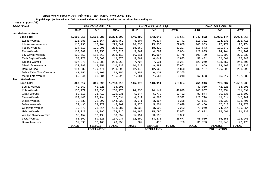**Populaion projection values of 2014 at zonal and wereda levels by urban and rural residence and by sex.**

| ክልል/ዞን/ወረ <i>ዳ</i>       | ጠቅሳሳ የሕዝብ ብዛት በጾታ |               |              |             | <i>የከተማ ሕዝ</i> ብ ብዛት በጾታ |              | የንጠር ሕዝብ ብዛት በጾታ  |               |              |  |
|--------------------------|-------------------|---------------|--------------|-------------|--------------------------|--------------|-------------------|---------------|--------------|--|
|                          | ወንድ               | ሴት            | ድምር          | ወንድ         | ሴት                       | ድምር          | ወንድ               | ቤት            | ድምር          |  |
| South Gondar-Zone        |                   |               |              |             |                          |              |                   |               |              |  |
| <b>Zone Total</b>        | 1,196,318         | 1,168,285     | 2,364,603    | 146,499     | 143,142                  | 289,641      | 1,049,822         | 1,025,144     | 2,074,966    |  |
| Ebinat-Wereda            | 126,888           | 123,564       | 250,452      | 8,507       | 9,234                    | 17,741       | 118,381           | 114,330       | 232,711      |  |
| Libokemkem-Wereda        | 116,738           | 113,104       | 229,842      | 16,735      | 15,933                   | 32,668       | 100,003           | 97,171        | 197,174      |  |
| Fogera-Wereda            | 134,511           | 130,001       | 264,512      | 18,868      | 18,429                   | 37,297       | 115,643           | 111,572       | 227,215      |  |
| Farta-Wereda             | 133,067           | 128,956       | 262,023      | 5,262       | 4,792                    | 10,054       | 127,805           | 124,164       | 251,969      |  |
| Lay Gayint-Wereda        | 120,550           | 118,560       | 239,110      | 16,811      | 16,967                   | 33,778       | 103,739           | 101,593       | 205,332      |  |
| Tach Gayint-Wereda       | 58,273            | 58,603        | 116,876      | 5,791       | 6,042                    | 11,833       | 52,482            | 52,561        | 105,043      |  |
| Simada-Wereda            | 127,975           | 130,988       | 258,963      | 7,726       | 7,531                    | 15,257       | 120,249           | 123,457       | 243,706      |  |
| Misrak Este-Wereda       | 122,388           | 118,351       | 240,739      | 10,719      | 9,882                    | 20,601       | 111,669           | 108,469       | 220,138      |  |
| Dera-Wereda              | 144,332           | 139,471       | 283,803      | 12,145      | 12,663                   | 24,808       | 132,187           | 126,808       | 258,995      |  |
| Debre Tabor/Town/-Wereda | 42,252            | 40,103        | 82,355       | 42,252      | 40,103                   | 82,355       |                   |               |              |  |
| Merab Este-Wereda        | 69,344            | 66,584        | 135,928      | 1,681       | 1,567                    | 3,248        | 67,663            | 65,017        | 132,680      |  |
| North Wello-Zone         |                   |               |              |             |                          |              |                   |               |              |  |
| <b>Zone Total</b>        | 867,917           | 865,699       | 1,733,616    | 115,973     | 113,911                  | 229,884      | 751,946           | 751,787       | 1,503,733    |  |
| Bugna-Wereda             | 42,069            | 42,326        | 84,395       |             |                          |              | 42,069            | 42,326        | 84,395       |  |
| Kobo-Wereda              | 130,772           | 129,398       | 260,170      | 24,935      | 24,144                   | 49,079       | 105,837           | 105,254       | 211,091      |  |
| Gidan-Wereda             | 88,518            | 91,413        | 179,931      | 5,644       | 5,778                    | 11,422       | 82,874            | 85,635        | 168,509      |  |
| Meket-Wereda             | 129,440           | 128,194       | 257,634      | 8,712       | 8,680                    | 17,392       | 120,728           | 119,514       | 240,242      |  |
| Wadla-Wereda             | 72,532            | 72,297        | 144,829      | 2,971       | 3,367                    | 6,338        | 69,561            | 68,930        | 138,491      |  |
| Delanta-Wereda           | 72,435            | 73,272        | 145,707      | 5,975       | 5,654                    | 11,629       | 66,460            | 67,618        | 134,078      |  |
| Gubalafto-Wereda         | 79,573            | 78,514        | 158,087      | 3,633       | 3,600                    | 7,233        | 75,940            | 74,914        | 150,854      |  |
| Habru-Wereda             | 112,020           | 111,296       | 223,316      | 16,188      | 15,795                   | 31,983       | 95,832            | 95,501        | 191,333      |  |
| Woldiya /Town/-Wereda    | 35,154            | 33,198        | 68,352       | 35,154      | 33,198                   | 68,352       |                   |               |              |  |
| Lasta-Wereda             | 68,309            | 69,628        | 137,937      | 12,399      | 13,278                   | 25,677       | 55,910            | 56,350        | 112,260      |  |
| Dawunt-Wereda            | 37,095            | 36,163        | 73,258       | 362         | 418                      | 780          | 36,733            | 35,745        | 72,478       |  |
|                          | <b>MALE</b>       | <b>FEMALE</b> | <b>TOTAL</b> | <b>MALE</b> | <b>FEMALE</b>            | <b>TOTAL</b> | <b>MALE</b>       | <b>FEMALE</b> | <b>TOTAL</b> |  |
|                          | <b>POPULATION</b> |               |              |             | <b>POPULATION</b>        |              | <b>POPULATION</b> |               |              |  |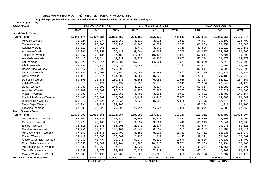**Populaion projection values of 2014 at zonal and wereda levels by urban and rural residence and by sex.**

| ክልል/ዞን/ወሪዳ                     |             | ጠቅሳሳ የሕዝብ ብዛት በጾታ |              |                | የከተማ ሕዝብ ብዛት በጾታ  |              |             | የንጠር ሕዝብ ብዛት በጾታ  |              |
|--------------------------------|-------------|-------------------|--------------|----------------|-------------------|--------------|-------------|-------------------|--------------|
|                                | ወንድ         | ሴት                | ድምር          | ወንድ            | ሴት                | ድምር          | ወንድ         | ሴት                | ድምር          |
| South Wello-Zone               |             |                   |              |                |                   |              |             |                   |              |
| <b>Zone Total</b>              | 1,448,174   | 1,477,385         | 2,925,559    | 224,192        | 222,320           | 446,512      | 1,223,981   | 1,255,065         | 2,479,046    |
| Mekdela-Wereda                 | 78,324      | 83,034            | 161,358      | 3,630          | 3,931             | 7,561        | 74,694      | 79,103            | 153,797      |
| Tenta-Wereda                   | 92,855      | 96,280            | 189,135      | 6,766          | 6,529             | 13,295       | 86,089      | 89,751            | 175,840      |
| Kutaber-Wereda                 | 53,613      | 54,861            | 108,474      | 3,777          | 3,542             | 7,319        | 49,836      | 51,319            | 101,155      |
| Ambasel-Wereda                 | 69,261      | 69,151            | 138,412      | 4,344          | 4,362             | 8,706        | 64,917      | 64,789            | 129,706      |
| Tehuledere-Wereda              | 68,967      | 68,186            | 137,153      | 11,356         | 10,495            | 21,851       | 57,611      | 57,691            | 115,302      |
| Werebabu-Wereda                | 57,416      | 57,414            | 114,830      | 5,022          | 4,935             | 9,957        | 52,394      | 52,479            | 104,873      |
| Kalu-Wereda                    | 108,723     | 106,614           | 215,337      | 15,043         | 14,301            | 29,344       | 93,680      | 92,313            | 185,993      |
| Albuko-Wereda                  | 43,388      | 44,135            | 87,523       | 2,447          | 2,674             | 5,121        | 40,941      | 41,461            | 82,402       |
| Dessie Zuria-Wereda            | 86,217      | 90,092            | 176,309      |                |                   |              | 86,217      | 90,092            | 176,309      |
| Legambo-Wereda                 | 91,782      | 95,403            | 187,185      | 5,563          | 5,290             | 10,853       | 86,219      | 90,113            | 176,332      |
| Sayint-Wereda                  | 81,115      | 82,974            | 164,089      | 4,281          | 3,835             | 8,116        | 76,834      | 79,139            | 155,973      |
| Debresina-Wereda               | 89,198      | 90,875            | 180,073      | 6,860          | 6,056             | 12,916       | 82,338      | 84,819            | 167,157      |
| Kelela-Wereda                  | 77,015      | 78,424            | 155,439      | 5,735          | 5,578             | 11,313       | 71,280      | 72,846            | 144,126      |
| Jama - Wereda                  | 71,339      | 72,699            | 144,038      | 4,325          | 4,617             | 8,942        | 67,014      | 68,082            | 135,096      |
| Were IIu - Wereda              | 62,709      | 63,609            | 126,318      | 8,975          | 7,980             | 16,955       | 53,734      | 55,629            | 109,363      |
| Wegidi - Wereda                | 75,082      | 77,774            | 152,856      | 3,401          | 3,291             | 6,692        | 71,681      | 74,483            | 146,164      |
| Kombolcha/Town/ - Wereda       | 58,480      | 58,202            | 116,682      | 43, 417        | 43,416            | 86,833       | 15,063      | 14,786            | 29,849       |
| Dessie/Town/-Wereda            | 105,011     | 107,425           | 212,436      | 87,836         | 89,852            | 177,688      | 17,175      | 17,573            | 34,748       |
| Mehal Saynt Wereda             | 40,394      | 41,711            | 82,105       |                |                   |              | 40,394      | 41,711            | 82,105       |
| Legahida - Wereda              | 37,285      | 38,522            | 75,807       | 1,414          | 1,634             | 3,048        | 35,871      | 36,888            | 72,759       |
| <b>North Shewa - Zone</b>      |             |                   |              |                |                   |              |             |                   |              |
| <b>Zone Total</b>              | 1,075,206   | 1,056,651         | 2,131,857    | 159,996        | 157,170           | 317,166      | 915,211     | 899,483           | 1,814,694    |
| Mida Woremo - Wereda           | 53,704      | 53,635            | 107,339      | 5,195          | 5,237             | 10,432       | 48,509      | 48,398            | 96,907       |
| Merhabete - Wereda             | 73,773      | 72,405            | 146,178      | 9,854          | 9,564             | 19,418       | 63,919      | 62,841            | 126,760      |
| Ensaro - Wereda                | 33,816      | 32,385            | 66,201       | 2,271          | 2,407             | 4,678        | 31,545      | 29,978            | 61,523       |
| Moretna Jiru - Wereda          | 54,751      | 52,413            | 107,164      | $\,$ 6 , $844$ | 6,509             | 13,353       | 47,907      | 45,904            | 93,811       |
| Menz Gera Midir - Wereda       | 67,567      | 71,141            | 138,708      | 8,156          | 8,205             | 16,361       | 59,411      | 62,936            | 122,347      |
| Gishe - Wereda                 | 34,419      | 35,383            | 69,802       | 2,198          | 1,917             | 4,115        | 32,221      | 33,466            | 65,687       |
| Antsokiya Gemza - Wereda       | 46,242      | 46,734            | 92,976       | 9,377          | 9,199             | 18,576       | 36,865      | 37,535            | 74,400       |
| Efrata Gidim - Wereda          | 65,055      | 64,049            | 129,104      | 11,786         | 10,915            | 22,701       | 53,269      | 53,134            | 106,403      |
| Menz Mama Midir - Wereda       | 48,082      | 49,460            | 97,542       | 4,831          | 4,809             | 9,640        | 43,251      | 44,651            | 87,902       |
| Tarma Ber - Wereda             | 49,580      | 48,579            | 98,159       | 7,428          | 7,811             | 15,239       | 42,152      | 40,768            | 82,920       |
| Mojana Waderea - Wereda        | 39,588      | 39,195            | 78,783       | 1,860          | 1,808             | 3,668        | 37,728      | 37,387            | 75,115       |
| <b>REGION, ZONE AND WEREDA</b> | <b>MALE</b> | <b>FEMALE</b>     | <b>TOTAL</b> | <b>MALE</b>    | <b>FEMALE</b>     | <b>TOTAL</b> | <b>MALE</b> | <b>FEMALE</b>     | <b>TOTAL</b> |
|                                |             | <b>POPULATION</b> |              |                | <b>POPULATION</b> |              |             | <b>POPULATION</b> |              |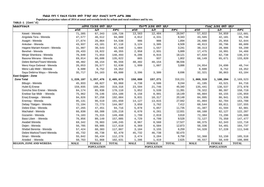**Populaion projection values of 2014 at zonal and wereda levels by urban and rural residence and by sex.**

| ክልል/ዞን/ወሪዳ                     | ጠቅሳሳ የሕዝብ ብዛት በጾታ |               |              | የከተማ ሕዝብ ብዛት በጾታ  |               | የንጠር ሕዝብ ብዛት በጾታ |                   |               |              |
|--------------------------------|-------------------|---------------|--------------|-------------------|---------------|------------------|-------------------|---------------|--------------|
|                                | ወንድ               | ሴት            | ድምር          | ወንድ               | ሴት            | ድምር              | ወንድ               | ቤት            | ድምር          |
| Kewet - Wereda                 | 71,385            | 67,343        | 138,728      | 13,563            | 12,484        | 26,047           | 57,822            | 54,859        | 112,681      |
| Angolala Tera - Wereda         | 47,577            | 46,512        | 94,089       | 4,012             | 4,331         | 8,343            | 43,565            | 42,181        | 85,746       |
| Asagirt - Wereda               | 27,674            | 26,864        | 54,538       | 986               | 908           | 1,894            | 26,688            | 25,956        | 52,644       |
| Ankober - Wereda               | 43,937            | 43,181        | 87,118       | 3,124             | 3,385         | 6,509            | 40,813            | 39,796        | 80,609       |
| Hagere Mariam Kesem - Wereda   | 31,997            | 30,543        | 62,540       | 1,684             | 1,557         | 3,241            | 30,313            | 28,986        | 59,299       |
| Berehet - Wereda               | 20,433            | 19,922        | 40,355       | 2,958             | 2,931         | 5,889            | 17,475            | 16,991        | 34,466       |
| Minjar Shenkora - Wereda       | 76,840            | 71,653        | 148,493      | 9,206             | 8,915         | 18,121           | 67,634            | 62,738        | 130,372      |
| Basona Werana - Wereda         | 69,014            | 66,608        | 135,622      | 865               | 937           | 1,802            | 68,149            | 65,671        | 133,820      |
| Debre Berhan/Town/-Wereda      | 48,402            | 48,154        | 96,556       | 48,402            | 48,154        | 96,556           |                   |               |              |
| Menz Keya Gebreal - Wereda     | 26,053            | 26,577        | 52,630       | 1,999             | 1,887         | 3,886            | 24,054            | 24,690        | 48,744       |
| Menz Lalo Midir - Wereda       | 9,600             | 9,752         | 19,352       |                   |               |                  | 9,600             | 9,752         | 19,352       |
| Saya Debirna Wayu - Wereda     | 35,717            | 34,163        | 69,880       | 3,396             | 3,300         | 6,696            | 32,321            | 30,863        | 63,184       |
| East Gojjam - Zone             |                   |               |              |                   |               |                  |                   |               |              |
| <b>Zone Total</b>              | 1,228,197         | 1,257,476     | 2,485,673    | 158,880           | 157,271       | 316,151          | 1,069,319         | 1,100,204     | 2,169,523    |
| Bibugn - Wereda                | 45,933            | 48,027        | 93,960       | 4,738             | 4,506         | 9,244            | 41,195            | 43,521        | 84,716       |
| Hulet Ej Enese                 | 159,035           | 160,283       | 319,318      | 23,594            | 21,746        | 45,340           | 135,441           | 138,537       | 273,978      |
| Goncha Siso Enese - Wereda     | 84,174            | 85,936        | 170,110      | 5,852             | 5,539         | 11,391           | 78,322            | 80,397        | 158,719      |
| Enebse Sar Midir - Wereda      | 75,962            | 78,146        | 154,108      | 9,158             | 8,991         | 18,149           | 66,804            | 69,155        | 135,959      |
| Enarj Enawga - Wereda          | 94,826            | 97,258        | 192,084      | 9,831             | 10,317        | 20,148           | 84,995            | 86,941        | 171,936      |
| Enemay - Wereda                | 95,131            | 96,519        | 191,650      | 14,127            | 13,815        | 27,942           | 81,004            | 82,704        | 163,708      |
| Debay Tilatgen - Wereda        | 72,194            | 72,773        | 144,967      | 3,650             | 3,762         | 7,412            | 68,544            | 69,011        | 137,555      |
| Debre Elias - Wereda           | 47,265            | 47,451        | 94,716       | 5,878             | 5,857         | 11,735           | 41,387            | 41,594        | 82,981       |
| Machakel - Wereda              | 66,830            | 68,388        | 135,218      | 6,670             | 6,261         | 12,931           | 60,160            | 62,127        | 122,287      |
| Gozamin - Wereda               | 74,183            | 75,315        | 149,498      | 1,799             | 2,019         | 3,818            | 72,384            | 73,296        | 145,680      |
| Baso Liben - Wereda            | 76,856            | 80,149        | 157,005      | 4,729             | 4,799         | 9,528            | 72,127            | 75,350        | 147,477      |
| Awabel Wereda                  | 69,342            | 70,903        | 140,245      | 8,967             | 8,560         | 17,527           | 60,375            | 62,343        | 122,718      |
| Dejen - Wereda                 | 56,705            | 60,905        | 117,610      | 6,369             | 6,504         | 12,873           | 50,336            | 54,401        | 104,737      |
| Shebel Berenta - Wereda        | 57,424            | 60,383        | 117,807      | 3,104             | 3,155         | 6,259            | 54,320            | 57,228        | 111,548      |
| Debre Markos/Town/-Wereda      | 45,732            | 46,738        | 92,470       | 45,732            | 46,738        | 92,470           |                   |               |              |
| Sinan - Wereda                 | 55,842            | 56,434        | 112,276      | 3,474             | 3,284         | 6,758            | 52,368            | 53,150        | 105,518      |
| Aneded - Wereda                | 50,763            | 51,868        | 102,631      | 1,206             | 1,419         | 2,625            | 49,557            | 50,449        | 100,006      |
| <b>REGION, ZONE AND WEREDA</b> | <b>MALE</b>       | <b>FEMALE</b> | <b>TOTAL</b> | <b>MALE</b>       | <b>FEMALE</b> | <b>TOTAL</b>     | <b>MALE</b>       | <b>FEMALE</b> | <b>TOTAL</b> |
|                                | <b>POPULATION</b> |               |              | <b>POPULATION</b> |               |                  | <b>POPULATION</b> |               |              |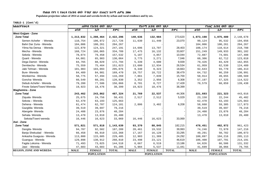**Populaion projection values of 2014 at zonal and wereda levels by urban and rural residence and by sex.**

| ክልል/ዞን/ወረዳ                     |                   | ጠቅሳሳ የሕዝብ ብዛት በጾታ |              |                   | የከተማ ሕዝብ ብዛት በጾታ |                   |             | የንጠር ሕዝብ ብዛት በጾታ |              |
|--------------------------------|-------------------|-------------------|--------------|-------------------|------------------|-------------------|-------------|------------------|--------------|
|                                | ወንድ               | ሴት                | ድምር          | ወንድ               | ሴት               | $F^T$ ር           | ወንድ         | ሴት               | ድምር          |
| <b>West Gojjam - Zone</b>      |                   |                   |              |                   |                  |                   |             |                  |              |
| <b>Zone Total</b>              | 1,213,832         | 1,208,464         | 2,422,296    | 140,636           | 132,984          | 273,620           | 1,073,198   | 1,075,480        | 2,148,678    |
| Semen Achefer - Wereda         | 110,754           | 106,972           | 217,726      | 11,630            | 11,440           | 23,070            | 99,124      | 95,532           | 194,656      |
| Bahri Dar Zuria - Wereda       | 104,006           | 100,261           | 204,267      |                   |                  |                   | 104,006     | 100,261          | 204,267      |
| Yilma Na Densa - Wereda        | 122,870           | 124,321           | 247,191      | 14,696            | 13,707           | 28,403            | 108,174     | 110,614          | 218,788      |
| Mecha - Wereda                 | 168,724           | 166,065           | 334,789      | 17,475            | 16,132           | 33,607            | 151,249     | 149,933          | 301,182      |
| Sekela - Wereda                | 78,074            | 79,458            | 157,532      | 5,187             | 4,857            | 10,044            | 72,887      | 74,601           | 147,488      |
| Quarit - Wereda                | 64,081            | 65,983            | 130,064      | 3,775             | 3,271            | 7,046             | 60,306      | 62,712           | 123,018      |
| Dega Damot - Wereda            | 84,765            | 88,029            | 172,794      | 5,339             | 4,600            | 9,939             | 79,426      | 83,429           | 162,855      |
| Dembecha - Wereda              | 75,559            | 75,464            | 151,023      | 13,600            | 12,934           | 26,534            | 61,959      | 62,530           | 124,489      |
| Jabi Tehnan - Wereda           | 101,983           | 103,093           | 205,076      | 9,340             | 9,323            | 18,663            | 92,643      | 93,770           | 186,413      |
| Bure-Wereda                    | 84,489            | 84,981            | 169,470      | 19,757            | 18,722           | 38,479            | 64,732      | 66,259           | 130,991      |
| Wonberma - Wereda              | 58,775            | 57,494            | 116,269      | 7,861             | 7,839            | 15,700            | 50,914      | 49,655           | 100,569      |
| Goncha-Wereda                  | 60,549            | 60,281            | 120,830      | 3,352             | 2,956            | 6,308             | 57,197      | 57,325           | 114,522      |
| Debub Achefer - Wereda         | 79,280            | 77,586            | 156,866      | 8,701             | 8,727            | 17,428            | 70,579      | 68,859           | 139,438      |
| Finote Selam/Town/-Wereda      | 19,923            | 18,476            | 38,399       | 19,923            | 18,476           | 38,399            |             |                  |              |
| Waqhemira - Zone               |                   |                   |              |                   |                  |                   |             |                  |              |
| <b>Zone Total</b>              | 243,462           | 243,862           | 487,324      | 21,769            | 22,537           | 44,306            | 221,693     | 221,323          | 443,016      |
| Ziquala-Wereda                 | 25,675            | 24,756            | 50,431       | 2,517             | 2,512            | 5,029             | 23,158      | 22,244           | 45,402       |
| Sekota - Wereda                | 62,470            | 63,193            | 125,663      |                   |                  |                   | 62,470      | 63,193           | 125,663      |
| Dehena - Wereda                | 61,474            | 62,707            | 124,181      | 2,806             | 3,402            | 6,208             | 58,668      | 59,305           | 117,973      |
| Gazgibla-Wereda                | 39,519            | 39,697            | 79,216       |                   |                  |                   | 39,519      | 39,697           | 79,216       |
| Abergele-Wereda                | 24,408            | 23,876            | 48,284       |                   |                  |                   | 24,408      | 23,876           | 48,284       |
| Sehala-Wereda                  | 13,470            | 13,010            | 26,480       |                   |                  |                   | 13,470      | 13,010           | 26,480       |
| Sekota/Town/-wereda            | 16,446            | 16,623            | 33,069       | 16,446            | 16,623           | 33,069            |             |                  |              |
| Awi - Zone                     |                   |                   |              |                   |                  |                   |             |                  |              |
| <b>Zone Total</b>              | 571,821           | 571,818           | 1,143,639    | 93,370            | 88,845           | 182,215           | 478,451     | 482,972          | 961,423      |
| Dangila-Wereda                 | 94,707            | 92,502            | 187,209      | 20,461            | 19,532           | 39,993            | 74,246      | 72,970           | 147,216      |
| Banja Shekudad - Wereda        | 66,458            | 66,910            | 133,368      | 17,167            | 16,128           | 33,295            | 49,291      | 50,782           | 100,073      |
| Ankasha Guagusa - Wereda       | 113,800           | 115,605           | 229,405      | 12,903            | 11,389           | 24,292            | 100,897     | 104,216          | 205,113      |
| Guangua - Wereda               | 129,898           | 130,912           | 260,810      | 23,498            | 23,121           | 46,619            | 106,400     | 107,791          | 214,191      |
| Fagita Lekoma - Wereda         | 71,493            | 73,025            | 144,518      | 6,667             | 6,519            | 13,186            | 64,826      | 66,506           | 131,332      |
| Jawi - Wereda                  | 47,603            | 43,603            | 91,206       | 5,904             | 5,537            | 11,441            | 41,699      | 38,066           | 79,765       |
| <b>REGION, ZONE AND WEREDA</b> | <b>MALE</b>       | <b>FEMALE</b>     | <b>TOTAL</b> | <b>MALE</b>       | <b>FEMALE</b>    | <b>TOTAL</b>      | <b>MALE</b> | <b>FEMALE</b>    | <b>TOTAL</b> |
|                                | <b>POPULATION</b> |                   |              | <b>POPULATION</b> |                  | <b>POPULATION</b> |             |                  |              |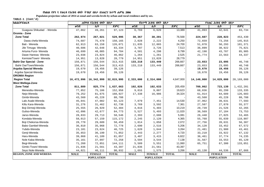**Populaion projection values of 2014 at zonal and wereda levels by urban and rural residence and by sex.**

| ክልል/ዞን/ወረዳ                      |             | ጠቅላሳ የሕዝብ ብዛት በጾታ |              |             | <u>የከተማ ሕዝብ ብዛት በጾታ</u> |              |                   | የንጠር ሕዝብ ብዛት በጾታ |              |  |
|---------------------------------|-------------|-------------------|--------------|-------------|-------------------------|--------------|-------------------|------------------|--------------|--|
|                                 | ወንድ         | ሴት                | ድምር          | ወንድ         | ሴት                      | ድምር          | ወንድ               | ሴት               | ደምር          |  |
| Guagusa Shikudad - Wereda       | 47,862      | 49,261            | 97,123       | 6,769       | 6,620                   | 13,389       | 41,093            | 42,641           | 83,734       |  |
| Oromia - Zone                   |             |                   |              |             |                         |              |                   |                  |              |  |
| <b>Zone Total</b>               | 262,974     | 267,021           | 529,995      | 38,367      | 38,201                  | 76,568       | 224,607           | 228,823          | 453,430      |  |
| Dawa chefa-Wereda               | 74,687      | 75,478            | 150,165      | 2,028       | 2,222                   | 4,250        | 72,659            | 73,256           | 145,915      |  |
| Bati - Wereda                   | 62,913      | 63,158            | 126,071      | 11,835      | 12,865                  | 24,700       | 51,078            | 50,293           | 101,371      |  |
| Jile Timuga- Wereda             | 40,686      | 42,648            | 83,334       | 3,787       | 3,726                   | 7,513        | 36,899            | 38,922           | 75,821       |  |
| Artuma Fursi- Wereda            | 46,699      | 48,085            | 94,784       | 4,501       | 4,298                   | 8,799        | 42,198            | 43,787           | 85,985       |  |
| Dawe Harewa- Wereda             | 23,038      | 23,824            | 46,862       | 1,264       | 1,261                   | 2,525        | 21,774            | 22,563           | 44,337       |  |
| Kemisie/Town/- Wereda           | 14,951      | 13,828            | 28,779       | 14,951      | 13,828                  | 28,779       |                   |                  |              |  |
| <b>Bahir Dar Special - Zone</b> | 156,871     | 156,544           | 313,415      | 133,218     | 133,449                 | 266,667      | 23,653            | 23,095           | 46,748       |  |
| Bahir Dar/Town/Wereda           | 156,871     | 156,544           | 313,415      | 133,218     | 133,449                 | 266,667      | 23,653            | 23,095           | 46,748       |  |
| Argoba Special Wereda           | 19,670      | 19,456            | 39,126       |             |                         |              | 19,670            | 19,456           | 39,126       |  |
| Argoba Special-Wereda           | 19,670      | 19,456            | 39,126       |             |                         |              | 19,670            | 19,456           | 39,126       |  |
| <b>OROMIA Region</b>            |             |                   |              |             |                         |              |                   |                  |              |  |
| <b>Region Total</b>             | 16,472,996  | 16,342,999        | 32,815,995   | 2,333,000   | 2,314,000               | 4,647,000    | 14,140,000        | 14,029,000       | 28,169,000   |  |
| <b>West Wellega-Zone</b>        |             |                   |              |             |                         |              |                   |                  |              |  |
| <b>Zone Total</b>               | 811,889     | 825,774           | 1,637,663    | 102,826     | 102,633                 | 205,459      | 709,062           | 723,139          | 1,432,201    |  |
| Menesibu-Wereda                 | 77,852      | 75,106            | 152,958      | 9,816       | 9,807                   | 19,623       | 68,036            | 65,299           | 133,335      |  |
| Nejo-Wereda                     | 79,252      | 81,675            | 160,927      | 17,338      | 16,986                  | 34,324       | 61,914            | 64,689           | 126,603      |  |
| Gimbi-Wereda                    | 43,560      | 45,228            | 88,788       |             |                         |              | 43,560            | 45,228           | 88,788       |  |
| Lalo Asabi-Wereda               | 45,041      | 47,082            | 92,123       | 7,079       | 7,451                   | 14,530       | 37,962            | 39,631           | 77,593       |  |
| Kiltu Kara-Wereda               | 31,276      | 31,462            | 62,738       | 3,769       | 3,592                   | 7,361        | 27,507            | 27,870           | 55,377       |  |
| Boji Dirmeji-Wereda             | 25,555      | 26,929            | 52,484       | 4,816       | 5,403                   | 10,219       | 20,739            | 21,526           | 42,265       |  |
| Guliso-Wereda                   | 42,096      | 42,677            | 84,773       | 5,527       | 5,493                   | 11,020       | 36,569            | 37,184           | 73,753       |  |
| Jarso-Wereda                    | 28,833      | 29,713            | 58,546       | 2,393       | 2,688                   | 5,081        | 26,440            | 27,025           | 53,465       |  |
| Kondala-Wereda                  | 58,013      | 57,159            | 115,172      | 2,245       | 2,120                   | 4,365        | 55,768            | 55,039           | 110,807      |  |
| Boji Chekorsa-Wereda            | 28,770      | 29,689            | 58,459       | 1,014       | 1,058                   | 2,072        | 27,756            | 28,631           | 56,387       |  |
| Babo Gambel-Wereda              | 36,810      | 35,968            | 72,778       | 2,690       | 2,516                   | 5,206        | 34,120            | 33,452           | 67,572       |  |
| Yubdo-Wereda                    | 23,101      | 23,624            | 46,725       | 1,620       | 1,644                   | 3,264        | 21,481            | 21,980           | 43,461       |  |
| Genji-Wereda                    | 35,653      | 36,199            | 71,852       | 2,443       | 2,277                   | 4,720        | 33,210            | 33,922           | 67,132       |  |
| Haru-Wereda                     | 39,868      | 41,189            | 81,057       | 3,407       | 3,415                   | 6,822        | 36,461            | 37,774           | 74,235       |  |
| Nole Kaba-Wereda                | 35,161      | 37,097            | 72,258       | 3,594       | 3,544                   | 7,138        | 31,567            | 33,553           | 65,120       |  |
| Begi-Wereda                     | 71,260      | 72,851            | 144,111      | 5,509       | 5,551                   | 11,060       | 65,751            | 67,300           | 133,051      |  |
| Gimbi /Town/-Wereda             | 21,836      | 21,561            | 43,397       | 21,836      | 21,561                  | 43,397       |                   |                  |              |  |
| Seyo Nole-Wereda                | 44,821      | 46,111            | 90,932       | 1,691       | 1,575                   | 3,266        | 43,130            | 44,536           | 87,666       |  |
| <b>REGION, ZONE AND WEREDA</b>  | <b>MALE</b> | <b>FEMALE</b>     | <b>TOTAL</b> | <b>MALE</b> | <b>FEMALE</b>           | <b>TOTAL</b> | <b>MALE</b>       | <b>FEMALE</b>    | <b>TOTAL</b> |  |
|                                 |             | <b>POPULATION</b> |              |             | <b>POPULATION</b>       |              | <b>POPULATION</b> |                  |              |  |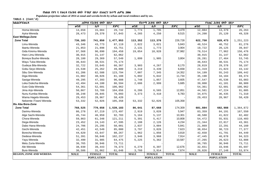**Populaion projection values of 2014 at zonal and wereda levels by urban and rural residence and by sex.**

| ክልል/ዞን/ወሪዳ                     |             | ጠቅላሳ የሕዝብ ብዛት በጾታ |              |             | የከተማ ሕዝብ ብዛት በጾ <i>ታ</i> |              |             | የንጠር ሕዝብ ብዛት በጾታ  |              |
|--------------------------------|-------------|-------------------|--------------|-------------|--------------------------|--------------|-------------|-------------------|--------------|
|                                | ወንድ         | ሴት                | ድምር          | ወንድ         | ሴት                       | ድምር          | ወንድ         | ሴት                | ድምር          |
| Homa-Wereda                    | 14,658      | 15,084            | 29,742       | 1,774       | 1,705                    | 3,479        | 12,884      | 13,379            | 26,263       |
| Ayira-Wereda                   | 28,473      | 29,370            | 57,843       | 4,265       | 4,250                    | 8,515        | 24,208      | 25,120            | 49,328       |
| <b>East Wellega-Zone</b>       |             |                   |              |             |                          |              |             |                   |              |
| <b>Zone Total</b>              | 736,103     | 741,850           | 1,477,953    | 113,352     | 113,376                  | 226,728      | 622,750     | 628,473           | 1,251,223    |
| Limu-Wereda                    | 43,346      | 43,773            | 87,119       | 2,822       | 3,021                    | 5,843        | 40,524      | 40,752            | 81,276       |
| Ibantu-Wereda                  | 21,853      | 21,898            | 43,751       | 2,131       | 1,773                    | 3,904        | 19,722      | 20,125            | 39,847       |
| Gida Kiremu-Wereda             | 97,568      | 96,890            | 194,458      | 19,054      | 18,928                   | 37,982       | 78,514      | 77,962            | 156,476      |
| Haro Limu-Wereda               | 30,915      | 31,147            | 62,062       |             |                          |              | 30,915      | 31,147            | 62,062       |
| Boneya Bushe-Wereda            | 28,180      | 29,369            | 57,549       | 1,899       | 1,905                    | 3,804        | 26,281      | 27,464            | 53,745       |
| Wayu Tuka-Wereda               | 36,643      | 38,531            | 75,174       |             |                          |              | 36,643      | 38,531            | 75,174       |
| Gudeya Bila-Wereda             | 32,722      | 33,645            | 66,367       | 3,903       | 4,267                    | 8,170        | 28,819      | 29,378            | 58,197       |
| Gobu Seyo-Wereda               | 24,538      | 25,262            | 49,800       | 3,219       | 3,439                    | 6,658        | 21,319      | 21,823            | 43,142       |
| Sibu Sire-Wereda               | 61,206      | 62,588            | 123,794      | 7,007       | 7,345                    | 14,352       | 54,199      | 55,243            | 109,442      |
| Diga-Wereda                    | 41,082      | 40,026            | 81,108       | 5,892       | 5,842                    | 11,734       | 35,190      | 34,184            | 69,374       |
| Sasiga-Wereda                  | 49,295      | 47,393            | 96,688       | 1,748       | 1,857                    | 3,605        | 47,547      | 45,536            | 93,083       |
| Leka Dulecha-Wereda            | 42,494      | 44,100            | 86,594       | 2,686       | 2,999                    | 5,685        | 39,808      | 41,101            | 80,909       |
| Guto Gida-Wereda               | 54,361      | 52,601            | 106,962      |             |                          |              | 54,361      | 52,601            | 106,962      |
| Jima Arjo-Wereda               | 50,867      | 53,789            | 104,656      | 6,286       | 6,565                    | 12,851       | 44,581      | 47,224            | 91,805       |
| Nunu Kumba-Wereda              | 38,248      | 39,845            | 78,093       | 3,373       | 3,410                    | 6,783        | 34,875      | 36,435            | 71,310       |
| Wama Hagelo-Wereda             | 29,453      | 28,967            | 58,420       |             |                          |              | 29,453      | 28,967            | 58,420       |
| Nekemte /Town/-Wereda          | 53,332      | 52,026            | 105,358      | 53,332      | 52,026                   | 105,358      |             |                   |              |
| Illu Aba Bora-Zone             |             |                   |              |             |                          |              |             |                   |              |
| <b>Zone Total</b>              | 768,525     | 770,658           | 1,539,183    | 86,641      | 87,668                   | 174,309      | 681,884     | 682,988           | 1,364,872    |
| Darimu-Wereda                  | 86,278      | 87,219            | 173,497      | 2,919       | 3,028                    | 5,947        | 83,359      | 84,191            | 167,550      |
| Alge Sachi-Wereda              | 45,744      | 46,959            | 92,703       | 5,164       | 5,137                    | 10,301       | 40,580      | 41,822            | 82,402       |
| Chora-Wereda                   | 59,863      | 61,348            | 121,211      | 5,391       | 5,417                    | 10,808       | 54,472      | 55,931            | 110,403      |
| Dega-Wereda                    | 23,452      | 24,143            | 47,595       | 2,108       | 2,126                    | 4,234        | 21,344      | 22,017            | 43,361       |
| Dabo Hana-Wereda               | 24,706      | 25,295            | 50,001       | 2,837       | 3,004                    | 5,841        | 21,869      | 22,291            | 44,160       |
| Gechi-Wereda                   | 42,451      | 42,549            | 85,000       | 3,797       | 3,826                    | 7,623        | 38,654      | 38,723            | 77,377       |
| Borecha-Wereda                 | 44,620      | 43,647            | 88,267       | 1,962       | 1,856                    | 3,818        | 42,658      | 41,791            | 84,449       |
| Dedesa-Wereda                  | 51,391      | 50,846            | 102,237      | 3,946       | 3,968                    | 7,914        | 47,445      | 46,878            | 94,323       |
| Yayu-Wereda                    | 32,490      | 31,985            | 64,475       | 5,225       | 5,362                    | 10,587       | 27,265      | 26,623            | 53,888       |
| Metu Zuria-Wereda              | 36,765      | 36,946            | 73,711       |             |                          |              | 36,765      | 36,946            | 73,711       |
| Ale-Wereda                     | 38,930      | 39,443            | 78,373       | 6,279       | 6,397                    | 12,676       | 32,651      | 33,046            | 65,697       |
| Bure-Wereda                    | 30,586      | 31,062            | 61,648       | 3,760       | 3,914                    | 7,674        | 26,826      | 27,148            | 53,974       |
| <b>REGION, ZONE AND WEREDA</b> | <b>MALE</b> | <b>FEMALE</b>     | <b>TOTAL</b> | <b>MALE</b> | <b>FEMALE</b>            | <b>TOTAL</b> | <b>MALE</b> | <b>FEMALE</b>     | <b>TOTAL</b> |
|                                |             | <b>POPULATION</b> |              |             | <b>POPULATION</b>        |              |             | <b>POPULATION</b> |              |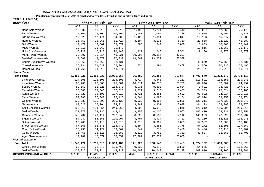**Populaion projection values of 2014 at zonal and wereda levels by urban and rural residence and by sex.**

| ክልል/ዞን/ወሪዳ                     |             | ጠቅሳሳ የሕዝብ ብዛት በጾታ |              |             | <u>የከተማ ሕዝብ ብዛት በጾታ</u> |              | የንጠር ሕዝብ ብዛት በጾታ |                   |              |
|--------------------------------|-------------|-------------------|--------------|-------------|-------------------------|--------------|------------------|-------------------|--------------|
|                                | ወንድ         | ሴት                | ድምር          | ወንድ         | ሴት                      | ድምር          | ወንድ              | ሴት                | ድምር          |
| Nono Sele-Wereda               | 13,806      | 13,810            | 27,616       | 1,199       | 1,244                   | 2,443        | 12,607           | 12,566            | 25,173       |
| Bicho-Wereda                   | 15,005      | 15,004            | 30,009       | 1,080       | 1,099                   | 2,179        | 13,925           | 13,905            | 27,830       |
| Bilo Nopha-Wereda              | 17,529      | 17,171            | 34,700       | 1,423       | 1,394                   | 2,817        | 16,106           | 15,777            | 31,883       |
| Hurumu-Wereda                  | 25,752      | 25,965            | 51,717       | 3,194       | 3,136                   | 6,330        | 22,558           | 22,829            | 45,387       |
| Didu-Wereda                    | 19,477      | 19,602            | 39,079       | 788         | 842                     | 1,630        | 18,689           | 18,760            | 37,449       |
| Mako-Wereda                    | 12,815      | 13,363            | 26,178       |             |                         |              | 12,815           | 13,363            | 26,178       |
| Huka /Halu/-Wereda             | 10,227      | 10,213            | 20,440       | 1,121       | 1,240                   | 2,361        | 9,106            | 8,973             | 18,079       |
| Metu /Town/-Wereda             | 20,007      | 20,314            | 40,321       | 20,007      | 20,314                  | 40,321       |                  |                   |              |
| Bedele/Town/-Wereda            | 13,667      | 13,672            | 27,339       | 13,667      | 13,672                  | 27,339       |                  |                   |              |
| Bedele Zuria/Town/-Wereda      | 45,869      | 46,562            | 92,431       |             |                         |              | 45,869           | 46,562            | 92,431       |
| Chewaka-Wereda                 | 35,334      | 31,630            | 66,964       | 774         | 694                     | 1,468        | 34,560           | 30,936            | 65,496       |
| Doreni-Wereda                  | 21,761      | 21,910            | 43,671       |             |                         |              | 21,761           | 21,910            | 43,671       |
| Jimma-Zone                     |             |                   |              |             |                         |              |                  |                   |              |
| <b>Zone Total</b>              | 1,498,021   | 1,488,936         | 2,986,957    | 96,482      | 96,365                  | 192,847      | 1,401,540        | 1,392,570         | 2,794,110    |
| Limu Seka-Wereda               | 114,305     | 112,198           | 226,503      | 3,714       | 3,548                   | 7,262        | 110,591          | 108,650           | 219,241      |
| Limu Kosa-Wereda               | 98,201      | 96,880            | 195,081      | 10,511      | 10,278                  | 20,789       | 87,690           | 86,602            | 174,292      |
| Sokoru-Wereda                  | 82,552      | 82,321            | 164,873      | 8,931       | 8,893                   | 17,824       | 73,621           | 73,428            | 147,049      |
| Tiro Afeta-Wereda              | 78,080      | 79,540            | 157,620      | 3,721       | 3,716                   | 7,437        | 74,359           | 75,824            | 150,183      |
| Kersa-Wereda                   | 99,723      | 98,195            | 197,918      | 3,721       | 3,881                   | 7,602        | 96,002           | 94,314            | 190,316      |
| Mana-Wereda                    | 89,088      | 86,340            | 175,428      | 3,064       | 3,090                   | 6,154        | 86,024           | 83,250            | 169,274      |
| Gomma-Wereda                   | 130,231     | 125,898           | 256,129      | 9,020       | 8,866                   | 17,886       | 121,211          | 117,032           | 238,243      |
| Gera-Wereda                    | 67,520      | 67,204            | 134,724      | 3,347       | 3,301                   | 6,648        | 64,173           | 63,903            | 128,076      |
| Seka Chekorsa-Wereda           | 125,012     | 124,054           | 249,066      | 4,800       | 5,048                   | 9,848        | 120,212          | 119,006           | 239,218      |
| Dedo-Wereda                    | 171,378     | 173,036           | 344,414      | 3,958       | 4,105                   | 8,063        | 167,420          | 168,931           | 336,351      |
| Omonada-Wereda                 | 148,732     | 149,114           | 297,846      | 8,523       | 8,589                   | 17,112       | 140,209          | 140,525           | 280,734      |
| Sigamo-Wereda                  | 54,947      | 56,050            | 110,997      | 3,797       | 3,924                   | 7,721        | 51,150           | 52,126            | 103,276      |
| Setema-Wereda                  | 60,700      | 63,113            | 123,813      | 3,318       | 3,307                   | 6,625        | 57,382           | 59,806            | 117,188      |
| Shebe Senbo-Wereda             | 67,866      | 66,576            | 134,442      | 3,694       | 3,681                   | 7,375        | 64,172           | 62,895            | 127,067      |
| Chora Botor-Wereda             | 55,233      | 54,129            | 109,362      | 747         | 713                     | 1,460        | 54,486           | 53,416            | 107,902      |
| Guma-Wereda                    | 36,466      | 36,616            | 73,082       | 3,629       | 3,753                   | 7,382        | 32,837           | 32,863            | 65,700       |
| Agaro/Town/-Wereda             | 17,987      | 17,672            | 35,659       | 17,987      | 17,672                  | 35,659       |                  |                   |              |
| <b>West Shewa-Zone</b>         |             |                   |              |             |                         |              |                  |                   |              |
| <b>Zone Total</b>              | 1,245,472   | 1,255,010         | 2,500,482    | 171,322     | 168,143                 | 339,465      | 1,074,152        | 1,086,868         | 2,161,020    |
| Ginde Beret-Wereda             | 63,915      | 62,848            | 126,763      | 9,230       | 6,270                   | 15,500       | 54,685           | 56,578            | 111,263      |
| Jeldu-Wereda                   | 120,015     | 124,214           | 244,229      | 10,099      | 10,049                  | 20,148       | 109,916          | 114,165           | 224,081      |
| <b>REGION, ZONE AND WEREDA</b> | <b>MALE</b> | <b>FEMALE</b>     | <b>TOTAL</b> | <b>MALE</b> | <b>FEMALE</b>           | <b>TOTAL</b> | <b>MALE</b>      | <b>FEMALE</b>     | <b>TOTAL</b> |
|                                |             | <b>POPULATION</b> |              |             | <b>POPULATION</b>       |              |                  | <b>POPULATION</b> |              |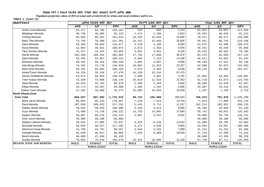**Populaion projection values of 2014 at zonal and wereda levels by urban and rural residence and by sex.**

| ክልል/ዞን/ወሪዳ                     | ጠቅላሳ የሕዝብ ብዛት በጾታ |               | የከተማ ሕዝብ ብዛት በጾታ |             |                   | የንጠር ሕዝብ ብዛት በጾታ |                   |               |              |  |
|--------------------------------|-------------------|---------------|------------------|-------------|-------------------|------------------|-------------------|---------------|--------------|--|
|                                | ወንድ               | ሴት            | ድምር              | ወንድ         | ሴት                | ድምር              | ወንድ               | ሴት            | ደምር          |  |
| Ambo Zuria-Wereda              | 64,377            | 64,785        | 129,162          | 525         | 688               | 1,213            | 63,852            | 64,097        | 127,949      |  |
| Midakegn-Wereda                | 46,738            | 48,385        | 95,123           | 1,474       | 1,436             | 2,910            | 45,264            | 46,949        | 92,213       |  |
| Cheliya-Wereda                 | 95,603            | 95,941        | 191,544          | 16,292      | 15,564            | 31,856           | 79,311            | 80,377        | 159,688      |  |
| Bako Tibe-Wereda               | 74,792            | 76,409        | 151,201          | 16,341      | 15,664            | 32,005           | 58,451            | 60,745        | 119,196      |  |
| Dano-Wereda                    | 58,293            | 58,684        | 116,977          | 4,318       | 4,186             | 8,504            | 53,975            | 54,498        | 108,473      |  |
| Nono-Wereda                    | 52,054            | 48,921        | 100,975          | 2,613       | 2,363             | 4,976            | 49,441            | 46,558        | 95,999       |  |
| Tikur Enchini-Wereda           | 42,477            | 43,414        | 85,891           | 3,054       | 3,051             | 6,105            | 39,423            | 40,363        | 79,786       |  |
| Dendi-Wereda                   | 102,260           | 100,344       | 202,604          | 17,784      | 17,686            | 35,470           | 84,476            | 82,658        | 167,134      |  |
| Ejere-Wereda                   | 53,495            | 52,057        | 105,552          | 6,984       | 7,124             | 14,108           | 46,511            | 44,933        | 91,444       |  |
| Wolmera-Wereda                 | 50,281            | 50,158        | 100,439          | 2,092       | 2,607             | 4,699            | 48,189            | 47,551        | 95,740       |  |
| Ada Berga-Wereda               | 73,192            | 73,728        | 146,920          | 10,684      | 11,653            | 22,337           | 62,508            | 62,075        | 124,583      |  |
| Meta Robi-Wereda               | 83,101            | 85,064        | 168,165          | 2,976       | 2,662             | 5,638            | 80,125            | 82,402        | 162,527      |  |
| Ambo/Town/-Wereda              | 34,226            | 33,244        | 67,470           | 34,226      | 33,244            | 67,470           |                   |               |              |  |
| Abuna Gindeberet-Wereda        | 63,674            | 66,918        | 130,592          | 1,809       | 1,982             | 3,791            | 61,865            | 64,936        | 126,801      |  |
| Toke Kutayu-Wereda             | 72,538            | 73,606        | 146,144          | 10,819      | 11,533            | 22,352           | 61,719            | 62,073        | 123,792      |  |
| Jibat-Wereda                   | 42,976            | 43,703        | 86,679           | 2,638       | 2,444             | 5,082            | 40,338            | 41,259        | 81,597       |  |
| Elfata-Wereda                  | 34,173            | 34,507        | 68,680           | 1,366       | 1,292             | 2,658            | 32,807            | 33,215        | 66,022       |  |
| Holeta Town-Wereda             | 17,292            | 18,080        | 35,372           | 15,995      | 16,644            | 32,639           | 1,297             | 1,436         | 2,733        |  |
| North Shewa-Zone               |                   |               |                  |             |                   |                  |                   |               |              |  |
| <b>Zone Total</b>              | 866,037           | 867,882       | 1,733,919        | 99,724      | 105,909           | 205,633          | 766,314           | 761,976       | 1,528,290    |  |
| Were Jarso-Wereda              | 85,054            | 85,433        | 170,487          | 7,230       | 7,524             | 14,754           | 77,824            | 77,909        | 155,733      |  |
| Dera-Wereda                    | 107,659           | 109,633       | 217,292          | 5,445       | 5,712             | 11,157           | 102,214           | 103,921       | 206,135      |  |
| Hidabu Abote-Wereda            | 49,542            | 50,554        | 100,096          | 4,346       | 4,614             | 8,960            | 45,196            | 45,940        | 91,136       |  |
| Kuyu-Wereda                    | 73,496            | 74,726        | 148,222          | 13,755      | 14,085            | 27,840           | 59,741            | 60,641        | 120,382      |  |
| Degem-Wereda                   | 58,967            | 60,276        | 119,243          | 3,961       | 4,541             | 8,502            | 55,006            | 55,735        | 110,741      |  |
| Girar Jarso-Wereda             | 40,900            | 39,180        | 80,080           |             |                   |                  | 40,900            | 39,180        | 80,080       |  |
| Debere Libanos-Wereda          | 28,632            | 27,005        | 55,637           | 6,323       | 6,220             | 12,543           | 22,309            | 20,785        | 43,094       |  |
| Wuchale-Wereda                 | 59,065            | 58,327        | 117,392          | 4,374       | 4,630             | 9,004            | 54,691            | 53,697        | 108,388      |  |
| Abichuna Gnaa-Wereda           | 44,760            | 44,797        | 89,557           | 3,544       | 3,545             | 7,089            | 41,216            | 41,252        | 82,468       |  |
| Kimbibit-Wereda                | 45,049            | 45,817        | 90,866           | 7,925       | 8,609             | 16,534           | 37,124            | 37,208        | 74,332       |  |
| Bereh-Wereda                   | 48,680            | 47,459        | 96,139           |             |                   |                  | 48,680            | 47,459        | 96,139       |  |
| Sululta-Wereda                 | 78,063            | 78,616        | 156,679          | 10,315      | 10,905            | 21,220           | 67,748            | 67,711        | 135,459      |  |
| <b>REGION, ZONE AND WEREDA</b> | <b>MALE</b>       | <b>FEMALE</b> | <b>TOTAL</b>     | <b>MALE</b> | <b>FEMALE</b>     | <b>TOTAL</b>     | <b>MALE</b>       | <b>FEMALE</b> | <b>TOTAL</b> |  |
|                                | <b>POPULATION</b> |               |                  |             | <b>POPULATION</b> |                  | <b>POPULATION</b> |               |              |  |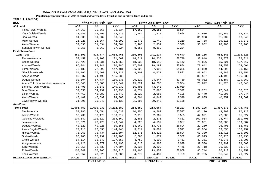**Populaion projection values of 2014 at zonal and wereda levels by urban and rural residence and by sex.**

| haa                              |                   | ጠቅሳሳ የሕዝብ ብዛት በጾታ |              |             | <i>የከተማ ሕዝ</i> ብ ብዛት በጾ <i>ታ</i> |              |                   | የንጠር ሕዝብ ብዛት በጾታ |              |  |
|----------------------------------|-------------------|-------------------|--------------|-------------|----------------------------------|--------------|-------------------|------------------|--------------|--|
| ዞንና ወረዳ                          | ወንድ               | ሴት                | ድምር          | ወንድ         | ሴት                               | RFC          | ወንድ               | ሴት               | ድምር          |  |
| Fiche/Town/-Wereda               | 17,969            | 20,565            | 38,534       | 17,969      | 20,565                           | 38,534       |                   |                  |              |  |
| Yaya Gulele-Wereda               | 33,680            | 32,295            | 65,975       | 1,744       | 1,910                            | 3,654        | 31,936            | 30,385           | 62,321       |  |
| Jida-Wereda                      | 31,908            | 31,932            | 63,840       |             |                                  |              | 31,908            | 31,932           | 63,840       |  |
| Mulo-Wereda                      | 21,228            | 21,064            | 42,292       | 1,470       | 1,749                            | 3,219        | 19,758            | 19,315           | 39,073       |  |
| Aleltu-Wereda                    | 32,530            | 31,834            | 64,364       | 2,468       | 2,931                            | 5,399        | 30,062            | 28,903           | 58,965       |  |
| Sendafa/Town/-Wereda             | 8,855             | 8,369             | 17,224       | 8,855       | 8,369                            | 17,224       |                   |                  |              |  |
| <b>East Shewa-Zone</b>           |                   |                   |              |             |                                  |              |                   |                  |              |  |
| <b>Zone Total</b>                | 860,691           | 824,774           | 1,685,465    | 235,506     | 241,134                          | 476,640      | 625,185           | 583,640          | 1,208,825    |  |
| Fentale-Wereda                   | 53,459            | 48,108            | 101,567      | 14,511      | 14,235                           | 28,746       | 38,948            | 33,873           | 72,821       |  |
| Boset-Wereda                     | 90,428            | 84,231            | 174,659      | 18,532      | 18,610                           | 37,142       | 71,896            | 65,621           | 137,517      |  |
| Adama-Wereda                     | 96,344            | 94,041            | 190,385      | 17,702      | 19,182                           | 36,884       | 78,642            | 74,859           | 153,501      |  |
| Lome-Wereda                      | 75,189            | 72,292            | 147,481      | 26,329      | 27,996                           | 54,325       | 48,860            | 44,296           | 93,156       |  |
| Gimbichu-Wereda                  | 54,162            | 50,560            | 104,722      | 4,200       | 4,671                            | 8,871        | 49,962            | 45,889           | 95,851       |  |
| Ada A-Wereda                     | 80,537            | 74,498            | 155,035      |             |                                  |              | 80,537            | 74,498           | 155,035      |  |
| Dugda-Wereda                     | 92,304            | 87,734            | 180,038      | 26,222      | 24,547                           | 50,769       | 66,082            | 63,187           | 129,269      |  |
| Adami Tulu Jido Kombolcha-Wereda | 86,643            | 86,006            | 172,649      | 15,021      | 14,283                           | 29,304       | 71,622            | 71,723           | 143,345      |  |
| Bishoftu/Town/-Wereda            | 66,496            | 73,543            | 140,039      | 66,496      | 73,543                           | 140,039      |                   |                  |              |  |
| Bora-Wereda                      | 37,356            | 34,939            | 72,295       | 8,074       | 7,898                            | 15,972       | 29,282            | 27,041           | 56,323       |  |
| Liben-Wereda                     | 47,469            | 43,980            | 91,449       | 2,020       | 2,085                            | 4,105        | 45,449            | 41,895           | 87,344       |  |
| Akaki-Wereda                     | 48,409            | 45,599            | 94,008       | 4,504       | 4,842                            | 9,346        | 43,905            | 40,757           | 84,662       |  |
| Ziway/Town/-Wereda               | 31,895            | 29,243            | 61,138       | 31,895      | 29,243                           | 61,138       |                   |                  |              |  |
| Arsi-Zone                        |                   |                   |              |             |                                  |              |                   |                  |              |  |
| <b>Zone Total</b>                | 1,601,757         | 1,600,932         | 3,202,689    | 214,559     | 213,664                          | 428,223      | 1,387,195         | 1,387,270        | 2,774,465    |  |
| Merti-Wereda                     | 57,085            | 53,554            | 110,639      | 10,955      | 9,562                            | 20,517       | 46,130            | 43,992           | 90,122       |  |
| Aseko-Wereda                     | 50,739            | 50,173            | 100,912      | 2,918       | 2,667                            | 5,585        | 47,821            | 47,506           | 95,327       |  |
| Gololcha-Wewreda                 | 104,547           | 101,022           | 205,569      | 2,583       | 2,278                            | 4,861        | 101,964           | 98,744           | 200,708      |  |
| Jeju-Wereda                      | 75,621            | 73,423            | 149,044      | 4,820       | 4,537                            | 9,357        | 70,801            | 68,886           | 139,687      |  |
| Dodota-Wereda                    | 40,329            | 40,226            | 80,555       | 13,069      | 13,735                           | 26,804       | 27,260            | 26,491           | 53,751       |  |
| Ziway Dugda-Wereda               | 72,118            | 72,630            | 144,748      | 3,214       | 3,097                            | 6,311        | 68,904            | 69,533           | 138,437      |  |
| Hitosa-Wereda                    | 75,960            | 75,734            | 151,694      | 12,571      | 13,323                           | 25,894       | 63,389            | 62,411           | 125,800      |  |
| Sude-Wereda                      | 88,103            | 88,297            | 176,400      | 2,088       | 1,874                            | 3,962        | 86,015            | 86,423           | 172,438      |  |
| Chole-Wereda                     | 54,114            | 53,543            | 107,657      | 4,753       | 4,698                            | 9,451        | 49,361            | 48,845           | 98,206       |  |
| Amigna-Wereda                    | 44,126            | 44,372            | 88,498       | 4,618       | 4,380                            | 8,998        | 39,508            | 39,992           | 79,500       |  |
| Seru-Wereda                      | 28,955            | 28,739            | 57,694       | 2,237       | 2,209                            | 4,446        | 26,718            | 26,530           | 53,248       |  |
| Robe-Wereda                      | 100,849           | 100,066           | 200,915      | 15,105      | 13,853                           | 28,958       | 85,744            | 86,213           | 171,957      |  |
| Tena-Wereda                      | 40,057            | 40,029            | 80,086       | 4,272       | 4,487                            | 8,759        | 35,785            | 35,542           | 71,327       |  |
| <b>REGION, ZONE AND WEREDA</b>   | <b>MALE</b>       | <b>FEMALE</b>     | <b>TOTAL</b> | <b>MALE</b> | <b>FEMALE</b>                    | <b>TOTAL</b> | <b>MALE</b>       | <b>FEMALE</b>    | <b>TOTAL</b> |  |
|                                  | <b>POPULATION</b> |                   |              |             | <b>POPULATION</b>                |              | <b>POPULATION</b> |                  |              |  |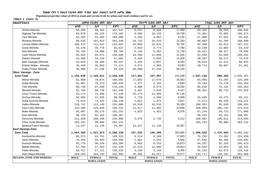**Populaion projection values of 2014 at zonal and wereda levels by urban and rural residence and by sex.**

| ክልል/ዞን/ወረዳ                     | ጠቅሳሳ የሕዝብ ብዛት በጾታ |                   |              | <u>የከተማ ሕዝብ ብዛት በጾታ</u> |                   |              | የንጠር ሕዝብ ብዛት በጾታ |                                    |              |
|--------------------------------|-------------------|-------------------|--------------|-------------------------|-------------------|--------------|------------------|------------------------------------|--------------|
|                                | ወንድ               | ሴት                | ድምር          | ወንድ                     | ሴት                | ድምር          | ወንድ              | ሴት                                 | ድምር          |
| Shirka-Wereda                  | 98,386            | 99,161            | 197,547      | 8,931                   | 8,568             | 17,499       | 89,455           | 90,593                             | 180,048      |
| Digluna Tijo-Wereda            | 83,876            | 86,226            | 170,102      | 9,595                   | 10,133            | 19,728       | 74,281           | 76,093                             | 150,374      |
| Tiyo-Wereda                    | 52,202            | 52,404            | 104,606      | 4,293                   | 4,852             | 9,145        | 47,909           | 47,552                             | 95,461       |
| Munesa-Wereda                  | 99,535            | 101,813           | 201,348      | 10,732                  | 10,518            | 21,250       | 88,803           | 91,295                             | 180,098      |
| Limuna Bilbilo-Wereda          | 108,375           | 111,547           | 219,922      | 16,066                  | 16,634            | 32,700       | 92,309           | 94,913                             | 187,222      |
| Guna-Wereda                    | 46,249            | 45,778            | 92,027       | 4,010                   | 3,774             | 7,784        | 42,239           | 42,004                             | 84,243       |
| Sire-Wereda                    | 45,766            | 44,000            | 89,766       | 6,145                   | 5,583             | 11,728       | 39,621           | 38,417                             | 78,038       |
| Lude Hitosa-Wereda             | 65,025            | 65,671            | 130,696      | 10,369                  | 11,066            | 21,435       | 54,656           | 54,605                             | 109,261      |
| Deksis-Wereda                  | 43,466            | 44,216            | 87,682       | 5,359                   | 5,645             | 11,004       | 38,107           | 38,571                             | 76,678       |
| Bale Gasegar-Wereda            | 43,828            | 45,409            | 89,237       | 4,185                   | 4,097             | 8,282        | 39,643           | 41,312                             | 80,955       |
| Enkelo Wabe - Wereda           | 35,448            | 35,663            | 71,111       | 4,674                   | 4,856             | 9,530        | 30,774           | 30,807                             | 61,581       |
| Asela /Town/ Wereda            | 46,998            | 47,236            | 94,234       | 46,998                  | 47,236            | 94,234       |                  |                                    |              |
| <b>West Hararge - Zone</b>     |                   |                   |              |                         |                   |              |                  |                                    |              |
| <b>Zone Total</b>              | 1,155,038         | 1,105,611         | 2,260,649    | 117,891                 | 107,407           | 225,298      | 1,037,148        | 998,203                            | 2,035,351    |
| Mieso-Wereda                   | 81,988            | 78,874            | 160,862      | 17,893                  | 17,670            | 35,563       | 64,095           | 61,204                             | 125,299      |
| Doba-Wereda                    | 81,661            | 78,373            | 160,034      | 2,477                   | 2,103             | 4,580        | 79,184           | 76,270                             | 155,454      |
| Tulo-Wereda                    | 90,746            | 87,499            | 178,245      | 9,908                   | 9,374             | 19,282       | 80,838           | 78,125                             | 158,963      |
| Mesela-Wereda                  | 91,708            | 89,738            | 181,446      | 3,407                   | 3,020             | 6,427        | 88,301           | 86,718                             | 175,019      |
| Chiro /Town/-Wereda            | 25,173            | 21,966            | 47,139       | 25,173                  | 21,966            | 47,139       |                  |                                    |              |
| Anchar-Wereda                  | 50,565            | 47,935            | 98,500       | 4,729                   | 4,360             | 9,089        | 45,836           | 43,575                             | 89,411       |
| Guba Koricha-Wereda            | 74,623            | 71,525            | 146,148      | 2,052                   | 1,975             | 4,027        | 72,571           | 69,550                             | 142,121      |
| Habro-Wereda                   | 119,741           | 112,148           | 231,889      | 18,810                  | 16,518            | 35,328       | 100,931          | 95,630                             | 196,561      |
| Daro Lebu-Wereda               | 122,386           | 116,836           | 239,222      | 12,517                  | 11,092            | 23,609       | 109,869          | 105,744                            | 215,613      |
| Boke-Wereda                    | 92,067            | 89,175            | 181,242      | 4,923                   | 4,453             | 9,376        | 87,144           | 84,722                             | 171,866      |
| Kuni-Wereda                    | 96,153            | 92,154            | 188,307      |                         |                   |              | 96,153           | 92,154                             | 188,307      |
| Gemches-Wereda                 | 111,658           | 108,348           | 220,006      | 2,676                   | 2,736             | 5,412        | 108,982          | 105,612                            | 214,594      |
| Chiro Zuria-Wereda             | 103,242           | 98,900            | 202,142      |                         |                   |              | 103,242          | 98,900                             | 202,142      |
| Bedesa/Town/-Wereda            | 13,327            | 12,140            | 25,467       | 13,327                  | 12,140            | 25,467       |                  |                                    |              |
| <b>East Hararge-Zone</b>       |                   |                   |              |                         |                   |              |                  |                                    |              |
| <b>Zone Total</b>              | 1,664,365         | 1,621,973         | 3,286,338    | 157,525                 | 146,280           | 303,805      | 1,506,839        | 1,475,694                          | 2,982,533    |
| Kombolcha-Wereda               | 85,572            | 83,741            | 169,313      | 9,314                   | 8,349             | 17,663       | 76,258           | 75,392                             | 151,650      |
| Jarso-Wereda                   | 70,553            | 69,043            | 139,596      | 2,861                   | 2,643             | 5,504        | 67,692           | 66,400                             | 134,092      |
| Gursum-Wereda                  | 92,770            | 90,526            | 183,296      | 8,663                   | 8,210             | 16,873       | 84,107           | 82,316                             | 166,423      |
| Babile-Wereda                  | 57,766            | 57,463            | 115,229      | 12,214                  | 12,600            | 24,814       | 45,552           | 44,863                             | 90,415       |
| Fedis-Wereda                   | 68,411            | 67,121            | 135,532      | 3,258                   | 3,148             | 6,406        | 65,153           | 63,973                             | 129,126      |
| Haro Maya-Wereda               | 169,283           | 163,702           | 332,985      | 35,566                  | 34,511            | 70,077       | 133,717          | 129,191                            | 262,908      |
| <b>REGION, ZONE AND WEREDA</b> | <b>MALE</b>       | <b>FEMALE</b>     | <b>TOTAL</b> | <b>MALE</b>             | <b>FEMALE</b>     | <b>TOTAL</b> | <b>MALE</b>      | <b>FEMALE</b><br><b>POPULATION</b> | <b>TOTAL</b> |
|                                |                   | <b>POPULATION</b> |              |                         | <b>POPULATION</b> |              |                  |                                    |              |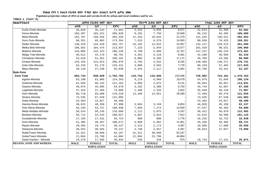**Populaion projection values of 2014 at zonal and wereda levels by urban and rural residence and by sex.**

| ክልል/ዞን/ወሪዳ                     | ጠቅላሳ የሕዝብ ብዛት በጾታ |               |              | የከተማ ሕዝብ ብዛት በጾታ |                   |              | የንጠር ሕዝብ ብዛት በጾታ |                   |              |  |
|--------------------------------|-------------------|---------------|--------------|------------------|-------------------|--------------|------------------|-------------------|--------------|--|
|                                | ወንድ               | ሴት            | ድምር          | ወንድ              | ሴት                | ድምር          | ወንድ              | ሴት                | ድምር          |  |
| Kurfa Chele-Wereda             | 35,829            | 35,224        | 71,053       | 4,215            | 3,856             | 8,071        | 31,614           | 31,368            | 62,982       |  |
| Kersa-Wereda                   | 103,407           | 102,221       | 205,628      | 8,192            | 7,756             | 15,948       | 95,215           | 94,465            | 189,680      |  |
| Meta-Wereda                    | 152,787           | 150,546       | 303,333      | 11,254           | 10,025            | 21,279       | 141,533          | 140,521           | 282,054      |  |
| Goro Gutu-Wereda               | 88,351            | 85,003        | 173,354      | 7,515            | 6,578             | 14,093       | 80,836           | 78,425            | 159,261      |  |
| Deder-Wereda                   | 148,329           | 144,428       | 292,757      | 16,182           | 14,915            | 31,097       | 132,147          | 129,513           | 261,660      |  |
| Melka Belo-Wereda              | 108,562           | 104,475       | 213,037      | 7,133            | 5,944             | 13,077       | 101,429          | 98,531            | 199,960      |  |
| Bedeno-Wereda                  | 144,005           | 142,223       | 286,228      | 6,768            | 5,999             | 12,767       | 137,237          | 136,224           | 273,461      |  |
| Midga Tola-Wereda              | 46,612            | 44,179        | 90,791       | 4,352            | 4,129             | 8,481        | 42,260           | 40,050            | 82,310       |  |
| Chinaksan-Wereda               | 54,610            | 51,551        | 106,161      | 8,905            | 8,266             | 17,171       | 45,705           | 43,285            | 88,990       |  |
| Girawa-Wereda                  | 145,163           | 141,813       | 286,976      | 4,703            | 3,542             | 8,245        | 140,460          | 138,271           | 278,731      |  |
| Gola Oda-Wereda                | 64,245            | 61,176        | 125,421      | 4,086            | 3,692             | 7,778        | 60,159           | 57,484            | 117,643      |  |
| Meyu-Wereda                    | 28,110            | 27,538        | 55,648       | 2,344            | 2,117             | 4,461        | 25,766           | 25,421            | 51,187       |  |
| <b>Bale-Zone</b>               |                   |               |              |                  |                   |              |                  |                   |              |  |
| <b>Zone Total</b>              | 863,734           | 840,028       | 1,703,762    | 116,752          | 116,846           | 233,598      | 746,982          | 723,181           | 1,470,163    |  |
| Agarfa-Wereda                  | 63,198            | 61,005        | 124,203      | 9,119            | 8,960             | 18,079       | 54,079           | 52,045            | 106,124      |  |
| Gololcha-Wereda                | 61,020            | 60,142        | 121,162      | 4,056            | 4,075             | 8,131        | 56,964           | 56,067            | 113,031      |  |
| Gasera-Wereda                  | 48,075            | 45,995        | 94,070       | 3,332            | 3,388             | 6,720        | 44,743           | 42,607            | 87,350       |  |
| Legehida-Wereda                | 37,344            | 37,465        | 74,809       | 1,496            | 1,326             | 2,822        | 35,848           | 36,139            | 71,987       |  |
| Ginir-Wereda                   | 86,718            | 83,500        | 170,218      | 14,268           | 14,021            | 28,289       | 72,450           | 69,479            | 141,929      |  |
| Sinana Wereda                  | 73,535            | 67,548        | 141,083      |                  |                   |              | 73,535           | 67,548            | 141,083      |  |
| Goba Wereda                    | 24,463            | 24,027        | 48,490       |                  |                   |              | 24,463           | 24,027            | 48,490       |  |
| Harena Buluk-Wereda            | 49,632            | 48,358        | 97,990       | 3,604            | 3,249             | 6,853        | 46,028           | 45,109            | 91,137       |  |
| Dolo Mena-Wereda               | 55,193            | 53,737        | 108,930      | 7,656            | 7,274             | 14,930       | 47,537           | 46,463            | 94,000       |  |
| Meda Welabu-Wereda             | 58,524            | 58,145        | 116,669      | 2,112            | 2,075             | 4,187        | 56,412           | 56,070            | 112,482      |  |
| Berbere-Wereda                 | 55,712            | 53,315        | 109,027      | 4,097            | 3,815             | 7,912        | 51,615           | 49,500            | 101,115      |  |
| Guradamole-Wereda              | 17,193            | 17,531        | 34,724       | 968              | 808               | 1,776        | 16,225           | 16,723            | 32,948       |  |
| Goro-Wereda                    | 51,305            | 49,367        | 100,672      | 5,969            | 5,982             | 11,951       | 45,336           | 43,385            | 88,721       |  |
| Rayitu-Wereda                  | 20,363            | 19,774        | 40,137       | 2,313            | 2,174             | 4,487        | 18,050           | 17,600            | 35,650       |  |
| Seweyna-Wereda                 | 39,553            | 39,584        | 79,137       | 2,730            | 2,557             | 5,287        | 36,823           | 37,027            | 73,850       |  |
| Robe/Town/-Wereda              | 31,321            | 30,846        | 62,167       | 31,321           | 30,846            | 62,167       |                  |                   |              |  |
| Goba/Town/-Wereda              | 21,094            | 23,790        | 44,884       | 21,094           | 23,790            | 44,884       |                  |                   |              |  |
| Dawe Kachen - Wereda           | 19,279            | 17,565        | 36,844       | 536              | 434               | 970          | 18,743           | 17,131            | 35,874       |  |
| <b>REGION, ZONE AND WEREDA</b> | <b>MALE</b>       | <b>FEMALE</b> | <b>TOTAL</b> | <b>MALE</b>      | <b>FEMALE</b>     | <b>TOTAL</b> | <b>MALE</b>      | <b>FEMALE</b>     | <b>TOTAL</b> |  |
|                                | <b>POPULATION</b> |               |              |                  | <b>POPULATION</b> |              |                  | <b>POPULATION</b> |              |  |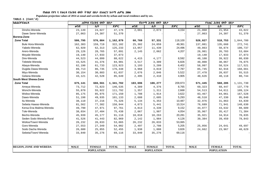**Populaion projection values of 2014 at zonal and wereda levels by urban and rural residence and by sex.**

| ክልል/ዞን/ወረዳ                     |                   | ጠቅላሳ የሕዝብ ብዛት በጾታ |              | የከተማ ሕዝብ ብዛት በጾታ |                   |              | የንጠር ሕዝብ ብዛት በጾታ |                   |              |  |
|--------------------------------|-------------------|-------------------|--------------|------------------|-------------------|--------------|------------------|-------------------|--------------|--|
|                                | ወንድ               | ሴት                | ድምር          | ወንድ              | ሴት                | ድምር          | ወንድ              | ሴት                | ድምር          |  |
| Dinsho-Wereda                  | 23,149            | 24,027            | 47,176       | 2,081            | 2,073             | 4,154        | 21,068           | 21,954            | 43,022       |  |
| Dawe Serer-Wereda              | 27,063            | 24,307            | 51,370       |                  |                   |              | 27,063           | 24,307            | 51,370       |  |
| <b>Borena-Zone</b>             |                   |                   |              |                  |                   |              |                  |                   |              |  |
| <b>Zone Total</b>              | 586,795           | 576,084           | 1,162,879    | 60,769           | 57,331            | 118,100      | 526,027          | 518,753           | 1,044,780    |  |
| <b>Bule Hora-Wereda</b>        | 162,383           | 159,719           | 322,102      | 25,302           | 24,059            | 49,361       | 137,081          | 135,660           | 272,741      |  |
| Yabelo-Wereda                  | 62,920            | 62,313            | 125,233      | 13,057           | 11,439            | 24,496       | 49,863           | 50,874            | 100,737      |  |
| Arero-Wereda                   | 29,126            | 28,765            | 57,891       | 2,145            | 2,062             | 4,207        | 26,981           | 26,703            | 53,684       |  |
| Moyale-Wereda                  | 19,140            | 17,933            | 37,073       |                  |                   |              | 19,140           | 17,933            | 37,073       |  |
| Dire-Wereda                    | 44,523            | 44,099            | 88,622       | 4,415            | 4,177             | 8,592        | 40,108           | 39,922            | 80,030       |  |
| Teletele-Wereda                | 43,525            | 41,376            | 84,901       | 3,517            | 3,309             | 6,826        | 40,008           | 38,067            | 78,075       |  |
| Abaya-Wereda                   | 62,190            | 61,733            | 123,923      | 3,193            | 3,209             | 6,402        | 58,997           | 58,524            | 117,521      |  |
| Dugida Dawa-Wereda             | 89,713            | 86,735            | 176,448      | 3,968            | 3,819             | 7,787        | 85,745           | 82,916            | 168,661      |  |
| Miyu-Wereda                    | 30,154            | 30,883            | 61,037       | 2,676            | 2,846             | 5,522        | 27,478           | 28,037            | 55,515       |  |
| Gelana-Wereda                  | 43,121            | 42,528            | 85,649       | 2,495            | 2,410             | 4,905        | 40,626           | 40,118            | 80,744       |  |
| South West Shewa-Zone          |                   |                   |              |                  |                   |              |                  |                   |              |  |
| <b>Zone Total</b>              | 675,141           | 666,561           | 1,341,702    | 103,696          | 106,277           | 209,973      | 571,445          | 560,285           | 1,131,730    |  |
| Ameya-Wereda                   | 73,712            | 72,823            | 146,535      | 4,389            | 4,376             | 8,765        | 69,323           | 68,447            | 137,770      |  |
| Wonchi-Wereda                  | 55,870            | 55,922            | 111,792      | 1,357            | 1,311             | 2,668        | 54,513           | 54,611            | 109,124      |  |
| Woliso-Wereda                  | 85,175            | 85,975            | 171,150      | 1,708            | 1,914             | 3,622        | 83,467           | 84,061            | 167,528      |  |
| Dawo-Wereda                    | 51,198            | 49,935            | 101,133      | 2,688            | 2,605             | 5,293        | 48,510           | 47,330            | 95,840       |  |
| Ilu-Wereda                     | 38,110            | 37,216            | 75,326       | 5,134            | 5,353             | 10,487       | 32,976           | 31,863            | 64,839       |  |
| Sebeta Hawas-Wereda            | 81,562            | 77,382            | 158,944      | 4,873            | 5,441             | 10,314       | 76,689           | 71,941            | 148,630      |  |
| Kersa Ena Malima-Wereda        | 49,790            | 47,971            | 97,761       | 4,813            | 4,339             | 9,152        | 44,977           | 43,632            | 88,609       |  |
| Tole-Wereda                    | 38,034            | 37,404            | 75,438       | 2,067            | 1,987             | 4,054        | 35,967           | 35,417            | 71,384       |  |
| Becho-Wereda                   | 45,939            | 45,177            | 91,116       | 10,018           | 10,263            | 20,281       | 35,921           | 34,914            | 70,835       |  |
| Seden Sodo Wereda-Rural        | 41,526            | 41,443            | 82,969       | 2,142            | 1,984             | 4,126        | 39,384           | 39,459            | 78,843       |  |
| Woliso/Town/-Wereda            | 26,232            | 26,833            | 53,065       | 26,232           | 26,833            | 53,065       |                  |                   |              |  |
| Goro-Wereda                    | 27,553            | 27,349            | 54,902       | 2,497            | 2,708             | 5,205        | 25,056           | 24,641            | 49,697       |  |
| Sodo Dacha Wereda              | 26,600            | 25,855            | 52,455       | 1,938            | 1,888             | 3,826        | 24,662           | 23,967            | 48,629       |  |
| Sebeta/Town/-Wereda            | 33,840            | 35,276            | 69,116       | 33,840           | 35,276            | 69,116       |                  |                   |              |  |
|                                |                   |                   |              |                  |                   |              |                  |                   |              |  |
|                                |                   |                   |              |                  |                   |              |                  |                   |              |  |
|                                |                   |                   |              |                  |                   |              |                  |                   |              |  |
| <b>REGION, ZONE AND WEREDA</b> | <b>MALE</b>       | <b>FEMALE</b>     | <b>TOTAL</b> | <b>MALE</b>      | <b>FEMALE</b>     | <b>TOTAL</b> | <b>MALE</b>      | <b>FEMALE</b>     | <b>TOTAL</b> |  |
|                                | <b>POPULATION</b> |                   |              |                  | <b>POPULATION</b> |              |                  | <b>POPULATION</b> |              |  |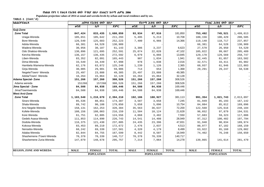**Populaion projection values of 2014 at zonal and wereda levels by urban and rural residence and by sex.**

| ክልል/ዞን/ወረዳ                     |             | ጠቅላሳ የሕዝብ ብዛት በጾታ |              |             | <u>የከተማ ሕዝብ ብዛት በጾታ</u> |              |                   | የንጠር ሕዝብ ብዛት በጾታ |              |  |
|--------------------------------|-------------|-------------------|--------------|-------------|-------------------------|--------------|-------------------|------------------|--------------|--|
|                                | ወንድ         | ሴት                | ድምር          | ወንድ         | ሴት                      | ድምር          | ወንድ               | ቤት               | ድምር          |  |
| Guji-Zone                      |             |                   |              |             |                         |              |                   |                  |              |  |
| <b>Zone Total</b>              | 847,424     | 833,435           | 1,680,859    | 93,934      | 87,916                  | 181,850      | 753,492           | 745,521          | 1,499,013    |  |
| Uraga-Wereda                   | 105,651     | 105,642           | 211,293      | 5,495       | 5,213                   | 10,708       | 100,156           | 100,429          | 200,585      |  |
| Bore-Wereda                    | 126,540     | 125,683           | 252,223      | 7,400       | 6,966                   | 14,366       | 119,140           | 118,717          | 237,857      |  |
| Adola-Wereda                   | 66,381      | 64,528            | 130,909      |             |                         |              | 66,381            | 64,528           | 130,909      |  |
| Wadera-Wereda                  | 30,956      | 30,187            | 61,143       | 3,386       | 3,237                   | 6,623        | 27,570            | 26,950           | 54,520       |  |
| Odo Shakiso-Wereda             | 130,896     | 121,695           | 252,591      | 25,074      | 22,028                  | 47,102       | 105,822           | 99,667           | 205,489      |  |
| Kercha-Wereda                  | 136,157     | 136,435           | 272,592      | 6,979       | 6,866                   | 13,845       | 129,178           | 129,569          | 258,747      |  |
| Liben-Wereda                   | 83,352      | 82,091            | 165,443      | 907         | 1,034                   | 1,941        | 82,445            | 81,057           | 163,502      |  |
| Dima-Wereda                    | 33,549      | 34,449            | 67,998       | 978         | 1,038                   | 2,016        | 32,571            | 33,411           | 65,982       |  |
| Hambela Wamena-Wereda          | 62,176      | 63,072            | 125,248      | 1,239       | 1,126                   | 2,365        | 60,937            | 61,946           | 122,883      |  |
| Girja-Wereda                   | 30,005      | 29,901            | 59,906       | 714         | 654                     | 1,368        | 29,291            | 29,247           | 58,538       |  |
| Negele/Town/- Wereda           | 25,497      | 23,888            | 49,385       | 25,497      | 23,888                  | 49,385       |                   |                  |              |  |
| Adola/Town/- Wereda            | 16,264      | 15,864            | 32,128       | 16,264      | 15,864                  | 32,128       |                   |                  |              |  |
| Adama Special- Zone            | 151,266     | 157,260           | 308,526      | 151,266     | 157,260                 | 308,526      |                   |                  |              |  |
| Adama wereda                   | 151266      | 157260            | 308,526      | 151,266     | 157,260                 | 308,526      |                   |                  |              |  |
| Jima Special - Zone            | 84,508      | 84,938            | 169,446      | 84,508      | 84,938                  | 169,446      |                   |                  |              |  |
| Jima/Town/wereda               | 84,508      | 84,938            | 169,446      | 84,508      | 84,938                  | 169,446      |                   |                  |              |  |
| <b>West Arsi-Zone</b>          |             |                   |              |             |                         |              |                   |                  |              |  |
| <b>Zone Total</b>              | 1,183,540   | 1,210,670         | 2,394,210    | 192,186     | 188,927                 | 381,113      | 991,354           | 1,021,743        | 2,013,097    |  |
| Siraro-Wereda                  | 85,536      | 88,851            | 174,387      | 3,587       | 3,658                   | 7,245        | 81,949            | 85,193           | 167,142      |  |
| Shala-Wereda                   | 89,742      | 90,108            | 179,850      | 5,658       | 5,096                   | 10,754       | 84,084            | 85,012           | 169,096      |  |
| Arsi Negele-Wereda             | 158,131     | 162,253           | 320,384      | 35,563      | 36,637                  | 72,200       | 122,568           | 125,616          | 248,184      |  |
| Kofele-Wereda                  | 108,156     | 108,003           | 216,159      | 11,504      | 10,124                  | 21,628       | 96,652            | 97,879           | 194,531      |  |
| Kore Wereda                    | 61,751      | 62,805            | 124,556      | 4,068       | 3,482                   | 7,550        | 57,683            | 59,323           | 117,006      |  |
| Gedeb Asasa-Wereda             | 111,853     | 114,890           | 226,743      | 14,541      | 14,408                  | 28,949       | 97,312            | 100,482          | 197,794      |  |
| Dodola-Wereda                  | 116,375     | 121,430           | 237,805      | 24,435      | 23,396                  | 47,831       | 91,940            | 98,034           | 189,974      |  |
| Kokosa-Wereda                  | 83,453      | 89,219            | 172,672      | 2,476       | 2,037                   | 4,513        | 80,977            | 87,182           | 168,159      |  |
| Nensebo-Wereda                 | 68,242      | 69,339            | 137,581      | 4,320       | 4,179                   | 8,499        | 63,922            | 65,160           | 129,082      |  |
| Adaba-Wereda                   | 82,844      | 84,755            | 167,599      | 8,442       | 8,507                   | 16,949       | 74,402            | 76,248           | 150,650      |  |
| Shashemene /Town/-Wereda       | 70,378      | 70,339            | 140,717      | 70,378      | 70,339                  | 140,717      |                   |                  |              |  |
| Shashemene Zuria-Wereda        | 147,079     | 148,678           | 295,757      | 7,214       | 7,064                   | 14,278       | 139,865           | 141,614          | 281,479      |  |
|                                |             |                   |              |             |                         |              |                   |                  |              |  |
|                                |             |                   |              |             |                         |              |                   | <b>FEMALE</b>    |              |  |
| <b>REGION, ZONE AND WEREDA</b> | <b>MALE</b> | <b>FEMALE</b>     | <b>TOTAL</b> | <b>MALE</b> | <b>FEMALE</b>           | <b>TOTAL</b> | <b>MALE</b>       |                  | <b>TOTAL</b> |  |
|                                |             | <b>POPULATION</b> |              |             | <b>POPULATION</b>       |              | <b>POPULATION</b> |                  |              |  |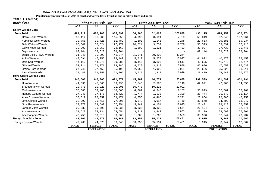**Populaion projection values of 2014 at zonal and wereda levels by urban and rural residence and by sex.**

| ክልል/ዞን/ወረ <i>ዳ</i>           | ጠቅሳሳ የሕዝብ ብዛት በጾታ |                   |              |             | <i>የከተማ ሕዝ</i> ብ ብዛት በጾ <i>ታ</i> |              | የንጠር ሕዝብ ብዛት በጾታ  |               |              |
|------------------------------|-------------------|-------------------|--------------|-------------|----------------------------------|--------------|-------------------|---------------|--------------|
|                              | ወንድ               | ሴት                | ድምር          | ወንድ         | ሴት                               | ድምር          | ወንድ               | ሴት            | ድምር          |
| Kelem Welega-Zone            |                   |                   |              |             |                                  |              |                   |               |              |
| <b>Zone Total</b>            | 484,919           | 480,180           | 965,099      | 54,805      | 52,023                           | 106,828      | 430,115           | 428,159       | 858,274      |
| Hawa Gelan-Wereda            | 59,114            | 56,239            | 115,353      | 4,095       | 3,694                            | 7,789        | 55,019            | 52,545        | 107,564      |
| Yemalogi Welel-Wereda        | 30,756            | 30,726            | 61,482       | 1,103       | 1,145                            | 2,248        | 29,653            | 29,581        | 59,234       |
| Dale Wabera-Wereda           | 63,547            | 63,624            | 127,171      | 10,024      | 9,732                            | 19,756       | 53,523            | 53,892        | 107,415      |
| Gawo Kebe-Wereda             | 39,309            | 38,859            | 78,168       | 1,302       | 1,121                            | 2,423        | 38,007            | 37,738        | 75,745       |
| Seyo Wereda                  | 69,144            | 69,620            | 138,764      |             |                                  |              | 69,144            | 69,620        | 138,764      |
| Denbi Dollo /Town/-Wereda    | 21,041            | 20,203            | 41,244       | 21,041      | 20,203                           | 41,244       |                   |               |              |
| Anfilo-Wereda                | 47,691            | 45,756            | 93,447       | 5,719       | 5,278                            | 10,997       | 41,972            | 40,478        | 82,450       |
| Dale Sadi-Wereda             | 44,110            | 44,975            | 89,085       | 3,415       | 3,196                            | 6,611        | 40,695            | 41,779        | 82,474       |
| Gidami-Wereda                | 52,014            | 51,371            | 103,385      | 4,028       | 3,818                            | 7,846        | 47,986            | 47,553        | 95,539       |
| Jimma Horo-Wereda            | 27,745            | 27,450            | 55,195       | 2,059       | 1,925                            | 3,984        | 25,686            | 25,525        | 51,211       |
| Lalo Kile-Wereda             | 30,448            | 31,357            | 61,805       | 2,019       | 1,910                            | 3,929        | 28,429            | 29,447        | 57,876       |
| Horo Gudru Welega-Zone       |                   |                   |              |             |                                  |              |                   |               |              |
| <b>Zone Total</b>            | 345,506           | 346,365           | 691,871      | 45,907      | 44,771                           | 90,678       | 299,599           | 301,592       | 601,191      |
| Horo-Wereda                  | 44,636            | 45,360            | 89,996       | 2,545       | 2,595                            | 5,140        | 42,091            | 42,765        | 84,856       |
| Shambu/Town/-Wereda          | 10,778            | 10,223            | 21,001       | 10,778      | 10,223                           | 21,001       |                   |               |              |
| Guduru-Wereda                | 58,660            | 59,408            | 118,068      | 4,761       | 4,346                            | 9,107        | 53,899            | 55,062        | 108,961      |
| Hababo Guduru-Wereda         | 27,248            | 27,175            | 54,423       | 1,774       | 1,535                            | 3,309        | 25,474            | 25,640        | 51,114       |
| Abey Chomen-Wereda           | 30,619            | 28,852            | 59,471       | 6,755       | 6,466                            | 13,221       | 23,864            | 22,386        | 46,250       |
| Jima Genete-Wereda           | 38,390            | 39,416            | 77,806       | 4,842       | 4,917                            | 9,759        | 33,548            | 34,499        | 68,047       |
| Jima Rare-Wereda             | 33,372            | 34,582            | 67,954       | 5,941       | 6,154                            | 12,095       | 27,431            | 28,428        | 55,859       |
| Jardega Jarte Wereda         | 29,530            | 29,705            | 59,235       | 3,336       | 3,328                            | 6,664        | 26,194            | 26,377        | 52,571       |
| Amuru-Wereda                 | 31,520            | 32,134            | 63,654       | 3,411       | 3,442                            | 6,853        | 28,109            | 28,692        | 56,801       |
| Abe Dongoro-Wereda           | 40,753            | 39,510            | 80,263       | 1,763       | 1,766                            | 3,529        | 38,990            | 37,744        | 76,734       |
| <b>Burayu Special - Zone</b> | 42,265            | 44,078            | 86,343       | 33,350      | 35,131                           | 68,481       | 8,915             | 8,947         | 17,862       |
| Burayu Special-Wereda        | 42,265            | 44,078            | 86,343       | 33,350      | 35,131                           | 68,481       | 8,915             | 8,947         | 17,862       |
|                              | <b>MALE</b>       | <b>FEMALE</b>     | <b>TOTAL</b> | <b>MALE</b> | <b>FEMALE</b>                    | <b>TOTAL</b> | <b>MALE</b>       | <b>FEMALE</b> | <b>TOTAL</b> |
|                              |                   | <b>POPULATION</b> |              |             | <b>POPULATION</b>                |              | <b>POPULATION</b> |               |              |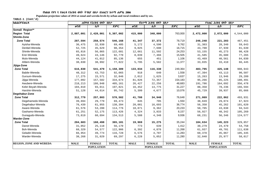**Populaion projection values of 2014 at zonal and wereda levels by urban and rural residence and by sex.**

| ሴት<br>ሴት<br>ወንድ<br>ሴት<br>ድምር<br>ወንድ<br>ወንድ<br>ድምር<br>ደምር<br>763,000<br>2,887,001<br>2,420,001<br>5,307,002<br>415,000<br>348,000<br>2,472,000<br>2,072,000<br>4,544,000<br><b>Zone Total</b><br>78,719<br>467,451<br>287,594<br>258,574<br>546,168<br>41,347<br>37,372<br>246,248<br>221,203<br>9,762<br>Ayisha-Wereda<br>5,172<br>59,643<br>36,475<br>32,930<br>69,405<br>4,590<br>31,303<br>28,340<br>Denbel-Wereda<br>9,025<br>7,690<br>16,715<br>52,725<br>45,629<br>98,354<br>43,700<br>37,939<br>81,639<br>Shinile-Wereda<br>24,253<br>65,816<br>56,865<br>122,681<br>11,592<br>45,273<br>98,428<br>12,661<br>53,155<br>Erer-Wereda<br>15,505<br>43,146<br>92,770<br>8,039<br>7,466<br>49,624<br>41,585<br>35,680<br>77,265<br>Mulo-Wereda<br>1,106<br>85,136<br>655<br>451<br>40,561<br>84,030<br>44,124<br>41,012<br>43,469<br>Afdem-Wereda<br>11,377<br>5,795<br>38,830<br>38,992<br>77,822<br>5,582<br>33,035<br>33,410<br>66,445<br><b>Zone Total</b><br>249,364<br>908,943<br>616,830<br>541,479<br>1,158,309<br>133,034<br>116,330<br>483,795<br>425,148<br>Babile-Wereda<br>1,558<br>48,312<br>43,753<br>92,065<br>918<br>47,394<br>43,113<br>90,507<br>640<br>3,637<br>Gursum-Wereda<br>2,012<br>1,625<br>17,275<br>15,571<br>32,846<br>15,263<br>13,946<br>29,209<br>Jijiga-Wereda<br>154,183<br>177,092<br>157,582<br>334,674<br>81,826<br>72,357<br>95,266<br>85,225<br>180,491<br>Awubere-Wereda<br>48,683<br>218,213<br>186,948<br>405,161<br>26,427<br>22,256<br>191,786<br>164,692<br>356,478<br>Kebri Beyah-Wereda<br>31,227<br>104,810<br>93,011<br>197,821<br>16,452<br>14,775<br>88,358<br>78,236<br>166,594<br>Harshin-Wereda<br>10,076<br>95,742<br>5,399<br>4,677<br>45,729<br>39,937<br>85,666<br>51,128<br>44,614<br><b>Zone Total</b><br>76,648<br>257,803<br>570,582<br>34,940<br>271,069<br>493,931<br>312,779<br>41,708<br>222,862<br>Degehamedo-Wereda<br>1,550<br>29,779<br>69,473<br>845<br>705<br>38,849<br>29,074<br>67,923<br>39,694<br>36,774<br>Degehabur-Wereda<br>76,439<br>61,955<br>138,394<br>20,081<br>16,693<br>56,358<br>45,262<br>101,620<br>Aware-Wereda<br>20,233<br>94,543<br>61,576<br>53,200<br>114,776<br>10,871<br>9,362<br>50,705<br>43,838<br>8,157<br>Gashamo-Wereda<br>61,251<br>52,175<br>113,426<br>4,324<br>3,833<br>56,927<br>48,342<br>105,269<br>9,936<br>Gunagudo-Wereda<br>134,513<br>5,588<br>4,348<br>68,231<br>56,346<br>124,577<br>73,819<br>60,694<br><b>Zone Total</b><br>35,244<br>160,498<br>365,101<br>15,275<br>184,634<br>329,857<br>204,603<br>19,969<br>145,223<br>1,412<br>Danot-Wereda<br>56,170<br>773<br>639<br>30,279<br>54,758<br>31,052<br>25,118<br>24,479<br>Boh-Wereda<br>11,268<br>68,329<br>54,577<br>6,392<br>4,876<br>61,937<br>111,638<br>122,906<br>49,701<br>Geladin-Wereda<br>6,576<br>4,707<br>11,283<br>66,954<br>49,774<br>116,728<br>60,378<br>45,067<br>105,445<br>Warder-Wereda<br>11,280<br>58,017<br>38,268<br>31,029<br>69,297<br>6,228<br>5,052<br>32,040<br>25,977<br><b>TOTAL</b><br><b>TOTAL</b><br><b>TOTAL</b><br><b>REGION, ZONE AND WEREDA</b><br><b>MALE</b><br><b>FEMALE</b><br><b>MALE</b><br><b>FEMALE</b><br><b>MALE</b><br><b>FEMALE</b><br><b>POPULATION</b><br><b>POPULATION</b><br><b>POPULATION</b> | ክልል/ዞን/ወረዳ          | ጠቅላሳ የሕዝብ ብዛት በጾታ |  |  | <i>የከተማ ሕዝ</i> ብ ብዛት በጾ <i>ታ</i> |  |  | የንጠር ሕዝብ ብዛት በጾታ |  |  |
|--------------------------------------------------------------------------------------------------------------------------------------------------------------------------------------------------------------------------------------------------------------------------------------------------------------------------------------------------------------------------------------------------------------------------------------------------------------------------------------------------------------------------------------------------------------------------------------------------------------------------------------------------------------------------------------------------------------------------------------------------------------------------------------------------------------------------------------------------------------------------------------------------------------------------------------------------------------------------------------------------------------------------------------------------------------------------------------------------------------------------------------------------------------------------------------------------------------------------------------------------------------------------------------------------------------------------------------------------------------------------------------------------------------------------------------------------------------------------------------------------------------------------------------------------------------------------------------------------------------------------------------------------------------------------------------------------------------------------------------------------------------------------------------------------------------------------------------------------------------------------------------------------------------------------------------------------------------------------------------------------------------------------------------------------------------------------------------------------------------------------------------------------------------------------------------------------------------------------------------------------------------------------------------------------------------------------------------------------------------------------------------------------------------------------------------------------------------------------------------------------------------------------------------------------------------------------------------------------------------------------------------------------------------------------------------------------------------------------------------------------------------------------------------------------------------------------------------------------------------------------------------------------------------------------------------------------------------------------------------------------------------------------------------------------------------------------------------------------------------------------------------------------------------------------------------------------------------------------------------|---------------------|-------------------|--|--|----------------------------------|--|--|------------------|--|--|
|                                                                                                                                                                                                                                                                                                                                                                                                                                                                                                                                                                                                                                                                                                                                                                                                                                                                                                                                                                                                                                                                                                                                                                                                                                                                                                                                                                                                                                                                                                                                                                                                                                                                                                                                                                                                                                                                                                                                                                                                                                                                                                                                                                                                                                                                                                                                                                                                                                                                                                                                                                                                                                                                                                                                                                                                                                                                                                                                                                                                                                                                                                                                                                                                                                      |                     |                   |  |  |                                  |  |  |                  |  |  |
|                                                                                                                                                                                                                                                                                                                                                                                                                                                                                                                                                                                                                                                                                                                                                                                                                                                                                                                                                                                                                                                                                                                                                                                                                                                                                                                                                                                                                                                                                                                                                                                                                                                                                                                                                                                                                                                                                                                                                                                                                                                                                                                                                                                                                                                                                                                                                                                                                                                                                                                                                                                                                                                                                                                                                                                                                                                                                                                                                                                                                                                                                                                                                                                                                                      | Somali Region**     |                   |  |  |                                  |  |  |                  |  |  |
|                                                                                                                                                                                                                                                                                                                                                                                                                                                                                                                                                                                                                                                                                                                                                                                                                                                                                                                                                                                                                                                                                                                                                                                                                                                                                                                                                                                                                                                                                                                                                                                                                                                                                                                                                                                                                                                                                                                                                                                                                                                                                                                                                                                                                                                                                                                                                                                                                                                                                                                                                                                                                                                                                                                                                                                                                                                                                                                                                                                                                                                                                                                                                                                                                                      | <b>Region Total</b> |                   |  |  |                                  |  |  |                  |  |  |
|                                                                                                                                                                                                                                                                                                                                                                                                                                                                                                                                                                                                                                                                                                                                                                                                                                                                                                                                                                                                                                                                                                                                                                                                                                                                                                                                                                                                                                                                                                                                                                                                                                                                                                                                                                                                                                                                                                                                                                                                                                                                                                                                                                                                                                                                                                                                                                                                                                                                                                                                                                                                                                                                                                                                                                                                                                                                                                                                                                                                                                                                                                                                                                                                                                      | <b>Shinile-Zone</b> |                   |  |  |                                  |  |  |                  |  |  |
|                                                                                                                                                                                                                                                                                                                                                                                                                                                                                                                                                                                                                                                                                                                                                                                                                                                                                                                                                                                                                                                                                                                                                                                                                                                                                                                                                                                                                                                                                                                                                                                                                                                                                                                                                                                                                                                                                                                                                                                                                                                                                                                                                                                                                                                                                                                                                                                                                                                                                                                                                                                                                                                                                                                                                                                                                                                                                                                                                                                                                                                                                                                                                                                                                                      |                     |                   |  |  |                                  |  |  |                  |  |  |
|                                                                                                                                                                                                                                                                                                                                                                                                                                                                                                                                                                                                                                                                                                                                                                                                                                                                                                                                                                                                                                                                                                                                                                                                                                                                                                                                                                                                                                                                                                                                                                                                                                                                                                                                                                                                                                                                                                                                                                                                                                                                                                                                                                                                                                                                                                                                                                                                                                                                                                                                                                                                                                                                                                                                                                                                                                                                                                                                                                                                                                                                                                                                                                                                                                      |                     |                   |  |  |                                  |  |  |                  |  |  |
|                                                                                                                                                                                                                                                                                                                                                                                                                                                                                                                                                                                                                                                                                                                                                                                                                                                                                                                                                                                                                                                                                                                                                                                                                                                                                                                                                                                                                                                                                                                                                                                                                                                                                                                                                                                                                                                                                                                                                                                                                                                                                                                                                                                                                                                                                                                                                                                                                                                                                                                                                                                                                                                                                                                                                                                                                                                                                                                                                                                                                                                                                                                                                                                                                                      |                     |                   |  |  |                                  |  |  |                  |  |  |
|                                                                                                                                                                                                                                                                                                                                                                                                                                                                                                                                                                                                                                                                                                                                                                                                                                                                                                                                                                                                                                                                                                                                                                                                                                                                                                                                                                                                                                                                                                                                                                                                                                                                                                                                                                                                                                                                                                                                                                                                                                                                                                                                                                                                                                                                                                                                                                                                                                                                                                                                                                                                                                                                                                                                                                                                                                                                                                                                                                                                                                                                                                                                                                                                                                      |                     |                   |  |  |                                  |  |  |                  |  |  |
|                                                                                                                                                                                                                                                                                                                                                                                                                                                                                                                                                                                                                                                                                                                                                                                                                                                                                                                                                                                                                                                                                                                                                                                                                                                                                                                                                                                                                                                                                                                                                                                                                                                                                                                                                                                                                                                                                                                                                                                                                                                                                                                                                                                                                                                                                                                                                                                                                                                                                                                                                                                                                                                                                                                                                                                                                                                                                                                                                                                                                                                                                                                                                                                                                                      |                     |                   |  |  |                                  |  |  |                  |  |  |
|                                                                                                                                                                                                                                                                                                                                                                                                                                                                                                                                                                                                                                                                                                                                                                                                                                                                                                                                                                                                                                                                                                                                                                                                                                                                                                                                                                                                                                                                                                                                                                                                                                                                                                                                                                                                                                                                                                                                                                                                                                                                                                                                                                                                                                                                                                                                                                                                                                                                                                                                                                                                                                                                                                                                                                                                                                                                                                                                                                                                                                                                                                                                                                                                                                      |                     |                   |  |  |                                  |  |  |                  |  |  |
|                                                                                                                                                                                                                                                                                                                                                                                                                                                                                                                                                                                                                                                                                                                                                                                                                                                                                                                                                                                                                                                                                                                                                                                                                                                                                                                                                                                                                                                                                                                                                                                                                                                                                                                                                                                                                                                                                                                                                                                                                                                                                                                                                                                                                                                                                                                                                                                                                                                                                                                                                                                                                                                                                                                                                                                                                                                                                                                                                                                                                                                                                                                                                                                                                                      |                     |                   |  |  |                                  |  |  |                  |  |  |
|                                                                                                                                                                                                                                                                                                                                                                                                                                                                                                                                                                                                                                                                                                                                                                                                                                                                                                                                                                                                                                                                                                                                                                                                                                                                                                                                                                                                                                                                                                                                                                                                                                                                                                                                                                                                                                                                                                                                                                                                                                                                                                                                                                                                                                                                                                                                                                                                                                                                                                                                                                                                                                                                                                                                                                                                                                                                                                                                                                                                                                                                                                                                                                                                                                      | Jijiga-Zone         |                   |  |  |                                  |  |  |                  |  |  |
|                                                                                                                                                                                                                                                                                                                                                                                                                                                                                                                                                                                                                                                                                                                                                                                                                                                                                                                                                                                                                                                                                                                                                                                                                                                                                                                                                                                                                                                                                                                                                                                                                                                                                                                                                                                                                                                                                                                                                                                                                                                                                                                                                                                                                                                                                                                                                                                                                                                                                                                                                                                                                                                                                                                                                                                                                                                                                                                                                                                                                                                                                                                                                                                                                                      |                     |                   |  |  |                                  |  |  |                  |  |  |
|                                                                                                                                                                                                                                                                                                                                                                                                                                                                                                                                                                                                                                                                                                                                                                                                                                                                                                                                                                                                                                                                                                                                                                                                                                                                                                                                                                                                                                                                                                                                                                                                                                                                                                                                                                                                                                                                                                                                                                                                                                                                                                                                                                                                                                                                                                                                                                                                                                                                                                                                                                                                                                                                                                                                                                                                                                                                                                                                                                                                                                                                                                                                                                                                                                      |                     |                   |  |  |                                  |  |  |                  |  |  |
|                                                                                                                                                                                                                                                                                                                                                                                                                                                                                                                                                                                                                                                                                                                                                                                                                                                                                                                                                                                                                                                                                                                                                                                                                                                                                                                                                                                                                                                                                                                                                                                                                                                                                                                                                                                                                                                                                                                                                                                                                                                                                                                                                                                                                                                                                                                                                                                                                                                                                                                                                                                                                                                                                                                                                                                                                                                                                                                                                                                                                                                                                                                                                                                                                                      |                     |                   |  |  |                                  |  |  |                  |  |  |
|                                                                                                                                                                                                                                                                                                                                                                                                                                                                                                                                                                                                                                                                                                                                                                                                                                                                                                                                                                                                                                                                                                                                                                                                                                                                                                                                                                                                                                                                                                                                                                                                                                                                                                                                                                                                                                                                                                                                                                                                                                                                                                                                                                                                                                                                                                                                                                                                                                                                                                                                                                                                                                                                                                                                                                                                                                                                                                                                                                                                                                                                                                                                                                                                                                      |                     |                   |  |  |                                  |  |  |                  |  |  |
|                                                                                                                                                                                                                                                                                                                                                                                                                                                                                                                                                                                                                                                                                                                                                                                                                                                                                                                                                                                                                                                                                                                                                                                                                                                                                                                                                                                                                                                                                                                                                                                                                                                                                                                                                                                                                                                                                                                                                                                                                                                                                                                                                                                                                                                                                                                                                                                                                                                                                                                                                                                                                                                                                                                                                                                                                                                                                                                                                                                                                                                                                                                                                                                                                                      |                     |                   |  |  |                                  |  |  |                  |  |  |
|                                                                                                                                                                                                                                                                                                                                                                                                                                                                                                                                                                                                                                                                                                                                                                                                                                                                                                                                                                                                                                                                                                                                                                                                                                                                                                                                                                                                                                                                                                                                                                                                                                                                                                                                                                                                                                                                                                                                                                                                                                                                                                                                                                                                                                                                                                                                                                                                                                                                                                                                                                                                                                                                                                                                                                                                                                                                                                                                                                                                                                                                                                                                                                                                                                      |                     |                   |  |  |                                  |  |  |                  |  |  |
|                                                                                                                                                                                                                                                                                                                                                                                                                                                                                                                                                                                                                                                                                                                                                                                                                                                                                                                                                                                                                                                                                                                                                                                                                                                                                                                                                                                                                                                                                                                                                                                                                                                                                                                                                                                                                                                                                                                                                                                                                                                                                                                                                                                                                                                                                                                                                                                                                                                                                                                                                                                                                                                                                                                                                                                                                                                                                                                                                                                                                                                                                                                                                                                                                                      |                     |                   |  |  |                                  |  |  |                  |  |  |
|                                                                                                                                                                                                                                                                                                                                                                                                                                                                                                                                                                                                                                                                                                                                                                                                                                                                                                                                                                                                                                                                                                                                                                                                                                                                                                                                                                                                                                                                                                                                                                                                                                                                                                                                                                                                                                                                                                                                                                                                                                                                                                                                                                                                                                                                                                                                                                                                                                                                                                                                                                                                                                                                                                                                                                                                                                                                                                                                                                                                                                                                                                                                                                                                                                      | Degehabur-Zone      |                   |  |  |                                  |  |  |                  |  |  |
|                                                                                                                                                                                                                                                                                                                                                                                                                                                                                                                                                                                                                                                                                                                                                                                                                                                                                                                                                                                                                                                                                                                                                                                                                                                                                                                                                                                                                                                                                                                                                                                                                                                                                                                                                                                                                                                                                                                                                                                                                                                                                                                                                                                                                                                                                                                                                                                                                                                                                                                                                                                                                                                                                                                                                                                                                                                                                                                                                                                                                                                                                                                                                                                                                                      |                     |                   |  |  |                                  |  |  |                  |  |  |
|                                                                                                                                                                                                                                                                                                                                                                                                                                                                                                                                                                                                                                                                                                                                                                                                                                                                                                                                                                                                                                                                                                                                                                                                                                                                                                                                                                                                                                                                                                                                                                                                                                                                                                                                                                                                                                                                                                                                                                                                                                                                                                                                                                                                                                                                                                                                                                                                                                                                                                                                                                                                                                                                                                                                                                                                                                                                                                                                                                                                                                                                                                                                                                                                                                      |                     |                   |  |  |                                  |  |  |                  |  |  |
|                                                                                                                                                                                                                                                                                                                                                                                                                                                                                                                                                                                                                                                                                                                                                                                                                                                                                                                                                                                                                                                                                                                                                                                                                                                                                                                                                                                                                                                                                                                                                                                                                                                                                                                                                                                                                                                                                                                                                                                                                                                                                                                                                                                                                                                                                                                                                                                                                                                                                                                                                                                                                                                                                                                                                                                                                                                                                                                                                                                                                                                                                                                                                                                                                                      |                     |                   |  |  |                                  |  |  |                  |  |  |
|                                                                                                                                                                                                                                                                                                                                                                                                                                                                                                                                                                                                                                                                                                                                                                                                                                                                                                                                                                                                                                                                                                                                                                                                                                                                                                                                                                                                                                                                                                                                                                                                                                                                                                                                                                                                                                                                                                                                                                                                                                                                                                                                                                                                                                                                                                                                                                                                                                                                                                                                                                                                                                                                                                                                                                                                                                                                                                                                                                                                                                                                                                                                                                                                                                      |                     |                   |  |  |                                  |  |  |                  |  |  |
|                                                                                                                                                                                                                                                                                                                                                                                                                                                                                                                                                                                                                                                                                                                                                                                                                                                                                                                                                                                                                                                                                                                                                                                                                                                                                                                                                                                                                                                                                                                                                                                                                                                                                                                                                                                                                                                                                                                                                                                                                                                                                                                                                                                                                                                                                                                                                                                                                                                                                                                                                                                                                                                                                                                                                                                                                                                                                                                                                                                                                                                                                                                                                                                                                                      |                     |                   |  |  |                                  |  |  |                  |  |  |
|                                                                                                                                                                                                                                                                                                                                                                                                                                                                                                                                                                                                                                                                                                                                                                                                                                                                                                                                                                                                                                                                                                                                                                                                                                                                                                                                                                                                                                                                                                                                                                                                                                                                                                                                                                                                                                                                                                                                                                                                                                                                                                                                                                                                                                                                                                                                                                                                                                                                                                                                                                                                                                                                                                                                                                                                                                                                                                                                                                                                                                                                                                                                                                                                                                      |                     |                   |  |  |                                  |  |  |                  |  |  |
|                                                                                                                                                                                                                                                                                                                                                                                                                                                                                                                                                                                                                                                                                                                                                                                                                                                                                                                                                                                                                                                                                                                                                                                                                                                                                                                                                                                                                                                                                                                                                                                                                                                                                                                                                                                                                                                                                                                                                                                                                                                                                                                                                                                                                                                                                                                                                                                                                                                                                                                                                                                                                                                                                                                                                                                                                                                                                                                                                                                                                                                                                                                                                                                                                                      | <b>Warder-Zone</b>  |                   |  |  |                                  |  |  |                  |  |  |
|                                                                                                                                                                                                                                                                                                                                                                                                                                                                                                                                                                                                                                                                                                                                                                                                                                                                                                                                                                                                                                                                                                                                                                                                                                                                                                                                                                                                                                                                                                                                                                                                                                                                                                                                                                                                                                                                                                                                                                                                                                                                                                                                                                                                                                                                                                                                                                                                                                                                                                                                                                                                                                                                                                                                                                                                                                                                                                                                                                                                                                                                                                                                                                                                                                      |                     |                   |  |  |                                  |  |  |                  |  |  |
|                                                                                                                                                                                                                                                                                                                                                                                                                                                                                                                                                                                                                                                                                                                                                                                                                                                                                                                                                                                                                                                                                                                                                                                                                                                                                                                                                                                                                                                                                                                                                                                                                                                                                                                                                                                                                                                                                                                                                                                                                                                                                                                                                                                                                                                                                                                                                                                                                                                                                                                                                                                                                                                                                                                                                                                                                                                                                                                                                                                                                                                                                                                                                                                                                                      |                     |                   |  |  |                                  |  |  |                  |  |  |
|                                                                                                                                                                                                                                                                                                                                                                                                                                                                                                                                                                                                                                                                                                                                                                                                                                                                                                                                                                                                                                                                                                                                                                                                                                                                                                                                                                                                                                                                                                                                                                                                                                                                                                                                                                                                                                                                                                                                                                                                                                                                                                                                                                                                                                                                                                                                                                                                                                                                                                                                                                                                                                                                                                                                                                                                                                                                                                                                                                                                                                                                                                                                                                                                                                      |                     |                   |  |  |                                  |  |  |                  |  |  |
|                                                                                                                                                                                                                                                                                                                                                                                                                                                                                                                                                                                                                                                                                                                                                                                                                                                                                                                                                                                                                                                                                                                                                                                                                                                                                                                                                                                                                                                                                                                                                                                                                                                                                                                                                                                                                                                                                                                                                                                                                                                                                                                                                                                                                                                                                                                                                                                                                                                                                                                                                                                                                                                                                                                                                                                                                                                                                                                                                                                                                                                                                                                                                                                                                                      |                     |                   |  |  |                                  |  |  |                  |  |  |
|                                                                                                                                                                                                                                                                                                                                                                                                                                                                                                                                                                                                                                                                                                                                                                                                                                                                                                                                                                                                                                                                                                                                                                                                                                                                                                                                                                                                                                                                                                                                                                                                                                                                                                                                                                                                                                                                                                                                                                                                                                                                                                                                                                                                                                                                                                                                                                                                                                                                                                                                                                                                                                                                                                                                                                                                                                                                                                                                                                                                                                                                                                                                                                                                                                      |                     |                   |  |  |                                  |  |  |                  |  |  |
|                                                                                                                                                                                                                                                                                                                                                                                                                                                                                                                                                                                                                                                                                                                                                                                                                                                                                                                                                                                                                                                                                                                                                                                                                                                                                                                                                                                                                                                                                                                                                                                                                                                                                                                                                                                                                                                                                                                                                                                                                                                                                                                                                                                                                                                                                                                                                                                                                                                                                                                                                                                                                                                                                                                                                                                                                                                                                                                                                                                                                                                                                                                                                                                                                                      |                     |                   |  |  |                                  |  |  |                  |  |  |
|                                                                                                                                                                                                                                                                                                                                                                                                                                                                                                                                                                                                                                                                                                                                                                                                                                                                                                                                                                                                                                                                                                                                                                                                                                                                                                                                                                                                                                                                                                                                                                                                                                                                                                                                                                                                                                                                                                                                                                                                                                                                                                                                                                                                                                                                                                                                                                                                                                                                                                                                                                                                                                                                                                                                                                                                                                                                                                                                                                                                                                                                                                                                                                                                                                      |                     |                   |  |  |                                  |  |  |                  |  |  |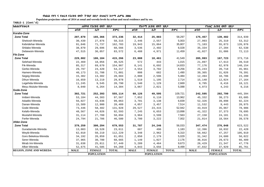**Populaion projection values of 2014 at zonal and wereda levels by urban and rural residence and by sex.**

| ክልል/ዞን/ወረዳ                     | ጠቅሳሳ የሕዝብ ብዛት በጾታ |               |              |                   | የከተማ ሕዝብ ብዛት በጾታ |              | የንጠር ሕዝብ ብዛት በጾታ  |               |              |
|--------------------------------|-------------------|---------------|--------------|-------------------|------------------|--------------|-------------------|---------------|--------------|
|                                | ወንድ               | ሴት            | ድምር          | ወንድ               | ሴት               | $F^{\prime}$ | ወንድ               | ሴት            | ድምር          |
| Korahe-Zone                    |                   |               |              |                   |                  |              |                   |               |              |
| <b>Zone Total</b>              | 207,870           | 165,366       | 373,236      | 32,414            | 25,883           | 58,297       | 175,457           | 139,482       | 314,939      |
| Shekosh-Wereda                 | 30,439            | 27,876        | 58,315       | 2,446             | 2,557            | 5,003        | 27,993            | 25,319        | 53,312       |
| Kebridehar-Wereda              | 91,046            | 71,737        | 162,783      | 19,943            | 15,864           | 35,807       | 71,103            | 55,873        | 126,976      |
| Shilabo-Wereda                 | 38,870            | 29,696        | 68,566       | 3,536             | 2,492            | 6,028        | 35,334            | 27,204        | 62,538       |
| Debewoin-Wereda                | 47,515            | 36,057        | 83,572       | 6,488             | 4,971            | 11,459       | 41,027            | 31,086        | 72,113       |
| <b>Fik-Zone</b>                |                   |               |              |                   |                  |              |                   |               |              |
| <b>Zone Total</b>              | 229,082           | 186,184       | 415,266      | 23,088            | 18,461           | 41,549       | 205,993           | 167,723       | 373,716      |
| Selehad-Wereda                 | 22,469            | 18,056        | 40,525       | 572               | 443              | 1,015        | 21,897            | 17,613        | 39,510       |
| Fik-Wereda                     | 85,317            | 69,670        | 154,987      | 8,141             | 6,692            | 14,833       | 77,176            | 62,978        | 140,154      |
| Gerbo-Wereda                   | 29,797            | 24,420        | 54,217       | 4,554             | 3,702            | 8,256        | 25,243            | 20,718        | 45,961       |
| Hamero-Wereda                  | 40,173            | 31,708        | 71,881       | 808               | 682              | 1,490        | 39,365            | 31,026        | 70,391       |
| Segeg-Wereda                   | 15,382            | 13,302        | 28,684       | 2,888             | 2,596            | 5,484        | 12,494            | 10,706        | 23,200       |
| Dihun-Wereda                   | 16,659            | 13,219        | 29,878       | 1,519             | 1,195            | 2,714        | 15,140            | 12,024        | 27,164       |
| Legehida-Wereda                | 11,245            | 9,545         | 20,790       | 1,540             | 1,129            | 2,669        | 9,705             | 8,416         | 18,121       |
| Meyu Muluke-Wereda             | 8,040             | 6,264         | 14,304       | 3,067             | 2,021            | 5,088        | 4,973             | 4,243         | 9,216        |
| Gode-Zone                      |                   |               |              |                   |                  |              |                   |               |              |
| <b>Zone Total</b>              | 302,721           | 252,393       | 555,114      | 60,126            | 49,595           | 109,721      | 242,595           | 202,799       | 445,394      |
| Imiberi-Wereda                 | 53,184            | 44,383        | 97,567       | 7,852             | $6,110$          | 13,962       | 45,332            | 38,273        | 83,605       |
| Adadilo-Wereda                 | 56,027            | 43,036        | 99,063       | 3,701             | 3,138            | 6,839        | 52,326            | 39,898        | 92,224       |
| Danan-Wereda                   | 15,589            | 12,900        | 28,489       | 4,057             | 3,457            | 7,514        | 11,532            | 9,443         | 20,975       |
| Gode-Wereda                    | 73,446            | 58,482        | 131,928      | 29,527            | 23,415           | 52,942       | 43,919            | 35,067        | 78,986       |
| Kelafo-Wereda                  | 48,567            | 44,026        | 92,593       | 7,245             | 6,653            | 13,898       | 41,322            | 37,373        | 78,695       |
| Mustahil-Wereda                | 31,114            | 27,780        | 58,894       | 3,964             | 3,599            | 7,563        | 27,150            | 24,181        | 51,331       |
| Ferfer-Wereda                  | 24,794            | 21,786        | 46,580       | 3,780             | 3,222            | 7,002        | 21,014            | 18,564        | 39,578       |
| Afder-Zone                     |                   |               |              |                   |                  |              |                   |               |              |
| <b>Zone Total</b>              | 379,259           | 300,294       | 679,553      | 31,787            | 24,246           | 56,033       | 347,474           | 276,048       | 623,522      |
| Guradamole-Wereda              | 13,083            | 10,528        | 23,611       | 687               | 496              | 1,183        | 12,396            | 10,032        | 22,428       |
| Weyib-Wereda                   | 62,010            | 50,219        | 112,229      | 3,348             | 2,962            | 6,310        | 58,662            | 47,257        | 105,919      |
| Goro Bekeksa-Wereda            | 34,192            | 26,859        | 61,051       | 2,850             | 2,179            | 5,029        | 31,342            | 24,680        | 56,022       |
| Serer-Wereda                   | 37,965            | 30,700        | 68,665       | 1,149             | 1,027            | 2,176        | 36,816            | 29,673        | 66,489       |
| Mirab Imi-Wereda               | 31,638            | 25,811        | 57,449       | 5,209             | 4,464            | 9,673        | 26,429            | 21,347        | 47,776       |
| Afker-Wereda                   | 52,675            | 41,585        | 94,260       | 4,843             | 3,656            | 8,499        | 47,832            | 37,929        | 85,761       |
| <b>REGION, ZONE AND WEREDA</b> | <b>MALE</b>       | <b>FEMALE</b> | <b>TOTAL</b> | <b>MALE</b>       | <b>FEMALE</b>    | <b>TOTAL</b> | <b>MALE</b>       | <b>FEMALE</b> | <b>TOTAL</b> |
|                                | <b>POPULATION</b> |               |              | <b>POPULATION</b> |                  |              | <b>POPULATION</b> |               |              |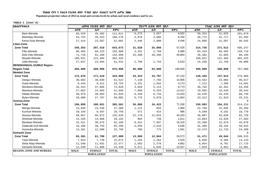**Populaion projection values of 2014 at zonal and wereda levels by urban and rural residence and by sex.**

| ክልል/ዞን/ወረዳ                      | ጠቅላሳ የሕዝብ ብዛት በጾታ |               | <u>የከተማ ሕዝብ ብዛት በጾታ</u> |             |                   | የንጠር ሕዝብ ብዛት በጾታ |             |                   |              |  |
|---------------------------------|-------------------|---------------|-------------------------|-------------|-------------------|------------------|-------------|-------------------|--------------|--|
|                                 | ወንድ               | ሴት            | ድምር                     | ወንድ         | ሴት                | ድምር              | ወንድ         | ሴት                | ድምር          |  |
| Bare-Wereda                     | 65,529            | 45,482        | 111,011                 | 6,275       | 3,657             | 9,932            | 59,254      | 41,825            | 101,079      |  |
| Bdolobay-Wereda                 | 54,753            | 45,523        | 100,276                 | 4,978       | 3,806             | 8,784            | 49,775      | 41,717            | 91,492       |  |
| Kersa Dula Wereda               | 27,414            | 23,587        | 51,001                  | 2,446       | 2,000             | 4,446            | 24,968      | 21,587            | 46,555       |  |
| Liben-Zone                      |                   |               |                         |             |                   |                  |             |                   |              |  |
| <b>Zone Total</b>               | 346,263           | 297,410       | 643,673                 | 31,528      | 25,898            | 57,426           | 314,735     | 271,512           | 586,247      |  |
| Filtu-Wereda                    | 86,585            | 69,223        | 155,808                 | 3,331       | 2,758             | 6,089            | 83,254      | 66,465            | 149,719      |  |
| Dolo Odo-Wereda                 | 71,710            | 62,289        | 133,999                 | 25,408      | 20,396            | 45,804           | 46,302      | 41,893            | 88,195       |  |
| Moyale-Wereda                   | 160,921           | 141,404       | 302,325                 |             |                   |                  | 160,921     | 141,404           | 302,325      |  |
| Udet-Wereda                     | 27,047            | 24,494        | 51,541                  | 2,789       | 2,744             | 5,533            | 24,258      | 21,750            | 46,008       |  |
| <b>BENISHANGUL-GUMUZ Region</b> |                   |               |                         |             |                   |                  |             |                   |              |  |
| <b>Region Total</b>             | 495,000           | 480,998       | 975,998                 | 96,000      | 93,000            | 189,000          | 399,000     | 388,000           | 787,000      |  |
| <b>Metekel Zone</b>             |                   |               |                         |             |                   |                  |             |                   |              |  |
| <b>Zone Total</b>               | 172,679           | 171,410       | 344,089                 | 33,323      | 33,797            | 67,120           | 139,355     | 137,613           | 276,968      |  |
| Dangur-Wereda                   | 30,692            | 30,830        | 61,522                  | 7,140       | 7,765             | 14,905           | 23,552      | 23,065            | 46,617       |  |
| Guba-Wereda                     | 9,443             | 9,311         | 18,754                  | 2,231       | 1,942             | 4,173            | 7,212       | 7,369             | 14,581       |  |
| Wenbera-Wereda                  | 35,424            | 37,605        | 73,029                  | 4,659       | 5,114             | 9,773            | 30,765      | 32,491            | 63,256       |  |
| Mandura-Wereda                  | 27,053            | 24,903        | 51,956                  | 7,058       | 6,354             | 13,412           | 19,995      | 18,549            | 38,544       |  |
| Dibate-Wereda                   | 40,979            | 40,964        | 81,943                  | 6,459       | 6,744             | 13,203           | 34,520      | 34,220            | 68,740       |  |
| Bulen-Wereda                    | 29,088            | 27,797        | 56,885                  | 5,776       | 5,878             | 11,654           | 23,312      | 21,919            | 45,231       |  |
| Asossa-Zone                     |                   |               |                         |             |                   |                  |             |                   | $\Omega$     |  |
| <b>Zone Total</b>               | 196,850           | 188,651       | 385,501                 | 36,868      | 34,422            | 71,290           | 159,983     | 154,231           | 314,214      |  |
| Menge-Wereda                    | 23,830            | 23,538        | 47,368                  | 1,121       | 843               | 1,964            | 22,709      | 22,695            | 45,404       |  |
| Kurmuk-Wereda                   | 10,159            | 9,597         | 19,756                  | 571         | 415               | 986              | 9,588       | 9,182             | 18,770       |  |
| Asossa-Wereda                   | 69,057            | 66,872        | 135,929                 | 22,170      | 21,033            | 43,203           | 46,887      | 45,839            | 92,726       |  |
| Sherkole-Wereda                 | 14,526            | 14,668        | 29,194                  | 863         | 748               | 1,611            | 13,663      | 13,920            | 27,583       |  |
| Bambasi-Wereda                  | 31,521            | 30,675        | 62,196                  | 8,321       | 7,997             | 16,318           | 23,200      | 22,678            | 45,878       |  |
| Odabuldi-Guli-Wereda            | 34,496            | 30,793        | 65,289                  | 3,036       | 2,610             | 5,646            | 31,460      | 28,183            | 59,643       |  |
| Homesha-Wereda                  | 13,261            | 12,508        | 25,769                  | 786         | 775               | 1,561            | 12,475      | 11,733            | 24,208       |  |
| Kemashi Zone                    |                   |               |                         |             |                   |                  |             |                   |              |  |
| <b>Zone Total</b>               | 65,381            | 61,708        | 127,089                 | 13,909      | 12,664            | 26,573           | 51,471      | 49,044            | 100,515      |  |
| Yaso-Wereda                     | 7,923             | 7,749         | 15,672                  | 1,265       | 1,264             | 2,529            | 6,658       | 6,485             | 13,143       |  |
| Sirba Abay-Wereda               | 11,546            | 11,031        | 22,577                  | 2,592       | 2,270             | 4,862            | 8,954       | 8,761             | 17,715       |  |
| Kemashi-Wereda                  | 12,540            | 11,898        | 24,438                  | 5,511       | 5,046             | 10,557           | 7,029       | 6,852             | 13,881       |  |
| <b>REGION, ZONE AND WEREDA</b>  | <b>MALE</b>       | <b>FEMALE</b> | <b>TOTAL</b>            | <b>MALE</b> | <b>FEMALE</b>     | <b>TOTAL</b>     | <b>MALE</b> | <b>FEMALE</b>     | <b>TOTAL</b> |  |
|                                 | <b>POPULATION</b> |               |                         |             | <b>POPULATION</b> |                  |             | <b>POPULATION</b> |              |  |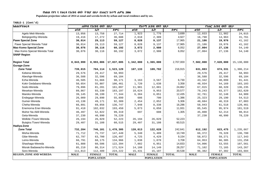**Populaion projection values of 2014 at zonal and wereda levels by urban and rural residence and by sex.**

| <b>ክልል/ዞን/ወረዳ</b>              |             | ጠቅላሳ የሕዝብ ብዛት በጾታ |              |             | <i>የከተማ ሕዝ</i> ብ ብዛት በጾታ |              |                   | የንጠር ሕዝብ ብዛት በጾታ |              |
|--------------------------------|-------------|-------------------|--------------|-------------|--------------------------|--------------|-------------------|------------------|--------------|
|                                | ወንድ         | ሴት                | ድምር          | ወንድ         | ሴት                       | ድምር          | ወንድ               | ቤት               | ድምር          |
| Agelo Meti-Wereda              | 13,956      | 13,758            | 27,714       | 1,923       | 1,776                    | 3,699        | 12,033            | 11,982           | 24,015       |
| Belojegonfoy-Wereda            | 19,416      | 17,272            | 36,688       | 2,618       | 2,309                    | 4,927        | 16,798            | 14,963           | 31,761       |
| <b>Pawe Special Zone</b>       | 30,014      | 29,113            | 59,127       | 8,828       | 9,137                    | 17,965       | 21,186            | 19,976           | 41,162       |
| Pawe Special Wereda Total      | 30,014      | 29,113            | 59,127       | 8,828       | 9,137                    | 17,965       | 21,186            | 19,976           | 41,162       |
| <b>Mao Komo Special Zone</b>   | 30,076      | 30,116            | 60,192       | 3,072       | 2,980                    | 6,052        | 27,004            | 27,136           | 54,140       |
| Mao Komo Special Wereda Total  | 30,076      | 30,116            | 60,192       | 3,072       | 2,980                    | 6,052        | 27,004            | 27,136           | 54,140       |
| <b>SNNP Region</b>             |             |                   |              |             |                          |              |                   |                  |              |
| <b>Region Total</b>            | 8,843,999   | 8,993,006         | 17,837,005   | 1,342,000   | 1,365,000                | 2,707,000    | 7,502,000         | 7,628,000        | 15,130,000   |
| <b>Gurage-Zone</b>             |             |                   |              |             |                          |              |                   |                  |              |
| <b>Zone Total</b>              | 739,015     | 784,114           | 1,523,129    | 107,133     | 109,782                  | 216,915      | 631,883           | 674,331          | 1,306,214    |
| Kebena-Wereda                  | 29,576      | 29,417            | 58,993       |             |                          |              | 29,576            | 29,417           | 58,993       |
| Abeshge-Wereda                 | 36,588      | 32,596            | 69,184       |             |                          |              | 36,588            | 32,596           | 69,184       |
| Ezha-Wereda                    | 46,505      | 51,666            | 98,171       | 3,163       | 3,567                    | 6,730        | 43,342            | 48,099           | 91,441       |
| Kokir Gedabano-Wereda          | 50,654      | 55,807            | 106,461      | 1,720       | 1,638                    | 3,358        | 48,934            | 54,169           | 103,103      |
| Sodo-Wereda                    | 79,896      | 81,201            | 161,097      | 11,981      | 12,881                   | 24,862       | 67,915            | 68,320           | 136,235      |
| Mesekan-Wereda                 | 89,867      | 93,330            | 183,197      | 10,624      | 9,953                    | 20,577       | 79,243            | 83,377           | 162,620      |
| Mareko-Wereda                  | 39,145      | 38,199            | 77,344       | 6,384       | 6,051                    | 12,435       | 32,761            | 32,148           | 64,909       |
| Endegagn-Wereda                | 26,009      | 29,890            | 55,899       | 686         | 700                      | 1,386        | 25,323            | 29,190           | 54,513       |
| Gumer-Wereda                   | 43,138      | 49,171            | 92,309       | 2,454       | 2,852                    | 5,306        | 40,684            | 46,319           | 87,003       |
| Cheha-Wereda                   | 66,891      | 69,856            | 136,747      | 7,948       | 8,338                    | 16,286       | 58,943            | 61,518           | 120,461      |
| Enemorna Ener-Wereda           | 91,418      | 102,032           | 193,450      | 5,873       | 6,058                    | 11,931       | 85,545            | 95,974           | 181,519      |
| Muhor Na Aklil-Wereda          | 46,497      | 52,822            | 99,319       | 697         | 608                      | 1,305        | 45,800            | 52,214           | 98,014       |
| Geta-Wereda                    | 37,230      | 40,990            | 78,220       |             |                          |              | 37,230            | 40,990           | 78,220       |
| Welkite /Town/-Wereda          | 26,194      | 26,029            | 52,223       | 26,194      | 26,029                   | 52,223       |                   |                  |              |
| Butajira /Town/-Wereda         | 29,407      | 31,108            | 60,515       | 29,407      | 31,108                   | 60,515       |                   |                  |              |
| Hadiya-Zone                    |             |                   |              |             |                          |              |                   |                  |              |
| <b>Zone Total</b>              | 732,204     | 746,101           | 1,478,305    | 120,013     | 122,628                  | 242,641      | 612,192           | 623,475          | 1,235,667    |
| Misha-Wereda                   | 71,712      | 75,737            | 147,449      | 5,340       | 5,409                    | 10,749       | 66,372            | 70,328           | 136,700      |
| Gibe-Wereda                    | 62,797      | 63,700            | 126,497      | 4,725       | 4,429                    | 9,154        | 58,072            | 59,271           | 117,343      |
| Lemo-Wereda                    | 66,791      | 68,175            | 134,966      | 1,838       | 1,870                    | 3,708        | 64,953            | 66,305           | 131,258      |
| Shashago-Wereda                | 61,888      | 60,506            | 122,394      | 7,882       | 6,951                    | 14,833       | 54,006            | 53,555           | 107,561      |
| Misrak Badawacho-Wereda        | 85,210      | 86,314            | 171,524      | 14,108      | 14,149                   | 28,257       | 71,102            | 72,165           | 143,267      |
| Soro-Wereda                    | 111,813     | 112,409           | 224,222      | 15,431      | 15,107                   | 30,538       | 96,382            | 97,302           | 193,684      |
| <b>REGION, ZONE AND WEREDA</b> | <b>MALE</b> | <b>FEMALE</b>     | <b>TOTAL</b> | <b>MALE</b> | <b>FEMALE</b>            | <b>TOTAL</b> | <b>MALE</b>       | <b>FEMALE</b>    | <b>TOTAL</b> |
|                                |             | <b>POPULATION</b> |              |             | <b>POPULATION</b>        |              | <b>POPULATION</b> |                  |              |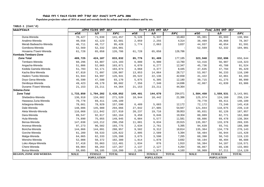**Populaion projection values of 2014 at zonal and wereda levels by urban and rural residence and by sex.**

| ክልል/ዞን/ወረዳ                     |                   | ጠቅሳሳ የሕዝብ ብዛት በጾታ |              |             | የከተማ ሕዝብ ብዛት በጾ <i>ታ</i> |              |                   | የንጠር ሕዝብ ብዛት በጾታ |              |  |
|--------------------------------|-------------------|-------------------|--------------|-------------|--------------------------|--------------|-------------------|------------------|--------------|--|
|                                | ወንድ               | ሴት                | ድምር          | ወንድ         | ሴት                       | ድምር          | ወንድ               | ሴት               | ድምር          |  |
| Duna-Wereda                    | 70,427            | 71,030            | 141,457      | 5,126       | 5,337                    | 10,463       | 65,301            | 65,693           | 130,994      |  |
| Analimo-Wereda                 | 40,558            | 42,123            | 82,681       | 2,059       | 2,255                    | 4,314        | 38,499            | 39,868           | 78,367       |  |
| Merab Badwacho-Wereda          | 46,711            | 48,717            | 95,428       | 1,774       | 2,063                    | 3,837        | 44,937            | 46,654           | 91,591       |  |
| Gomibora-Wereda                | 52,569            | 52,332            | 104,901      |             |                          |              | 52,569            | 52,332           | 104,901      |  |
| Hosaena /Town/-Wereda          | 61,728            | 65,058            | 126,786      | 61,728      | 65,058                   | 126,786      |                   |                  |              |  |
| Kembata Tembaro-Zone           |                   |                   |              |             |                          |              |                   |                  |              |  |
| <b>Zone Total</b>              | 409,725           | 424,107           | 833,832      | 85,776      | 91,409                   | 177,185      | 323,948           | 332,696          | 656,644      |  |
| Tembaro-Wereda                 | 60,296            | 63,807            | 124,103      | 6,880       | 6,900                    | 13,780       | 53,416            | 56,907           | 110,323      |  |
| Angacha-Wereda                 | 51,806            | 52,065            | 103,871      | 6,070       | 6,277                    | 12,347       | 45,736            | 45,788           | 91,524       |  |
| Kedida Gamela-Wereda           | 51,703            | 52,171            | 103,874      | 4,068       | 4,377                    | 8,445        | 47,635            | 47,794           | 95,429       |  |
| Kacha Bira-Wereda              | 67,810            | 71,097            | 138,907      | 13,853      | 14,864                   | 28,717       | 53,957            | 56,233           | 110,190      |  |
| Hadero Tunito-Wereda           | 61,944            | 64,997            | 126,941      | 20,522      | 22,136                   | 42,658       | 41,422            | 42,861           | 84,283       |  |
| Doyo Gena-Wereda               | 45,590            | 47,580            | 93,170       | 5,875       | 6,305                    | 12,180       | 39,715            | 41,275           | 80,990       |  |
| Deniboya-Wereda                | 49,423            | 49,179            | 98,602       | 7,356       | 7,340                    | 14,696       | 42,067            | 41,839           | 83,906       |  |
| Durame /Town/-Wereda           | 21,153            | 23,211            | 44,364       | 21,153      | 23,211                   | 44,364       |                   |                  |              |  |
| Sidama-Zone                    |                   |                   |              |             |                          |              |                   |                  |              |  |
| <b>Zone Total</b>              | 1,733,850         | 1,704,202         | 3,438,052    | 149,401     | 144,670                  | 294,071      | 1,584,450         | 1,559,531        | 3, 143, 981  |  |
| Shebedino-Wereda               | 136,918           | 134,602           | 271,520      | 10,944      | 10,442                   | 21,386       | 125,974           | 124,160          | 250,134      |  |
| Hawassa Zuria-Wereda           | 70,778            | 69,411            | 140,189      |             |                          |              | 70,778            | 69,411           | 140,189      |  |
| Arbegona-Wereda                | 78,661            | 78,929            | 157,590      | 6,489       | 5,683                    | 12,172       | 72,172            | 73,246           | 145,418      |  |
| Dale-Wereda                    | 148,086           | 145,980           | 294,066      | 27,042      | 27,905                   | 54,947       | 121,044           | 118,075          | 239,119      |  |
| Aleta Wendo-Wereda             | 116,068           | 111,842           | 227,910      | 20,237      | 19,716                   | 39,953       | 95,831            | 92,126           | 187,957      |  |
| Dara-Wereda                    | 89,547            | 92,617            | 182,164      | 9,458       | 9,846                    | 19,304       | 80,089            | 82,771           | 162,860      |  |
| Hula-Wereda                    | 74,890            | 75,055            | 149,945      | 6,004       | 5,577                    | 11,581       | 68,886            | 69,478           | 138,364      |  |
| Bensa-Wereda                   | 147,038           | 143,212           | 290,250      | 11,081      | 9,834                    | 20,915       | 135,957           | 133,378          | 269,335      |  |
| Aroresa-Wereda                 | 97,273            | 96,502            | 193,775      | 2,634       | 2,761                    | 5,395        | 94,639            | 93,741           | 188,380      |  |
| Boricha-Wereda                 | 144,866           | 144,091           | 288,957      | 9,502       | 9,312                    | 18,814       | 135,364           | 134,779          | 270,143      |  |
| Gorche-Wereda                  | 61,289            | 59,533            | 120,822      | 2,805       | 2,589                    | 5,394        | 58,484            | 56,944           | 115,428      |  |
| Malga-Wereda                   | 64,065            | 62,333            | 126,398      | 3,675       | 3,590                    | 7,265        | 60,390            | 58,743           | 119,133      |  |
| Wensho-Wereda                  | 52,008            | 50,372            | 102,380      | 1,814       | 1,878                    | 3,692        | 50,194            | 48,494           | 98,688       |  |
| Loko Abeya-Wereda              | 57,418            | 55,063            | 112,481      | 1,034       | 876                      | 1,910        | 56,384            | 54,187           | 110,571      |  |
| Chere-Wereda                   | 69,004            | 68,263            | 137,267      | 2,137       | 2,127                    | 4,264        | 66,867            | 66,136           | 133,003      |  |
| Bursa-Wereda                   | 59,095            | 59,185            | 118,280      | 2,186       | 1,974                    | 4,160        | 56,909            | 57,211           | 114,120      |  |
| <b>REGION, ZONE AND WEREDA</b> | <b>MALE</b>       | <b>FEMALE</b>     | <b>TOTAL</b> | <b>MALE</b> | <b>FEMALE</b>            | <b>TOTAL</b> | <b>MALE</b>       | <b>FEMALE</b>    | <b>TOTAL</b> |  |
|                                | <b>POPULATION</b> |                   |              |             | <b>POPULATION</b>        |              | <b>POPULATION</b> |                  |              |  |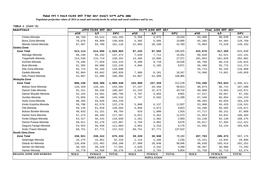**Populaion projection values of 2014 at zonal and wereda levels by urban and rural residence and by sex.**

| ክልል/ዞን/ወረዳ              |             | ጠቅላሳ የሕዝብ ብዛት በጾታ |              |             | የከተማ ሕዝብ ብዛት በጾታ  |              |             | የንጠር ሕዝብ ብዛት በጾታ  |              |  |
|-------------------------|-------------|-------------------|--------------|-------------|-------------------|--------------|-------------|-------------------|--------------|--|
|                         | ወንድ         | ሴት                | ድምር          | ወንድ         | ሴት                | ድምር          | ወንድ         | ሴት                | ድምር          |  |
| Cheko-Wereda            | 98,769      | 93,514            | 192,283      | 5,369       | 4,875             | 10,244       | 93,400      | 88,639            | 182,039      |  |
| Bona Zuria-Wereda       | 70,670      | 69,989            | 140,659      | 5,385       | 5,505             | 10,890       | 65,285      | 64,484            | 129,769      |  |
| Wendo Genet-Wereda      | 97,407      | 93,709            | 191,116      | 21,603      | 20,180            | 41,783       | 75,804      | 73,529            | 149,333      |  |
| Gedeo-Zone              |             |                   |              |             |                   |              |             |                   |              |  |
| <b>Zone Total</b>       | 513,113     | 514,950           | 1,028,063    | 97,433      | 97,592            | 195,025      | 415,679     | 417,359           | 833,038      |  |
| Wenago-Wereda           | 68,240      | 69,232            | 137,472      | 7,620       | 7,711             | 15,331       | 60,620      | 61,521            | 122,141      |  |
| Yirgachefe-Wereda       | 114,538     | 115,714           | 230,252      | 13,485      | 13,886            | 27,371       | 101,053     | 101,828           | 202,881      |  |
| Kochire-Wereda          | 76,286      | 77,929            | 154,215      | 9,490       | 9,710             | 19,200       | 66,796      | 68,219            | 135,015      |  |
| <b>Bule-Wereda</b>      | 61,365      | 60,880            | 122,245      | 4,866       | 5,105             | 9,971        | 56,499      | 55,775            | 112,274      |  |
| Dila Zuria-Wereda       | 55,713      | 55,155            | 110,868      |             |                   |              | 55,713      | 55,155            | 110,868      |  |
| Gedeb-Wereda            | 82,984      | 83,042            | 166,026      | 7,986       | 8,181             | 16,167       | 74,998      | 74,861            | 149,859      |  |
| Dila /Town/-Wereda      | 53,987      | 52,998            | 106,985      | 53,987      | 52,998            | 106,985      |             |                   |              |  |
| <b>Wolayita-Zone</b>    |             |                   |              |             |                   |              |             |                   |              |  |
| <b>Zone Total</b>       | 888,248     | 920,300           | 1,808,548    | 154,980     | 157,259           | 312,239      | 733,268     | 763,043           | 1,496,311    |  |
| Boloso Sore-Wereda      | 118,320     | 126,181           | 244,501      | 27,447      | 29,466            | 56,913       | 90,873      | 96,715            | 187,588      |  |
| Damot Gale-Wereda       | 91,151      | 95,536            | 186,687      | 21,243      | 22,473            | 43,716       | 69,908      | 73,063            | 142,971      |  |
| Damot Woyide-Wereda     | 52,234      | 54,561            | 106,795      | 4,707       | 4,894             | 9,601        | 47,527      | 49,667            | 97,194       |  |
| Humbo-Wereda            | 73,056      | 72,486            | 145,542      | 5,707       | 5,592             | 11,299       | 67,349      | 66,894            | 134,243      |  |
| Sodo Zuria-Wereda       | 90,203      | 93,026            | 183,229      |             |                   |              | 90,203      | 93,026            | 183,229      |  |
| Kindo Koyisha-Wereda    | 59,708      | 62,570            | 122,278      | 5,800       | 6,137             | 11,937       | 53,908      | 56,433            | 110,341      |  |
| Ofa-Wereda              | 59,136      | 61,558            | 120,694      | 4,850       | 4,973             | 9,823        | 54,286      | 56,585            | 110,871      |  |
| Boloso Bonibe-Wereda    | 48,633      | 51,151            | 99,784       | 916         | 1,000             | 1,916        | 47,717      | 50,151            | 97,868       |  |
| Damot Sore-Wereda       | 57,274      | 60,293            | 117,567      | 5,621       | 5,452             | 11,073       | 51,653      | 54,841            | 106,494      |  |
| Kindo Didaye-Wereda     | 54,417      | 56,441            | 110,858      | 1,281       | 1,302             | 2,583        | 53,136      | 55,139            | 108,275      |  |
| Damot Pulasa-Wereda     | 59,811      | 62,276            | 122,087      | 4,794       | 4,882             | 9,676        | 55,017      | 57,394            | 112,411      |  |
| Deguna Fanigo-Wereda    | 54,554      | 56,450            | 111,004      | 2,862       | 3,316             | 6,178        | 51,692      | 53,134            | 104,826      |  |
| Sodo /Town/-Wereda      | 69,751      | 67,771            | 137,522      | 69,751      | 67,771            | 137,522      |             |                   |              |  |
| South Omo-Zone          |             |                   |              |             |                   |              |             |                   |              |  |
| <b>Zone Total</b>       | 336,921     | 338,412           | 675,333      | 39,220      | 38,940            | 78,160       | 297,703     | 299,473           | 597,176      |  |
| Selamago-Wereda         | 16,275      | 15,951            | 32,226       | 1,124       | 1,106             | 2,230        | 15,151      | 14,845            | 29,996       |  |
| Debub Ari-Wereda        | 126,836     | 131,462           | 258,298      | 27,998      | 28,048            | 56,046       | 98,838      | 103,414           | 202,252      |  |
| Semen Ari-Wereda        | 38,333      | 39,228            | 77,561       | 2,026       | 2,242             | 4,268        | 36,307      | 36,986            | 73,293       |  |
| Hamer-Wereda            | 34,778      | 34,500            | 69,278       | 3,020       | 2,784             | 5,804        | 31,758      | 31,716            | 63,474       |  |
| REGION, ZONE AND WEREDA | <b>MALE</b> | <b>FEMALE</b>     | <b>TOTAL</b> | <b>MALE</b> | <b>FEMALE</b>     | <b>TOTAL</b> | <b>MALE</b> | <b>FEMALE</b>     | <b>TOTAL</b> |  |
|                         |             | <b>POPULATION</b> |              |             | <b>POPULATION</b> |              |             | <b>POPULATION</b> |              |  |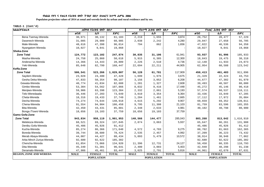**Populaion projection values of 2014 at zonal and wereda levels by urban and rural residence and by sex.**

| ክልል/ዞን/ወረዳ               |             | ጠቅላሳ የሕዝብ ብዛት በጾታ                      |              |             | የከተማ ሕዝብ ብዛት በጾታ |              |             | የንጠር ሕዝብ ብዛት በጾታ  |              |  |
|--------------------------|-------------|----------------------------------------|--------------|-------------|------------------|--------------|-------------|-------------------|--------------|--|
|                          | ወንድ         | ሴት                                     | ድምር          | ወንድ         | ሴት               | ድምር          | ወንድ         | ሴት                | ድምር          |  |
| Bena Tsemay-Wereda       | 30,971      | 30,132                                 | 61,103       | 2,219       | 1,655            | 3,874        | 28,752      | 28,477            | 57,229       |  |
| Dasenech-Wereda          | 31,085      | 29,900                                 | 60,985       | 2,038       | 2,242            | 4,280        | 29,047      | 27,658            | 56,705       |  |
| Male-Wereda              | 48,616      | 47,398                                 | 96,014       | 794         | 862              | 1,656        | 47,822      | 46,536            | 94,358       |  |
| Nyangatom-Wereda         | 10,027      | 9,841                                  | 19,868       |             |                  |              | 10,027      | 9,841             | 19,868       |  |
| Sheka-Zone               |             |                                        |              |             |                  |              |             |                   |              |  |
| <b>Zone Total</b>        | 124,772     | 123,102                                | 247,874      | 30,835      | 31,106           | 61,941       | 93,937      | 91,996            | 185,933      |  |
| Masha-Wereda             | 24,758      | 25,860                                 | 50,618       | 5,915       | 6,385            | 12,300       | 18,843      | 19,475            | 38,318       |  |
| Anderacha-Wereda         | 14,366      | 14,443                                 | 28,809       | 2,226       | 2,510            | 4,736        | 12,140      | 11,933            | 24,073       |  |
| Yeki-Wereda              | 85,648      | 82,799                                 | 168,447      | 22,694      | 22,211           | 44,905       | 62,954      | 60,588            | 123,542      |  |
| Keffa-Zone               |             |                                        |              |             |                  |              |             |                   |              |  |
| <b>Zone Total</b>        | 506,541     | 523,266                                | 1,029,807    | 56,128      | 61,781           | 117,909      | 450,413     | 461,483           | 911,896      |  |
| Sayilem-Wereda           | 23,028      | 24,400                                 | 47,428       | 1,699       | 1,976            | 3,675        | 21,329      | 22,424            | 43,753       |  |
| Gesha Deka-Wereda        | 47,833      | 50,354                                 | 98,187       | 3,156       | 3,052            | 6,208        | 44,677      | 47,302            | 91,979       |  |
| Gewata-Wereda            | 40,774      | 41,834                                 | 82,608       | 1,281       | 1,327            | 2,608        | 39,493      | 40,507            | 80,000       |  |
| Gimbo-Wereda             | 53,304      | 54,562                                 | 107,866      | 8,032       | 9,416            | 17,448       | 45,272      | 45,146            | 90,418       |  |
| Menjiwo-Wereda           | 59,906      | 63,398                                 | 123,304      | 2,332       | 2,861            | 5,193        | 57,574      | 60,537            | 118,111      |  |
| Telo-Weredaada           | 36,446      | 37,203                                 | 73,649       | 3,010       | 3,354            | 6,364        | 33,436      | 33,849            | 67,285       |  |
| Cheta-Wereda             | 18,316      | 19,433                                 | 37,749       | 1,204       | 1,461            | 2,665        | 17,112      | 17,972            | 35,084       |  |
| Decha-Wereda             | 74,274      | 74,644                                 | 148,918      | 4,615       | 5,292            | 9,907        | 69,659      | 69,352            | 139,011      |  |
| Chena-Wereda             | 91,554      | 94,904                                 | 186,458      | 9,795       | 11,308           | 21,103       | 81,759      | 83,596            | 165,355      |  |
| Bita-Wereda              | 42,450      | 43,431                                 | 85,881       | 2,348       | 2,633            | 4,981        | 40,102      | 40,798            | 80,900       |  |
| Bonga /Town/-Wereda      | 18,656      | 19,103                                 | 37,759       | 18,656      | 19,103           | 37,759       |             |                   |              |  |
| <b>Gamo Gofa-Zone</b>    |             |                                        |              |             |                  |              |             |                   |              |  |
| <b>Zone Total</b>        | 943,834     | 958,119                                | 1,901,953    | 140,566     | 144,477          | 285,043      | 803,268     | 813,642           | 1,616,910    |  |
| Melekoza-Wereda          | 68,521      | 69,324                                 | 137,845      | 2,874       | 3,063            | 5,937        | 65,647      | 66,261            | 131,908      |  |
| Denibu Gofa-Wereda       | 45,486      | 45,926                                 | 91,412       |             |                  |              | 45,486      | 45,926            | 91,412       |  |
| Kucha-Wereda             | 85,274      | 86,366                                 | 171,640      | 4,572       | 4,703            | 9,275        | 80,702      | 81,663            | 162,365      |  |
| Boreda-Wereda            | 39,744      | 38,680                                 | 78,424       | 2,535       | 2,457            | 4,992        | 37,209      | 36,223            | 73,432       |  |
| Merab Abaya-Wereda       | 44,007      | 44,427                                 | 88,434       | 5,093       | 5,479            | 10,572       | 38,914      | 38,948            | 77,862       |  |
| Arba Minch Zuriya-Wereda | 92,680      | 92,622                                 | 185,302      |             |                  |              | 92,680      | 92,622            | 185,302      |  |
| Chencha-Wereda           | 61,854      | 73,066                                 | 134,920      | 11,396      | 12,731           | 24,127       | 50,458      | 60,335            | 110,793      |  |
| Dita-Wereda              | 45,340      | 51,301                                 | 96,641       | 2,400       | 3,003            | 5,403        | 42,940      | 48,298            | 91,238       |  |
| Deramalo-Wereda          | 47,986      | 45,461                                 | 93,447       | 3,025       | 2,791            | 5,816        | 44,961      | 42,670            | 87,631       |  |
| REGION, ZONE AND WEREDA  | <b>MALE</b> | <b>FEMALE</b>                          | <b>TOTAL</b> | <b>MALE</b> | <b>FEMALE</b>    | <b>TOTAL</b> | <b>MALE</b> | <b>FEMALE</b>     | <b>TOTAL</b> |  |
|                          |             | <b>POPULATION</b><br><b>POPULATION</b> |              |             |                  |              |             | <b>POPULATION</b> |              |  |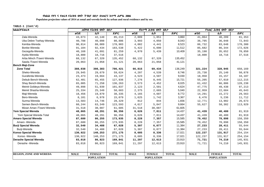**Populaion projection values of 2014 at zonal and wereda levels by urban and rural residence and by sex.**

| ክልል/ዞን/ወረዳ                     |             | ጠቅላሳ የሕዝብ ብዛት በጾታ |              |             | <i>የከተማ ሕዝ</i> ብ ብዛት በጾታ |              |             | የንጠር ሕዝብ ብዛት በጾታ  |              |  |
|--------------------------------|-------------|-------------------|--------------|-------------|--------------------------|--------------|-------------|-------------------|--------------|--|
|                                | ወንድ         | ሴት                | ድምር          | ወንድ         | ሴት                       | ድምር          | ወንድ         | ሴት                | ድምር          |  |
| Zala-Wereda                    | 43,073      | 42,140            | 85,213       | 2,009       | 1,851                    | 3,860        | 41,064      | 40,289            | 81,353       |  |
| Uba Debre Tsehay-Wereda        | 40,788      | 40,098            | 80,886       | 3,993       | 4,050                    | 8,043        | 36,795      | 36,048            | 72,843       |  |
| Kemba-Wereda                   | 90,814      | 88,089            | 178,903      | 4,082       | 4,441                    | 8,523        | 86,732      | 83,648            | 170,380      |  |
| Bonke-Wereda                   | 91,104      | 92,434            | 183,538      | 5,422       | 6,090                    | 11,512       | 85,682      | 86,344            | 172,026      |  |
| Gezegofa-Wereda                | 40,168      | 41,091            | 81,259       | 4,970       | 5,439                    | 10,409       | 35,198      | 35,652            | 70,850       |  |
| Ayida-Wereda                   | 18,800      | 18,716            | 37,516       |             |                          |              | 18,800      | 18,716            | 37,516       |  |
| Arba Minch /Town/-Wereda       | 68,132      | 67,320            | 135,452      | 68,132      | 67,320                   | 135,452      |             |                   |              |  |
| Sawla /Town/-Wereda            | 20,063      | 21,058            | 41,121       | 20,063      | 21,058                   | 41,121       |             |                   |              |  |
| <b>Bench Maji-Zone</b>         |             |                   |              |             |                          |              |             |                   |              |  |
| <b>Zone Total</b>              | 388,038     | 398,383           | 786,421      | 66,815      | 69,434                   | 136,249      | 321,224     | 328,945           | 650,169      |  |
| Sheko-Wereda                   | 29,945      | 29,679            | 59,624       | 4,207       | 4,539                    | 8,746        | 25,738      | 25,140            | 50,878       |  |
| Guraferda-Wereda               | 23,473      | 19,664            | 43,137       | 4,523       | 4,507                    | 9,030        | 18,950      | 15,157            | 34,107       |  |
| Debub Bench-Wereda             | 62,481      | 65,455            | 127,936      | 7,276       | 8,445                    | 15,721       | 55,205      | 57,010            | 112,215      |  |
| Shay Bench-Wereda              | 65,005      | 71,258            | 136,263      | 3,573       | 4,452                    | 8,025        | 61,432      | 66,806            | 128,238      |  |
| Meinit Goldeya-Wereda          | 49,898      | 51,939            | 101,837      | 2,123       | 2,501                    | 4,624        | 47,775      | 49,438            | 97,213       |  |
| Meinit Shasha-Wereda           | 25,334      | 25,349            | 50,683       | 2,375       | 2,665                    | 5,040        | 22,959      | 22,684            | 45,643       |  |
| Maji-Wereda                    | 18,456      | 19,879            | 38,335       | 4,165       | 4,607                    | 8,772        | 14,291      | 15,272            | 29,563       |  |
| Bero-Wereda                    | 8,101       | 6,978             | 15,079       | 1,625       | 1,742                    | 3,367        | 6,476       | 5,236             | 11,712       |  |
| Surma-Wereda                   | 13,583      | 14,746            | 28,329       | 812         | 844                      | 1,656        | 12,771      | 13,902            | 26,673       |  |
| Semen Bench-Wereda             | 60,244      | 63,349            | 123,593      | 4,617       | 5,047                    | 9,664        | 55,627      | 58,302            | 113,929      |  |
| Mizan Aman /Town/-Wereda       | 31,518      | 30,087            | 61,605       | 31,518      | 30,087                   | 61,605       |             |                   |              |  |
| <b>Yem Special Wereda</b>      | 48,065      | 48,291            | 96,356       | 6,626       | 7,811                    | 14,437       | 41,439      | 40,480            | 81,919       |  |
| Yem Special Wereda Total       | 48,065      | 48,291            | 96,356       | 6,626       | 7,811                    | 14,437       | 41,439      | 40,480            | 81,919       |  |
| <b>Amaro Special Wereda</b>    | 87,680      | 86,255            | 173,935      | 8,228       | 7,357                    | 15,585       | 79,452      | 78,898            | 158,350      |  |
| Amaro - Wereda                 | 87,680      | 86,255            | 173,935      | 8,228       | 7,357                    | 15,585       | 79,452      | 78,898            | 158,350      |  |
| <b>Burji Special Wereda</b>    | 32,540      | 34,488            | 67,028       | 5,307       | 6,077                    | 11,384       | 27,233      | 28,411            | 55,644       |  |
| Burji-Wereda                   | 32,540      | 34,488            | 67,028       | 5,307       | 6,077                    | 11,384       | 27,233      | 28,411            | 55,644       |  |
| Konso Special Wereda           | 130,922     | 140,253           | 271,175      | 8,685       | 8,336                    | 17,021       | 122,237     | 131,917           | 254,154      |  |
| Konso - Wereda                 | 130,922     | 140,253           | 271,175      | 8,685       | 8,336                    | 17,021       | 122,237     | 131,917           | 254,154      |  |
| Derashe Special Wereda         | 83,018      | 86,823            | 169,841      | 11,297      | 12,613                   | 23,910       | 71,721      | 74,210            | 145,931      |  |
| Derashe - Wereda               | 83,018      | 86,823            | 169,841      | 11,297      | 12,613                   | 23,910       | 71,721      | 74,210            | 145,931      |  |
|                                |             |                   |              |             |                          |              |             |                   |              |  |
| <b>REGION, ZONE AND WEREDA</b> | <b>MALE</b> | <b>FEMALE</b>     | <b>TOTAL</b> | <b>MALE</b> | <b>FEMALE</b>            | <b>TOTAL</b> | <b>MALE</b> | <b>FEMALE</b>     | <b>TOTAL</b> |  |
|                                |             | <b>POPULATION</b> |              |             | <b>POPULATION</b>        |              |             | <b>POPULATION</b> |              |  |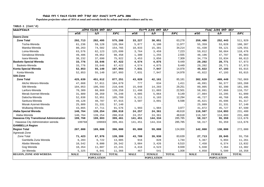**Populaion projection values of 2014 at zonal and wereda levels by urban and rural residence and by sex.**

| ክልል/ዞን/ወረዳ                               | ጠቅሳሳ የሕዝብ ብዛት በጾታ |                   |              | የከተማ ሕዝብ ብዛት በጾታ |                   |              | የንጠር ሕዝብ ብዛት በጾታ |                   |              |
|------------------------------------------|-------------------|-------------------|--------------|------------------|-------------------|--------------|------------------|-------------------|--------------|
|                                          | ወንድ               | ሴት                | ድምር          | ወንድ              | ሴት                | ድምር          | ወንድ              | ሴት                | ድምር          |
| Dawro-Zone                               |                   |                   |              |                  |                   |              |                  |                   |              |
| <b>Zone Total</b>                        | 292,713           | 282,495           | 575,208      | 33,227           | 30,051            | 63,278       | 259,486          | 252,443           | 511,929      |
| Tocha-Wereda                             | 61,236            | 59,128            | 120,364      | 5,877            | 6,100             | 11,977       | 55,359           | 53,028            | 108,387      |
| Mareka-Wereda                            | 80,263            | 74,502            | 154,765      | 18,833           | 15,381            | 34,214       | 61,430           | 59,121            | 120,551      |
| Loma-Wereda                              | 63,576            | 62,123            | 125,699      | 3,764            | 3,459             | 7,223        | 59,812           | 58,664            | 118,476      |
| Genabosa-Wereda                          | 49,406            | 49,052            | 98,458       | 1,300            | 1,255             | 2,555        | 48,106           | 47,797            | 95,903       |
| Isara-Wereda                             | 38,232            | 37,690            | 75,922       | 3,453            | 3,856             | 7,309        | 34,779           | 33,834            | 68,613       |
| <b>Basketo Special Wereda</b>            | 33,776            | 33,646            | 67,422       | 4,574            | 4,875             | 9,449        | 29,202           | 28,771            | 57,973       |
| Basketo-Wereda                           | 33,776            | 33,646            | 67,422       | 4,574            | 4,875             | 9,449        | 29,202           | 28,771            | 57,973       |
| Konta Special Wereda                     | 52,853            | 55,140            | 107,993      | 7,031            | 7,947             | 14,978       | 45,822           | 47,193            | 93,015       |
| Konta-Wereda                             | 52,853            | 55,140            | 107,993      | 7,031            | 7,947             | 14,978       | 45,822           | 47,193            | 93,015       |
| Silti-Zone                               |                   |                   |              |                  |                   |              |                  |                   |              |
| <b>Zone Total</b>                        | 425,639           | 451,612           | 877,251      | 43,020           | 42,161            | 85,181       | 382,620          | 409,449           | 792,069      |
| Alicho Werero-Wereda                     | 47,668            | 57,011            | 104,679      | 777              | 634               | 1,411        | 46,891           | 56,377            | 103,268      |
| Silti-Wereda                             | 104,053           | 106,593           | 210,646      | 15,048           | 14,203            | 29,251       | 89,005           | 92,390            | 181,395      |
| Lanfuro-Wereda                           | 70,389            | 68,869            | 139,258      | 11,498           | 11,003            | 22,501       | 58,891           | 57,866            | 116,757      |
| Merab Azernet-Wereda                     | 31,889            | 38,359            | 70,248       | 4,085            | 5,064             | 9,149        | 27,804           | 33,295            | 61,099       |
| Dalocha-Wereda                           | 52,838            | 52,951            | 105,789      | 6,111            | 6,183             | 12,294       | 46,727           | 46,768            | 93,495       |
| Sankura-Wereda                           | 49,128            | 48,787            | 97,915       | 3,507            | 3,091             | 6,598        | 45,621           | 45,696            | 91,317       |
| Misrak Azernet-Wereda                    | 25,809            | 31,331            | 57,140       |                  |                   |              | 25,809           | 31,331            | 57,140       |
| Wulbareg-Wereda                          | 43,865            | 47,711            | 91,576       | 1,993            | 1,984             | 3,977        | 41,872           | 45,727            | 87,599       |
| Alaba Special Wereda                     | 140,764           | 139,254           | 280,018      | 24,257           | 24,361            | 48,618       | 116,507          | 114,893           | 231,400      |
| Alaba-Wereda                             | 140,764           | 139,254           | 280,018      | 24,257           | 24,361            | 48,618       | 116,507          | 114,893           | 231,400      |
| Hawassa City Transitional Administration | 199,768           | 199,693           | 399,461      | 141,451          | 144,334           | 285,785      | 58,317           | 55,359            | 113,676      |
| Hawassa City Administration wereda       | 199768            | 199693            | 399,461      | 141,451          | 144,334           | 285,785      | 58,317           | 55,359            | 113,676      |
| <b>GAMBELLA Region</b>                   |                   |                   |              |                  |                   |              |                  |                   |              |
| <b>Region Total</b>                      | 207,000           | 189,000           | 396,000      | 65,000           | 59,000            | 124,000      | 142,000          | 130,000           | 272,000      |
| Agnewak-Zone                             |                   |                   |              |                  |                   |              |                  |                   |              |
| Zone Total                               | 71,423            | 67,976            | 139,399      | 43,709           | 39,930            | 83,639       | 27,713           | 28,045            | 55,758       |
| Gambella Zuria Wereda                    | 6,283             | 6,722             | 13,005       | 916              | 828               | 1,744        | 5,367            | 5,894             | 11,261       |
| Abobo Wereda                             | 10,542            | 9,800             | 20,342       | 3,084            | 3,426             | 6,510        | 7,458            | 6,374             | 13,832       |
| Gog Wereda                               | 10,354            | 11,887            | 22,241       | 4,416            | 4,523             | 8,939        | 5,938            | 7,364             | 13,302       |
| Jor Wereda                               | 5,325             | 6,041             | 11,366       | 467              | 541               | 1,008        | 4,858            | 5,500             | 10,358       |
| <b>REGION, ZONE AND WEREDA</b>           | <b>MALE</b>       | <b>FEMALE</b>     | <b>TOTAL</b> | <b>MALE</b>      | <b>FEMALE</b>     | <b>TOTAL</b> | <b>MALE</b>      | <b>FEMALE</b>     | <b>TOTAL</b> |
|                                          |                   | <b>POPULATION</b> |              |                  | <b>POPULATION</b> |              |                  | <b>POPULATION</b> |              |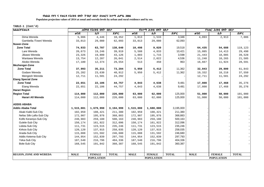**Populaion projection values of 2014 at zonal and wereda levels by urban and rural residence and by sex.**

| ክልል/ዞን/ወሪዳ                     |             | ጠቅሳሳ የሕዝብ ብዛት በጾታ |              |             | የከተማ ሕዝብ ብዛት በጾታ  |              |             | የንጠር ሕዝብ ብዛት በጾታ  |              |
|--------------------------------|-------------|-------------------|--------------|-------------|-------------------|--------------|-------------|-------------------|--------------|
|                                | ወንድ         | ሴት                | ድምር          | ወንድ         | ሴት                | ድምር          | ወንድ         | ቤት                | ድምር          |
| Dima Wereda                    | 5,906       | 4,446             | 10,352       | 1,813       | 1,533             | 3,346        | 4,093       | 2,913             | 7,006        |
| Gambella /Town/ Wereda         | 33,013      | 29,080            | 62,093       | 33,013      | 29,080            | 62,093       |             |                   |              |
| <b>Nuwer-Zone</b>              |             |                   |              |             |                   |              |             |                   |              |
| <b>Zone Total</b>              | 74,933      | 63,707            | 138,640      | 10,498      | 9,020             | 19,518       | 64,435      | 54,688            | 119,123      |
| Lare Wereda                    | 20,673      | 19,246            | 39,919       | 5,588       | 4,833             | 10,421       | 15,085      | 14,413            | 29,498       |
| Jikawo Wereda                  | 23,326      | 19,800            | 43,126       | 1,883       | 1,715             | 3,598        | 21,443      | 18,085            | 39,528       |
| Wantawa Wereda                 | 13,754      | 12,287            | 26,041       | 2,514       | 2,022             | 4,536        | 11,240      | 10,265            | 21,505       |
| Akobo Wereda                   | 17,180      | 12,374            | 29,554       | 513         | 450               | 963          | 16,667      | 11,924            | 28,591       |
| Mezhenger-Zone                 |             |                   |              |             |                   |              |             |                   |              |
| <b>Zone Total</b>              | 37,993      | 35,211            | 73,204       | 5,950       | 5,412             | 11,362       | 32,043      | 29,800            | 61,843       |
| Godare Wereda                  | 25,282      | 23,630            | 48,912       | 5,950       | 5,412             | 11,362       | 19,332      | 18,218            | 37,550       |
| Mengesh Wereda                 | 12,711      | 11,581            | 24,292       |             |                   |              | 12,711      | 11,581            | 24,292       |
| <b>Etang Special Zone</b>      |             |                   |              |             |                   |              |             |                   |              |
| <b>Zone Total</b>              | 22,651      | 22,106            | 44,757       | 4,843       | 4,638             | 9,481        | 17,808      | 17,468            | 35,276       |
| Etang Wereda                   | 22,651      | 22,106            | 44,757       | 4,843       | 4,638             | 9,481        | 17,808      | 17,468            | 35,276       |
| <b>Harari Region</b>           |             |                   |              |             |                   |              |             |                   |              |
| <b>Region Total</b>            | 114,000     | 112,000           | 226,000      | 63,000      | 62,000            | 125,000      | 51,000      | 50,000            | 101,000      |
| Harari All Wereda              | 114,000     | 112,000           | 226,000      | 63,000      | 62,000            | 125,000      | 51,000      | 50,000            | 101,000      |
| <b>ADDIS ABABA</b>             |             |                   |              |             |                   |              |             |                   |              |
| <b>Addis Ababa Total</b>       | 1,515,001   | 1,679,998         | 3,194,999    | 1,515,000   | 1,680,000         | 3,195,000    |             |                   |              |
| Akaki Kaliti-Sub City          | 102,959     | 108,421           | 211,380      | 102,959     | 108,421           | 211,380      |             |                   |              |
| Nefas Silk-Lafto-Sub City      | 172,907     | 195,976           | 368,883      | 172,907     | 195,976           | 368,883      |             |                   |              |
| Kolfe Keraniyo-Sub City        | 240,983     | 259,180           | 500,163      | 240,983     | 259,180           | 500,163      |             |                   |              |
| Gulele-Sub City                | 150,174     | 161,922           | 312,096      | 150,174     | 161,922           | 312,096      |             |                   |              |
| Lideta-Sub City                | 111,731     | 123,515           | 235,246      | 111,731     | 123,515           | 235,246      |             |                   |              |
| Kirkos-Sub City                | 120,120     | 137,915           | 258,035      | 120,120     | 137,915           | 258,035      |             |                   |              |
| Arada-Sub City                 | 115,088     | 131,592           | 246,680      | 115,088     | 131,592           | 246,680      |             |                   |              |
| Addis Ketema-Sub City          | 144,954     | 152,839           | 297,793      | 144,954     | 152,839           | 297,793      |             |                   |              |
| Yeka-Sub City                  | 187,540     | 216,796           | 404,336      | 187,540     | 216,796           | 404,336      |             |                   |              |
| <b>Bole-Sub City</b>           | 168,545     | 191,842           | 360,387      | 168,545     | 191,842           | 360,387      |             |                   |              |
|                                |             |                   |              |             |                   |              |             |                   |              |
|                                |             |                   |              |             |                   |              |             |                   |              |
| <b>REGION, ZONE AND WEREDA</b> | <b>MALE</b> | <b>FEMALE</b>     | <b>TOTAL</b> | <b>MALE</b> | <b>FEMALE</b>     | <b>TOTAL</b> | <b>MALE</b> | <b>FEMALE</b>     | <b>TOTAL</b> |
|                                |             | <b>POPULATION</b> |              |             | <b>POPULATION</b> |              |             | <b>POPULATION</b> |              |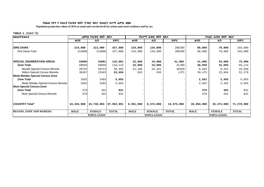**Populaion projection values of 2014 at zonal and wereda levels by urban and rural residence and by sex.**

| ክልል/ዞን/ወሪ <i>ዳ</i>                | ጠቅሳሳ የሕዝብ ብዛት በጾታ |                   |              |             | የከተማ ሕዝብ ብዛት በጾታ  |              | የንጠር ሕዝብ ብዛት በጾታ |                   |              |  |
|-----------------------------------|-------------------|-------------------|--------------|-------------|-------------------|--------------|------------------|-------------------|--------------|--|
|                                   | ወንድ               | ሴት                | ድምር          | ወንድ         | ሴት                | ድምር          | ወንድ              | ቤት                | ድምር          |  |
| <b>DIRE DAWA</b>                  | 214,000           | 213,000           | 427,000      | 134,000     | 134,000           | 268,000      | 80,000           | 79,000            | 159,000      |  |
| Dire Dawa Total                   | 214000            | 213000            | 427,000      | 134,000     | 134,000           | 268,000      | 80,000           | 79,000            | 159,000      |  |
| <b>SPECIAL ENUMERATION AREAS</b>  | 63000             | 53001             | 116,001      | 22,000      | 19,000            | 41,000       | 41,000           | 34,000            | 75,000       |  |
| <b>Zone Total</b>                 | 60059             | 50056             | 110,115      | 22,000      | 19,000            | 41,000       | 38,059           | 31,055            | 69,114       |  |
| Moyale Special Census Wereda      | 29752             | 26713             | 56,465       | 21,168      | 18,461            | 39,629       | 8,584            | 8,252             | 16,836       |  |
| Afdem Special Census Wereda       | 30307             | 23343             | 53,650       | 832         | 539               | 1,371        | 29,475           | 22,804            | 52,279       |  |
| Meda Welabu Special Census Zone   |                   |                   |              |             |                   |              |                  |                   |              |  |
| <b>Zone Total</b>                 | 2562              | 2493              | 5,055        |             |                   |              | 2,562            | 2,493             | 5,055        |  |
| Meda Welabu Special Census Wereda | 2562              | 2493              | 5,055        |             |                   |              | 2,562            | 2,493             | 5,055        |  |
| <b>Mulo Special Census-Zone</b>   |                   |                   |              |             |                   |              |                  |                   |              |  |
| <b>Zone Total</b>                 | 379               | 452               | 831          |             |                   |              | 379              | 452               | 831          |  |
| Mulo Special Census Wereda        | 379               | 452               | 831          |             |                   |              | 379              | 452               | 831          |  |
|                                   |                   |                   |              |             |                   |              |                  |                   |              |  |
| <b>COUNTRY Total*</b>             | 44,204,988        | 43,748,003        | 87,952,991   | 8,301,000   | 8,374,000         | 16,675,000   | 35,904,000       | 35,374,000        | 71,278,000   |  |
| <b>REGION, ZONE AND WEREDA</b>    | <b>MALE</b>       | <b>FEMALE</b>     | <b>TOTAL</b> | <b>MALE</b> | <b>FEMALE</b>     | <b>TOTAL</b> | <b>MALE</b>      | <b>FEMALE</b>     | <b>TOTAL</b> |  |
|                                   |                   | <b>POPULATION</b> |              |             | <b>POPULATION</b> |              |                  | <b>POPULATION</b> |              |  |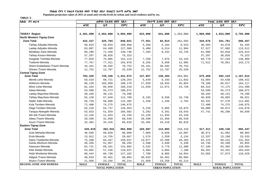**Populaion projection values of 2015 at zonal and wereda levels by urban and rural residence and by sex.**

**TABLE-2**

| ክልል ዞን ወራዳ                      |             | ጠቅላሳ የሕዝብ ብዛት በጾታ       |              |             | የከተማ ሕዝብ ብዛት በጾታ        |              | የንጠር ሕዝብ ብዛት በጾታ |                         |              |
|---------------------------------|-------------|-------------------------|--------------|-------------|-------------------------|--------------|------------------|-------------------------|--------------|
|                                 | ወንድ         | ሴት                      | ድምር          | ወንድ         | ሴት                      | ድምር          | ወንድ              | ሴት                      | ድምር          |
|                                 |             |                         |              |             |                         |              |                  |                         |              |
| <b>TIGRAY Region</b>            | 2,491,999   | 2,564,000               | 5,055,999    | 623,000     | 641,000                 | 1,264,000    | 1,869,000        | 1,923,000               | 3,792,000    |
| North Western Tigray-Zone       |             |                         |              |             |                         |              |                  |                         |              |
| <b>Zone Total</b>               | 422,227     | 425,794                 | 848,021      | 77,551      | 84,014                  | 161,565      | 344,676          | 341,781                 | 686,457      |
| Tahtay Adiyabo-Wereda           | 50,924      | 50,034                  | 100,958      | 4,359       | 5,164                   | 9,523        | 46,565           | 44,870                  | 91,435       |
| Laelay Adiyabo-Wereda           | 63,007      | 64,499                  | 127,506      | 5,480       | 6,514                   | 11,994       | 57,527           | 57,985                  | 115,512      |
| Medebay Zana-Wereda             | 69,290      | 71,450                  | 140,740      | 7,294       | 8,432                   | 15,726       | 61,996           | 63,018                  | 125,014      |
| Tahtay Koraro-Wereda            | 37,297      | 38,026                  | 75,323       |             |                         |              | 37,297           | 38,026                  | 75,323       |
| Asegede Tsimbila-Wereda         | 77,029      | 75,095                  | 152,124      | 7,250       | 7,875                   | 15,125       | 69,779           | 67,220                  | 136,999      |
| Tselemti-Wereda                 | 77,767      | 77,311                  | 155,078      | 6,255       | 6,650                   | 12,905       | 71,512           | 70,661                  | 142,173      |
| Shere Endasilasie /Town/-Wereda | 34,161      | 36,592                  | 70,753       | 34,161      | 36,592                  | 70,753       |                  |                         |              |
| Shiraro /Town/-Wereda           | 12,752      | 12,787                  | 25,539       | 12,752      | 12,787                  | 25,539       |                  |                         |              |
| <b>Central Tigray-Zone</b>      |             |                         |              |             |                         |              |                  |                         |              |
| <b>Zone Total</b>               | 703,326     | 728,346                 | 1,431,672    | 127,857     | 136,204                 | 264,061      | 575,469          | 592,143                 | 1,167,612    |
| Mereb Lehe-Wereda               | 59,533      | 60,721                  | 120,254      | 5,649       | 6,183                   | 11,832       | 53,884           | 54,538                  | 108,422      |
| Ahiferom-Wereda                 | 96,120      | 103,050                 | 199,170      | 17,020      | 18,033                  | 35,053       | 79,100           | 85,017                  | 164,117      |
| Were Lehe-Wereda                | 81,164      | 85,046                  | 166,210      | 11,849      | 12,871                  | 24,720       | 69,315           | 72,175                  | 141,490      |
| Adwa-Wereda                     | 53,599      | 55,273                  | 108,872      |             |                         |              | 53,599           | 55,273                  | 108,872      |
| Laelay Maychew-Wereda           | 39,165      | 40,131                  | 79,296       |             |                         |              | 39,165           | 40,131                  | 79,296       |
| Tahtay Maychew-Wereda           | 55,120      | 57,649                  | 112,769      | 8,192       | 8,556                   | 16,748       | 46,928           | 49,093                  | 96,021       |
| Nader Adet-Wereda               | 56,759      | 58,606                  | 115,365      | 1,428       | 1,336                   | 2,764        | 55,331           | 57,270                  | 112,601      |
| Kola Temben-Wereda              | 72,400      | 74,275                  | 146,675      |             |                         |              | 72,400           | 74,275                  | 146,675      |
| Dega Temben-Wereda              | 63,216      | 63,737                  | 126,953      | 5,210       | 5,665                   | 10,875       | 58,006           | 58,072                  | 116,078      |
| Tanqua Abergele-Wereda          | 53,023      | 51,559                  | 104,582      | 5,282       | 5,261                   | 10,543       | 47,741           | 46,298                  | 94,039       |
| Abi Adi /Town/-Wereda           | 12,226      | 11,933                  | 24,159       | 12,226      | 11,933                  | 24,159       |                  |                         |              |
| Adwa /Town/-Wereda              | 28,599      | 31,950                  | 60,549       | 28,599      | 31,950                  | 60,549       |                  |                         |              |
| Axum /Town/-Wereda              | 32,402      | 34,416                  | 66,818       | 32,402      | 34,416                  | 66,818       |                  |                         |              |
| <b>Eastern Tigray-Zone</b>      |             |                         |              |             |                         |              |                  |                         |              |
| <b>Zone Total</b>               | 420,919     | 462,941                 | 883,860      | 103,607     | 114,803                 | 218,410      | 317,311          | 348,136                 | 665,447      |
| Gulo Meheda-Wereda              | 46,040      | 50,020                  | 96,060       | 7,069       | 8,028                   | 15,097       | 38,971           | 41,992                  | 80,963       |
| Erob-Wereda                     | 13,912      | 14,755                  | 28,667       | 1,575       | 1,559                   | 3,134        | 12,337           | 13,196                  | 25,533       |
| Saesi Tsadamba-Wereda           | 75,200      | 84,437                  | 159,637      | 13,077      | 15,206                  | 28,283       | 62,123           | 69,231                  | 131,354      |
| Ganta Afeshum-Wereda            | 46,336      | 51,957                  | 98,293       | 2,590       | 2,848                   | 5,438        | 43,746           | 49,109                  | 92,855       |
| Hawuzen-Wereda                  | 62,731      | 69,161                  | 131,892      | 5,532       | 5,776                   | 11,308       | 57,199           | 63,385                  | 120,584      |
| Kilte Awlalo-Wereda             | 53,665      | 57,156                  | 110,821      | 3,384       | 3,804                   | 7,188        | 50,281           | 53,352                  | 103,633      |
| Atsbi Wonberta-Wereda           | 60,444      | 66,738                  | 127,182      | 7,789       | 8,865                   | 16,654       | 52,655           | 57,873                  | 110,528      |
| Adigrat /Town/-Wereda           | 40,633      | 45,461                  | 86,094       | 40,633      | 45,461                  | 86,094       |                  |                         |              |
| Wukro /Town/-Wereda             | 21,958      | 23,256                  | 45,214       | 21,958      | 23,256                  | 45,214       |                  |                         |              |
| <b>REGION, ZONE AND WEREDA</b>  | <b>MALE</b> | <b>FEMALE</b>           | <b>TOTAL</b> | <b>MALE</b> | <b>FEMALE</b>           | <b>TOTAL</b> | <b>MALE</b>      | <b>FEMALE</b>           | <b>TOTAL</b> |
|                                 |             | <b>TOTAL POPULATION</b> |              |             | <b>URBAN POPULATION</b> |              |                  | <b>RURAL POPULATION</b> |              |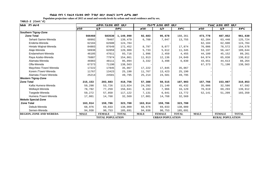**Populaion projection values of 2015 at zonal and wereda levels by urban and rural residence and by sex.**

| ክልል ዞን ወራዳ                     |             | ጠቅላሳ የሕዝብ ብዛት በጾታ       |              |             | <i>የከተማ ሕዝ</i> ብ ብዛት በጾ <i>ታ</i> |              | የ <i>ገ</i> ጠር ሕዝብ ብዛት በጾታ |               |              |
|--------------------------------|-------------|-------------------------|--------------|-------------|----------------------------------|--------------|---------------------------|---------------|--------------|
|                                | ወንድ         | ቤት                      | ድምር          | ወንድ         | ቤት                               | ድምር          | ወንድ                       | ቤት            | ድምር          |
| Southern Tigray-Zone           |             |                         |              |             |                                  |              |                           |               |              |
| <b>Zone Total</b>              | 566460      | 583530                  | 1,149,990    | 92,683      | 95,678                           | 188,361      | 473,778                   | 487,852       | 961,630      |
| Seharti Samre-Wereda           | 68992       | 70487                   | 139,479      | 6,708       | 7,047                            | 13,755       | 62,284                    | 63,440        | 125,724      |
| Enderta-Wereda                 | 62184       | 62600                   | 124,784      |             |                                  |              | 62,184                    | 62,600        | 124,784      |
| Hintalo Wajirat-Wereda         | 84803       | 87649                   | 172,452      | 8,797       | 9,077                            | 17,874       | 76,006                    | 78,572        | 154,578      |
| Alaje-Wereda                   | 58930       | 62059                   | 120,989      | 5,733       | 5,612                            | 11,345       | 53,197                    | 56,447        | 109,644      |
| Endamehoni-Wereda              | 46105       | 47611                   | 93,716       | 1,996       | 2,459                            | 4,455        | 44,109                    | 45,152        | 89,261       |
| Raya Azebo-Wereda              | 76887       | 77974                   | 154,861      | 11,913      | 12,136                           | 24,049       | 64,974                    | 65,838        | 130,812      |
| Alamata-Wereda                 | 46983       | 48111                   | 95,094       | 3,332       | 3,498                            | 6,830        | 43,651                    | 44,613        | 88,264       |
| Ofla-Wereda                    | 67373       | 71190                   | 138,563      |             |                                  |              | 67,373                    | 71,190        | 138,563      |
| Maychew /Town/-Wereda          | 17222       | 17845                   | 35,067       | 17,222      | 17,845                           | 35,067       |                           |               |              |
| Korem /Town/-Wereda            | 11767       | 13423                   | 25,190       | 11,767      | 13,423                           | 25,190       |                           |               |              |
| Alamata /Town/-Wereda          | 25214       | 24581                   | 49,795       | 25,214      | 24,581                           | 49,795       |                           |               |              |
| <b>Western Tigray-Zone</b>     |             |                         |              |             |                                  |              |                           |               |              |
| <b>Zone Total</b>              | 215,153     | 203,603                 | 418,756      | 57,388      | 50,515                           | 107,903      | 157,766                   | 153,087       | 310,853      |
| Kafta Humera-Wereda            | 59,298      | 53,726                  | 113,024      | 24,292      | 21,140                           | 45,432       | 35,006                    | 32,586        | 67,592       |
| Welkayit-Wereda                | 78,782      | 77,259                  | 156,041      | 8,163       | 7,966                            | 16,129       | 70,619                    | 69,293        | 139,912      |
| Tsegede-Wereda                 | 59,272      | 57,850                  | 117,122      | 7,131       | 6,641                            | 13,772       | 52,141                    | 51,209        | 103,350      |
| Humera /Town/-Wereda           | 17,801      | 14,768                  | 32,569       | 17,801      | 14,768                           | 32,569       |                           |               |              |
| <b>Mekele Special-Zone</b>     |             |                         |              |             |                                  |              |                           |               |              |
| <b>Zone Total</b>              | 163,914     | 159,786                 | 323,700      | 163,914     | 159,786                          | 323,700      |                           |               |              |
| Debub-Wereda                   | 68,976      | 69,033                  | 138,009      | 68,976      | 69,033                           | 138,009      |                           |               |              |
| Semen-Wereda                   | 94,938      | 90,753                  | 185,691      | 94,938      | 90,753                           | 185,691      |                           |               |              |
| <b>REGION, ZONE AND WEREDA</b> | <b>MALE</b> | <b>FEMALE</b>           | <b>TOTAL</b> | <b>MALE</b> | <b>FEMALE</b>                    | <b>TOTAL</b> | <b>MALE</b>               | <b>FEMALE</b> | <b>TOTAL</b> |
|                                |             | <b>TOTAL POPULATION</b> |              |             | <b>URBAN POPULATION</b>          |              | <b>RURAL POPULATION</b>   |               |              |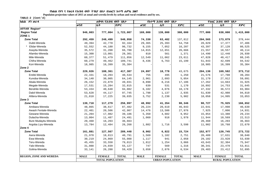**Populaion projection values of 2015 at zonal and wereda levels by urban and rural residence and by sex.**

| ክልል ዞን ወራዳ                     |             | ጠቅላሳ የሕዝብ ብዛት በጾታ       |              |             | የከተማ ሕዝብ ብዛት በጾታ        |              | የንጠር ሕዝብ ብዛት በጾታ        |               |              |
|--------------------------------|-------------|-------------------------|--------------|-------------|-------------------------|--------------|-------------------------|---------------|--------------|
|                                | ወንድ         | ቤት                      | ድምር          | ወንድ         | ቤት                      | ድምር          | ወንድ                     | ሴት            | ድምር          |
| <b>AFFAR Region*</b>           |             |                         |              |             |                         |              |                         |               |              |
| <b>Region Total</b>            | 946,003     | 777,004                 | 1,723,007    | 169,000     | 139,000                 | 308,000      | 777,000                 | 638,000       | 1,415,000    |
| ZONE <sub>1</sub>              |             |                         |              |             |                         |              |                         |               |              |
| <b>Zone Total</b>              | 292,459     | 248,499                 | 540,958      | 74,330      | 63,482                  | 137,812      | 204,565                 | 173,879       | 378,444      |
| Dubti-Wereda                   | 49,394      | 42,770                  | 92,164       | 29,365      | 25,393                  | 54,758       | 20,029                  | 17,377        | 37,406       |
| Elidar-Wereda                  | 52,552      | 44,180                  | 96,732       | 9,155       | 7,052                   | 16,207       | 43,397                  | 37,128        | 80,525       |
| Asayita-Wereda                 | 35,572      | 31,208                  | 66,780       | 14,015      | 12,651                  | 26,666       | 21,557                  | 18,557        | 40,114       |
| Afambo-Wereda                  | 15,300      | 13,001                  | 28,301       | 810         | 561                     | 1,371        | 14,490                  | 12,440        | 26,930       |
| Mile-Wereda                    | 60,377      | 51,479                  | 111,856      | 12,549      | 11,062                  | 23,611       | 47,828                  | 40,417        | 88,245       |
| Chifra-Wereda                  | 60,279      | 49,462                  | 109,741      | 8,436       | 6,763                   | 15,199       | 51,843                  | 42,699        | 94,542       |
| Kori-Wereda                    | 18,985      | 16,399                  | 35,384       |             |                         |              | 18,985                  | 16,399        | 35,384       |
| Zone 2                         |             |                         |              |             |                         |              |                         |               |              |
| <b>Zone Total</b>              | 229,026     | 188,361                 | 417,387      | 24,897      | 18,778                  | 43,675       | 204,130                 | 169,582       | 373,712      |
| Erebti-Wereda                  | 22,331      | 18,203                  | 40,534       | 755         | 495                     | 1,250        | 21,576                  | 17,708        | 39,284       |
| Kunoba-Wereda                  | 34,140      | 30,005                  | 64,145       | 2,961       | 2,093                   | 5,054        | 31,179                  | 27,912        | 59,091       |
| Abala-Wereda                   | 26,152      | 22,879                  | 49,031       | 8,890       | 8,216                   | 17,106       | 17,262                  | 14,663        | 31,925       |
| Megale-Wereda                  | 17,531      | 15,284                  | 32,815       | 639         | 531                     | 1,170        | 16,892                  | 14,753        | 31,645       |
| Berahile-Wereda                | 53,434      | 40,648                  | 94,082       | 6,102       | 4,076                   | 10,178       | 47,332                  | 36,572        | 83,904       |
| Dalol-Wereda                   | 53,628      | 44,117                  | 97,745       | 1,798       | 1,137                   | 2,935        | 51,830                  | 42,980        | 94,810       |
| Afdera-Wereda                  | 21,810      | 17,225                  | 39,035       | 3,752       | 2,230                   | 5,982        | 18,058                  | 14,995        | 33,053       |
| Zone 3                         |             |                         |              |             |                         |              |                         |               |              |
| <b>Zone Total</b>              | 139,718     | 117,279                 | 256,997      | 48,992      | 41,354                  | 90,346       | 90,727                  | 75,925        | 166,652      |
| Amibara-Wereda                 | 48,865      | 38,617                  | 87,482       | 26,224      | 20,619                  | 46,843       | 22,641                  | 17,998        | 40,639       |
| Awash Fentale-Wereda           | 22,401      | 20,506                  | 42,907       | 14,476      | 13,500                  | 27,976       | 7,925                   | 7,006         | 14,931       |
| Gewane-Wereda                  | 21,204      | 17,982                  | 39,186       | 5,350       | 4,602                   | 9,952        | 15,854                  | 13,380        | 29,234       |
| Dulacha-Wereda                 | 13,004      | 11,487                  | 24,491       | 1,060       | 918                     | 1,978        | 11,944                  | 10,569        | 22,513       |
| Bure Mudayitu-Wereda           | 20,460      | 16,203                  | 36,663       |             |                         |              | 20,460                  | 16,203        | 36,663       |
| Argoba Liyu-Wereda             | 13,784      | 12,484                  | 26,268       | 1,882       | 1,716                   | 3,598        | 11,902                  | 10,768        | 22,670       |
| Zone 4                         |             |                         |              |             |                         |              |                         |               |              |
| <b>Zone Total</b>              | 161,881     | 127,567                 | 289,448      | 8,902       | 6,822                   | 15,724       | 152,977                 | 120,745       | 273,722      |
| Awra-Wereda                    | 21,978      | 18,813                  | 40,791       | 1,569       | 1,182                   | 2,751        | 20,409                  | 17,631        | 38,040       |
| Ewa-Wereda                     | 30,219      | 24,869                  | 55,088       | 1,117       | 941                     | 2,058        | 29,102                  | 23,928        | 53,030       |
| Teru-Wereda                    | 45,455      | 33,558                  | 79,013       | 1,812       | 1,254                   | 3,066        | 43,643                  | 32,304        | 75,947       |
| Yalo-Wereda                    | 31,088      | 24,039                  | 55,127       | 747         | 569                     | 1,316        | 30,341                  | 23,470        | 53,811       |
| Golina-Wereda                  | 33,141      | 26,288                  | 59,429       | 3,658       | 2,876                   | 6,534        | 29,483                  | 23,412        | 52,895       |
| <b>REGION, ZONE AND WEREDA</b> | <b>MALE</b> | <b>FEMALE</b>           | <b>TOTAL</b> | <b>MALE</b> | <b>FEMALE</b>           | <b>TOTAL</b> | <b>MALE</b>             | <b>FEMALE</b> | <b>TOTAL</b> |
|                                |             | <b>TOTAL POPULATION</b> |              |             | <b>URBAN POPULATION</b> |              | <b>RURAL POPULATION</b> |               |              |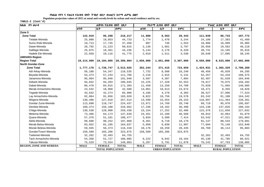**Populaion projection values of 2015 at zonal and wereda levels by urban and rural residence and by sex.**

| ክልል ዞን ወራዳ                     |             | ጠቅሳሳ የሕዝብ ብዛት በጾታ       |              |             | የከተማ ሕዝብ ብዛት በጾታ        |              |             | የንጠር ሕዝብ ብዛት በጾታ        |              |
|--------------------------------|-------------|-------------------------|--------------|-------------|-------------------------|--------------|-------------|-------------------------|--------------|
|                                | ወንድ         | ቤት                      | ድምር          | ወንድ         | ቤት                      | ድምር          | ወንድ         | ቤት                      | ድምር          |
| Zone 5                         |             |                         |              |             |                         |              |             |                         |              |
| <b>Zone Total</b>              | 122,919     | 95,298                  | 218,217      | 11,880      | 8,563                   | 20,443       | 111,039     | 86,733                  | 197,772      |
| Telalak-Wereda                 | 25,880      | 18,853                  | 44,733       | 1,774       | 1,470                   | 3,244        | 24,106      | 17,383                  | 41,489       |
| Sumu Robi-Wereda               | 19,713      | 17,745                  | 37,458       | 807         | 746                     | 1,553        | 18,906      | 16,999                  | 35,905       |
| Dawe-Wereda                    | 28,792      | 21,223                  | 50,015       | 2,136       | 1,661                   | 3,797        | 26,656      | 19,562                  | 46,218       |
| Dalifage-Wereda                | 25,875      | 18,361                  | 44,236       | 5,144       | 3,176                   | 8,320        | 20,731      | 15,185                  | 35,916       |
| Hadele Ele-Wereda              | 22,659      | 19,116                  | 41,775       | 2,019       | 1,511                   | 3,530        | 20,640      | 17,605                  | 38,245       |
| <b>AMHARA Region</b>           |             |                         |              |             |                         |              |             |                         |              |
| <b>Region Total</b>            | 10,214,999  | 10,184,005              | 20,399,004   | 1,656,000   | 1,651,000               | 3,307,000    | 8,559,000   | 8,533,000               | 17,092,000   |
| North Gondar-Zone              |             |                         |              |             |                         |              |             |                         |              |
| <b>Zone Total</b>              | 1,777,178   | 1,736,747               | 3,513,925    | 352,244     | 371,415                 | 723,659      | 1,424,931   | 1,365,329               | 2,790,260    |
| Adi Arkay-Wereda               | 56,188      | 54,347                  | 110,535      | 7,732       | 8,508                   | 16,240       | 48,456      | 45,839                  | 94,295       |
| Beyeda-Wereda                  | 54,473      | 57,233                  | 111,706      | 2,216       | 2,915                   | 5,131        | 52,257      | 54,318                  | 106,575      |
| Janamora-Wereda                | 95,994      | 95,946                  | 191,940      | 3,587       | 4,307                   | 7,894        | 92,407      | 91,639                  | 184,046      |
| Debark-Wereda                  | 94,842      | 94,203                  | 189,045      | 15,225      | 17,328                  | 32,553       | 79,617      | 76,875                  | 156,492      |
| Dabat-Wereda                   | 86,478      | 84,915                  | 171,393      | 11,458      | 13,250                  | 24,708       | 75,020      | 71,665                  | 146,685      |
| Merab Armachoho-Wereda         | 23,532      | 18,968                  | 42,500       | 13,061      | 10,613                  | 23,674       | 10,471      | 8,355                   | 18,826       |
| Tegede-Wereda                  | 43,632      | 42,274                  | 85,906       | 4,105       | 4,278                   | 8,383        | 39,527      | 37,996                  | 77,523       |
| Lay Armachoho-Wereda           | 92,064      | 91,856                  | 183,920      | 8,822       | 10,756                  | 19,578       | 83,242      | 81,100                  | 164,342      |
| Wegera-Wereda                  | 130,496     | 127,018                 | 257,514      | 13,599      | 15,554                  | 29,153       | 116,897     | 111,464                 | 228,361      |
| Gondar Zuria-Wereda            | 113,690     | 110,747                 | 224,437      | 13,971      | 14,769                  | 28,740       | 99,719      | 95,978                  | 195,697      |
| Dembia-Wereda                  | 160,474     | 156,188                 | 316,662      | 17,336      | 19,162                  | 36,498       | 143,138     | 137,026                 | 280,164      |
| Chilga-Wereda                  | 130,530     | 128,908                 | 259,438      | 15,154      | 17,252                  | 32,406       | 115,376     | 111,656                 | 227,032      |
| Metema-Wereda                  | 73,466      | 64,173                  | 137,639      | 24,451      | 22,109                  | 46,560       | 49,015      | 42,064                  | 91,079       |
| Quara-Wereda                   | 57,376      | 51,101                  | 108,477      | 3,834       | 3,580                   | 7,414        | 53,542      | 47,521                  | 101,063      |
| Alefa-Wereda                   | 99,608      | 98,252                  | 197,860      | 8,461       | 9,718                   | 18,179       | 91,147      | 88,534                  | 179,681      |
| Merab Belsa-Wereda             | 83,652      | 81,185                  | 164,837      | 5,958       | 6,039                   | 11,997       | 77,694      | 75,146                  | 152,840      |
| Misrak Belesa-Wereda           | 59,945      | 56,373                  | 116,318      | 10,176      | 10,259                  | 20,435       | 49,769      | 46,114                  | 95,883       |
| Gonder/Town/-Wereda            | 158,589     | 165,286                 | 323,875      | 158,589     | 165,286                 | 323,875      |             |                         |              |
| Tselemet-Wereda                | 32,262      | 32,493                  | 64,755       |             |                         |              | 32,262      | 32,493                  | 64,755       |
| Tach Armachoho-Wereda          | 54,358      | 51,727                  | 106,085      | 9,222       | 9,942                   | 19,164       | 45,136      | 41,785                  | 86,921       |
| Takusa-Wereda                  | 75,529      | 73,554                  | 149,083      | 5,287       | 5,791                   | 11,078       | 70,242      | 67,763                  | 138,005      |
| <b>REGION, ZONE AND WEREDA</b> | <b>MALE</b> | <b>FEMALE</b>           | <b>TOTAL</b> | <b>MALE</b> | <b>FEMALE</b>           | <b>TOTAL</b> | <b>MALE</b> | <b>FEMALE</b>           | <b>TOTAL</b> |
|                                |             | <b>TOTAL POPULATION</b> |              |             | <b>URBAN POPULATION</b> |              |             | <b>RURAL POPULATION</b> |              |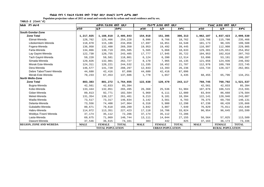**Populaion projection values of 2015 at zonal and wereda levels by urban and rural residence and by sex.**

| ክልል ዞን ወራዳ                     |             | ጠቅሳሳ የሕዝብ ብዛት በጾታ       |              |             | <i>የከተማ ሕዝ</i> ብ ብዛት በጾታ |              |             | የንጠር ሕዝብ ብዛት በጾታ        |              |  |  |
|--------------------------------|-------------|-------------------------|--------------|-------------|--------------------------|--------------|-------------|-------------------------|--------------|--|--|
|                                | ወንድ         | ቤት                      | ድምር          | ወንድ         | ቤት                       | ድምር          | ወንድ         | ሴት                      | ድምር          |  |  |
| <b>South Gondar-Zone</b>       |             |                         |              |             |                          |              |             |                         |              |  |  |
| <b>Zone Total</b>              | 1,217,025   | 1,188,818               | 2,405,843    | 154,918     | 151,395                  | 306,313      | 1,062,107   | 1,037,423               | 2,099,530    |  |  |
| Ebinat-Wereda                  | 128,762     | 125,466                 | 254,228      | 8,996       | 9,766                    | 18,762       | 119,766     | 115,700                 | 235,466      |  |  |
| Libokemkem-Wereda              | 118,870     | 115,186                 | 234,056      | 17,697      | 16,851                   | 34,548       | 101,173     | 98,335                  | 199,508      |  |  |
| Fogera-Wereda                  | 136,950     | 132,400                 | 269,350      | 19,953      | 19,492                   | 39,445       | 116,997     | 112,908                 | 229,905      |  |  |
| Farta-Wereda                   | 134,866     | 130,719                 | 265,585      | 5,565       | 5,068                    | 10,633       | 129,301     | 125,651                 | 254,952      |  |  |
| Lay Gayint-Wereda              | 122,730     | 120,755                 | 243,485      | 17,777      | 17,945                   | 35,722       | 104,953     | 102,810                 | 207,763      |  |  |
| Tach Gayint-Wereda             | 59,220      | 59,581                  | 118,801      | 6,124       | 6,390                    | 12,514       | 53,096      | 53,191                  | 106,287      |  |  |
| Simada-Wereda                  | 129,826     | 132,901                 | 262,727      | 8,170       | 7,965                    | 16,135       | 121,656     | 124,936                 | 246,592      |  |  |
| Misrak Este-Wereda             | 124,311     | 120,221                 | 244,532      | 11,335      | 10,452                   | 21,787       | 112,976     | 109,769                 | 222,745      |  |  |
| Dera-Wereda                    | 146,577     | 141,720                 | 288,297      | 12,843      | 13,393                   | 26,236       | 133,734     | 128,327                 | 262,061      |  |  |
| Debre Tabor/Town/-Wereda       | 44,680      | 42,416                  | 87,096       | 44,680      | 42,416                   | 87,096       |             |                         |              |  |  |
| Merab Este-Wereda              | 70,233      | 67,453                  | 137,686      | 1,778       | 1,657                    | 3,435        | 68,455      | 65,796                  | 134,251      |  |  |
| North Wello-Zone               |             |                         |              |             |                          |              |             |                         |              |  |  |
| <b>Zone Total</b>              | 883,383     | 881,272                 | 1,764,655    | 122,638     | 120,479                  | 243,117      | 760,745     | 760,792                 | 1,521,537    |  |  |
| Bugna-Wereda                   | 42,561      | 42,833                  | 85,394       |             |                          |              | 42,561      | 42,833                  | 85,394       |  |  |
| Kobo-Wereda                    | 133,444     | 132,051                 | 265,495      | 26,368      | 25,536                   | 51,904       | 107,076     | 106,515                 | 213,591      |  |  |
| Gidan-Wereda                   | 89,813      | 92,771                  | 182,584      | 5,969       | 6,111                    | 12,080       | 83,844      | 86,660                  | 170,504      |  |  |
| Meket-Wereda                   | 131,354     | 130,127                 | 261,481      | 9,213       | 9,181                    | 18,394       | 122,141     | 120,946                 | 243,087      |  |  |
| Wadla-Wereda                   | 73,517      | 73,317                  | 146,834      | 3,142       | 3,561                    | 6,703        | 70,375      | 69,756                  | 140,131      |  |  |
| Delanta-Wereda                 | 73,556      | 74,408                  | 147,964      | 6,318       | 5,980                    | 12,298       | 67,238      | 68,428                  | 135,666      |  |  |
| Gubalafto-Wereda               | 80,671      | 79,618                  | 160,289      | 3,842       | 3,807                    | 7,649        | 76,829      | 75,811                  | 152,640      |  |  |
| Habru-Wereda                   | 114,072     | 113,351                 | 227,423      | 17,118      | 16,706                   | 33,824       | 96,954      | 96,645                  | 193,599      |  |  |
| Woldiya /Town/-Wereda          | 37,174      | 35,112                  | 72,286       | 37,174      | 35,112                   | 72,286       |             |                         |              |  |  |
| Lasta-Wereda                   | 69,675      | 71,069                  | 140,744      | 13,111      | 14,044                   | 27,155       | 56,564      | 57,025                  | 113,589      |  |  |
| Dawunt-Wereda                  | 37,546      | 36,615                  | 74,161       | 383         | 442                      | 825          | 37,163      | 36,173                  | 73,336       |  |  |
| <b>REGION, ZONE AND WEREDA</b> | <b>MALE</b> | <b>FEMALE</b>           | <b>TOTAL</b> | <b>MALE</b> | <b>FEMALE</b>            | <b>TOTAL</b> | <b>MALE</b> | <b>FEMALE</b>           | <b>TOTAL</b> |  |  |
|                                |             | <b>TOTAL POPULATION</b> |              |             | <b>URBAN POPULATION</b>  |              |             | <b>RURAL POPULATION</b> |              |  |  |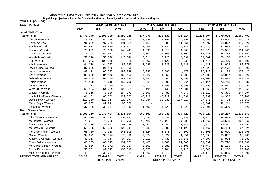**Populaion projection values of 2015 at zonal and wereda levels by urban and rural residence and by sex.**

| ክልል ዞን ወራዳ                     | ጠቅላሳ የሕዝብ ብዛት በጾታ       |               |              | የከተማ ሕዝብ ብዛት በጾታ |                         | የንጠር ሕዝብ ብዛት በጾታ |             |                         |              |  |
|--------------------------------|-------------------------|---------------|--------------|------------------|-------------------------|------------------|-------------|-------------------------|--------------|--|
|                                | ወንድ                     | ቤት            | ድምር          | ወንድ              | ቤት                      | ድምር              | ወንድ         | ሴት                      | ድምር          |  |
| South Wello-Zone               |                         |               |              |                  |                         |                  |             |                         |              |  |
| <b>Zone Total</b>              | 1,475,379               | 1,505,239     | 2,980,618    | 237,076          | 235,138                 | 472,214          | 1,238,304   | 1,270,098               | 2,508,402    |  |
| Mekdela-Wereda                 | 79,407                  | 84,208        | 163,615      | 3,839            | 4,158                   | 7,997            | 75,568      | 80,050                  | 155,618      |  |
| Tenta-Wereda                   | 94,252                  | 97,733        | 191,985      | 7,155            | 6,906                   | 14,061           | 87,097      | 90,827                  | 177,924      |  |
| Kutaber-Wereda                 | 54,413                  | 55,680        | 110,093      | 3,994            | 3,747                   | 7,741            | 50,419      | 51,933                  | 102,352      |  |
| Ambasel-Wereda                 | 70,269                  | 70,178        | 140,447      | 4,593            | 4,613                   | 9,206            | 65,676      | 65,565                  | 131,241      |  |
| Tehuledere-Wereda              | 70,294                  | 69,482        | 139,776      | 12,009           | 11,100                  | 23,109           | 58,285      | 58,382                  | 116,667      |  |
| Werebabu-Wereda                | 58,318                  | 58,328        | 116,646      | 5,311            | 5,220                   | 10,531           | 53,007      | 53,108                  | 106,115      |  |
| Kalu-Wereda                    | 110,683                 | 108,545       | 219,228      | 15,907           | 15,126                  | 31,033           | 94,776      | 93,419                  | 188,195      |  |
| Albuko-Wereda                  | 44,008                  | 44,787        | 88,795       | 2,588            | 2,829                   | 5,417            | 41,420      | 41,958                  | 83,378       |  |
| Dessie Zuria-Wereda            | 87,226                  | 91,172        | 178,398      |                  |                         |                  | 87,226      | 91,172                  | 178,398      |  |
| Legambo-Wereda                 | 93,111                  | 96,787        | 189,898      | 5,883            | 5,595                   | 11,478           | 87,228      | 91,192                  | 178,420      |  |
| Sayint-Wereda                  | 82,260                  | 84,143        | 166,403      | 4,527            | 4,056                   | 8,583            | 77,733      | 80,087                  | 157,820      |  |
| Debresina-Wereda               | 90,555                  | 92,240        | 182,795      | 7,254            | 6,405                   | 13,659           | 83,301      | 85,835                  | 169,136      |  |
| Kelela-Wereda                  | 78,178                  | 79,618        | 157,796      | 6,064            | 5,900                   | 11,964           | 72,114      | 73,718                  | 145,832      |  |
| Jama - Wereda                  | 72,372                  | 73,780        | 146,152      | 4,574            | 4,883                   | 9,457            | 67,798      | 68,897                  | 136,695      |  |
| Were IIu - Wereda              | 63,854                  | 64,735        | 128,589      | 9,491            | 8,440                   | 17,931           | 54,363      | 56,295                  | 110,658      |  |
| Wegidi - Wereda                | 76,115                  | 78,856        | 154,971      | 3,596            | 3,481                   | 7,077            | 72,519      | 75,375                  | 147,894      |  |
| Kombolcha/Town/ - Wereda       | 61,151                  | 60,882        | 122,033      | 45,912           | 45,919                  | 91,831           | 15,239      | 14,963                  | 30,202       |  |
| Dessie/Town/-Wereda            | 110,260                 | 112,817       | 223,077      | 92,884           | 95,033                  | 187,917          | 17,376      | 17,784                  | 35,160       |  |
| Mehal Saynt Wereda             | 40,867                  | 42,211        | 83,078       |                  |                         |                  | 40,867      | 42,211                  | 83,078       |  |
| Legahida - Wereda              | 37,786                  | 39,057        | 76,843       | 1,495            | 1,728                   | 3,223            | 36,291      | 37,329                  | 73,620       |  |
| North Shewa - Zone             |                         |               |              |                  |                         |                  |             |                         |              |  |
| <b>Zone Total</b>              | 1,095,110               | 1,076,484     | 2,171,594    | 169,191          | 166,231                 | 335,422          | 925,920     | 910,257                 | 1,836,177    |  |
| Mida Woremo - Wereda           | 54,570                  | 54,517        | 109,087      | 5,494            | 5,539                   | 11,033           | 49,076      | 48,978                  | 98,054       |  |
| Merhabete - Wereda             | 75,087                  | 73,708        | 148,795      | 10,420           | 10,115                  | 20,535           | 64,667      | 63,593                  | 128,260      |  |
| Ensaro - Wereda                | 34,316                  | 32,883        | 67,199       | 2,402            | 2,546                   | 4,948            | 31,914      | 30,337                  | 62,251       |  |
| Moretna Jiru - Wereda          | 55,705                  | 53,339        | 109,044      | 7,238            | 6,885                   | 14,123           | 48,467      | 46,454                  | 94,921       |  |
| Menz Gera Midir - Wereda       | 68,730                  | 72,368        | 141,098      | 8,624            | 8,678                   | 17,302           | 60,106      | 63,690                  | 123,796      |  |
| Gishe - Wereda                 | 34,922                  | 35,894        | 70,816       | 2,324            | 2,027                   | 4,351            | 32,598      | 33,867                  | 66,465       |  |
| Antsokiya Gemza - Wereda       | 47,213                  | 47,714        | 94,927       | 9,916            | 9,730                   | 19,646           | 37,297      | 37,984                  | 75,281       |  |
| Efrata Gidim - Wereda          | 66,355                  | 65,315        | 131,670      | 12,463           | 11,545                  | 24,008           | 53,892      | 53,770                  | 107,662      |  |
| Menz Mama Midir - Wereda       | 48,866                  | 50,271        | 99,137       | 5,109            | 5,086                   | 10,195           | 43,757      | 45,185                  | 88,942       |  |
| Tarma Ber - Wereda             | 50,501                  | 49,517        | 100,018      | 7,855            | 8,261                   | 16,116           | 42,646      | 41,256                  | 83,902       |  |
| Mojana Waderea - Wereda        | 40,137                  | 39,747        | 79,884       | 1,967            | 1,912                   | 3,879            | 38,170      | 37,835                  | 76,005       |  |
| <b>REGION, ZONE AND WEREDA</b> | <b>MALE</b>             | <b>FEMALE</b> | <b>TOTAL</b> | <b>MALE</b>      | <b>FEMALE</b>           | <b>TOTAL</b>     | <b>MALE</b> | <b>FEMALE</b>           | <b>TOTAL</b> |  |
|                                | <b>TOTAL POPULATION</b> |               |              |                  | <b>URBAN POPULATION</b> |                  |             | <b>RURAL POPULATION</b> |              |  |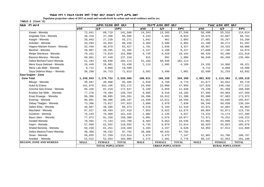**Populaion projection values of 2015 at zonal and wereda levels by urban and rural residence and by sex.**

| ክልል ዞን ወራዳ                     | ጠቅሳሳ የሕዝብ ብዛት በጾታ       |               |              |             | የከተማ ሕዝብ ብዛት በጾታ        |              | የንጠር ሕዝብ ብዛት በጾታ |                         |              |  |
|--------------------------------|-------------------------|---------------|--------------|-------------|-------------------------|--------------|------------------|-------------------------|--------------|--|
|                                | ወንድ                     | ቤት            | ድምር          | ወንድ         | ቤት                      | ድምር          | ወንድ              | ቤት                      | ድምር          |  |
| Kewet - Wereda                 | 72,841                  | 68,719        | 141,560      | 14,343      | 13,203                  | 27,546       | 58,498           | 55,516                  | 114,014      |  |
| Angolala Tera - Wereda         | 48,318                  | 47,268        | 95,586       | 4,243       | 4,581                   | 8,824        | 44,075           | 42,687                  | 86,762       |  |
| Asagirt - Wereda               | 28,043                  | 27,228        | 55,271       | 1,042       | 961                     | 2,003        | 27,001           | 26,267                  | 53,268       |  |
| Ankober - Wereda               | 44,594                  | 43,852        | 88,446       | 3,304       | 3,580                   | 6,884        | 41,290           | 40,272                  | 81,562       |  |
| Hagere Mariam Kesem - Wereda   | 32,448                  | 30,979        | 63,427       | 1,781       | 1,646                   | 3,427        | 30,667           | 29,333                  | 60,000       |  |
| Berehet - Wereda               | 20,807                  | 20,295        | 41,102       | 3,127       | 3,100                   | 6,227        | 17,680           | 17,195                  | 34,875       |  |
| Minjar Shenkora - Wereda       | 78,161                  | 72,919        | 151,080      | 9,735       | 9,429                   | 19,164       | 68,426           | 63,490                  | 131,916      |  |
| Basona Werana - Wereda         | 69,861                  | 67,449        | 137,310      | 915         | 991                     | 1,906        | 68,946           | 66,458                  | 135,404      |  |
| Debre Berhan/Town/-Wereda      | 51,184                  | 50,930        | 102,114      | 51,184      | 50,930                  | 102,114      |                  |                         |              |  |
| Menz Keya Gebreal - Wereda     | 26,449                  | 26,981        | 53,430       | 2,114       | 1,995                   | 4,109        | 24,335           | 24,986                  | 49,321       |  |
| Menz Lalo Midir - Wereda       | 9,712                   | 9,868         | 19,580       |             |                         |              | 9,712            | 9,868                   | 19,580       |  |
| Saya Debirna Wayu - Wereda     | 36,290                  | 34,723        | 71,013       | 3,591       | 3,490                   | 7,081        | 32,699           | 31,233                  | 63,932       |  |
| East Gojjam - Zone             |                         |               |              |             |                         |              |                  |                         |              |  |
| <b>Zone Total</b>              | 1,249,843               | 1,279,722     | 2,529,565    | 168,011     | 166,339                 | 334,350      | 1,081,832        | 1,113,383               | 2,195,215    |  |
| Bibugn - Wereda                | 46,687                  | 48,808        | 95,495       | 5,010       | 4,766                   | 9,776        | 41,677           | 44,042                  | 85,719       |  |
| Hulet Ej Enese                 | 161,976                 | 163,196       | 325,172      | 24,950      | 23,000                  | 47,950       | 137,026          | 140,196                 | 277,222      |  |
| Goncha Siso Enese - Wereda     | 85,428                  | 87,219        | 172,647      | 6,189       | 5,859                   | 12,048       | 79,239           | 81,360                  | 160,599      |  |
| Enebse Sar Midir - Wereda      | 77,270                  | 79,494        | 156,764      | 9,685       | 9,510                   | 19,195       | 67,585           | 69,984                  | 137,569      |  |
| Enarj Enawga - Wereda          | 96,386                  | 98,895        | 195,281      | 10,396      | 10,912                  | 21,308       | 85,990           | 87,983                  | 173,973      |  |
| Enemay - Wereda                | 96,891                  | 98,306        | 195,197      | 14,939      | 14,611                  | 29,550       | 81,952           | 83,695                  | 165,647      |  |
| Debay Tilatgen - Wereda        | 73,206                  | 73,817        | 147,023      | 3,860       | 3,979                   | 7,839        | 69,346           | 69,838                  | 139,184      |  |
| Debre Elias - Wereda           | 48,087                  | 48,286        | 96,373       | 6,216       | 6,194                   | 12,410       | 41,871           | 42,092                  | 83,963       |  |
| Machakel - Wereda              | 67,917                  | 69,493        | 137,410      | 7,053       | 6,622                   | 13,675       | 60,864           | 62,871                  | 123,735      |  |
| Gozamin - Wereda               | 75,133                  | 76,309        | 151,442      | 1,902       | 2,135                   | 4,037        | 73,231           | 74,174                  | 147,405      |  |
| Baso Liben - Wereda            | 77,972                  | 81,328        | 159,300      | 5,001       | 5,076                   | 10,077       | 72,971           | 76,252                  | 149,223      |  |
| Awabel Wereda                  | 70,565                  | 72,143        | 142,708      | 9,483       | 9,053                   | 18,536       | 61,082           | 63,090                  | 124,172      |  |
| Dejen - Wereda                 | 57,660                  | 61,932        | 119,592      | 6,735       | 6,879                   | 13,614       | 50,925           | 55,053                  | 105,978      |  |
| Shebel Berenta - Wereda        | 58,238                  | 61,251        | 119,489      | 3,283       | 3,337                   | 6,620        | 54,955           | 57,914                  | 112,869      |  |
| Debre Markos/Town/-Wereda      | 48,360                  | 49,432        | 97,792       | 48,360      | 49,432                  | 97,792       |                  |                         |              |  |
| Sinan - Wereda                 | 56,655                  | 57,259        | 113,914      | 3,674       | 3,473                   | 7,147        | 52,981           | 53,786                  | 106,767      |  |
| Aneded - Wereda                | 51,412                  | 52,554        | 103,966      | 1,275       | 1,501                   | 2,776        | 50,137           | 51,053                  | 101,190      |  |
| <b>REGION, ZONE AND WEREDA</b> | <b>MALE</b>             | <b>FEMALE</b> | <b>TOTAL</b> | <b>MALE</b> | <b>FEMALE</b>           | <b>TOTAL</b> | <b>MALE</b>      | <b>FEMALE</b>           | <b>TOTAL</b> |  |
|                                | <b>TOTAL POPULATION</b> |               |              |             | <b>URBAN POPULATION</b> |              |                  | <b>RURAL POPULATION</b> |              |  |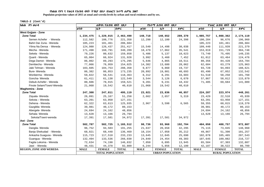**Populaion projection values of 2015 at zonal and wereda levels by urban and rural residence and by sex.**

| ክልል ዞን ወራዳ                     | ጠቅሳሳ የሕዝብ ብዛት በጾታ       |               | <i>የከተማ ሕዝ</i> ብ ብዛት በጾታ |                         |               | የንጠር ሕዝብ ብዛት በጾታ |                         |               |              |  |
|--------------------------------|-------------------------|---------------|--------------------------|-------------------------|---------------|------------------|-------------------------|---------------|--------------|--|
|                                | ወንድ                     | ቤት            | ድምር                      | ወንድ                     | ቤት            | ድምር              | ወንድ                     | ቤት            | ድምር          |  |
| <b>West Gojjam - Zone</b>      |                         |               |                          |                         |               |                  |                         |               |              |  |
| <b>Zone Total</b>              | 1,234,475               | 1,229,015     | 2,463,490                | 148,718                 | 140,652       | 289,370          | 1,085,757               | 1,088,362     | 2, 174, 119  |  |
| Semen Achefer - Wereda         | 112,582                 | 108,776       | 221,358                  | 12,298                  | 12,100        | 24,398           | 100,284                 | 96,676        | 196,960      |  |
| Bahri Dar Zuria - Wereda       | 105,223                 | 101,461       | 206,684                  |                         |               |                  | 105,223                 | 101,461       | 206,684      |  |
| Yilma Na Densa - Wereda        | 124,980                 | 126,437       | 251,417                  | 15,540                  | 14,498        | 30,038           | 109,440                 | 111,939       | 221,379      |  |
| Mecha - Wereda                 | 171,498                 | 168,791       | 340,289                  | 18,479                  | 17,062        | 35,541           | 153,019                 | 151,729       | 304,748      |  |
| Sekela - Wereda                | 79,226                  | 80,632        | 159,858                  | 5,486                   | 5,137         | 10,623           | 73,740                  | 75,495        | 149,235      |  |
| Quarit - Wereda                | 65,004                  | 66,924        | 131,928                  | 3,992                   | 3,460         | 7,452            | 61,012                  | 63,464        | 124,476      |  |
| Dega Damot - Wereda            | 86,002                  | 89,293        | 175,295                  | 5,646                   | 4,865         | 10,511           | 80,356                  | 84,428        | 164,784      |  |
| Dembecha - Wereda              | 77,066                  | 76,959        | 154,025                  | 14,382                  | 13,680        | 28,062           | 62,684                  | 63,279        | 125,963      |  |
| Jabi Tehnan - Wereda           | 103,605                 | 104,753       | 208,358                  | 9,877                   | 9,860         | 19,737           | 93,728                  | 94,893        | 188,621      |  |
| Bure-Wereda                    | 86,382                  | 86,853        | 173,235                  | 20,892                  | 19,801        | 40,693           | 65,490                  | 67,052        | 132,542      |  |
| Wonberma - Wereda              | 59,822                  | 58,541        | 118,363                  | 8,312                   | 8,291         | 16,603           | 51,510                  | 50,250        | 101,760      |  |
| Goncha-Wereda                  | 61,411                  | 61,138        | 122,549                  | 3,544                   | 3,126         | 6,670            | 57,867                  | 58,012        | 115,879      |  |
| Debub Achefer - Wereda         | 80,606                  | 78,915        | 159,521                  | 9,201                   | 9,231         | 18,432           | 71,405                  | 69,684        | 141,089      |  |
| Finote Selam/Town/-Wereda      | 21,068                  | 19,542        | 40,610                   | 21,068                  | 19,542        | 40,610           |                         |               |              |  |
| <b>Waghemira - Zone</b>        |                         |               |                          |                         |               |                  |                         |               |              |  |
| <b>Zone Total</b>              | 247,308                 | 247,811       | 495,119                  | 23,021                  | 23,836        | 46,857           | 224,287                 | 223,974       | 448,261      |  |
| Ziquala-Wereda                 | 26,091                  | 25,167        | 51,258                   | 2,662                   | 2,657         | 5,319            | 23,429                  | 22,510        | 45,939       |  |
| Sekota - Wereda                | 63,201                  | 63,950        | 127,151                  |                         |               |                  | 63,201                  | 63,950        | 127,151      |  |
| Dehena - Wereda                | 62,322                  | 63,613        | 125,935                  | 2,967                   | 3,598         | 6,565            | 59,355                  | 60,015        | 119,370      |  |
| Gazgibla- Wereda               | 39,981                  | 40,172        | 80,153                   |                         |               |                  | 39,981                  | 40,172        | 80,153       |  |
| Abergele- Wereda               | 24,694                  | 24,162        | 48,856                   |                         |               |                  | 24,694                  | 24,162        | 48,856       |  |
| Sehala-Wereda                  | 13,628                  | 13,166        | 26,794                   |                         |               |                  | 13,628                  | 13,166        | 26,794       |  |
| Sekota/Town/-wereda            | 17,391                  | 17,581        | 34,972                   | 17,391                  | 17,581        | 34,972           |                         |               |              |  |
| Awi - Zone                     |                         |               |                          |                         |               |                  |                         |               |              |  |
| <b>Zone Total</b>              | 582,787                 | 582,725       | 1,165,512                | 98,736                  | 93,968        | 192,704          | 484,050                 | 488,757       | 972,807      |  |
| Dangila-Wereda                 | 96,752                  | 94,503        | 191,255                  | 21,637                  | 20,658        | 42,295           | 75,115                  | 73,845        | 148,960      |  |
| Banja Shekudad - Wereda        | 68,021                  | 68,448        | 136,469                  | 18,154                  | 17,058        | 35,212           | 49,867                  | 51,390        | 101,257      |  |
| Ankasha Guagusa - Wereda       | 115,723                 | 117,510       | 233,233                  | 13,645                  | 12,045        | 25,690           | 102,078                 | 105,465       | 207,543      |  |
| Guangua - Wereda               | 132,494                 | 133,536       | 266,030                  | 24,849                  | 24,454        | 49,303           | 107,645                 | 109,082       | 216,727      |  |
| Fagita Lekoma - Wereda         | 72,634                  | 74,198        | 146,832                  | 7,050                   | 6,895         | 13,945           | 65,584                  | 67,303        | 132,887      |  |
| Jawi - Wereda                  | 48,431                  | 44,378        | 92,809                   | 6,244                   | 5,856         | 12,100           | 42,187                  | 38,522        | 80,709       |  |
| <b>REGION, ZONE AND WEREDA</b> | <b>MALE</b>             | <b>FEMALE</b> | <b>TOTAL</b>             | <b>MALE</b>             | <b>FEMALE</b> | <b>TOTAL</b>     | <b>MALE</b>             | <b>FEMALE</b> | <b>TOTAL</b> |  |
|                                | <b>TOTAL POPULATION</b> |               |                          | <b>URBAN POPULATION</b> |               |                  | <b>RURAL POPULATION</b> |               |              |  |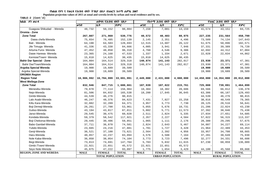**Populaion projection values of 2015 at zonal and wereda levels by urban and rural residence and by sex.**

| ጠቅሳሳ የሕዝብ ብዛት በጾታ<br>ክልል ዞን ወራዳ |             | የከተማ ሕዝብ ብዛት በጾታ        |              |             | የንጠር ሕዝብ ብዛት በጾታ        |              |             |                         |              |  |
|---------------------------------|-------------|-------------------------|--------------|-------------|-------------------------|--------------|-------------|-------------------------|--------------|--|
|                                 | ወንድ         | ቤት                      | ድምር          | ወንድ         | ቤት                      | ድምር          | ወንድ         | ሴት                      | ድምር          |  |
| Guagusa Shikudad - Wereda       | 48,732      | 50,152                  | 98,884       | 7,158       | 7,001                   | 14,159       | 41,574      | 43,151                  | 84,725       |  |
| Oromia - Zone                   |             |                         |              |             |                         |              |             |                         |              |  |
| <b>Zone Total</b>               | 267,807     | 271,969                 | 539,776      | 40,572      | 40,403                  | 80,975       | 227,235     | 231,564                 | 458,799      |  |
| Dawa chefa-Wereda               | 75,654      | 76,485                  | 152,139      | 2,145       | 2,351                   | 4,496        | 73,509      | 74,134                  | 147,643      |  |
| Bati - Wereda                   | 64,190      | 64,503                  | 128,693      | 12,515      | 13,607                  | 26,122       | 51,675      | 50,896                  | 102,571      |  |
| Jile Timuga- Wereda             | 41,336      | 43,330                  | 84,666       | 4,005       | 3,941                   | 7,946        | 37,331      | 39,389                  | 76,720       |  |
| Artuma Fursi- Wereda            | 47,452      | 48,858                  | 96,310       | 4,760       | 4,546                   | 9,306        | 42,692      | 44,312                  | 87,004       |  |
| Dawe Harewa- Wereda             | 23,365      | 24,168                  | 47,533       | 1,337       | 1,334                   | 2,671        | 22,028      | 22,834                  | 44,862       |  |
| Kemisie/Town/- Wereda           | 15,810      | 14,625                  | 30,435       | 15,810      | 14,625                  | 30,435       |             |                         |              |  |
| <b>Bahir Dar Special - Zone</b> | 164,804     | 164,514                 | 329,318      | 140,874     | 141,143                 | 282,017      | 23,930      | 23,371                  | 47,301       |  |
| Bahir Dar/Town/Wereda           | 164,804     | 164,514                 | 329,318      | 140,874     | 141,143                 | 282,017      | 23,930      | 23,371                  | 47,301       |  |
| Argoba Special Wereda           | 19,900      | 19,689                  | 39,589       |             |                         |              | 19,900      | 19,689                  | 39,589       |  |
| Argoba Special-Wereda           | 19,900      | 19,689                  | 39,589       |             |                         |              | 19,900      | 19,689                  | 39,589       |  |
| <b>OROMIA Region</b>            |             |                         |              |             |                         |              |             |                         |              |  |
| <b>Region Total</b>             | 16,906,992  | 16,784,999              | 33,691,991   | 2,449,000   | 2,431,000               | 4,880,000    | 14,458,000  | 14,354,000              | 28,812,000   |  |
| West Wellega-Zone               |             |                         |              |             |                         |              |             |                         |              |  |
| <b>Zone Total</b>               | 832,946     | 847,715                 | 1,680,661    | 107,939     | 107,822                 | 215,761      | 725,008     | 739,891                 | 1,464,899    |  |
| Menesibu-Wereda                 | 79,870      | 77,114                  | 156,984      | 10,304      | 10,302                  | 20,606       | 69,566      | 66,812                  | 136,378      |  |
| Nejo-Wereda                     | 81,506      | 84,032                  | 165,538      | 18,200      | 17,845                  | 36,045       | 63,306      | 66,187                  | 129,493      |  |
| Gimbi-Wereda                    | 44,539      | 46,276                  | 90,815       |             |                         |              | 44,539      | 46,276                  | 90,815       |  |
| Lalo Asabi-Wereda               | 46,247      | 48,376                  | 94,623       | 7,431       | 7,827                   | 15,258       | 38,816      | 40,549                  | 79,365       |  |
| Kiltu Kara-Wereda               | 32,082      | 32,289                  | 64,371       | 3,957       | 3,773                   | 7,730        | 28,125      | 28,516                  | 56,641       |  |
| Boji Dirmeji-Wereda             | 26,261      | 27,700                  | 53,961       | 5,055       | 5,676                   | 10,731       | 21,206      | 22,024                  | 43,230       |  |
| Guliso-Wereda                   | 43,194      | 43,817                  | 87,011       | 5,802       | 5,771                   | 11,573       | 37,392      | 38,046                  | 75,438       |  |
| Jarso-Wereda                    | 29,545      | 30,475                  | 60,020       | 2,511       | 2,824                   | 5,335        | 27,034      | 27,651                  | 54,685       |  |
| Kondala-Wereda                  | 59,379      | 58,542                  | 117,921      | 2,357       | 2,227                   | 4,584        | 57,022      | 56,315                  | 113,337      |  |
| Boji Chekorsa-Wereda            | 29,445      | 30,406                  | 59,851       | 1,065       | 1,111                   | 2,176        | 28,380      | 29,295                  | 57,675       |  |
| Babo Gambel-Wereda              | 37,711      | 36,870                  | 74,581       | 2,824       | 2,643                   | 5,467        | 34,887      | 34,227                  | 69,114       |  |
| Yubdo-Wereda                    | 23,665      | 24,216                  | 47,881       | 1,701       | 1,727                   | 3,428        | 21,964      | 22,489                  | 44,453       |  |
| Genji-Wereda                    | 36,521      | 37,100                  | 73,621       | 2,564       | 2,392                   | 4,956        | 33,957      | 34,708                  | 68,665       |  |
| Haru-Wereda                     | 40,857      | 42,237                  | 83,094       | 3,576       | 3,588                   | 7,164        | 37,281      | 38,649                  | 75,930       |  |
| Nole Kaba-Wereda                | 36,050      | 38,054                  | 74,104       | 3,773       | 3,723                   | 7,496        | 32,277      | 34,331                  | 66,608       |  |
| Begi-Wereda                     | 73,013      | 74,691                  | 147,704      | 5,783       | 5,832                   | 11,615       | 67,230      | 68,859                  | 136,089      |  |
| Gimbi /Town/-Wereda             | 22,921      | 22,651                  | 45,572       | 22,921      | 22,651                  | 45,572       |             |                         |              |  |
| Seyo Nole-Wereda                | 45,875      | 47,222                  | 93,097       | 1,775       | 1,654                   | 3,429        | 44,100      | 45,568                  | 89,668       |  |
| <b>REGION, ZONE AND WEREDA</b>  | <b>MALE</b> | <b>FEMALE</b>           | <b>TOTAL</b> | <b>MALE</b> | <b>FEMALE</b>           | <b>TOTAL</b> | <b>MALE</b> | <b>FEMALE</b>           | <b>TOTAL</b> |  |
|                                 |             | <b>TOTAL POPULATION</b> |              |             | <b>URBAN POPULATION</b> |              |             | <b>RURAL POPULATION</b> |              |  |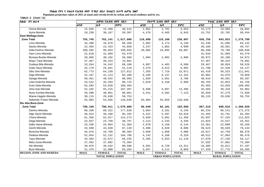**Populaion projection values of 2015 at zonal and wereda levels by urban and rural residence and by sex.**

| ክልል ዞን ወራዳ                     |                         | ጠቅሳሳ የሕዝብ ብዛት በጾታ |              |                         | የከተማ ሕዝብ ብዛት በጾታ |              |                         | የንጠር ሕዝብ ብዛት በጾታ |              |  |
|--------------------------------|-------------------------|-------------------|--------------|-------------------------|------------------|--------------|-------------------------|------------------|--------------|--|
|                                | ወንድ                     | ቤት                | ድምር          | ወንድ                     | ሴት               | ድምር          | ወንድ                     | ሴት               | ድምር          |  |
| Homa-Wereda                    | 15,035                  | 15,480            | 30,515       | 1,862                   | 1,791            | 3,653        | 13,173                  | 13,689           | 26,862       |  |
| Ayira-Wereda                   | 29,230                  | 30,167            | 59,397       | 4,478                   | 4,465            | 8,943        | 24,752                  | 25,702           | 50,454       |  |
| <b>East Wellega-Zone</b>       |                         |                   |              |                         |                  |              |                         |                  |              |  |
| <b>Zone Total</b>              | 755,745                 | 762,141           | 1,517,886    | 118,988                 | 119,109          | 238,097      | 636,756                 | 643,033          | 1,279,789    |  |
| Limu-Wereda                    | 44,398                  | 44,870            | 89,268       | 2,962                   | 3,174            | 6,136        | 41,436                  | 41,696           | 83,132       |  |
| Ibantu-Wereda                  | 22,403                  | 22,453            | 44,856       | 2,237                   | 1,862            | 4,099        | 20,166                  | 20,591           | 40,757       |  |
| Gida Kiremu-Wereda             | 100,282                 | 99,653            | 199,935      | 20,002                  | 19,885           | 39,887       | 80,280                  | 79,768           | 160,048      |  |
| Haro Limu-Wereda               | 31,610                  | 31,869            | 63,479       |                         |                  |              | 31,610                  | 31,869           | 63,479       |  |
| Boneya Bushe-Wereda            | 28,866                  | 30,102            | 58,968       | 1,994                   | 2,002            | 3,996        | 26,872                  | 28,100           | 54,972       |  |
| Wayu Tuka-Wereda               | 37,467                  | 39,424            | 76,891       |                         |                  |              | 37,467                  | 39,424           | 76,891       |  |
| Gudeya Bila-Wereda             | 33,564                  | 34,542            | 68,106       | 4,097                   | 4,483            | 8,580        | 29,467                  | 30,059           | 59,526       |  |
| Gobu Seyo-Wereda               | 25,178                  | 25,941            | 51,119       | 3,379                   | 3,613            | 6,992        | 21,799                  | 22,328           | 44,127       |  |
| Sibu Sire-Wereda               | 62,773                  | 64,239            | 127,012      | 7,355                   | 7,716            | 15,071       | 55,418                  | 56,523           | 111,941      |  |
| Diga-Wereda                    | 42,167                  | 41,113            | 83,280       | 6,185                   | 6,137            | 12,322       | 35,982                  | 34,976           | 70,958       |  |
| Sasiga-Wereda                  | 50,451                  | 48,542            | 98,993       | 1,835                   | 1,951            | 3,786        | 48,616                  | 46,591           | 95,207       |  |
| Leka Dulecha-Wereda            | 43,522                  | 45,203            | 88,725       | 2,819                   | 3,150            | 5,969        | 40,703                  | 42,053           | 82,756       |  |
| Guto Gida-Wereda               | 55,583                  | 53,820            | 109,403      |                         |                  |              | 55,583                  | 53,820           | 109,403      |  |
| Jima Arjo-Wereda               | 52,182                  | 55,215            | 107,397      | 6,598                   | 6,897            | 13,495       | 45,584                  | 48,318           | 93,902       |  |
| Nunu Kumba-Wereda              | 39,200                  | 40,861            | 80,061       | 3,541                   | 3,582            | 7,123        | 35,659                  | 37,279           | 72,938       |  |
| Wama Hagelo-Wereda             | 30,115                  | 29,638            | 59,753       |                         |                  |              | 30,115                  | 29,638           | 59,753       |  |
| Nekemte /Town/-Wereda          | 55,984                  | 54,656            | 110,640      | 55,984                  | 54,656           | 110,640      |                         |                  |              |  |
| Illu Aba Bora-Zone             |                         |                   |              |                         |                  |              |                         |                  |              |  |
| <b>Zone Total</b>              | 788,169                 | 790,911           | 1,579,080    | 90,949                  | 92,101           | 183,050      | 697,219                 | 698,810          | 1,396,029    |  |
| Darimu-Wereda                  | 88,298                  | 89,322            | 177,620      | 3,064                   | 3,181            | 6,245        | 85,234                  | 86,141           | 171,375      |  |
| Alge Sachi-Wereda              | 46,914                  | 48,188            | 95,102       | 5,421                   | 5,397            | 10,818       | 41,493                  | 42,791           | 84,284       |  |
| Chora-Wereda                   | 61,356                  | 62,917            | 124,273      | 5,659                   | 5,691            | 11,350       | 55,697                  | 57,226           | 112,923      |  |
| Dega-Wereda                    | 24,037                  | 24,760            | 48,797       | 2,213                   | 2,233            | 4,446        | 21,824                  | 22,527           | 44,351       |  |
| Dabo Hana-Wereda               | 25,339                  | 25,964            | 51,303       | 2,978                   | 3,156            | 6,134        | 22,361                  | 22,808           | 45,169       |  |
| Gechi-Wereda                   | 43,509                  | 43,640            | 87,149       | 3,986                   | 4,020            | 8,006        | 39,523                  | 39,620           | 79,143       |  |
| Borecha-Wereda                 | 45,676                  | 44,709            | 90,385       | 2,059                   | 1,950            | 4,009        | 43,617                  | 42,759           | 86,376       |  |
| Dedesa-Wereda                  | 52,654                  | 52,132            | 104,786      | 4,142                   | 4,168            | 8,310        | 48,512                  | 47,964           | 96,476       |  |
| Yayu-Wereda                    | 33,363                  | 32,872            | 66,235       | 5,485                   | 5,633            | 11,118       | 27,878                  | 27,239           | 55,117       |  |
| Metu Zuria-Wereda              | 37,592                  | 37,802            | 75,394       |                         |                  |              | 37,592                  | 37,802           | 75,394       |  |
| Ale-Wereda                     | 39,976                  | 40,532            | 80,508       | 6,591                   | 6,720            | 13,311       | 33,385                  | 33,812           | 67,197       |  |
| Bure-Wereda                    | 31,376                  | 31,888            | 63,264       | 3,947                   | 4,112            | 8,059        | 27,429                  | 27,776           | 55,205       |  |
| <b>REGION, ZONE AND WEREDA</b> | <b>MALE</b>             | <b>FEMALE</b>     | <b>TOTAL</b> | <b>MALE</b>             | <b>FEMALE</b>    | <b>TOTAL</b> | <b>MALE</b>             | <b>FEMALE</b>    | <b>TOTAL</b> |  |
|                                | <b>TOTAL POPULATION</b> |                   |              | <b>URBAN POPULATION</b> |                  |              | <b>RURAL POPULATION</b> |                  |              |  |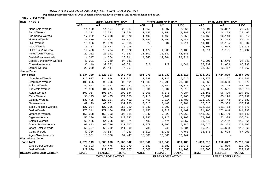**Populaion projection values of 2015 at zonal and wereda levels by urban and rural residence and by sex.**

| ክልል ዞን ወራዳ                     | ጠቅሳሳ የሕዝብ ብዛት በጾታ       |               | የከተማ ሕዝብ ብዛት በጾታ |                         |               | የንጠር ሕዝብ ብዛት በጾታ |                         |               |              |
|--------------------------------|-------------------------|---------------|------------------|-------------------------|---------------|------------------|-------------------------|---------------|--------------|
|                                | ወንድ                     | ገቤት           | ድምር              | ወንድ                     | ቤት            | ድምር              | ወንድ                     | ሴት            | ድምር          |
| Nono Sele-Wereda               | 14,150                  | 14,164        | 28,314           | 1,259                   | 1,307         | 2,566            | 12,891                  | 12,857        | 25,748       |
| Bicho-Wereda                   | 15,372                  | 15,382        | 30,754           | 1,133                   | 1,154         | 2,287            | 14,239                  | 14,228        | 28,467       |
| Bilo Nopha-Wereda              | 17,962                  | 17,608        | 35,570           | 1,493                   | 1,465         | 2,958            | 16,469                  | 16,143        | 32,612       |
| Hurumu-Wereda                  | 26,419                  | 26,652        | 53,071           | 3,353                   | 3,294         | 6,647            | 23,066                  | 23,358        | 46,424       |
| Didu-Wereda                    | 19,936                  | 20,079        | 40,015           | 827                     | 884           | 1,711            | 19,109                  | 19,195        | 38,304       |
| Mako-Wereda                    | 13,103                  | 13,672        | 26,775           |                         |               |                  | 13,103                  | 13,672        | 26,775       |
| Huka /Halu/-Wereda             | 10,488                  | 10,484        | 20,972           | 1,177                   | 1,303         | 2,480            | 9,311                   | 9,181         | 18,492       |
| Metu /Town/-Wereda             | 21,002                  | 21,341        | 42,343           | 21,002                  | 21,341        | 42,343           |                         |               |              |
| Bedele/Town/-Wereda            | 14,347                  | 14,364        | 28,711           | 14,347                  | 14,364        | 28,711           |                         |               |              |
| Bedele Zuria/Town/-Wereda      | 46,901                  | 47,640        | 94,541           |                         |               |                  | 46,901                  | 47,640        | 94,541       |
| Chewaka-Wereda                 | 36,149                  | 32,382        | 68,531           | 812                     | 729           | 1,541            | 35,337                  | 31,653        | 66,990       |
| Doreni-Wereda                  | 22,250                  | 22,417        | 44,667           |                         |               |                  | 22,250                  | 22,417        | 44,667       |
| Jimma-Zone                     |                         |               |                  |                         |               |                  |                         |               |              |
| <b>Zone Total</b>              | 1,534,339               | 1,526,067     | 3,060,406        | 101,279                 | 101,237       | 202,516          | 1,433,060               | 1,424,830     | 2,857,890    |
| Limu Seka-Wereda               | 116,977                 | 114,894       | 231,871          | 3,898                   | 3,727         | 7,625            | 113,079                 | 111,167       | 224,246      |
| Limu Kosa-Wereda               | 100,695                 | 99,406        | 200,101          | 11,033                  | 10,798        | 21,831           | 89,662                  | 88,608        | 178,270      |
| Sokoru-Wereda                  | 84,652                  | 84,471        | 169,123          | 9,375                   | 9,342         | 18,717           | 75,277                  | 75,129        | 150,406      |
| Tiro Afeta-Wereda              | 79,938                  | 81,485        | 161,423          | 3,906                   | 3,904         | 7,810            | 76,032                  | 77,581        | 153,613      |
| Kersa-Wereda                   | 102,067                 | 100,577       | 202,644          | 3,906                   | 4,078         | 7,984            | 98,161                  | 96,499        | 194,660      |
| Mana-Wereda                    | 91,175                  | 88,425        | 179,600          | 3,216                   | 3,247         | 6,463            | 87,959                  | 85,178        | 173,137      |
| Gomma-Wereda                   | 133,405                 | 129,057       | 262,462          | 9,468                   | 9,314         | 18,782           | 123,937                 | 119,743       | 243,680      |
| Gera-Wereda                    | 69,129                  | 68,851        | 137,980          | 3,513                   | 3,468         | 6,981            | 65,616                  | 65,383        | 130,999      |
| Seka Chekorsa-Wereda           | 127,954                 | 127,066       | 255,020          | 5,039                   | 5,303         | 10,342           | 122,915                 | 121,763       | 244,678      |
| Dedo-Wereda                    | 175,341                 | 177,156       | 352,497          | 4,155                   | 4,312         | 8,467            | 171,186                 | 172,844       | 344,030      |
| Omonada-Wereda                 | 152,308                 | 152,803       | 305,111          | 8,946                   | 9,023         | 17,969           | 143,362                 | 143,780       | 287,142      |
| Sigamo-Wereda                  | 56,286                  | 57,456        | 113,742          | 3,986                   | 4,122         | 8,108            | 52,300                  | 53,334        | 105,634      |
| Setema-Wereda                  | 62,155                  | 64,666        | 126,821          | 3,483                   | 3,474         | 6,957            | 58,672                  | 61,192        | 119,864      |
| Shebe Senbo-Wereda             | 69,493                  | 68,219        | 137,712          | 3,878                   | 3,867         | 7,745            | 65,615                  | 64,352        | 129,967      |
| Chora Botor-Wereda             | 56,497                  | 55,402        | 111,899          | 785                     | 749           | 1,534            | 55,712                  | 54,653        | 110,365      |
| Guma-Wereda                    | 37,386                  | 37,567        | 74,953           | 3,810                   | 3,943         | 7,753            | 33,576                  | 33,624        | 67,200       |
| Agaro/Town/-Wereda             | 18,881                  | 18,566        | 37,447           | 18,881                  | 18,566        | 37,447           |                         |               |              |
| <b>West Shewa-Zone</b>         |                         |               |                  |                         |               |                  |                         |               |              |
| <b>Zone Total</b>              | 1,278,149               | 1,288,693     | 2,566,842        | 179,840                 | 176,645       | 356,485          | 1,098,310               | 1,112,047     | 2,210,357    |
| Ginde Beret-Wereda             | 65,603                  | 64,476        | 130,079          | 9,689                   | 6,587         | 16,276           | 55,914                  | 57,889        | 113,803      |
| Jeldu-Wereda                   | 122,990                 | 127,367       | 250,357          | 10,602                  | 10,558        | 21,160           | 112,388                 | 116,809       | 229,197      |
| <b>REGION, ZONE AND WEREDA</b> | <b>MALE</b>             | <b>FEMALE</b> | <b>TOTAL</b>     | <b>MALE</b>             | <b>FEMALE</b> | <b>TOTAL</b>     | <b>MALE</b>             | <b>FEMALE</b> | <b>TOTAL</b> |
|                                | <b>TOTAL POPULATION</b> |               |                  | <b>URBAN POPULATION</b> |               |                  | <b>RURAL POPULATION</b> |               |              |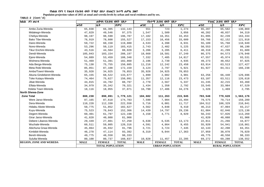**Populaion projection values of 2015 at zonal and wereda levels by urban and rural residence and by sex.**

| ክልል   ዞን ወራዳ                   |             | ጠቅሳሳ የሕዝብ ብዛት በጾታ |              |             | የከተማ ሕዝብ ብዛት በጾታ        |              |                         | የንጠር ሕዝብ ብዛት በጾታ |              |  |
|--------------------------------|-------------|-------------------|--------------|-------------|-------------------------|--------------|-------------------------|------------------|--------------|--|
|                                | ወንድ         | ቤት                | ድምር          | ወንድ         | ሴት                      | ድምር          | ወንድ                     | ሴት               | ድምር          |  |
| Ambo Zuria-Wereda              | 65,838      | 66,305            | 132,143      | 551         | 723                     | 1,274        | 65,287                  | 65,582           | 130,869      |  |
| Midakegn-Wereda                | 47,829      | 49,546            | 97,375       | 1,547       | 1,509                   | 3,056        | 46,282                  | 48,037           | 94,319       |  |
| Cheliya-Wereda                 | 98,197      | 98,590            | 196,787      | 17,102      | 16,351                  | 33,453       | 81,095                  | 82,239           | 163,334      |  |
| Bako Tibe-Wereda               | 76,919      | 78,608            | 155,527      | 17,153      | 16,456                  | 33,609       | 59,766                  | 62,152           | 121,918      |  |
| Dano-Wereda                    | 59,722      | 60,158            | 119,880      | 4,533       | 4,398                   | 8,931        | 55,189                  | 55,760           | 110,949      |  |
| Nono-Wereda                    | 53,296      | 50,119            | 103,415      | 2,743       | 2,482                   | 5,225        | 50,553                  | 47,637           | 98,190       |  |
| Tikur Enchini-Wereda           | 43,516      | 44,504            | 88,020       | 3,206       | 3,205                   | 6,411        | 40,310                  | 41,299           | 81,609       |  |
| Dendi-Wereda                   | 105,043     | 103,154           | 208,197      | 18,668      | 18,581                  | 37,249       | 86,375                  | 84,573           | 170,948      |  |
| Ejere-Wereda                   | 54,889      | 53,459            | 108,348      | 7,332       | 7,485                   | 14,817       | 47,557                  | 45,974           | 93,531       |  |
| Wolmera-Wereda                 | 51,469      | 51,391            | 102,860      | 2,196       | 2,739                   | 4,935        | 49,273                  | 48,652           | 97,925       |  |
| Ada Berga-Wereda               | 75,130      | 75,755            | 150,885      | 11,216      | 12,242                  | 23,458       | 63,914                  | 63,513           | 127,427      |  |
| Meta Robi-Wereda               | 85,051      | 87,108            | 172,159      | 3,124       | 2,797                   | 5,921        | 81,927                  | 84,311           | 166,238      |  |
| Ambo/Town/-Wereda              | 35,928      | 34,925            | 70,853       | 35,928      | 34,925                  | 70,853       |                         |                  |              |  |
| Abuna Gindeberet-Wereda        | 65,155      | 68,522            | 133,677      | 1,899       | 2,082                   | 3,981        | 63,256                  | 66,440           | 129,696      |  |
| Toke Kutayu-Wereda             | 74,464      | 75,627            | 150,091      | 11,357      | 12,116                  | 23,473       | 63,107                  | 63,511           | 126,618      |  |
| Jibat-Wereda                   | 44,015      | 44,782            | 88,797       | 2,770       | 2,567                   | 5,337        | 41,245                  | 42,215           | 83,460       |  |
| Elfata-Wereda                  | 34,979      | 35,342            | 70,321       | 1,434       | 1,358                   | 2,792        | 33,545                  | 33,984           | 67,529       |  |
| Holeta Town-Wereda             | 18,116      | 18,955            | 37,071       | 16,790      | 17,486                  | 34,276       | 1,326                   | 1,469            | 2,795        |  |
| North Shewa-Zone               |             |                   |              |             |                         |              |                         |                  |              |  |
| <b>Zone Total</b>              | 888,230     | 890,891           | 1,779,121    | 104,682     | 111,263                 | 215,945      | 783,548                 | 779,628          | 1,563,176    |  |
| Were Jarso-Wereda              | 87,165      | 87,618            | 174,783      | 7,590       | 7,904                   | 15,494       | 79,575                  | 79,714           | 159,289      |  |
| Dera-Wereda                    | 110,228     | 112,330           | 222,558      | 5,716       | 6,001                   | 11,717       | 104,512                 | 106,329          | 210,841      |  |
| Hidabu Abote-Wereda            | 50,775      | 51,852            | 102,627      | 4,562       | 4,848                   | 9,410        | 46,213                  | 47,004           | 93,217       |  |
| Kuyu-Wereda                    | 75,523      | 76,843            | 152,366      | 14,439      | 14,797                  | 29,236       | 61,084                  | 62,046           | 123,130      |  |
| Degem-Wereda                   | 60,401      | 61,797            | 122,198      | 4,158       | 4,771                   | 8,929        | 56,243                  | 57,026           | 113,269      |  |
| Girar Jarso-Wereda             | 41,820      | 40,088            | 81,908       |             |                         |              | 41,820                  | 40,088           | 81,908       |  |
| Debere Libanos-Wereda          | 29,449      | 27,801            | 57,250       | 6,638       | 6,535                   | 13,173       | 22,811                  | 21,266           | 44,077       |  |
| Wuchale-Wereda                 | 60,511      | 59,805            | 120,316      | 4,591       | 4,864                   | 9,455        | 55,920                  | 54,941           | 110,861      |  |
| Abichuna Gnaa-Wereda           | 45,864      | 45,932            | 91,796       | 3,721       | 3,724                   | 7,445        | 42,143                  | 42,208           | 84,351       |  |
| Kimbibit-Wereda                | 46,278      | 47,114            | 93,392       | 8,319       | 9,044                   | 17,363       | 37,959                  | 38,070           | 76,029       |  |
| Bereh-Wereda                   | 49,775      | 48,558            | 98,333       |             |                         |              | 49,775                  | 48,558           | 98,333       |  |
| Sululta-Wereda                 | 80,100      | 80,737            | 160,837      | 10,828      | 11,457                  | 22,285       | 69,272                  | 69,280           | 138,552      |  |
| <b>REGION, ZONE AND WEREDA</b> | <b>MALE</b> | <b>FEMALE</b>     | <b>TOTAL</b> | <b>MALE</b> | <b>FEMALE</b>           | <b>TOTAL</b> | <b>MALE</b>             | <b>FEMALE</b>    | <b>TOTAL</b> |  |
| <b>TOTAL POPULATION</b>        |             |                   |              |             | <b>URBAN POPULATION</b> |              | <b>RURAL POPULATION</b> |                  |              |  |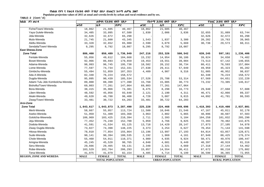**Populaion projection values of 2015 at zonal and wereda levels by urban and rural residence and by sex.**

| ክልል ዞን ወራዳ                       | ጠቅሳሳ የሕዝብ ብዛት በጾታ       |               | የከተማ ሕዝብ ብዛት በጾታ |                         |               | የንጠር ሕዝብ ብዛት በጾታ |                         |               |              |  |
|----------------------------------|-------------------------|---------------|------------------|-------------------------|---------------|------------------|-------------------------|---------------|--------------|--|
|                                  | ወንድ                     | ቤት            | ድምር              | ወንድ                     | ሴት            | ድምር              | ወንድ                     | ሴት            | ድምር          |  |
| Fiche/Town/-Wereda               | 18,862                  | 21,605        | 40,467           | 18,862                  | 21,605        | 40,467           |                         |               |              |  |
| Yaya Gulele-Wereda               | 34,485                  | 33,095        | 67,580           | 1,830                   | 2,006         | 3,836            | 32,655                  | 31,089        | 63,744       |  |
| Jida-Wereda                      | 32,626                  | 32,672        | 65,298           |                         |               |                  | 32,626                  | 32,672        | 65,298       |  |
| Mulo-Wereda                      | 21,745                  | 21,600        | 43,345           | 1,543                   | 1,837         | 3,380            | 20,202                  | 19,763        | 39,965       |  |
| Aleltu-Wereda                    | 33,328                  | 32,652        | 65,980           | 2,590                   | 3,079         | 5,669            | 30,738                  | 29,573        | 60,311       |  |
| Sendafa/Town/-Wereda             | 9,295                   | 8,792         | 18,087           | 9,295                   | 8,792         | 18,087           |                         |               |              |  |
| <b>East Shewa-Zone</b>           |                         |               |                  |                         |               |                  |                         |               |              |  |
| <b>Zone Total</b>                | 886,460                 | 850,489       | 1,736,949        | 247,216                 | 253,326       | 500,542          | 639,245                 | 597,161       | 1,236,406    |  |
| Fentale-Wereda                   | 55,056                  | 49,612        | 104,668          | 15,232                  | 14,954        | 30,186           | 39,824                  | 34,658        | 74,482       |  |
| Boset-Wereda                     | 92,966                  | 86,693        | 179,659          | 19,453                  | 19,551        | 39,004           | 73,513                  | 67,142        | 140,655      |  |
| Adama-Wereda                     | 98,993                  | 96,745        | 195,738          | 18,582                  | 20,152        | 38,734           | 80,411                  | 76,593        | 157,004      |  |
| Lome-Wereda                      | 77,597                  | 74,734        | 152,331          | 27,638                  | 29,411        | 57,049           | 49,959                  | 45,323        | 95,282       |  |
| Gimbichu-Wereda                  | 55,494                  | 51,859        | 107,353          | 4,409                   | 4,907         | 9,316            | 51,085                  | 46,952        | 98,037       |  |
| Ada A-Wereda                     | 82,348                  | 76,224        | 158,572          |                         |               |                  | 82,348                  | 76,224        | 158,572      |  |
| Dugda-Wereda                     | 95,095                  | 90,439        | 185,534          | 27,526                  | 25,788        | 53,314           | 67,569                  | 64,651        | 132,220      |  |
| Adami Tulu Jido Kombolcha-Wereda | 89,000                  | 88,390        | 177,390          | 15,768                  | 15,005        | 30,773           | 73,232                  | 73,385        | 146,617      |  |
| Bishoftu/Town/-Wereda            | 69,803                  | 77,261        | 147,064          | 69,803                  | 77,261        | 147,064          |                         |               |              |  |
| Bora-Wereda                      | 38,415                  | 35,966        | 74,381           | 8,475                   | 8,298         | 16,773           | 29,940                  | 27,668        | 57,608       |  |
| Liben-Wereda                     | 48,592                  | 45,056        | 93,648           | 2,121                   | 2,190         | 4,311            | 46,471                  | 42,866        | 89,337       |  |
| Akaki-Wereda                     | 49,620                  | 46,788        | 96,408           | 4,728                   | 5,087         | 9,815            | 44,892                  | 41,701        | 86,593       |  |
| Ziway/Town/-Wereda               | 33,481                  | 30,722        | 64,203           | 33,481                  | 30,722        | 64,203           |                         |               |              |  |
| Arsi-Zone                        |                         |               |                  |                         |               |                  |                         |               |              |  |
| <b>Zone Total</b>                | 1,643,617               | 1,643,873     | 3,287,490        | 225,228                 | 224,468       | 449,696          | 1,418,393               | 1,419,408     | 2,837,801    |  |
| Merti-Wereda                     | 58,667                  | 55,057        | 113,724          | 11,500                  | 10,046        | 21,546           | 47,167                  | 45,011        | 92,178       |  |
| Aseko-Wereda                     | 51,959                  | 51,409        | 103,368          | 3,063                   | 2,802         | 5,865            | 48,896                  | 48,607        | 97,503       |  |
| Gololcha-Wewreda                 | 106,969                 | 103,425       | 210,394          | 2,711                   | 2,393         | 5,104            | 104,258                 | 101,032       | 205,290      |  |
| Jeju-Wereda                      | 77,452                  | 75,248        | 152,700          | 5,059                   | 4,766         | 9,825            | 72,393                  | 70,482        | 142,875      |  |
| Dodota-Wereda                    | 41,591                  | 41,534        | 83,125           | 13,718                  | 14,429        | 28,147           | 27,873                  | 27,105        | 54,978       |  |
| Ziway Dugda-Wereda               | 73,827                  | 74,398        | 148,225          | 3,373                   | 3,254         | 6,627            | 70,454                  | 71,144        | 141,598      |  |
| Hitosa-Wereda                    | 78,010                  | 77,854        | 155,864          | 13,196                  | 13,997        | 27,193           | 64,814                  | 63,857        | 128,671      |  |
| Sude-Wereda                      | 90,141                  | 90,394        | 180,535          | 2,192                   | 1,969         | 4,161            | 87,949                  | 88,425        | 176,374      |  |
| Chole-Wereda                     | 55,460                  | 54,911        | 110,371          | 4,989                   | 4,935         | 9,924            | 50,471                  | 49,976        | 100,447      |  |
| Amigna-Wereda                    | 45,245                  | 45,520        | 90,765           | 4,848                   | 4,601         | 9,449            | 40,397                  | 40,919        | 81,316       |  |
| Seru-Wereda                      | 29,666                  | 29,465        | 59,131           | 2,348                   | 2,321         | 4,669            | 27,318                  | 27,144        | 54,462       |  |
| Robe-Wereda                      | 103,529                 | 102,764       | 206,293          | 15,857                  | 14,554        | 30,411           | 87,672                  | 88,210        | 175,882      |  |
| Tena-Wereda                      | 41,075                  | 41,079        | 82,154           | 4,485                   | 4,714         | 9,199            | 36,590                  | 36,365        | 72,955       |  |
| <b>REGION, ZONE AND WEREDA</b>   | <b>MALE</b>             | <b>FEMALE</b> | <b>TOTAL</b>     | <b>MALE</b>             | <b>FEMALE</b> | <b>TOTAL</b>     | <b>MALE</b>             | <b>FEMALE</b> | <b>TOTAL</b> |  |
|                                  | <b>TOTAL POPULATION</b> |               |                  | <b>URBAN POPULATION</b> |               |                  | <b>RURAL POPULATION</b> |               |              |  |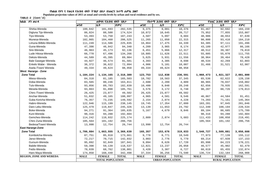**Populaion projection values of 2015 at zonal and wereda levels by urban and rural residence and by sex.**

| ክልል ዞን ወራዳ        |                                | ጠቅሳሳ የሕዝብ ብዛት በጾታ |                         |              | የከተማ ሕዝብ ብዛት በጾታ |                         |              | የንጠር ሕዝብ ብዛት በጾታ |                         |              |  |
|-------------------|--------------------------------|-------------------|-------------------------|--------------|------------------|-------------------------|--------------|------------------|-------------------------|--------------|--|
|                   |                                | ወንድ               | ቤት                      | ድምር          | ወንድ              | ሴት                      | ድምር          | ወንድ              | ሴት                      | ድምር          |  |
|                   | Shirka-Wereda                  | 100,842           | 101,693                 | 202,535      | 9,375            | 9,001                   | 18,376       | 91,467           | 92,692                  | 184,159      |  |
|                   | Digluna Tijo-Wereda            | 86,024            | 88,500                  | 174,524      | 10,072           | 10,645                  | 20,717       | 75,952           | 77,855                  | 153,807      |  |
|                   | Tiyo-Wereda                    | 53,493            | 53,750                  | 107,243      | 4,507            | 5,097                   | 9,604        | 48,986           | 48,653                  | 97,639       |  |
|                   | Munesa-Wereda                  | 102,065           | 104,460                 | 206,525      | 11,265           | 11,050                  | 22,315       | 90,800           | 93,410                  | 184,210      |  |
|                   | Limuna Bilbilo-Wereda          | 111,249           | 114,586                 | 225,835      | 16,864           | 17,475                  | 34,339       | 94,385           | 97,111                  | 191,496      |  |
|                   | Guna-Wereda                    | 47,398            | 46,942                  | 94,340       | 4,209            | 3,965                   | 8,174        | 43,189           | 42,977                  | 86,166       |  |
|                   | Sire-Wereda                    | 46,963            | 45,173                  | 92,136       | 6,451            | 5,866                   | 12,317       | 40,512           | 39,307                  | 79,819       |  |
|                   | Lude Hitosa-Wereda             | 66,770            | 67,496                  | 134,266      | 10,885           | 11,626                  | 22,511       | 55,885           | 55,870                  | 111,755      |  |
|                   | Deksis-Wereda                  | 44,589            | 45,395                  | 89,984       | 5,625            | 5,931                   | 11,556       | 38,964           | 39,464                  | 78,428       |  |
|                   | Bale Gasegar-Wereda            | 44,927            | 46,574                  | 91,501       | 4,393            | 4,305                   | 8,698        | 40,534           | 42,269                  | 82,803       |  |
|                   | Enkelo Wabe - Wereda           | 36,372            | 36,622                  | 72,994       | 4,906            | 5,101                   | 10,007       | 31,466           | 31,521                  | 62,987       |  |
|                   | Asela /Town/ Wereda            | 49,334            | 49,624                  | 98,958       | 49,334           | 49,624                  | 98,958       |                  |                         |              |  |
|                   | <b>West Hararge - Zone</b>     |                   |                         |              |                  |                         |              |                  |                         |              |  |
| <b>Zone Total</b> |                                | 1,184,224         | 1,134,165               | 2,318,389    | 123,753          | 112,838                 | 236,591      | 1,060,473        | 1,021,327               | 2,081,800    |  |
|                   | Mieso-Wereda                   | 84,318            | 81,185                  | 165,503      | 18,782           | 18,563                  | 37,345       | 65,536           | 62,622                  | 128,158      |  |
|                   | Doba-Wereda                    | 83,565            | 80,246                  | 163,811      | 2,600            | 2,209                   | 4,809        | 80,965           | 78,037                  | 159,002      |  |
|                   | Tulo-Wereda                    | 93,056            | 89,783                  | 182,839      | 10,400           | 9,848                   | 20,248       | 82,656           | 79,935                  | 162,591      |  |
|                   | Mesela-Wereda                  | 93,863            | 91,898                  | 185,761      | 3,576            | 3,172                   | 6,748        | 90,287           | 88,726                  | 179,013      |  |
|                   | Chiro /Town/-Wereda            | 26,425            | 23,077                  | 49,502       | 26,425           | 23,077                  | 49,502       |                  |                         |              |  |
|                   | Anchar-Wereda                  | 51,832            | 49,165                  | 100,997      | 4,965            | 4,581                   | 9,546        | 46,867           | 44,584                  | 91,451       |  |
|                   | Guba Koricha-Wereda            | 76,357            | 73,235                  | 149,592      | 2,154            | 2,074                   | 4,228        | 74,203           | 71,161                  | 145,364      |  |
|                   | Habro-Wereda                   | 122,946           | 115,199                 | 238,145      | 19,745           | 17,354                  | 37,099       | 103,201          | 97,845                  | 201,046      |  |
|                   | Daro Lebu-Wereda               | 125,479           | 119,847                 | 245,326      | 13,139           | 11,653                  | 24,792       | 112,340          | 108,194                 | 220,534      |  |
|                   | Boke-Wereda                    | 94,271            | 91,364                  | 185,635      | 5,167            | 4,679                   | 9,846        | 89,104           | 86,685                  | 175,789      |  |
|                   | Kuni-Wereda                    | 98,316            | 94,288                  | 192,604      |                  |                         |              | 98,316           | 94,288                  | 192,604      |  |
|                   | Gemches-Wereda                 | 114,242           | 110,932                 | 225,174      | 2,809            | 2,874                   | 5,683        | 111,433          | 108,058                 | 219,491      |  |
|                   | Chiro Zuria-Wereda             | 105,564           | 101,192                 | 206,756      |                  |                         |              | 105,564          | 101,192                 | 206,756      |  |
|                   | Bedesa/Town/-Wereda            | 13,990            | 12,754                  | 26,744       | 13,990           | 12,754                  | 26,744       |                  |                         |              |  |
|                   | East Hararge-Zone              |                   |                         |              |                  |                         |              |                  |                         |              |  |
| <b>Zone Total</b> |                                | 1,706,084         | 1,663,555               | 3,369,639    | 165,357          | 153,676                 | 319,033      | 1,540,727        | 1,509,881               | 3,050,608    |  |
|                   | Kombolcha-Wereda               | 87,751            | 85,910                  | 173,661      | 9,778            | 8,771                   | 18,549       | 77,973           | 77,139                  | 155,112      |  |
|                   | Jarso-Wereda                   | 72,217            | 70,715                  | 142,932      | 3,003            | 2,776                   | 5,779        | 69,214           | 67,939                  | 137,153      |  |
|                   | Gursum-Wereda                  | 95,092            | 92,849                  | 187,941      | 9,094            | 8,626                   | 17,720       | 85,998           | 84,223                  | 170,221      |  |
|                   | Babile-Wereda                  | 59,398            | 59,139                  | 118,537      | 12,821           | 13,237                  | 26,058       | 46,577           | 45,902                  | 92,479       |  |
|                   | Fedis-Wereda                   | 70,039            | 68,762                  | 138,801      | 3,420            | 3,307                   | 6,727        | 66,619           | 65,455                  | 132,074      |  |
|                   | Haro Maya-Wereda               | 174,058           | 168,440                 | 342,498      | 37,334           | 36,256                  | 73,590       | 136,724          | 132,184                 | 268,908      |  |
|                   | <b>REGION, ZONE AND WEREDA</b> | <b>MALE</b>       | <b>FEMALE</b>           | <b>TOTAL</b> | <b>MALE</b>      | <b>FEMALE</b>           | <b>TOTAL</b> | <b>MALE</b>      | <b>FEMALE</b>           | <b>TOTAL</b> |  |
|                   |                                |                   | <b>TOTAL POPULATION</b> |              |                  | <b>URBAN POPULATION</b> |              |                  | <b>RURAL POPULATION</b> |              |  |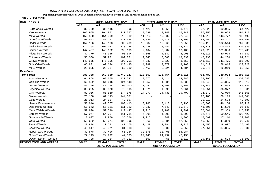**Populaion projection values of 2015 at zonal and wereda levels by urban and rural residence and by sex.**

| ክልል ዞን ወራዳ                     |                         | ጠቅሳሳ የሕዝብ በዛት በጾታ |              |                         | የከተማ ሕዝብ ብዛት በጾታ |              |                         | የንጠር ሕዝብ ብዛት በጾታ |              |  |
|--------------------------------|-------------------------|-------------------|--------------|-------------------------|------------------|--------------|-------------------------|------------------|--------------|--|
|                                | ወንድ                     | ሴት                | ድምር          | ወንድ                     | ሴት               | ድምር          | ወንድ                     | ሴት               | ድምር          |  |
| Kurfa Chele-Wereda             | 36,750                  | 36,146            | 72,896       | 4,425                   | 4,051            | 8,476        | 32,325                  | 32,095           | 64,420       |  |
| Kersa-Wereda                   | 105,955                 | 104,802           | 210,757      | 8,599                   | 8,148            | 16,747       | 97,356                  | 96,654           | 194,010      |  |
| Meta-Wereda                    | 156,530                 | 154,309           | 310,839      | 11,814                  | 10,532           | 22,346       | 144,716                 | 143,777          | 288,493      |  |
| Goro Gutu-Wereda               | 90,543                  | 87,151            | 177,694      | 7,889                   | 6,910            | 14,799       | 82,654                  | 80,241           | 162,895      |  |
| Deder-Wereda                   | 152,106                 | 148,183           | 300,289      | 16,987                  | 15,669           | 32,656       | 135,119                 | 132,514          | 267,633      |  |
| Melka Belo-Wereda              | 111,198                 | 107,057           | 218,255      | 7,488                   | 6,244            | 13,732       | 103,710                 | 100,813          | 204,523      |  |
| Bedeno-Wereda                  | 147,427                 | 145,682           | 293,109      | 7,104                   | 6,302            | 13,406       | 140,323                 | 139,380          | 279,703      |  |
| Midga Tola-Wereda              | 47,779                  | 45,315            | 93,094       | 4,568                   | 4,337            | 8,905        | 43,211                  | 40,978           | 84,189       |  |
| Chinaksan-Wereda               | 56,080                  | 52,971            | 109,051      | 9,347                   | 8,683            | 18,030       | 46,733                  | 44,288           | 91,021       |  |
| Girawa-Wereda                  | 148,555                 | 145,196           | 293,751      | 4,937                   | 3,721            | 8,658        | 143,618                 | 141,475          | 285,093      |  |
| Gola Oda-Wereda                | 65,801                  | 62,694            | 128,495      | 4,289                   | 3,879            | 8,168        | 61,512                  | 58,815           | 120,327      |  |
| Meyu-Wereda                    | 28,805                  | 28,234            | 57,039       | 2,460                   | 2,224            | 4,684        | 26,345                  | 26,010           | 52,355       |  |
| <b>Bale-Zone</b>               |                         |                   |              |                         |                  |              |                         |                  |              |  |
| <b>Zone Total</b>              | 886,338                 | 862,689           | 1,749,027    | 122,557                 | 122,754          | 245,311      | 763,782                 | 739,934          | 1,503,716    |  |
| Agarfa-Wereda                  | 64,868                  | 62,665            | 127,533      | 9,572                   | 9,414            | 18,986       | 55,296                  | 53,251           | 108,547      |  |
| Gololcha-Wereda                | 62,502                  | 61,646            | 124,148      | 4,257                   | 4,281            | 8,538        | 58,245                  | 57,365           | 115,610      |  |
| Gasera-Wereda                  | 49,246                  | 47,154            | 96,400       | 3,497                   | 3,560            | 7,057        | 45,749                  | 43,594           | 89,343       |  |
| Legehida-Wereda                | 38,225                  | 38,370            | 76,595       | 1,571                   | 1,393            | 2,964        | 36,654                  | 36,977           | 73,631       |  |
| Ginir-Wereda                   | 89,056                  | 85,819            | 174,875      | 14,977                  | 14,730           | 29,707       | 74,079                  | 71,089           | 145,168      |  |
| Sinana Wereda                  | 75,188                  | 69,113            | 144,301      |                         |                  |              | 75,188                  | 69,113           | 144,301      |  |
| Goba Wereda                    | 25,013                  | 24,584            | 49,597       |                         |                  |              | 25,013                  | 24,584           | 49,597       |  |
| Harena Buluk-Wereda            | 50,846                  | 49,567            | 100,413      | 3,783                   | 3,413            | 7,196        | 47,063                  | 46,154           | 93,217       |  |
| Dolo Mena-Wereda               | 56,642                  | 55,181            | 111,823      | 8,036                   | 7,642            | 15,678       | 48,606                  | 47,539           | 96,145       |  |
| Meda Welabu-Wereda             | 59,898                  | 59,549            | 119,447      | 2,217                   | 2,180            | 4,397        | 57,681                  | 57,369           | 115,050      |  |
| Berbere-Wereda                 | 57,077                  | 54,654            | 111,731      | 4,301                   | 4,008            | 8,309        | 52,776                  | 50,646           | 103,422      |  |
| Guradamole-Wereda              | 17,607                  | 17,959            | 35,566       | 1,017                   | 849              | 1,866        | 16,590                  | 17,110           | 33,700       |  |
| Goro-Wereda                    | 52,622                  | 50,674            | 103,296      | 6,266                   | 6,284            | 12,550       | 46,356                  | 44,390           | 90,746       |  |
| Rayitu-Wereda                  | 20,884                  | 20,291            | 41,175       | 2,428                   | 2,284            | 4,712        | 18,456                  | 18,007           | 36,463       |  |
| Seweyna-Wereda                 | 40,517                  | 40,571            | 81,088       | 2,866                   | 2,686            | 5,552        | 37,651                  | 37,885           | 75,536       |  |
| Robe/Town/-Wereda              | 32,878                  | 32,406            | 65,284       | 32,878                  | 32,406           | 65,284       |                         |                  |              |  |
| Goba/Town/-Wereda              | 22,143                  | 24,992            | 47,135       | 22,143                  | 24,992           | 47,135       |                         |                  |              |  |
| Dawe Kachen - Wereda           | 19,728                  | 17,984            | 37,712       | 563                     | 456              | 1,019        | 19,165                  | 17,528           | 36,693       |  |
| <b>REGION, ZONE AND WEREDA</b> | <b>MALE</b>             | <b>FEMALE</b>     | <b>TOTAL</b> | <b>MALE</b>             | <b>FEMALE</b>    | <b>TOTAL</b> | <b>MALE</b>             | <b>FEMALE</b>    | <b>TOTAL</b> |  |
|                                | <b>TOTAL POPULATION</b> |                   |              | <b>URBAN POPULATION</b> |                  |              | <b>RURAL POPULATION</b> |                  |              |  |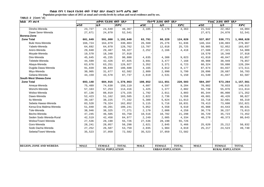**Populaion projection values of 2015 at zonal and wereda levels by urban and rural residence and by sex.**

| ጠቅሳሳ የሕዝብ ብዛት በጾታ<br>ክልል ዞን ወራዳ |                         |               | የከተማ ሕዝብ ብዛት በጾታ |                         |               |              | የንጠር ሕዝብ ብዛት በጾታ        |               |              |
|---------------------------------|-------------------------|---------------|------------------|-------------------------|---------------|--------------|-------------------------|---------------|--------------|
|                                 | ወንድ                     | ቤት            | ድምር              | ወንድ                     | ሴት            | ድምር          | ወንድ                     | ሴት            | ድምር          |
| Dinsho-Wereda                   | 23,727                  | 24,640        | 48,367           | 2,185                   | 2,178         | 4,363        | 21,542                  | 22,462        | 44,004       |
| Dawe Serer-Wereda               | 27,671                  | 24,870        | 52,541           |                         |               |              | 27,671                  | 24,870        | 52,541       |
| Borena-Zone                     |                         |               |                  |                         |               |              |                         |               |              |
| <b>Zone Total</b>               | 601,649                 | 591,000       | 1,192,649        | 63,791                  | 60,229        | 124,020      | 537,857                 | 530,771       | 1,068,628    |
| <b>Bule Hora-Wereda</b>         | 166,724                 | 164,079       | 330,803          | 26,560                  | 25,276        | 51,836       | 140,164                 | 138,803       | 278,967      |
| Yabelo-Wereda                   | 64,692                  | 64,070        | 128,762          | 13,707                  | 12,018        | 25,725       | 50,985                  | 52,052        | 103,037      |
| Arero-Wereda                    | 29,840                  | 29,487        | 59,327           | 2,252                   | 2,166         | 4,418        | 27,588                  | 27,321        | 54,909       |
| Moyale-Wereda                   | 19,570                  | 18,348        | 37,918           |                         |               |              | 19,570                  | 18,348        | 37,918       |
| Dire-Wereda                     | 45,645                  | 45,235        | 90,880           | 4,635                   | 4,388         | 9,023        | 41,010                  | 40,847        | 81,857       |
| Teletele-Wereda                 | 44,599                  | 42,426        | 87,025           | 3,691                   | 3,477         | 7,168        | 40,908                  | 38,949        | 79,857       |
| Abaya-Wereda                    | 63,676                  | 63,251        | 126,927          | 3,352                   | 3,371         | 6,723        | 60,324                  | 59,880        | 120,204      |
| Dugida Dawa-Wereda              | 91,839                  | 88,849        | 180,688          | 4,165                   | 4,012         | 8,177        | 87,674                  | 84,837        | 172,511      |
| Miyu-Wereda                     | 30,905                  | 31,677        | 62,582           | 2,809                   | 2,990         | 5,799        | 28,096                  | 28,687        | 56,783       |
| Gelana-Wereda                   | 44,159                  | 43,578        | 87,737           | 2,619                   | 2,531         | 5,150        | 41,540                  | 41,047        | 82,587       |
| <b>South West Shewa-Zone</b>    |                         |               |                  |                         |               |              |                         |               |              |
| <b>Zone Total</b>               | 693,148                 | 684,915       | 1,378,063        | 108,852                 | 111,651       | 220,503      | 584,297                 | 573,264       | 1,157,561    |
| Ameya-Wereda                    | 75,489                  | 74,630        | 150,119          | 4,607                   | 4,597         | 9,204        | 70,882                  | 70,033        | 140,915      |
| Wonchi-Wereda                   | 57,163                  | 57,253        | 114,416          | 1,425                   | 1,377         | 2,802        | 55,738                  | 55,876        | 111,614      |
| Woliso-Wereda                   | 87,136                  | 88,019        | 175,155          | 1,792                   | 2,011         | 3,803        | 85,344                  | 86,008        | 171,352      |
| Dawo-Wereda                     | 52,423                  | 51,162        | 103,585          | 2,822                   | 2,736         | 5,558        | 49,601                  | 48,426        | 98,027       |
| Ilu-Wereda                      | 39,107                  | 38,225        | 77,332           | 5,389                   | 5,624         | 11,013       | 33,718                  | 32,601        | 66,319       |
| Sebeta Hawas-Wereda             | 83,528                  | 79,324        | 162,852          | 5,115                   | 5,716         | 10,831       | 78,413                  | 73,608        | 152,021      |
| Kersa Ena Malima-Wereda         | 51,040                  | 49,201        | 100,241          | 5,052                   | 4,558         | 9,610        | 45,988                  | 44,643        | 90,631       |
| Tole-Wereda                     | 38,946                  | 38,325        | 77,271           | 2,170                   | 2,088         | 4,258        | 36,776                  | 36,237        | 73,013       |
| Becho-Wereda                    | 47,245                  | 46,505        | 93,750           | 10,516                  | 10,782        | 21,298       | 36,729                  | 35,723        | 72,452       |
| Seden Sodo Wereda-Rural         | 42,519                  | 42,458        | 84,977           | 2,249                   | 2,085         | 4,334        | 40,270                  | 40,373        | 80,643       |
| Woliso/Town/-Wereda             | 27,536                  | 28,190        | 55,726           | 27,536                  | 28,190        | 55,726       |                         |               |              |
| Goro-Wereda                     | 28,241                  | 28,057        | 56,298           | 2,621                   | 2,845         | 5,466        | 25,620                  | 25,212        | 50,832       |
| Sodo Dacha Wereda               | 27,252                  | 26,507        | 53,759           | 2,035                   | 1,984         | 4,019        | 25,217                  | 24,523        | 49,740       |
| Sebeta/Town/-Wereda             | 35,523                  | 37,059        | 72,582           | 35,523                  | 37,059        | 72,582       |                         |               |              |
|                                 |                         |               |                  |                         |               |              |                         |               |              |
|                                 |                         |               |                  |                         |               |              |                         |               |              |
| <b>REGION, ZONE AND WEREDA</b>  | <b>MALE</b>             | <b>FEMALE</b> | <b>TOTAL</b>     | <b>MALE</b>             | <b>FEMALE</b> | <b>TOTAL</b> | <b>MALE</b>             | <b>FEMALE</b> | <b>TOTAL</b> |
|                                 | <b>TOTAL POPULATION</b> |               |                  | <b>URBAN POPULATION</b> |               |              | <b>RURAL POPULATION</b> |               |              |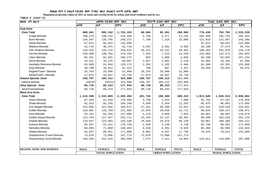**Populaion projection values of 2015 at zonal and wereda levels by urban and rural residence and by sex.**

| ክልል  ዞን ወራዳ                    | <u>ጠቅላላ የሕዝብ ብዛት በጾታ</u> |                         | የከተማ ሕዝብ ብዛት በጾታ |             |                         | የንጠር ሕዝብ ብዛት በጾታ |             |               |              |
|--------------------------------|--------------------------|-------------------------|------------------|-------------|-------------------------|------------------|-------------|---------------|--------------|
|                                | ወንድ                      | ቤት                      | ድምር              | ወንድ         | ሴት                      | ድምር              | ወንድ         | ሴት            | ድምር          |
| Guji-Zone                      |                          |                         |                  |             |                         |                  |             |               |              |
| <b>Zone Total</b>              | 869,041                  | 855,152                 | 1,724,193        | 98,604      | 92,361                  | 190,965          | 770,438     | 762,792       | 1,533,230    |
| Uraga-Wereda                   | 108,176                  | 108,232                 | 216,408          | 5,768       | 5,477                   | 11,245           | 102,408     | 102,755       | 205,163      |
| Bore-Wereda                    | 129,587                  | 128,785                 | 258,372          | 7,768       | 7,318                   | 15,086           | 121,819     | 121,467       | 243,286      |
| Adola-Wereda                   | 67,874                   | 66,022                  | 133,896          |             |                         |                  | 67,874      | 66,022        | 133,896      |
| Wadera-Wereda                  | 31,744                   | 30,975                  | 62,719           | 3,554       | 3,401                   | 6,955            | 28,190      | 27,574        | 55,764       |
| Odo Shakiso-Wereda             | 134,523                  | 125,118                 | 259,641          | 26,321      | 23,142                  | 49,463           | 108,202     | 101,976       | 210,178      |
| Kercha-Wereda                  | 139,409                  | 139,784                 | 279,193          | 7,326       | 7,213                   | 14,539           | 132,083     | 132,571       | 264,654      |
| Liben-Wereda                   | 85,251                   | 84,021                  | 169,272          | 952         | 1,086                   | 2,038            | 84,299      | 82,935        | 167,234      |
| Dima-Wereda                    | 34,331                   | 35,276                  | 69,607           | 1,027       | 1,091                   | 2,118            | 33,304      | 34,185        | 67,489       |
| Hambela Wamena-Wereda          | 63,609                   | 64,564                  | 128,173          | 1,301       | 1,183                   | 2,484            | 62,308      | 63,381        | 125,689      |
| Girja-Wereda                   | 30,700                   | 30,612                  | 61,312           | 750         | 687                     | 1,437            | 29,950      | 29,925        | 59,875       |
| Negele/Town/- Wereda           | 26,764                   | 25,096                  | 51,860           | 26,764      | 25,096                  | 51,860           |             |               |              |
| Adola/Town/- Wereda            | 17,073                   | 16,667                  | 33,740           | 17,073      | 16,667                  | 33,740           |             |               |              |
| Adama Special- Zone            | 158,787                  | 165,212                 | 323,999          | 158,787     | 165,212                 | 323,999          |             |               |              |
| Adama wereda                   | 158787                   | 165212                  | 323,999          | 158,787     | 165,212                 | 323,999          |             |               |              |
| Jima Special - Zone            | 88,710                   | 89,233                  | 177,943          | 88,710      | 89,233                  | 177,943          |             |               |              |
| Jima/Town/wereda               | 88,710                   | 89,233                  | 177,943          | 88,710      | 89,233                  | 177,943          |             |               |              |
| <b>West Arsi-Zone</b>          |                          |                         |                  |             |                         |                  |             |               |              |
| <b>Zone Total</b>              | 1,215,389                | 1,243,893               | 2,459,282        | 201,742     | 198,480                 | 400,222          | 1,013,649   | 1,045,413     | 2,059,062    |
| Siraro-Wereda                  | 87,558                   | 91,010                  | 178,568          | 3,766       | 3,843                   | 7,609            | 83,792      | 87,167        | 170,959      |
| Shala-Wereda                   | 91,914                   | 92,335                  | 184,249          | 5,939       | 5,354                   | 11,293           | 85,975      | 86,981        | 172,956      |
| Arsi Negele-Wereda             | 162,656                  | 167,016                 | 329,672          | 37,331      | 38,490                  | 75,821           | 125,325     | 128,526       | 253,851      |
| Kofele-Wereda                  | 110,901                  | 110,783                 | 221,684          | 12,076      | 10,636                  | 22,712           | 98,825      | 100,147       | 198,972      |
| Kore Wereda                    | 63,251                   | 64,355                  | 127,606          | 4,270       | 3,658                   | 7,928            | 58,981      | 60,697        | 119,678      |
| Gedeb Asasa-Wereda             | 114,764                  | 117,947                 | 232,711          | 15,264      | 15,137                  | 30,401           | 99,500      | 102,810       | 202,310      |
| Dodola-Wereda                  | 119,657                  | 124,883                 | 244,540          | 25,650      | 24,578                  | 50,228           | 94,007      | 100,305       | 194,312      |
| Kokosa-Wereda                  | 85,397                   | 91,341                  | 176,738          | 2,599       | 2,140                   | 4,739            | 82,798      | 89,201        | 171,999      |
| Nensebo-Wereda                 | 69,893                   | 71,060                  | 140,953          | 4,534       | 4,391                   | 8,925            | 65,359      | 66,669        | 132,028      |
| Adaba-Wereda                   | 84,937                   | 86,951                  | 171,888          | 8,862       | 8,937                   | 17,799           | 76,075      | 78,014        | 154,089      |
| Shashemene /Town/-Wereda       | 73,878                   | 73,896                  | 147,774          | 73,878      | 73,896                  | 147,774          |             |               |              |
| Shashemene Zuria-Wereda        | 150,583                  | 152,316                 | 302,899          | 7,572       | 7,421                   | 14,993           | 143,011     | 144,895       | 287,906      |
|                                |                          |                         |                  |             |                         |                  |             |               |              |
|                                |                          |                         |                  |             |                         |                  |             |               |              |
| <b>REGION, ZONE AND WEREDA</b> | <b>MALE</b>              | <b>FEMALE</b>           | <b>TOTAL</b>     | <b>MALE</b> | <b>FEMALE</b>           | <b>TOTAL</b>     | <b>MALE</b> | <b>FEMALE</b> | <b>TOTAL</b> |
|                                |                          | <b>URBAN POPULATION</b> |                  |             | <b>RURAL POPULATION</b> |                  |             |               |              |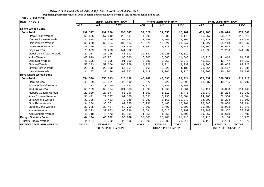**Populaion projection values of 2015 at zonal and wereda levels by urban and rural residence and by sex.**

| ክልል   ዞን ወራዳ                   |                         | ጠቅሳሳ የሕዝብ ብዛት በጾታ |              |             | <i>የከተማ ሕዝ</i> ብ ብዛት በጾ <i>ታ</i> |              | የንጠር ሕዝብ ብዛት በጾታ        |               |              |  |
|--------------------------------|-------------------------|-------------------|--------------|-------------|----------------------------------|--------------|-------------------------|---------------|--------------|--|
|                                | ወንድ                     | ቤት                | ድምር          | ወንድ         | ቤት                               | ድምር          | ወንድ                     | ቤት            | ድምር          |  |
| Kelem Welega-Zone              |                         |                   |              |             |                                  |              |                         |               |              |  |
| <b>Zone Total</b>              | 497,317                 | 492,730           | 990,047      | 57,529      | 54,653                           | 112,182      | 439,788                 | 438,078       | 877,866      |  |
| Hawa Gelan-Wereda              | 60,555                  | 57,642            | 118,197      | 4,298       | 3,880                            | 8,178        | 56,257                  | 53,762        | 110,019      |  |
| Yemalogi Welel-Wereda          | 31,478                  | 31,469            | 62,947       | 1,158       | 1,203                            | 2,361        | 30,320                  | 30,266        | 60,586       |  |
| Dale Wabera-Wereda             | 65,250                  | 65,364            | 130,614      | 10,523      | 10,224                           | 20,747       | 54,727                  | 55,140        | 109,867      |  |
| Gawo Kebe-Wereda               | 40,229                  | 39,790            | 80,019       | 1,367       | 1,178                            | 2,545        | 38,862                  | 38,612        | 77,474       |  |
| Sevo Wereda                    | 70,699                  | 71,233            | 141,932      |             |                                  |              | 70,699                  | 71,233        | 141,932      |  |
| Denbi Dollo /Town/-Wereda      | 22,087                  | 21,225            | 43,312       | 22,087      | 21,225                           | 43,312       |                         |               |              |  |
| Anfilo-Wereda                  | 48,919                  | 46,961            | 95,880       | 6,003       | 5,545                            | 11,548       | 42,916                  | 41,416        | 84,332       |  |
| Dale Sadi-Wereda               | 45,195                  | 46,105            | 91,300       | 3,585       | 3,358                            | 6,943        | 41,610                  | 42,747        | 84,357       |  |
| Gidami-Wereda                  | 53,293                  | 52,666            | 105,959      | 4,228       | 4,011                            | 8,239        | 49,065                  | 48,655        | 97,720       |  |
| Jimma Horo-Wereda              | 28,425                  | 28,139            | 56,564       | 2,161       | 2,022                            | 4,183        | 26,264                  | 26,117        | 52,381       |  |
| Lalo Kile-Wereda               | 31,187                  | 32,136            | 63,323       | 2,119       | 2,006                            | 4,125        | 29,068                  | 30,130        | 59,198       |  |
| Horo Gudru Welega-Zone         |                         |                   |              |             |                                  |              |                         |               |              |  |
| <b>Zone Total</b>              | 354,526                 | 355,613           | 710,139      | 48,189      | 47,035                           | 95,224       | 306,337                 | 308,579       | 614,916      |  |
| Horo-Wereda                    | 45,709                  | 46,481            | 92,190       | 2,672       | 2,726                            | 5,398        | 43,037                  | 43,755        | 86,792       |  |
| Shambu/Town/-Wereda            | 11,313                  | 10,740            | 22,053       | 11,313      | 10,740                           | 22,053       |                         |               |              |  |
| Guduru-Wereda                  | 60,109                  | 60,904            | 121,013      | 4,998       | 4,566                            | 9,564        | 55,111                  | 56,338        | 111,449      |  |
| Hababo Guduru-Wereda           | 27,909                  | 27,847            | 55,756       | 1,862       | 1,613                            | 3,475        | 26,047                  | 26,234        | 52,281       |  |
| Abey Chomen-Wereda             | 31,491                  | 29,697            | 61,188       | 7,091       | 6,793                            | 13,884       | 24,400                  | 22,904        | 47,304       |  |
| Jima Genete-Wereda             | 39,385                  | 40,463            | 79,848       | 5,083       | 5,165                            | 10,248       | 34,302                  | 35,298        | 69,600       |  |
| Jima Rare-Wereda               | 34,284                  | 35,551            | 69,835       | 6,236       | 6,465                            | 12,701       | 28,048                  | 29,086        | 57,134       |  |
| Jardega Jarte Wereda           | 30,285                  | 30,484            | 60,769       | 3,502       | 3,496                            | 6,998        | 26,783                  | 26,988        | 53,771       |  |
| Amuru-Wereda                   | 32,323                  | 32,973            | 65,296       | 3,581       | 3,616                            | 7,197        | 28,742                  | 29,357        | 58,099       |  |
| Abe Dongoro-Wereda             | 41,718                  | 40,473            | 82,191       | 1,851       | 1,855                            | 3,706        | 39,867                  | 38,618        | 78,485       |  |
| Burayu Special - Zone          | 44,124                  | 46,062            | 90,186       | 35,008      | 36,908                           | 71,916       | 9,116                   | 9,154         | 18,270       |  |
| Burayu Special-Wereda          | 44,124                  | 46,062            | 90,186       | 35,008      | 36,908                           | 71,916       | 9,116                   | 9,154         | 18,270       |  |
| <b>REGION, ZONE AND WEREDA</b> | <b>MALE</b>             | <b>FEMALE</b>     | <b>TOTAL</b> | <b>MALE</b> | <b>FEMALE</b>                    | <b>TOTAL</b> | <b>MALE</b>             | <b>FEMALE</b> | <b>TOTAL</b> |  |
|                                | <b>TOTAL POPULATION</b> |                   |              |             | <b>URBAN POPULATION</b>          |              | <b>RURAL POPULATION</b> |               |              |  |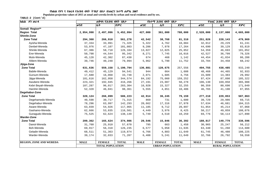**Populaion projection values of 2015 at zonal and wereda levels by urban and rural residence and by sex.**

| ክልል ዞን ወራዳ                     | ጠቅሳሳ የሕዝብ ብዛት በጾታ |                         |              |             | የከተማ ሕዝብ ብዛት በጾታ        |              | የንጠር ሕዝብ ብዛት በጾታ |                         |              |
|--------------------------------|-------------------|-------------------------|--------------|-------------|-------------------------|--------------|------------------|-------------------------|--------------|
|                                | ወንድ               | ቤት                      | ድምር          | ወንድ         | ሴት                      | ድምር          | ወንድ              | ሴት                      | ድምር          |
| Somali Region**                |                   |                         |              |             |                         |              |                  |                         |              |
| <b>Region Total</b>            | 2,954,998         | 2,497,996               | 5,452,994    | 427,000     | 361,000                 | 788,000      | 2,528,000        | 2,137,000               | 4,665,000    |
| Shinile-Zone                   |                   |                         |              |             |                         |              |                  |                         |              |
| <b>Zone Total</b>              | 294,368           | 266,910                 | 561,278      | 42,542      | 38,768                  | 81,310       | 251,826          | 228,143                 | 479,969      |
| Ayisha-Wereda                  | 37,334            | 33,991                  | 71,325       | 5,322       | 4,762                   | 10,084       | 32,012           | 29,229                  | 61,241       |
| Denbel-Wereda                  | 53,976            | 47,107                  | 101,083      | 9,286       | 7,978                   | 17,264       | 44,690           | 39,129                  | 83,819       |
| Shinile-Wereda                 | 67,386            | 58,718                  | 126,104      | 13,027      | 12,025                  | 25,052       | 54,359           | 46,693                  | 101,052      |
| Erer-Wereda                    | 50,798            | 44,544                  | 95,342       | 8,271       | 7,745                   | 16,016       | 42,527           | 36,799                  | 79,326       |
| Mulo-Wereda                    | 45,128            | 42,302                  | 87,430       | 674         | 468                     | 1,142        | 44,454           | 41,834                  | 86,288       |
| Afdem-Wereda                   | 39,746            | 40,248                  | 79,994       | 5,962       | 5,790                   | 11,752       | 33,784           | 34,458                  | 68,242       |
| Jijiga-Zone                    |                   |                         |              |             |                         |              |                  |                         |              |
| <b>Zone Total</b>              | 631,636           | 559,158                 | 1,190,794    | 136,881     | 120,675                 | 257,556      | 494,755          | 438,485                 | 933,240      |
| Babile-Wereda                  | 49,412            | 45,129                  | 94,541       | 944         | 664                     | 1,608        | 48,468           | 44,465                  | 92,933       |
| Gursum-Wereda                  | 17,680            | 16,068                  | 33,748       | 2,071       | 1,685                   | 3,756        | 15,609           | 14,383                  | 29,992       |
| Jijiga-Wereda                  | 181,616           | 162,958                 | 344,574      | 84,192      | 75,060                  | 159,252      | 97,424           | 87,898                  | 185,322      |
| Awubere-Wereda                 | 223,321           | 192,945                 | 416,266      | 27,191      | 23,087                  | 50,278       | 196,130          | 169,858                 | 365,988      |
| Kebri Beyah-Wereda             | 107,287           | 96,017                  | 203,304      | 16,928      | 15,327                  | 32,255       | 90,359           | 80,690                  | 171,049      |
| Harshin-Wereda                 | 52,320            | 46,041                  | 98,361       | 5,555       | 4,851                   | 10,406       | 46,765           | 41,190                  | 87,955       |
| Degehabur-Zone                 |                   |                         |              |             |                         |              |                  |                         |              |
| <b>Zone Total</b>              | 320,124           | 266,099                 | 586,223      | 42,914      | 36,245                  | 79,159       | 277,210          | 229,853                 | 507,063      |
| Degehamedo-Wereda              | 40,598            | 30,717                  | 71,315       | 869         | 731                     | 1,600        | 39,729           | 29,986                  | 69,715       |
| Degehabur-Wereda               | 78,296            | 63,997                  | 142,293      | 20,662      | 17,316                  | 37,978       | 57,634           | 46,681                  | 104,315      |
| Aware-Wereda                   | 63,039            | 54,926                  | 117,965      | 11,185      | 9,712                   | 20,897       | 51,854           | 45,214                  | 97,068       |
| Gashamo-Wereda                 | 62,666            | 53,835                  | 116,501      | 4,449       | 3,976                   | 8,425        | 58,217           | 49,859                  | 108,076      |
| Gunagudo-Wereda                | 75,525            | 62,624                  | 138,149      | 5,749       | 4,510                   | 10,259       | 69,776           | 58,114                  | 127,890      |
| <b>Warder-Zone</b>             |                   |                         |              |             |                         |              |                  |                         |              |
| <b>Zone Total</b>              | 209,362           | 165,624                 | 374,986      | 20,546      | 15,846                  | 36,392       | 188,817          | 149,779                 | 338,596      |
| Danot-Wereda                   | 31,760            | 25,910                  | 57,670       | 795         | 663                     | 1,458        | 30,965           | 25,247                  | 56,212       |
| Boh-Wereda                     | 69,917            | 56,318                  | 126,235      | 6,577       | 5,058                   | 11,635       | 63,340           | 51,260                  | 114,600      |
| Geladin-Wereda                 | 68,511            | 51,363                  | 119,874      | 6,766       | 4,883                   | 11,649       | 61,745           | 46,480                  | 108,225      |
| Warder-Wereda                  | 39,174            | 32,033                  | 71,207       | 6,408       | 5,241                   | 11,649       | 32,766           | 26,792                  | 59,558       |
| <b>REGION, ZONE AND WEREDA</b> | <b>MALE</b>       | <b>FEMALE</b>           | <b>TOTAL</b> | <b>MALE</b> | <b>FEMALE</b>           | <b>TOTAL</b> | <b>MALE</b>      | <b>FEMALE</b>           | <b>TOTAL</b> |
|                                |                   | <b>TOTAL POPULATION</b> |              |             | <b>URBAN POPULATION</b> |              |                  | <b>RURAL POPULATION</b> |              |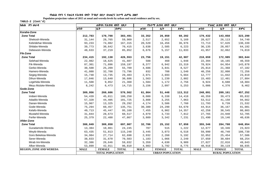**Populaion projection values of 2015 at zonal and wereda levels by urban and rural residence and by sex.**

| ክልል ዞን ወራዳ                     |             | ጠቅሳሳ የሕዝብ ብዛት በጾታ       |              |             | የከተማ ሕዝብ ብዛት በጾታ        |              |             | የንጠር ሕዝብ ብዛት በጾታ        |              |
|--------------------------------|-------------|-------------------------|--------------|-------------|-------------------------|--------------|-------------|-------------------------|--------------|
|                                | ወንድ         | ቤት                      | ድምር          | ወንድ         | ቤት                      | ድምር          | ወንድ         | ሴት                      | ድምር          |
| Korahe-Zone                    |             |                         |              |             |                         |              |             |                         |              |
| <b>Zone Total</b>              | 212,783     | 170,708                 | 383,491      | 33,352      | 26,850                  | 60,202       | 179,432     | 143,858                 | 323,290      |
| Shekosh-Wereda                 | 31,144      | 28,765                  | 59,909       | 2,517       | 2,652                   | 5,169        | 28,627      | 26,113                  | 54,740       |
| Kebridehar-Wereda              | 93,233      | 74,082                  | 167,315      | 20,520      | 16,456                  | 36,976       | 72,713      | 57,626                  | 130,339      |
| Shilabo-Wereda                 | 39,773      | 30,642                  | 70,415       | 3,638       | 2,585                   | 6,223        | 36,135      | 28,057                  | 64,192       |
| Debewoin-Wereda                | 48,633      | 37,219                  | 85,852       | 6,676       | 5,157                   | 11,833       | 41,957      | 32,062                  | 74,019       |
| <b>Fik-Zone</b>                |             |                         |              |             |                         |              |             |                         |              |
| <b>Zone Total</b>              | 234,415     | 192,138                 | 426,553      | 23,756      | 19,151                  | 42,907       | 210,659     | 172,985                 | 383,644      |
| Selehad-Wereda                 | 22,982      | 18,625                  | 41,607       | 588         | 460                     | 1,048        | 22,394      | 18,165                  | 40,559       |
| Fik-Wereda                     | 87,301      | 71,896                  | 159,197      | 8,377       | 6,942                   | 15,319       | 78,924      | 64,954                  | 143,878      |
| Gerbo-Wereda                   | 30,500      | 25,209                  | 55,709       | 4,686       | 3,841                   | 8,527        | 25,814      | 21,368                  | 47,182       |
| Hamero-Wereda                  | 41,088      | 32,708                  | 73,796       | 832         | 708                     | 1,540        | 40,256      | 32,000                  | 72,256       |
| Segeg-Wereda                   | 15,748      | 13,735                  | 29,483       | 2,971       | 2,693                   | 5,664        | 12,777      | 11,042                  | 23,819       |
| Dihun-Wereda                   | 17,046      | 13,640                  | 30,686       | 1,563       | 1,239                   | 2,802        | 15,483      | 12,401                  | 27,884       |
| Legehida-Wereda                | 11,508      | 9,852                   | 21,360       | 1,584       | 1,172                   | 2,756        | 9,924       | 8,680                   | 18,604       |
| Meyu Muluke-Wereda             | 8,242       | 6,473                   | 14,715       | 3,156       | 2,097                   | 5,253        | 5,086       | 4,376                   | 9,462        |
| Gode-Zone                      |             |                         |              |             |                         |              |             |                         |              |
| <b>Zone Total</b>              | 309,956     | 260,606                 | 570,562      | 61,864      | 51,448                  | 113,312      | 248,091     | 209,161                 | 457,252      |
| Imiberi-Wereda                 | 54,439      | 45,811                  | 100,250      | 8,080       | 6,338                   | 14,418       | 46,359      | 39,473                  | 85,832       |
| Adadilo-Wereda                 | 57,320      | 44,405                  | 101,725      | 3,808       | 3,255                   | 7,063        | 53,512      | 41,150                  | 94,662       |
| Danan-Wereda                   | 15,967      | 13,325                  | 29,292       | 4,174       | 3,586                   | 7,760        | 11,793      | 9,739                   | 21,532       |
| Gode-Wereda                    | 75,294      | 60,457                  | 135,751      | 30,380      | 24,290                  | 54,670       | 44,914      | 36,167                  | 81,081       |
| Kelafo-Wereda                  | 49,713      | 45,447                  | 95,160       | 7,455       | 6,902                   | 14,357       | 42,258      | 38,545                  | 80,803       |
| Mustahil-Wereda                | 31,844      | 28,673                  | 60,517       | 4,079       | 3,733                   | 7,812        | 27,765      | 24,940                  | 52,705       |
| Ferfer-Wereda                  | 25,379      | 22,488                  | 47,867       | 3,889       | 3,342                   | 7,231        | 21,490      | 19,146                  | 40,636       |
| Afder-Zone                     |             |                         |              |             |                         |              |             |                         |              |
| <b>Zone Total</b>              | 388,049     | 309,858                 | 697,907      | 32,706      | 25,152                  | 57,858       | 355,346     | 284,708                 | 640,054      |
| Guradamole-Wereda              | 13,384      | 10,861                  | 24,245       | 707         | 515                     | 1,222        | 12,677      | 10,346                  | 23,023       |
| Weyib-Wereda                   | 63,435      | 51,813                  | 115,248      | 3,445       | 3,073                   | 6,518        | 59,990      | 48,740                  | 108,730      |
| Goro Bekeksa-Wereda            | 34,984      | 27,714                  | 62,698       | 2,932       | 2,260                   | 5,192        | 32,052      | 25,454                  | 57,506       |
| Serer-Wereda                   | 38,833      | 31,670                  | 70,503       | 1,183       | 1,066                   | 2,249        | 37,650      | 30,604                  | 68,254       |
| Mirab Imi-Wereda               | 32,386      | 26,646                  | 59,032       | 5,359       | 4,630                   | 9,989        | 27,027      | 22,016                  | 49,043       |
| Afker-Wereda                   | 53,899      | 42,911                  | 96,810       | 4,983       | 3,792                   | 8,775        | 48,916      | 39,119                  | 88,035       |
| <b>REGION, ZONE AND WEREDA</b> | <b>MALE</b> | <b>FEMALE</b>           | <b>TOTAL</b> | <b>MALE</b> | <b>FEMALE</b>           | <b>TOTAL</b> | <b>MALE</b> | <b>FEMALE</b>           | <b>TOTAL</b> |
|                                |             | <b>TOTAL POPULATION</b> |              |             | <b>URBAN POPULATION</b> |              |             | <b>RURAL POPULATION</b> |              |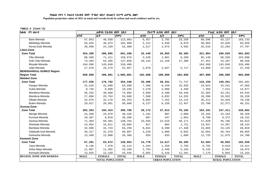**Populaion projection values of 2015 at zonal and wereda levels by urban and rural residence and by sex.**

| ክልል ዞን ወራዳ                      | ጠቅላሳ የሕዝብ ብዛት በጾታ |                         |              |             | <u>የከተማ ሕዝብ ብዛት በጾታ</u> |              | የንጠር ሕዝብ ብዛት በጾታ |                         |              |  |  |
|---------------------------------|-------------------|-------------------------|--------------|-------------|-------------------------|--------------|------------------|-------------------------|--------------|--|--|
|                                 | ወንድ               | ቤት                      | ድምር          | ወንድ         | ቤት                      | ድምር          | ወንድ              | ሴት                      | ድምር          |  |  |
| Bare-Wereda                     | 67,053            | 46,930                  | 113,983      | 6,457       | 3,793                   | 10,250       | 60,596           | 43,137                  | 103,733      |  |  |
| Bdolobay-Wereda                 | 56,025            | 46,974                  | 102,999      | 5,122       | 3,948                   | 9,070        | 50,903           | 43,026                  | 93,929       |  |  |
| Kersa Dula Wereda               | 28,050            | 24,339                  | 52,389       | 2,517       | 2,075                   | 4,592        | 25,533           | 22,264                  | 47,797       |  |  |
| Liben-Zone                      |                   |                         |              |             |                         |              |                  |                         |              |  |  |
| <b>Zone Total</b>               | 354,305           | 306,895                 | 661,200      | 32,440      | 26,865                  | 59,305       | 321,864          | 280,029                 | 601,893      |  |  |
| Filtu-Wereda                    | 88,568            | 71,411                  | 159,979      | 3,428       | 2,861                   | 6,289        | 85,140           | 68,550                  | 153,690      |  |  |
| Dolo Odo-Wereda                 | 73,493            | 64,365                  | 137,858      | 26,142      | 21,158                  | 47,300       | 47,351           | 43,207                  | 90,558       |  |  |
| Moyale-Wereda                   | 164,566           | 145,840                 | 310,406      |             |                         |              | 164,566          | 145,840                 | 310,406      |  |  |
| Udet-Wereda                     | 27,678            | 25,279                  | 52,957       | 2,870       | 2,847                   | 5,717        | 24,808           | 22,432                  | 47,240       |  |  |
| <b>BENISHANGUL-GUMUZ Region</b> |                   |                         |              |             |                         |              |                  |                         |              |  |  |
| <b>Region Total</b>             | 509,000           | 496,001                 | 1,005,001    | 102,000     | 100,000                 | 202,000      | 407,000          | 396,000                 | 803,000      |  |  |
| <b>Metekel Zone</b>             |                   |                         |              |             |                         |              |                  |                         |              |  |  |
| <b>Zone Total</b>               | 177,556           | 176,792                 | 354,348      | 35,406      | 36,341                  | 71,747       | 142,150          | 140,451                 | 282,601      |  |  |
| Dangur-Wereda                   | 31,610            | 31,890                  | 63,500       | 7,586       | 8,349                   | 15,935       | 24,024           | 23,541                  | 47,565       |  |  |
| Guba-Wereda                     | 9,726             | 9,609                   | 19,335       | 2,370       | 2,088                   | 4,458        | 7,356            | 7,521                   | 14,877       |  |  |
| Wenbera-Wereda                  | 36,332            | 38,660                  | 74,992       | 4,950       | 5,499                   | 10,449       | 31,382           | 33,161                  | 64,543       |  |  |
| Mandura-Wereda                  | 27,896            | 25,764                  | 53,660       | 7,500       | 6,832                   | 14,332       | 20,396           | 18,932                  | 39,328       |  |  |
| Dibate-Wereda                   | 42,075            | 42,178                  | 84,253       | 6,863       | 7,252                   | 14,115       | 35,212           | 34,926                  | 70,138       |  |  |
| Bulen-Wereda                    | 29,917            | 28,691                  | 58,608       | 6,137       | 6,320                   | 12,457       | 23,780           | 22,371                  | 46,151       |  |  |
| Asossa-Zone                     |                   |                         |              |             |                         |              |                  |                         |              |  |  |
| <b>Zone Total</b>               | 202,363           | 194,423                 | 396,786      | 39,172      | 37,013                  | 76,185       | 163,191          | 157,411                 | 320,602      |  |  |
| Menge-Wereda                    | 24,356            | 24,070                  | 48,426       | 1,191       | 907                     | 2,098        | 23,165           | 23,163                  | 46,328       |  |  |
| Kurmuk-Wereda                   | 10,387            | 9,819                   | 20,206       | 607         | 447                     | 1,054        | 9,780            | 9,372                   | 19,152       |  |  |
| Asossa-Wereda                   | 71,383            | 69,401                  | 140,784      | 23,555      | 22,616                  | 46,171       | 47,828           | 46,785                  | 94,613       |  |  |
| Sherkole-Wereda                 | 14,854            | 15,011                  | 29,865       | 917         | 804                     | 1,721        | 13,937           | 14,207                  | 28,144       |  |  |
| Bambasi-Wereda                  | 32,506            | 31,744                  | 64,250       | 8,841       | 8,599                   | 17,440       | 23,665           | 23,145                  | 46,810       |  |  |
| Odabuldi-Guli-Wereda            | 35,317            | 31,570                  | 66,887       | 3,226       | 2,806                   | 6,032        | 32,091           | 28,764                  | 60,855       |  |  |
| Homesha-Wereda                  | 13,560            | 12,808                  | 26,368       | 835         | 833                     | 1,668        | 12,725           | 11,975                  | 24,700       |  |  |
| Kemashi Zone                    |                   |                         |              |             |                         |              |                  |                         |              |  |  |
| <b>Zone Total</b>               | 67,281            | 63,672                  | 130,953      | 14,778      | 13,617                  | 28,395       | 52,503           | 50,055                  | 102,558      |  |  |
| Yaso-Wereda                     | 8,136             | 7,978                   | 16,114       | 1,344       | 1,359                   | 2,703        | 6,792            | 6,619                   | 13,411       |  |  |
| Sirba Abay-Wereda               | 11,887            | 11,382                  | 23,269       | 2,754       | 2,440                   | 5,194        | 9,133            | 8,942                   | 18,075       |  |  |
| Kemashi-Wereda                  | 13,025            | 12,420                  | 25,445       | 5,855       | 5,426                   | 11,281       | 7,170            | 6,994                   | 14,164       |  |  |
| <b>REGION, ZONE AND WEREDA</b>  | <b>MALE</b>       | <b>FEMALE</b>           | <b>TOTAL</b> | <b>MALE</b> | <b>FEMALE</b>           | <b>TOTAL</b> | <b>MALE</b>      | <b>FEMALE</b>           | <b>TOTAL</b> |  |  |
|                                 |                   | <b>TOTAL POPULATION</b> |              |             | <b>URBAN POPULATION</b> |              |                  | <b>RURAL POPULATION</b> |              |  |  |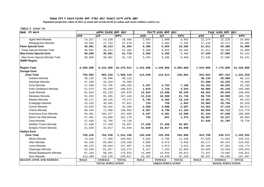**Populaion projection values of 2015 at zonal and wereda levels by urban and rural residence and by sex.**

| ክልል ዞን ወራዳ                     |             | ጠቅሳሳ የሕዝብ ብዛት           | 18才          |             | የከተማ ሕዝብ ብዛት በጾታ        |              |             | የንጠር ሕዝብ ብዛት በጾታ        |              |  |
|--------------------------------|-------------|-------------------------|--------------|-------------|-------------------------|--------------|-------------|-------------------------|--------------|--|
|                                | ወንድ         | ቤት                      | ድምር          | ወንድ         | ሴት                      | ድምር          | ወንድ         | ሴት                      | ድምር          |  |
| Agelo Meti-Wereda              | 14,317      | 14,138                  | 28,455       | 2,043       | 1,909                   | 3,952        | 12,274      | 12, 229                 | 24,503       |  |
| Belojegonfoy-Wereda            | 19,916      | 17,754                  | 37,670       | 2,782       | 2,483                   | 5,265        | 17,134      | 15,271                  | 32,405       |  |
| <b>Pawe Special Zone</b>       | 30,991      | 30,213                  | 61,204       | 9,380       | 9,825                   | 19,205       | 21,611      | 20,388                  | 41,999       |  |
| Pawe Special Wereda Total      | 30,991      | 30,213                  | 61,204       | 9,380       | 9,825                   | 19,205       | 21,611      | 20,388                  | 41,999       |  |
| <b>Mao Komo Special Zone</b>   | 30,809      | 30,901                  | 61,710       | 3,264       | 3,205                   | 6,469        | 27,545      | 27,696                  | 55,241       |  |
| Mao Komo Special Wereda Total  | 30,809      | 30,901                  | 61,710       | 3,264       | 3,205                   | 6,469        | 27,545      | 27,696                  | 55,241       |  |
| <b>SNNP Region</b>             |             |                         |              |             |                         |              |             |                         |              |  |
| <b>Region Total</b>            | 9,060,006   | 9,216,006               | 18,276,012   | 1,416,000   | 1,440,000               | 2,856,000    | 7,644,000   | 7,776,000               | 15,420,000   |  |
| Gurage-Zone                    |             |                         |              |             |                         |              |             |                         |              |  |
| <b>Zone Total</b>              | 756,882     | 803,228                 | 1,560,110    | 113,040     | 115,814                 | 228,854      | 643,843     | 687,415                 | 1,331,258    |  |
| Kebena-Wereda                  | 30,135      | 29,988                  | 60,123       |             |                         |              | 30,135      | 29,988                  | 60,123       |  |
| Abeshge-Wereda                 | 37,280      | 33,229                  | 70,509       |             |                         |              | 37,280      | 33,229                  | 70,509       |  |
| Ezha-Wereda                    | 47,500      | 52,795                  | 100,295      | 3,337       | 3,763                   | 7,100        | 44,163      | 49,032                  | 93,195       |  |
| Kokir Gedabano-Wereda          | 51,675      | 56,948                  | 108,623      | 1,815       | 1,728                   | 3,543        | 49,860      | 55,220                  | 105,080      |  |
| Sodo-Wereda                    | 81,843      | 83,233                  | 165,076      | 12,642      | 13,588                  | 26,230       | 69,201      | 69,645                  | 138,846      |  |
| Mesekan-Wereda                 | 91,953      | 95,495                  | 187,448      | 11,210      | 10,500                  | 21,710       | 80,743      | 84,995                  | 165,738      |  |
| Mareko-Wereda                  | 40,117      | 39,155                  | 79,272       | 6,736       | 6,383                   | 13,119       | 33,381      | 32,772                  | 66,153       |  |
| Endegagn-Wereda                | 26,526      | 30,495                  | 57,021       | 724         | 739                     | 1,463        | 25,802      | 29,756                  | 55,558       |  |
| Gumer-Wereda                   | 44,043      | 50,226                  | 94,269       | 2,589       | 3,008                   | 5,597        | 41,454      | 47,218                  | 88,672       |  |
| Cheha-Wereda                   | 68,445      | 71,508                  | 139,953      | 8,387       | 8,796                   | 17,183       | 60,058      | 62,712                  | 122,770      |  |
| Enemorna Ener-Wereda           | 93,361      | 104,227                 | 197,588      | 6,197       | 6,391                   | 12,588       | 87,164      | 97,836                  | 185,000      |  |
| Muhor Na Aklil-Wereda          | 47,402      | 53,868                  | 101,270      | 735         | 641                     | 1,376        | 46,667      | 53,227                  | 99,894       |  |
| Geta-Wereda                    | 37,935      | 41,785                  | 79,720       |             |                         |              | 37,935      | 41,785                  | 79,720       |  |
| Welkite /Town/-Wereda          | 27,638      | 27,459                  | 55,097       | 27,638      | 27,459                  | 55,097       |             |                         |              |  |
| Butajira /Town/-Wereda         | 31,029      | 32,817                  | 63,846       | 31,029      | 32,817                  | 63,846       |             |                         |              |  |
| Hadiya-Zone                    |             |                         |              |             |                         |              |             |                         |              |  |
| <b>Zone Total</b>              | 750,410     | 764,938                 | 1,515,348    | 126,630     | 129,366                 | 255,996      | 623,780     | 635,572                 | 1,259,352    |  |
| Misha-Wereda                   | 73,262      | 77,399                  | 150,661      | 5,634       | 5,706                   | 11,340       | 67,628      | 71,693                  | 139,321      |  |
| Gibe-Wereda                    | 64,156      | 65,094                  | 129,250      | 4,985       | 4,673                   | 9,658        | 59,171      | 60,421                  | 119,592      |  |
| Lemo-Wereda                    | 68,123      | 69,564                  | 137,687      | 1,940       | 1,973                   | 3,913        | 66,183      | 67,591                  | 133,774      |  |
| Shashago-Wereda                | 63,346      | 61,927                  | 125,273      | 8,317       | 7,333                   | 15,650       | 55,029      | 54,594                  | 109,623      |  |
| Misrak Badawacho-Wereda        | 87,333      | 88,491                  | 175,824      | 14,886      | 14,926                  | 29,812       | 72,447      | 73,565                  | 146,012      |  |
| Soro-Wereda                    | 114,489     | 115,128                 | 229,617      | 16,282      | 15,938                  | 32,220       | 98,207      | 99,190                  | 197,397      |  |
| <b>REGION, ZONE AND WEREDA</b> | <b>MALE</b> | <b>FEMALE</b>           | <b>TOTAL</b> | <b>MALE</b> | <b>FEMALE</b>           | <b>TOTAL</b> | <b>MALE</b> | <b>FEMALE</b>           | <b>TOTAL</b> |  |
|                                |             | <b>TOTAL POPULATION</b> |              |             | <b>URBAN POPULATION</b> |              |             | <b>RURAL POPULATION</b> |              |  |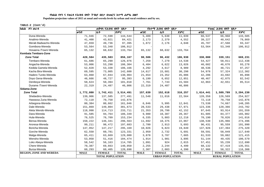**Populaion projection values of 2015 at zonal and wereda levels by urban and rural residence and by sex.**

| ክልል ዞን ወራዳ                     |             | ጠቅሳሳ የሕዝብ ብዛት በጾታ       |              |                   | የከተማ ሕዝብ ብዛት በጾታ        |              |             | የንጠር ሕዝብ ብዛት በጾታ        |              |  |  |
|--------------------------------|-------------|-------------------------|--------------|-------------------|-------------------------|--------------|-------------|-------------------------|--------------|--|--|
|                                | ወንድ         | ቤት                      | ድምር          | ወንድ               | ቤት                      | ድምር          | ወንድ         | ቤት                      | ድምር          |  |  |
| Duna-Wereda                    | 71,946      | 72,598                  | 144,544      | 5,409             | 5,630                   | 11,039       | 66,537      | 66,968                  | 133,505      |  |  |
| Analimo-Wereda                 | 41,400      | 43,021                  | 84,421       | 2,173             | 2,379                   | 4,552        | 39,227      | 40,642                  | 79,869       |  |  |
| Merab Badwacho-Wereda          | 47,659      | 49,736                  | 97,395       | 1,872             | 2,176                   | 4,048        | 45,787      | 47,560                  | 93,347       |  |  |
| Gomibora-Wereda                | 53,564      | 53,348                  | 106,912      |                   |                         |              | 53,564      | 53,348                  | 106,912      |  |  |
| Hosaena /Town/-Wereda          | 65,132      | 68,632                  | 133,764      | 65,132            | 68,632                  | 133,764      |             |                         |              |  |  |
| Kembata Tembaro-Zone           |             |                         |              |                   |                         |              |             |                         |              |  |  |
| <b>Zone Total</b>              | 420,584     | 435,583                 | 856,167      | 90,506            | 96,432                  | 186,938      | 330,080     | 339,151                 | 669,231      |  |  |
| Tembaro-Wereda                 | 61,686      | 65,290                  | 126,976      | 7,259             | 7,279                   | 14,538       | 54,427      | 58,011                  | 112,438      |  |  |
| Angacha-Wereda                 | 53,006      | 53,298                  | 106,304      | $\,$ 6 , 404 $\,$ | 6,622                   | 13,026       | 46,602      | 46,676                  | 93,278       |  |  |
| Kedida Gamela-Wereda           | 52,828      | 53,338                  | 106,166      | 4,292             | 4,617                   | 8,909        | 48,536      | 48,721                  | 97,257       |  |  |
| Kacha Bira-Wereda              | 69,595      | 73,005                  | 142,600      | 14,617            | 15,681                  | 30,298       | 54,978      | 57,324                  | 112,302      |  |  |
| Hadero Tunito-Wereda           | 63,860      | 67,044                  | 130,904      | 21,654            | 23,352                  | 45,006       | 42,206      | 43,692                  | 85,898       |  |  |
| Doyo Gena-Wereda               | 46,666      | 48,727                  | 95,393       | 6,199             | 6,652                   | 12,851       | 40,467      | 42,075                  | 82,542       |  |  |
| Deniboya-Wereda                | 50,624      | 50,394                  | 101,018      | 7,761             | 7,743                   | 15,504       | 42,863      | 42,651                  | 85,514       |  |  |
| Durame /Town/-Wereda           | 22,319      | 24,487                  | 46,806       | 22,319            | 24,487                  | 46,806       |             |                         |              |  |  |
| Sidama-Zone                    |             |                         |              |                   |                         |              |             |                         |              |  |  |
| <b>Zone Total</b>              | 1,772,080   | 1,742,411               | 3,514,491    | 157,639           | 152,618                 | 310,257      | 1,614,441   | 1,589,789               | 3,204,230    |  |  |
| Shebedino-Wereda               | 139,906     | 137,585                 | 277,491      | 11,548            | 11,016                  | 22,564       | 128,358     | 126,569                 | 254,927      |  |  |
| Hawassa Zuria-Wereda           | 72,118      | 70,758                  | 142,876      |                   |                         |              | 72,118      | 70,758                  | 142,876      |  |  |
| Arbegona-Wereda                | 80,384      | 80,662                  | 161,046      | 6,846             | 5,995                   | 12,841       | 73,538      | 74,667                  | 148,205      |  |  |
| Dale-Wereda                    | 151,869     | 149,804                 | 301,673      | 28,533            | 29,438                  | 57,971       | 123,336     | 120,366                 | 243,702      |  |  |
| Aleta Wendo-Wereda             | 118,998     | 114,713                 | 233,711      | 21,353            | 20,799                  | 42,152       | 97,645      | 93,914                  | 191,559      |  |  |
| Dara-Wereda                    | 91,585      | 94,764                  | 186,349      | 9,980             | 10,387                  | 20,367       | 81,605      | 84,377                  | 165,982      |  |  |
| Hula-Wereda                    | 76,525      | 76,709                  | 153,234      | 6,335             | 5,883                   | 12,218       | 70,190      | 70,826                  | 141,016      |  |  |
| Bensa-Wereda                   | 150,222     | 146,341                 | 296,563      | 11,692            | 10,375                  | 22,067       | 138,530     | 135,966                 | 274,496      |  |  |
| Aroresa-Wereda                 | 99,211      | 98,472                  | 197,683      | 2,780             | 2,913                   | 5,693        | 96,431      | 95,559                  | 191,990      |  |  |
| Boricha-Wereda                 | 147,952     | 147,217                 | 295,169      | 10,026            | 9,823                   | 19,849       | 137,926     | 137,394                 | 275,320      |  |  |
| Gorche-Wereda                  | 62,550      | 60,781                  | 123,331      | 2,959             | 2,732                   | 5,691        | 59,591      | 58,049                  | 117,640      |  |  |
| Malga-Wereda                   | 65,411      | 63,669                  | 129,080      | 3,878             | 3,787                   | 7,665        | 61,533      | 59,882                  | 121,415      |  |  |
| Wensho-Wereda                  | 53,058      | 51,416                  | 104,474      | 1,914             | 1,981                   | 3,895        | 51,144      | 49,435                  | 100,579      |  |  |
| Loko Abeya-Wereda              | 58,542      | 56,163                  | 114,705      | 1,091             | 924                     | 2,015        | 57,451      | 55,239                  | 112,690      |  |  |
| Chere-Wereda                   | 70,387      | 69,663                  | 140,050      | 2,255             | 2,244                   | 4,499        | 68,132      | 67,419                  | 135,551      |  |  |
| Bursa-Wereda                   | 60,293      | 60,405                  | 120,698      | 2,307             | 2,083                   | 4,390        | 57,986      | 58,322                  | 116,308      |  |  |
| <b>REGION, ZONE AND WEREDA</b> | <b>MALE</b> | <b>FEMALE</b>           | <b>TOTAL</b> | <b>MALE</b>       | <b>FEMALE</b>           | <b>TOTAL</b> | <b>MALE</b> | <b>FEMALE</b>           | <b>TOTAL</b> |  |  |
|                                |             | <b>TOTAL POPULATION</b> |              |                   | <b>URBAN POPULATION</b> |              |             | <b>RURAL POPULATION</b> |              |  |  |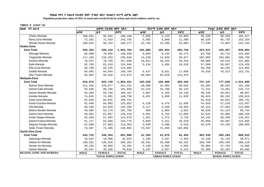**Populaion projection values of 2015 at zonal and wereda levels by urban and rural residence and by sex.**

| ክልል ዞን ወራዳ                     |             | ጠቅሳሳ የሕዝብ ብዛት በጾታ       |              |             | የከተማ ሕዝብ ብዛት በጾታ        |              |             | የንጠር ሕዝብ ብዛት በጾታ        |              |
|--------------------------------|-------------|-------------------------|--------------|-------------|-------------------------|--------------|-------------|-------------------------|--------------|
|                                | ወንድ         | ቤት                      | ድምር          | ወንድ         | ቤት                      | ድምር          | ወንድ         | ቤት                      | ድምር          |
| Cheko-Wereda                   | 100,834     | 95,502                  | 196,336      | 5,666       | 5,143                   | 10,809       | 95,168      | 90,359                  | 185,527      |
| Bona Zuria-Wereda              | 72,202      | 71,543                  | 143,745      | 5,682       | 5,808                   | 11,490       | 66,520      | 65,735                  | 132,255      |
| Wendo Genet-Wereda             | 100,033     | 96,244                  | 196,277      | 22,794      | 21,289                  | 44,083       | 77,239      | 74,955                  | 152,194      |
| Gedeo-Zone                     |             |                         |              |             |                         |              |             |                         |              |
| <b>Zone Total</b>              | 526,354     | 528,410                 | 1,054,764    | 102,805     | 102,954                 | 205,759      | 423,547     | 425,457                 | 849,004      |
| Wenago-Wereda                  | 69,808      | 70,850                  | 140,658      | 8,040       | 8,135                   | 16,175       | 61,768      | 62,715                  | 124,483      |
| Yirgachefe-Wereda              | 117,193     | 118,453                 | 235,646      | 14,228      | 14,649                  | 28,877       | 102,965     | 103,804                 | 206,769      |
| Kochire-Wereda                 | 78,073      | 79,785                  | 157,858      | 10,013      | 10,243                  | 20,256       | 68,060      | 69,542                  | 137,602      |
| Bule-Wereda                    | 62,703      | 62,243                  | 124,946      | 5,134       | 5,386                   | 10,520       | 57,569      | 56,857                  | 114,426      |
| Dila Zuria-Wereda              | 56,768      | 56,225                  | 112,993      |             |                         |              | 56,768      | 56,225                  | 112,993      |
| Gedeb-Wereda                   | 84,845      | 84,944                  | 169,789      | 8,427       | 8,631                   | 17,058       | 76,418      | 76,313                  | 152,731      |
| Dila /Town/-Wereda             | 56,964      | 55,910                  | 112,874      | 56,964      | 55,910                  | 112,874      |             |                         |              |
| <b>Wolayita-Zone</b>           |             |                         |              |             |                         |              |             |                         |              |
| <b>Zone Total</b>              | 910,672     | 943,749                 | 1,854,421    | 163,526     | 165,900                 | 329,426      | 747,147     | 777,848                 | 1,524,995    |
| Boloso Sore-Wereda             | 121,554     | 129,677                 | 251,231      | 28,960      | 31,085                  | 60,045       | 92,594      | 98,592                  | 191,186      |
| Damot Gale-Wereda              | 93,646      | 98,189                  | 191,835      | 22,415      | 23,708                  | 46,123       | 71,231      | 74,481                  | 145,712      |
| Damot Woyide-Wereda            | 53,393      | 55,794                  | 109,187      | 4,967       | 5,163                   | 10,130       | 48,426      | 50,631                  | 99,057       |
| Humbo-Wereda                   | 74,645      | 74,091                  | 148,736      | 6,021       | 5,899                   | 11,920       | 68,624      | 68,192                  | 136,816      |
| Sodo Zuria-Wereda              | 91,910      | 94,831                  | 186,741      |             |                         |              | 91,910      | 94,831                  | 186,741      |
| Kindo Koyisha-Wereda           | 61,049      | 64,003                  | 125,052      | 6,120       | 6,475                   | 12,595       | 54,929      | 57,528                  | 112,457      |
| Ofa-Wereda                     | 60,430      | 62,929                  | 123,359      | 5,117       | 5,246                   | 10,363       | 55,313      | 57,683                  | 112,996      |
| Boloso Bonibe-Wereda           | 49,586      | 52,179                  | 101,765      | 966         | 1,055                   | 2,021        | 48,620      | 51,124                  | 99,744       |
| Damot Sore-Wereda              | 58,562      | 61,657                  | 120,219      | 5,931       | 5,752                   | 11,683       | 52,631      | 55,905                  | 108,536      |
| Kindo Didaye-Wereda            | 55,493      | 57,583                  | 113,076      | 1,351       | 1,374                   | 2,725        | 54,142      | 56,209                  | 110,351      |
| Damot Pulasa-Wereda            | 61,117      | 63,658                  | 124,775      | 5,059       | 5,151                   | 10,210       | 56,058      | 58,507                  | 114,565      |
| Deguna Fanigo-Wereda           | 55,690      | 57,663                  | 113,353      | 3,020       | 3,498                   | 6,518        | 52,670      | 54,165                  | 106,835      |
| Sodo /Town/-Wereda             | 73,597      | 71,495                  | 145,092      | 73,597      | 71,495                  | 145,092      |             |                         |              |
| South Omo-Zone                 |             |                         |              |             |                         |              |             |                         |              |
| <b>Zone Total</b>              | 344,722     | 346,364                 | 691,086      | 41,383      | 41,079                  | 82,462       | 303,338     | 305,284                 | 608,622      |
| Selamago-Wereda                | 16,624      | 16,300                  | 32,924       | 1,186       | 1,167                   | 2,353        | 15,438      | 15,133                  | 30,571       |
| Debub Ari-Wereda               | 130,251     | 135,010                 | 265,261      | 29,542      | 29,590                  | 59,132       | 100,709     | 105,420                 | 206,129      |
| Semen Ari-Wereda               | 39,132      | 40,069                  | 79,201       | 2,138       | 2,365                   | 4,503        | 36,994      | 37,704                  | 74,698       |
| Hamer-Wereda                   | 35,547      | 35,269                  | 70,816       | 3,187       | 2,937                   | 6,124        | 32,360      | 32,332                  | 64,692       |
| <b>REGION, ZONE AND WEREDA</b> | <b>MALE</b> | <b>FEMALE</b>           | <b>TOTAL</b> | <b>MALE</b> | <b>FEMALE</b>           | <b>TOTAL</b> | <b>MALE</b> | <b>FEMALE</b>           | <b>TOTAL</b> |
|                                |             | <b>TOTAL POPULATION</b> |              |             | <b>URBAN POPULATION</b> |              |             | <b>RURAL POPULATION</b> |              |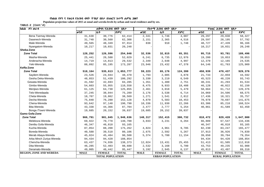**Populaion projection values of 2015 at zonal and wereda levels by urban and rural residence and by sex.**

| ክልል ዞን ወራዳ                     |             | ጠቅሳሳ የሕዝብ ብዛት በጾታ       |              |             | የከተማ ሕዝብ ብዛት በጾታ        |              |             | የንጠር ሕዝብ ብዛት በጾታ        |              |
|--------------------------------|-------------|-------------------------|--------------|-------------|-------------------------|--------------|-------------|-------------------------|--------------|
|                                | ወንድ         | ቤት                      | ድምር          | ወንድ         | ቤት                      | ድምር          | ወንድ         | ቤት                      | ድምር          |
| Bena Tsemay-Wereda             | 31,638      | 30,776                  | 62,414       | 2,341       | 1,746                   | 4,087        | 29,297      | 29,030                  | 58,327       |
| Dasenech-Wereda                | 31,748      | 30,560                  | 62,308       | 2,151       | 2,365                   | 4,516        | 29,597      | 28,195                  | 57,792       |
| Male-Wereda                    | 49,565      | 48,349                  | 97,914       | 838         | 910                     | 1,748        | 48,727      | 47,439                  | 96,166       |
| Nyangatom-Wereda               | 10,217      | 10,031                  | 20,248       |             |                         |              | 10,217      | 10,031                  | 20,248       |
| Sheka-Zone                     |             |                         |              |             |                         |              |             |                         |              |
| <b>Zone Total</b>              | 128,252     | 126,596                 | 254,848      | 32,536      | 32,815                  | 65,351       | 95,715      | 93,781                  | 189,496      |
| Masha-Wereda                   | 25,441      | 26,588                  | 52,029       | 6,241       | 6,735                   | 12,976       | 19,200      | 19,853                  | 39,053       |
| Anderacha-Wereda               | 14,719      | 14,813                  | 29,532       | 2,349       | 2,648                   | 4,997        | 12,370      | 12,165                  | 24,535       |
| Yeki-Wereda                    | 88,092      | 85,195                  | 173,287      | 23,946      | 23,432                  | 47,378       | 64,146      | 61,763                  | 125,909      |
| Keffa-Zone                     |             |                         |              |             |                         |              |             |                         |              |
| <b>Zone Total</b>              | 518,164     | 535,613                 | 1,053,777    | 59,223      | 65,176                  | 124,399      | 458,939     | 470,437                 | 929,376      |
| Sayilem-Wereda                 | 23,526      | 24,944                  | 48,470       | 1,793       | 2,085                   | 3,878        | 21,733      | 22,859                  | 44,592       |
| Gesha Deka-Wereda              | 48,853      | 51,439                  | 100,292      | 3,330       | 3,219                   | 6,549        | 45,523      | 48,220                  | 93,743       |
| Gewata-Wereda                  | 41,592      | 42,693                  | 84,285       | 1,351       | 1,400                   | 2,751        | 40,241      | 41,293                  | 81,534       |
| Gimbo-Wereda                   | 54,603      | 55,955                  | 110,558      | 8,475       | 9,933                   | 18,408       | 46,128      | 46,022                  | 92,150       |
| Menjiwo-Wereda                 | 61,125      | 64,730                  | 125,855      | 2,461       | 3,018                   | 5,479        | 58,664      | 61,712                  | 120,376      |
| Telo-Weredaada                 | 37,245      | 38,044                  | 75,289       | 3,176       | 3,538                   | 6,714        | 34,069      | 34,506                  | 68,575       |
| Cheta-Wereda                   | 18,707      | 19,862                  | 38,569       | 1,271       | 1,541                   | 2,812        | 17,436      | 18,321                  | 35,757       |
| Decha-Wereda                   | 75,848      | 76,280                  | 152,128      | 4,870       | 5,583                   | 10,453       | 70,978      | 70,697                  | 141,675      |
| Chena-Wereda                   | 93,642      | 97,148                  | 190,790      | 10,336      | 11,930                  | 22,266       | 83,306      | 85,218                  | 168,524      |
| Bita-Wereda                    | 43,338      | 44,366                  | 87,704       | 2,477       | 2,777                   | 5,254        | 40,861      | 41,589                  | 82,450       |
| Bonga /Town/-Wereda            | 19,685      | 20,152                  | 39,837       | 19,685      | 20,152                  | 39,837       |             |                         |              |
| Gamo Gofa-Zone                 |             |                         |              |             |                         |              |             |                         |              |
| <b>Zone Total</b>              | 966,791     | 981,845                 | 1,948,636    | 148,317     | 152,415                 | 300,732      | 818,472     | 829,428                 | 1,647,900    |
| Melekoza-Wereda                | 69,922      | 70,778                  | 140,700      | 3,033       | 3,231                   | 6,264        | 66,889      | 67,547                  | 134,436      |
| Denibu Gofa-Wereda             | 46,347      | 46,818                  | 93,165       |             |                         |              | 46,347      | 46,818                  | 93,165       |
| Kucha-Wereda                   | 87,054      | 88,208                  | 175,262      | 4,824       | 4,961                   | 9,785        | 82,230      | 83,247                  | 165,477      |
| Boreda-Wereda                  | 40,588      | 39,518                  | 80,106       | 2,675       | 2,592                   | 5,267        | 37,913      | 36,926                  | 74,839       |
| Merab Abaya-Wereda             | 45,024      | 45,484                  | 90,508       | 5,374       | 5,780                   | 11,154       | 39,650      | 39,704                  | 79,354       |
| Arba Minch Zuriya-Wereda       | 94,434      | 94,420                  | 188,854      |             |                         |              | 94,434      | 94,420                  | 188,854      |
| Chencha-Wereda                 | 63,437      | 74,936                  | 138,373      | 12,024      | 13,431                  | 25,455       | 51,413      | 61,505                  | 112,918      |
| Dita-Wereda                    | 46,285      | 52,403                  | 98,688       | 2,532       | 3,168                   | 5,700        | 43,753      | 49,235                  | 92,988       |
| Deramalo-Wereda                | 49,005      | 46,442                  | 95,447       | 3,192       | 2,945                   | 6,137        | 45,813      | 43,497                  | 89,310       |
| <b>REGION, ZONE AND WEREDA</b> | <b>MALE</b> | <b>FEMALE</b>           | <b>TOTAL</b> | <b>MALE</b> | <b>FEMALE</b>           | <b>TOTAL</b> | <b>MALE</b> | <b>FEMALE</b>           | <b>TOTAL</b> |
|                                |             | <b>TOTAL POPULATION</b> |              |             | <b>URBAN POPULATION</b> |              |             | <b>RURAL POPULATION</b> |              |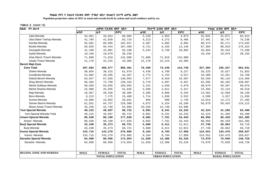**Populaion projection values of 2015 at zonal and wereda levels by urban and rural residence and by sex.**

| ክልል ዞን ወራዳ                     |             | ጠቅላሳ የሕዝብ ብዛት በጾታ       |              |             | የከተማ ሕዝብ ብዛት በጾታ        |              |             | የንጠር ሕዝብ ብዛት በጾታ        |              |
|--------------------------------|-------------|-------------------------|--------------|-------------|-------------------------|--------------|-------------|-------------------------|--------------|
|                                | ወንድ         | ቤት                      | ድምር          | ወንድ         | ቤት                      | ድምር          | ወንድ         | ሴት                      | ድምር          |
| Zala-Wereda                    | 43,961      | 43,024                  | 86,985       | 2,120       | 1,953                   | 4,073        | 41,841      | 41,071                  | 82,912       |
| Uba Debre Tsehay-Wereda        | 41,704      | 41,020                  | 82,724       | 4,213       | 4,273                   | 8,486        | 37,491      | 36,747                  | 74,238       |
| Kemba-Wereda                   | 92,681      | 89,956                  | 182,637      | 4,307       | 4,685                   | 8,992        | 88,374      | 85,271                  | 173,645      |
| Bonke-Wereda                   | 93,025      | 94,444                  | 187,469      | 5,721       | 6,425                   | 12,146       | 87,304      | 88,019                  | 175,323      |
| Gezegofa-Wereda                | 41,109      | 42,081                  | 83,190       | 5,244       | 5,738                   | 10,982       | 35,865      | 36,343                  | 72,208       |
| Ayida-Wereda                   | 19,156      | 19,079                  | 38,235       |             |                         |              | 19,156      | 19,079                  | 38,235       |
| Arba Minch /Town/-Wereda       | 71,889      | 71,019                  | 142,908      | 71,889      | 71,019                  | 142,908      |             |                         |              |
| Sawla /Town/-Wereda            | 21,170      | 22,215                  | 43,385       | 21,170      | 22,215                  | 43,385       |             |                         |              |
| <b>Bench Maji-Zone</b>         |             |                         |              |             |                         |              |             |                         |              |
| <b>Zone Total</b>              | 397,804     | 408,577                 | 806,381      | 70,499      | 73,249                  | 143,748      | 327,304     | 335,327                 | 662,631      |
| Sheko-Wereda                   | 30,664      | 30,415                  | 61,079       | 4,439       | 4,788                   | 9,227        | 26,225      | 25,627                  | 51,852       |
| Guraferda-Wereda               | 24,082      | 20,205                  | 44,287       | 4,773       | 4,754                   | 9,527        | 19,309      | 15,451                  | 34,760       |
| Debub Bench-Wereda             | 63,927      | 67,026                  | 130,953      | 7,677       | 8,910                   | 16,587       | 56,250      | 58,116                  | 114,366      |
| Shay Bench-Wereda              | 66,365      | 72,799                  | 139,164      | 3,770       | 4,697                   | 8,467        | 62,595      | 68,102                  | 130,697      |
| Meinit Goldeya-Wereda          | 50,920      | 53,035                  | 103,955      | 2,241       | 2,638                   | 4,879        | 48,679      | 50,397                  | 99,076       |
| Meinit Shasha-Wereda           | 25,900      | 25,935                  | 51,835       | 2,506       | 2,811                   | 5,317        | 23,394      | 23,124                  | 46,518       |
| Maji-Wereda                    | 18,957      | 20,428                  | 39,385       | 4,395       | 4,860                   | 9,255        | 14,562      | 15,568                  | 30,130       |
| Bero-Wereda                    | 8,313       | 7,175                   | 15,488       | 1,714       | 1,838                   | 3,552        | 6,599       | 5,337                   | 11,936       |
| Surma-Wereda                   | 13,869      | 15,062                  | 28,931       | 856         | 890                     | 1,746        | 13,013      | 14,172                  | 27,185       |
| Semen Bench-Wereda             | 61,551      | 64,757                  | 126,308      | 4,872       | 5,324                   | 10,196       | 56,679      | 59,433                  | 116,112      |
| Mizan Aman /Town/-Wereda       | 33,256      | 31,740                  | 64,996       | 33,256      | 31,740                  | 64,996       |             |                         |              |
| Yem Special Wereda             | 49,215      | 49,507                  | 98,722       | 6,991       | 8,241                   | 15,232       | 42,224      | 41,266                  | 83,490       |
| Yem Special Wereda Total       | 49,215      | 49,507                  | 98,722       | 6,991       | 8,241                   | 15,232       | 42,224      | 41,266                  | 83,490       |
| <b>Amaro Special Wereda</b>    | 89,638      | 88,190                  | 177,828      | 8,682       | 7,761                   | 16,443       | 80,956      | 80,429                  | 161,385      |
| Amaro - Wereda                 | 89,638      | 88,190                  | 177,828      | 8,682       | 7,761                   | 16,443       | 80,956      | 80,429                  | 161,385      |
| <b>Burji Special Wereda</b>    | 33,348      | 35,373                  | 68,721       | 5,600       | 6,411                   | 12,011       | 27,748      | 28,962                  | 56,710       |
| Burji-Wereda                   | 33,348      | 35,373                  | 68,721       | 5,600       | 6,411                   | 12,011       | 27,748      | 28,962                  | 56,710       |
| Konso Special Wereda           | 133,715     | 143,270                 | 276,985      | 9,164       | 8,794                   | 17,958       | 124,551     | 134,476                 | 259,027      |
| Konso - Wereda                 | 133,715     | 143,270                 | 276,985      | 9,164       | 8,794                   | 17,958       | 124,551     | 134,476                 | 259,027      |
| Derashe Special Wereda         | 84,998      | 88,956                  | 173,954      | 11,920      | 13,306                  | 25,226       | 73,078      | 75,650                  | 148,728      |
| Derashe - Wereda               | 84,998      | 88,956                  | 173,954      | 11,920      | 13,306                  | 25,226       | 73,078      | 75,650                  | 148,728      |
|                                |             |                         |              |             |                         |              |             |                         |              |
| <b>REGION, ZONE AND WEREDA</b> | <b>MALE</b> | <b>FEMALE</b>           | <b>TOTAL</b> | <b>MALE</b> | <b>FEMALE</b>           | <b>TOTAL</b> | <b>MALE</b> | <b>FEMALE</b>           | <b>TOTAL</b> |
|                                |             | <b>TOTAL POPULATION</b> |              |             | <b>URBAN POPULATION</b> |              |             | <b>RURAL POPULATION</b> |              |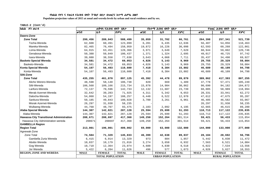**Populaion projection values of 2015 at zonal and wereda levels by urban and rural residence and by sex.**

| ክልል ዞን ወራዳ                                      |             | ጠቅሳሳ የሕዝብ ብዛት በጾታ       |              |             | የከተማ ሕዝብ ብዛት በጾታ        |              |             | የንጠር ሕዝብ ብዛት በጾታ        |              |
|-------------------------------------------------|-------------|-------------------------|--------------|-------------|-------------------------|--------------|-------------|-------------------------|--------------|
|                                                 | ወንድ         | ቤት                      | ድምር          | ወንድ         | ቤት                      | ድምር          | ወንድ         | ቤት                      | ድምር          |
| Dawro-Zone                                      |             |                         |              |             |                         |              |             |                         |              |
| <b>Zone Total</b>                               | 299,456     | 289,043                 | 588,499      | 35,059      | 31,702                  | 66,761       | 264,398     | 257,341                 | 521,739      |
| Tocha-Wereda                                    | 62,608      | 60,491                  | 123,099      | 6,201       | 6,435                   | 12,636       | 56,407      | 54,056                  | 110,463      |
| Mareka-Wereda                                   | 82,465      | 76,494                  | 158,959      | 19,872      | 16,226                  | 36,098       | 62,593      | 60,268                  | 122,861      |
| Loma-Wereda                                     | 64,915      | 63,451                  | 128,366      | 3,971       | 3,649                   | 7,620        | 60,944      | 59,802                  | 120,746      |
| Genabosa-Wereda                                 | 50,388      | 50,049                  | 100,437      | 1,371       | 1,324                   | 2,695        | 49,017      | 48,725                  | 97,742       |
| Isara-Wereda                                    | 39,080      | 38,558                  | 77,638       | 3,643       | 4,068                   | 7,711        | 35,437      | 34,490                  | 69,927       |
| <b>Basketo Special Wereda</b>                   | 34,581      | 34,472                  | 69,053       | 4,826       | 5,143                   | 9,969        | 29,755      | 29,329                  | 59,084       |
| Basketo-Wereda                                  | 34,581      | 34,472                  | 69,053       | 4,826       | 5,143                   | 9,969        | 29,755      | 29,329                  | 59,084       |
| Konta Special Wereda                            | 54,107      | 56,493                  | 110,600      | 7,418       | 8,384                   | 15,802       | 46,689      | 48,109                  | 94,798       |
| Konta-Wereda                                    | 54,107      | 56,493                  | 110,600      | 7,418       | 8,384                   | 15,802       | 46,689      | 48,109                  | 94,798       |
| Silti-Zone                                      |             |                         |              |             |                         |              |             |                         |              |
| <b>Zone Total</b>                               | 435,255     | 461,870                 | 897,125      | 45,392      | 44,478                  | 89,870       | 389,862     | 417,393                 | 807,255      |
| Alicho Werero-Wereda                            | 48,598      | 58,140                  | 106,738      | 820         | 669                     | 1,489        | 47,778      | 57,471                  | 105,249      |
| Silti-Wereda                                    | 106,568     | 109,166                 | 215,734      | 15,878      | 14,984                  | 30,862       | 90,690      | 94,182                  | 184,872      |
| Lanfuro-Wereda                                  | 72,137      | 70,596                  | 142,733      | 12,132      | 11,607                  | 23,739       | 60,005      | 58,989                  | 118,994      |
| Merab Azernet-Wereda                            | 32,642      | 39,283                  | 71,925       | 4,311       | 5,342                   | 9,653        | 28,331      | 33,941                  | 62,272       |
| Dalocha-Wereda                                  | 54,060      | 54,197                  | 108,257      | 6,448       | 6,522                   | 12,970       | 47,612      | 47,675                  | 95,287       |
| Sankura-Wereda                                  | 50,185      | 49,843                  | 100,028      | 3,700       | 3,261                   | 6,961        | 46,485      | 46,582                  | 93,067       |
| Misrak Azernet-Wereda                           | 26,297      | 31,938                  | 58,235       |             |                         |              | 26,297      | 31,938                  | 58,235       |
| Wulbareg-Wereda                                 | 44,768      | 48,707                  | 93,475       | 2,103       | 2,092                   | 4,195        | 42,665      | 46,615                  | 89,280       |
| Alaba Special Wereda                            | 144,307     | 142,821                 | 287,128      | 25,594      | 25,699                  | 51,293       | 118,713     | 117,122                 | 235,835      |
| Alaba-Wereda                                    | 144,307     | 142,821                 | 287,128      | 25,594      | 25,699                  | 51,293       | 118,713     | 117,122                 | 235,835      |
| <b>Hawassa City Transitional Administration</b> | 208,671     | 208,697                 | 417,368      | 149,250     | 152,264                 | 301,514      | 59,421      | 56,433                  | 115,854      |
| Hawassa City Administration wereda              | 208671      | 208697                  | 417,368      | 149,250     | 152,264                 | 301,514      | 59,421      | 56,433                  | 115,854      |
| <b>GAMBELLA Region</b>                          |             |                         |              |             |                         |              |             |                         |              |
| <b>Region Total</b>                             | 213,001     | 196,001                 | 409,002      | 69,000      | 63,000                  | 132,000      | 144,000     | 133,000                 | 277,000      |
| Agnewak-Zone                                    |             |                         |              |             |                         |              |             |                         |              |
| Zone Total                                      | 74,504      | 71,329                  | 145,833      | 46,399      | 42,638                  | 89,037       | 28,104      | 28,692                  | 56,796       |
| Gambella Zuria Wereda                           | 6,415       | 6,914                   | 13,329       | 973         | 884                     | 1,857        | 5,442       | 6,030                   | 11,472       |
| Abobo Wereda                                    | 10,837      | 10,179                  | 21,016       | 3,274       | 3,658                   | 6,932        | 7,563       | 6,521                   | 14,084       |
| Gog Wereda                                      | 10,710      | 12,364                  | 23,074       | 4,688       | 4,830                   | 9,518        | 6,022       | 7,534                   | 13,556       |
| Jor Wereda                                      | 5,422       | 6,204                   | 11,626       | 496         | 577                     | 1,073        | 4,926       | 5,627                   | 10,553       |
| <b>REGION, ZONE AND WEREDA</b>                  | <b>MALE</b> | <b>FEMALE</b>           | <b>TOTAL</b> | <b>MALE</b> | <b>FEMALE</b>           | <b>TOTAL</b> | <b>MALE</b> | <b>FEMALE</b>           | <b>TOTAL</b> |
|                                                 |             | <b>TOTAL POPULATION</b> |              |             | <b>URBAN POPULATION</b> |              |             | <b>RURAL POPULATION</b> |              |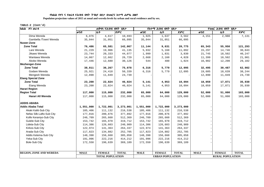**Populaion projection values of 2015 at zonal and wereda levels by urban and rural residence and by sex.**

| ክልል ዞን ወራዳ                     |             | ጠቅሳሳ የሕዝብ ብዛት በጾታ       |              |             | የከተማ ሕዝብ ብዛት በጾታ        |              |             | የንጠር ሕዝብ ብዛት በጾታ        |              |  |  |
|--------------------------------|-------------|-------------------------|--------------|-------------|-------------------------|--------------|-------------|-------------------------|--------------|--|--|
|                                | ወንድ         | ቤት                      | ድምር          | ወንድ         | ቤት                      | ድምር          | ወንድ         | ቤት                      | ድምር          |  |  |
| Dima Wereda                    | 6,076       | 4,617                   | 10,693       | 1,925       | 1,637                   | 3,562        | 4,151       | 2,980                   | 7,131        |  |  |
| Gambella /Town/ Wereda         | 35,044      | 31,051                  | 66,095       | 35,044      | 31,051                  | 66,095       |             |                         |              |  |  |
| Nuwer-Zone                     |             |                         |              |             |                         |              |             |                         |              |  |  |
| <b>Zone Total</b>              | 76,486      | 65,581                  | 142,067      | 11,144      | 9,631                   | 20,775       | 65,343      | 55,950                  | 121,293      |  |  |
| Lare Wereda                    | 21,229      | 19,906                  | 41,135       | 5,932       | 5,160                   | 11,092       | 15,297      | 14,746                  | 30,043       |  |  |
| Jikawo Wereda                  | 23,744      | 20,333                  | 44,077       | 1,999       | 1,831                   | 3,830        | 21,745      | 18,502                  | 40,247       |  |  |
| Wantawa Wereda                 | 14,067      | 12,662                  | 26,729       | 2,668       | 2,160                   | 4,828        | 11,399      | 10,502                  | 21,901       |  |  |
| Akobo Wereda                   | 17,446      | 12,680                  | 30,126       | 544         | 480                     | 1,024        | 16,902      | 12,200                  | 29,102       |  |  |
| Mezhenger-Zone                 |             |                         |              |             |                         |              |             |                         |              |  |  |
| <b>Zone Total</b>              | 38,811      | 36,267                  | 75,078       | 6,316       | 5,779                   | 12,095       | 32,495      | 30,487                  | 62,982       |  |  |
| Godare Wereda                  | 25,921      | 24,418                  | 50,339       | 6,316       | 5,779                   | 12,095       | 19,605      | 18,639                  | 38,244       |  |  |
| Mengesh Wereda                 | 12,890      | 11,849                  | 24,739       |             |                         |              | 12,890      | 11,849                  | 24,739       |  |  |
| <b>Etang Special Zone</b>      |             |                         |              |             |                         |              |             |                         |              |  |  |
| <b>Zone Total</b>              | 23,200      | 22,824                  | 46,024       | 5,141       | 4,953                   | 10,094       | 18,059      | 17,871                  | 35,930       |  |  |
| Etang Wereda                   | 23,200      | 22,824                  | 46,024       | 5,141       | 4,953                   | 10,094       | 18,059      | 17,871                  | 35,930       |  |  |
| <b>Harari Region</b>           |             |                         |              |             |                         |              |             |                         |              |  |  |
| <b>Region Total</b>            | 117,000     | 115,000                 | 232,000      | 65,000      | 64,000                  | 129,000      | 52,000      | 51,000                  | 103,000      |  |  |
| Harari All Wereda              | 117,000     | 115,000                 | 232,000      | 65,000      | 64,000                  | 129,000      | 52,000      | 51,000                  | 103,000      |  |  |
| <b>ADDIS ABABA</b>             |             |                         |              |             |                         |              |             |                         |              |  |  |
| <b>Addis Ababa Total</b>       | 1,551,000   | 1,722,001               | 3,273,001    | 1,551,000   | 1,722,000               | 3,273,000    |             |                         |              |  |  |
| Akaki Kaliti-Sub City          | 105,406     | 111,132                 | 216,538      | 105,406     | 111,132                 | 216,538      |             |                         |              |  |  |
| Nefas Silk-Lafto-Sub City      | 177,016     | 200,876                 | 377,892      | 177,016     | 200,876                 | 377,892      |             |                         |              |  |  |
| Kolfe Keraniyo-Sub City        | 246,709     | 265,660                 | 512,369      | 246,709     | 265,660                 | 512,369      |             |                         |              |  |  |
| Gulele-Sub City                | 153,742     | 165,970                 | 319,712      | 153,742     | 165,970                 | 319,712      |             |                         |              |  |  |
| Lideta-Sub City                | 114,386     | 126,603                 | 240,989      | 114,386     | 126,603                 | 240,989      |             |                         |              |  |  |
| Kirkos-Sub City                | 122,974     | 141,363                 | 264,337      | 122,974     | 141,363                 | 264,337      |             |                         |              |  |  |
| Arada-Sub City                 | 117,823     | 134,882                 | 252,705      | 117,823     | 134,882                 | 252,705      |             |                         |              |  |  |
| Addis Ketema-Sub City          | 148,398     | 156,660                 | 305,058      | 148,398     | 156,660                 | 305,058      |             |                         |              |  |  |
| Yeka-Sub City                  | 191,996     | 222,216                 | 414,212      | 191,996     | 222,216                 | 414,212      |             |                         |              |  |  |
| Bole-Sub City                  | 172,550     | 196,639                 | 369,189      | 172,550     | 196,639                 | 369,189      |             |                         |              |  |  |
|                                |             |                         |              |             |                         |              |             |                         |              |  |  |
| <b>REGION, ZONE AND WEREDA</b> | <b>MALE</b> | <b>FEMALE</b>           | <b>TOTAL</b> | <b>MALE</b> | <b>FEMALE</b>           | <b>TOTAL</b> | <b>MALE</b> | <b>FEMALE</b>           | <b>TOTAL</b> |  |  |
|                                |             | <b>TOTAL POPULATION</b> |              |             | <b>URBAN POPULATION</b> |              |             | <b>RURAL POPULATION</b> |              |  |  |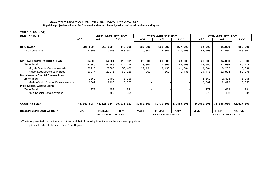**Populaion projection values of 2015 at zonal and wereda levels by urban and rural residence and by sex.**

#### **TABLE-2 (Cont'd)**

| ክልል ዞን ወራዳ                        | ጠቅሳሳ የሕዝብ ብዛት በጾ <b>ታ</b> |                         |              |             | <i>የከተማ ሕዝ</i> ብ ብዛት በጾታ |              | የንጠር ሕዝብ ብዛት በጾታ |                         |              |
|-----------------------------------|---------------------------|-------------------------|--------------|-------------|--------------------------|--------------|------------------|-------------------------|--------------|
|                                   | ወንድ                       | ቤት                      | ድምር          | ወንድ         | ቤት                       | ድምር          | ወንድ              | ሴት                      | ድምር          |
|                                   |                           |                         |              |             |                          |              |                  |                         |              |
| <b>DIRE DAWA</b>                  | 221,000                   | 219,000                 | 440,000      | 139,000     | 138,000                  | 277,000      | 82,000           | 81,000                  | 163,000      |
| Dire Dawa Total                   | 221000                    | 219000                  | 440,000      | 139,000     | 138,000                  | 277,000      | 82,000           | 81,000                  | 163,000      |
| <b>SPECIAL ENUMERATION AREAS</b>  | 64000                     | 54001                   | 118,001      | 23,000      | 20,000                   | 43,000       | 41,000           | 34,000                  | 75,000       |
| <b>Zone Total</b>                 | 61059                     | 51056                   | 112,115      | 23,000      | 20,000                   | 43,000       | 38,059           | 31,055                  | 69,114       |
| Moyale Special Census Wereda      | 30715                     | 27685                   | 58,400       | 22,131      | 19,433                   | 41,564       | 8,584            | 8,252                   | 16,836       |
| Afdem Special Census Wereda       | 30344                     | 23371                   | 53,715       | 869         | 567                      | 1,436        | 29,475           | 22,804                  | 52,279       |
| Meda Welabu Special Census Zone   |                           |                         |              |             |                          |              |                  |                         |              |
| <b>Zone Total</b>                 | 2562                      | 2493                    | 5,055        |             |                          |              | 2,562            | 2,493                   | 5,055        |
| Meda Welabu Special Census Wereda | 2562                      | 2493                    | 5,055        |             |                          |              | 2,562            | 2,493                   | 5,055        |
| <b>Mulo Special Census-Zone</b>   |                           |                         |              |             |                          |              |                  |                         |              |
| <b>Zone Total</b>                 | 379                       | 452                     | 831          |             |                          |              | 379              | 452                     | 831          |
| Mulo Special Census Wereda        | 379                       | 452                     | 831          |             |                          |              | 379              | 452                     | 831          |
|                                   |                           |                         |              |             |                          |              |                  |                         |              |
| <b>COUNTRY Total*</b>             | 45,249,998                | 44,826,014              | 90,076,012   | 8,689,000   | 8,770,000                | 17,459,000   | 36,561,000       | 36,056,000              | 72,617,000   |
| <b>REGION, ZONE AND WEREDA</b>    | <b>MALE</b>               | <b>FEMALE</b>           | <b>TOTAL</b> | <b>MALE</b> | <b>FEMALE</b>            | <b>TOTAL</b> | <b>MALE</b>      | <b>FEMALE</b>           | <b>TOTAL</b> |
|                                   |                           | <b>TOTAL POPULATION</b> |              |             | <b>URBAN POPULATION</b>  |              |                  | <b>RURAL POPULATION</b> |              |

\*-The total projected population size of A**ffar** and that of **country total** includes the estimated population of

eight rural kebeles of Elidar wereda in Affar Region.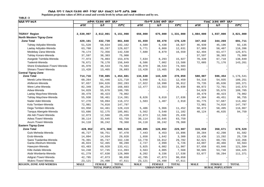**Populaion projection values of 2016 at zonal and wereda levels by urban and rural residence and by sex.**

**TABLE-3**

| <b>ክልል</b> ፣ዞን፣ወረ <i>ዳ</i>      | ጠቅሳሳ የሕዝብ ብዛት በጾታ |                         | <u>የከተማ ሕዝብ ብዛት በጾታ</u> |             |                                          | የንጠር ሕዝብ ብዛት በጾታ |             |                                          |              |
|---------------------------------|-------------------|-------------------------|-------------------------|-------------|------------------------------------------|------------------|-------------|------------------------------------------|--------------|
|                                 | ወንድ               | ቤት                      | ድምር                     | ወንድ         | ሴት                                       | ድምር              | ወንድ         | ቤት                                       | ድምር          |
|                                 |                   |                         |                         |             |                                          |                  |             |                                          |              |
| <b>TIGRAY Region</b>            | 2,539,997         | 2,612,001               | 5,151,998               | 656,000     | 675,000                                  | 1,331,000        | 1,884,000   | 1,937,000                                | 3,821,000    |
| North Western Tigray-Zone       |                   |                         |                         |             |                                          |                  |             |                                          |              |
| <b>Zone Total</b>               | 429,101           | 432,739                 | 861,840                 | 81,659      | 88,470                                   | 170,129          | 347,442     | 344,269                                  | 691,711      |
| Tahtay Adiyabo-Wereda           | 51,528            | 50,634                  | 102,162                 | 4,589       | 5,438                                    | 10,027           | 46,939      | 45,196                                   | 92,135       |
| Laelay Adiyabo-Wereda           | 63,760            | 65,267                  | 129,027                 | 5,771       | 6,860                                    | 12,631           | 57,989      | 58,407                                   | 116,396      |
| Medebay Zana-Wereda             | 70,174            | 72,356                  | 142,530                 | 7,680       | 8,879                                    | 16,559           | 62,494      | 63,477                                   | 125,971      |
| Tahtay Koraro-Wereda            | 37,597            | 38,303                  | 75,900                  |             |                                          |                  | 37,597      | 38,303                                   | 75,900       |
| Asegede Tsimbila-Wereda         | 77,973            | 76,003                  | 153,976                 | 7,634       | 8,293                                    | 15,927           | 70,339      | 67,710                                   | 138,049      |
| Tselemti-Wereda                 | 78,671            | 78,178                  | 156,849                 | 6,586       | 7,002                                    | 13,588           | 72,085      | 71,176                                   | 143,261      |
| Shere Endasilasie /Town/-Wereda | 35,970            | 38,533                  | 74,503                  | 35,970      | 38,533                                   | 74,503           |             |                                          |              |
| Shiraro /Town/-Wereda           | 13,428            | 13,465                  | 26,893                  | 13,428      | 13,465                                   | 26,893           |             |                                          |              |
| <b>Central Tigray-Zone</b>      |                   |                         |                         |             |                                          |                  |             |                                          |              |
| <b>Zone Total</b>               | 714,716           | 739,885                 | 1,454,601               | 134,630     | 143,429                                  | 278,059          | 580,087     | 596,454                                  | 1,176,541    |
| Mereb Lehe-Wereda               | 60,264            | 61,446                  | 121,710                 | 5,948       | 6,511                                    | 12,459           | 54,316      | 54,935                                   | 109,251      |
| Ahiferom-Wereda                 | 97,657            | 104,626                 | 202,283                 | 17,922      | 18,990                                   | 36,912           | 79,735      | 85,636                                   | 165,371      |
| Were Lehe-Wereda                | 82,349            | 86,254                  | 168,603                 | 12,477      | 13,553                                   | 26,030           | 69,872      | 72,701                                   | 142,573      |
| Adwa-Wereda                     | 54,029            | 55,676                  | 109,705                 |             |                                          |                  | 54,029      | 55,676                                   | 109,705      |
| Laelay Maychew-Wereda           | 39,479            | 40,423                  | 79,902                  |             |                                          |                  | 39,479      | 40,423                                   | 79,902       |
| Tahtay Maychew-Wereda           | 55,930            | 58,461                  | 114,391                 | 8,626       | 9,010                                    | 17,636           | 47,304      | 49,451                                   | 96,755       |
| Nader Adet-Wereda               | 57,278            | 59,094                  | 116,372                 | 1,503       | $1\,,407$                                | 2,910            | 55,775      | 57,687                                   | 113,462      |
| Kola Temben-Wereda              | 72,981            | 74,816                  | 147,797                 |             |                                          |                  | 72,981      | 74,816                                   | 147,797      |
| Dega Temben-Wereda              | 63,958            | 64,461                  | 128,419                 | 5,486       | 5,966                                    | 11,452           | 58,472      | 58,495                                   | 116,967      |
| Tanqua Abergele-Wereda          | 53,686            | 52,175                  | 105,861                 | 5,562       | 5,540                                    | 11,102           | 48,124      | 46,635                                   | 94,759       |
| Abi Adi /Town/-Wereda           | 12,873            | 12,566                  | 25,439                  | 12,873      | 12,566                                   | 25,439           |             |                                          |              |
| Adwa /Town/-Wereda              | 30,114            | 33,645                  | 63,759                  | 30,114      | 33,645                                   | 63,759           |             |                                          |              |
| Axum /Town/-Wereda              | 34,118            | 36,242                  | 70,360                  | 34,118      | 36,242                                   | 70,360           |             |                                          |              |
| <b>Eastern Tigray-Zone</b>      |                   |                         |                         |             |                                          |                  |             |                                          |              |
| <b>Zone Total</b>               | 428,952           | 471,563                 | 900,515                 | 109,095     | 120,892                                  | 229,987          | 319,858     | 350,671                                  | 670,529      |
| Gulo Meheda-Wereda              | 46,727            | 50,751                  | 97,478                  | 7,443       | 8,453                                    | 15,896           | 39,284      | 42,298                                   | 81,582       |
| Erob-Wereda                     | 14,094            | 14,934                  | 29,028                  | 1,658       | 1,642                                    | 3,300            | 12,436      | 13,292                                   | 25,728       |
| Saesi Tsadamba-Wereda           | 76,391            | 85,747                  | 162,138                 | 13,770      | 16,012                                   | 29,782           | 62,621      | 69,735                                   | 132,356      |
| Ganta Afeshum-Wereda            | 46,824            | 52,465                  | 99,289                  | 2,727       | 2,999                                    | 5,726            | 44,097      | 49,466                                   | 93,563       |
| Hawuzen-Wereda                  | 63,483            | 69,928                  | 133,411                 | 5,825       | 6,082                                    | 11,907           | 57,658      | 63,846                                   | 121,504      |
| Kilte Awlalo-Wereda             | 54,248            | 57,745                  | 111,993                 | 3,563       | 4,005                                    | 7,568            | 50,685      | 53,740                                   | 104,425      |
| Atsbi Wonberta-Wereda           | 61,279            | 67,630                  | 128,909                 | 8,202       | 9,336                                    | 17,538           | 53,077      | 58,294                                   | 111,371      |
| Adigrat /Town/-Wereda           | 42,785            | 47,873                  | 90,658                  | 42,785      | 47,873                                   | 90,658           |             |                                          |              |
| Wukro /Town/-Wereda             | 23,121            | 24,490                  | 47,611                  | 23,121      | 24,490                                   | 47,611           |             |                                          |              |
| <b>REGION, ZONE AND WEREDA</b>  | <b>MALE</b>       | <b>FEMALE</b>           | <b>TOTAL</b>            | <b>MALE</b> | <b>FEMALE</b><br><b>URBAN POPULATION</b> | <b>TOTAL</b>     | <b>MALE</b> | <b>FEMALE</b><br><b>RURAL POPULATION</b> | <b>TOTAL</b> |
|                                 |                   | <b>TOTAL POPULATION</b> |                         |             |                                          |                  |             |                                          |              |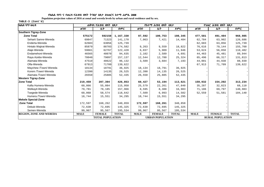**Populaion projection values of 2016 at zonal and wereda levels by urban and rural residence and by sex.**

| ክልል ፣ ዞን ፣ ወሪዳ                 | <u>ጠቅላላ የሕዝብ ብዛት በጾታ</u> |               |              |                         | የከተማ ሕዝብ ብዛት በጾታ |              | የ <i>ገ</i> ጠር ሕዝብ ብዛት በጾታ |               |              |
|--------------------------------|--------------------------|---------------|--------------|-------------------------|------------------|--------------|---------------------------|---------------|--------------|
|                                | ወንድ                      | ሰት            | ድምር          | ወንድ                     | ሌት               | ድምር          | ወንድ                       | ሌት            | ድምር          |
| <b>Southern Tigray-Zone</b>    |                          |               |              |                         |                  |              |                           |               |              |
| <b>Zone Total</b>              | 575172                   | 592158        | 1,167,330    | 97,592                  | 100,753          | 198,345      | 477,581                   | 491,404       | 968,985      |
| Seharti Samre-Wereda           | 69847                    | 71323         | 141,170      | 7,063                   | 7,421            | 14,484       | 62,784                    | 63,902        | 126,686      |
| Enderta-Wereda                 | 62683                    | 63056         | 125,739      |                         |                  |              | 62,683                    | 63,056        | 125,739      |
| Hintalo Wajirat-Wereda         | 85879                    | 88703         | 174,582      | 9,263                   | 9,559            | 18,822       | 76,616                    | 79,144        | 155,760      |
| Alaje-Wereda                   | 59661                    | 62767         | 122,428      | 6,037                   | 5,909            | 11,946       | 53,624                    | 56,858        | 110,482      |
| Endamehoni-Wereda              | 46565                    | 48070         | 94,635       | 2,102                   | 2,589            | 4,691        | 44,463                    | 45,481        | 89,944       |
| Raya Azebo-Wereda              | 78040                    | 79097         | 157,137      | 12,544                  | 12,780           | 25,324       | 65,496                    | 66,317        | 131,813      |
| Alamata-Wereda                 | 47510                    | 48622         | 96,132       | 3,509                   | 3,684            | 7,193        | 44,001                    | 44,938        | 88,939       |
| Ofla-Wereda                    | 67913                    | 71709         | 139,622      |                         |                  |              | 67,913                    | 71,709        | 139,622      |
| Maychew /Town/-Wereda          | 18134                    | 18791         | 36,925       | 18,134                  | 18,791           | 36,925       |                           |               |              |
| Korem /Town/-Wereda            | 12390                    | 14135         | 26,525       | 12,390                  | 14,135           | 26,525       |                           |               |              |
| Alamata /Town/-Wereda          | 26550                    | 25885         | 52,435       | 26,550                  | 25,885           | 52,435       |                           |               |              |
| <b>Western Tigray-Zone</b>     |                          |               |              |                         |                  |              |                           |               |              |
| <b>Zone Total</b>              | 219,459                  | 207,394       | 426,853      | 60,427                  | 53,194           | 113,621      | 159,032                   | 154,202       | 313,234      |
| Kafta Humera-Wereda            | 60,866                   | 55,084        | 115,950      | 25,579                  | 22,261           | 47,840       | 35,287                    | 32,823        | 68,110       |
| Welkayit-Wereda                | 79,781                   | 78,185        | 157,966      | 8,595                   | 8,388            | 16,983       | 71,186                    | 69,797        | 140,983      |
| Tsegede-Wereda                 | 60,068                   | 58,574        | 118,642      | 7,509                   | 6,993            | 14,502       | 52,559                    | 51,581        | 104,140      |
| Humera /Town/-Wereda           | 18,744                   | 15,551        | 34,295       | 18,744                  | 15,551           | 34,295       |                           |               |              |
| <b>Mekele Special-Zone</b>     |                          |               |              |                         |                  |              |                           |               |              |
| <b>Zone Total</b>              | 172,597                  | 168,262       | 340,859      | 172,597                 | 168,261          | 340,858      |                           |               |              |
| Debub-Wereda                   | 72,630                   | 72,695        | 145,325      | 72,630                  | 72,695           | 145,325      |                           |               |              |
| Semen-Wereda                   | 99,967                   | 95,567        | 195,534      | 99,967                  | 95,567           | 195,534      |                           |               |              |
| <b>REGION, ZONE AND WEREDA</b> | <b>MALE</b>              | <b>FEMALE</b> | <b>TOTAL</b> | <b>MALE</b>             | <b>FEMALE</b>    | <b>TOTAL</b> | <b>MALE</b>               | <b>FEMALE</b> | <b>TOTAL</b> |
|                                | <b>TOTAL POPULATION</b>  |               |              | <b>URBAN POPULATION</b> |                  |              | <b>RURAL POPULATION</b>   |               |              |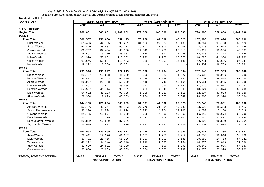**Populaion projection values of 2016 at zonal and wereda levels by urban and rural residence and by sex.**

| ክልል ፣ ዞን ፣ ወሪዳ                 | ጠቅላሳ የሕዝብ ብዛት በጾታ       |               |              | የከተማ ሕዝብ ብዛት በጾታ        |               | የንጠር ሕዝብ ብዛት በጾታ |                         |               |              |  |
|--------------------------------|-------------------------|---------------|--------------|-------------------------|---------------|------------------|-------------------------|---------------|--------------|--|
|                                | ወንድ                     | ሴት            | ድምር          | ወንድ                     | ሴት            | ድምር              | ወንድ                     | ሴት            | ድምር          |  |
| <b>AFFAR Region*</b>           |                         |               |              |                         |               |                  |                         |               |              |  |
| <b>Region Total</b>            | 969,001                 | 800,001       | 1,769,002    | 179,000                 | 148,000       | 327,000          | 790,000                 | 652,000       | 1,442,000    |  |
| ZONE <sub>1</sub>              |                         |               |              |                         |               |                  |                         |               |              |  |
| <b>Zone Total</b>              | 300,507                 | 256,668       | 557,175      | 78,728                  | 67,592        | 146,320          | 207,988                 | 177,694       | 385,682      |  |
| Dubti-Wereda                   | 51,466                  | 44,795        | 96,261       | 31,102                  | 27,037        | 58,139           | 20,364                  | 17,758        | 38,122       |  |
| Elidar-Wereda                  | 53,820                  | 45,451        | 99,271       | 9,697                   | 7,509         | 17,206           | 44,123                  | 37,942        | 82,065       |  |
| Asayita-Wereda                 | 36,762                  | 32,434        | 69,196       | 14,845                  | 13,470        | 28,315           | 21,917                  | 18,964        | 40,881       |  |
| Afambo-Wereda                  | 15,591                  | 13,310        | 28,901       | 858                     | 597           | 1,455            | 14,733                  | 12,713        | 27,446       |  |
| Mile-Wereda                    | 61,920                  | 53,082        | 115,002      | 13,292                  | 11,778        | 25,070           | 48,628                  | 41,304        | 89,932       |  |
| Chifra-Wereda                  | 61,646                  | 50,837        | 112,483      | 8,935                   | 7,201         | 16,136           | 52,711                  | 43,636        | 96,347       |  |
| Kori-Wereda                    | 19,302                  | 16,759        | 36,061       |                         |               |                  | 19,302                  | 16,759        | 36,061       |  |
| Zone 2                         |                         |               |              |                         |               |                  |                         |               |              |  |
| <b>Zone Total</b>              | 233,916                 | 193,297       | 427,213      | 26,370                  | 19,994        | 46,364           | 207,545                 | 173,303       | 380,848      |  |
| Erebti-Wereda                  | 22,737                  | 18,623        | 41,360       | 800                     | 527           | 1,327            | 21,937                  | 18,096        | 40,033       |  |
| Kunoba-Wereda                  | 34,837                  | 30,753        | 65,590       | 3,136                   | 2,229         | 5,365            | 31,701                  | 28,524        | 60,225       |  |
| Abala-Wereda                   | 26,967                  | 23,733        | 50,700       | 9,416                   | 8,748         | 18,164           | 17,551                  | 14,985        | 32,536       |  |
| Megale-Wereda                  | 17,852                  | 15,642        | 33,494       | 677                     | 565           | 1,242            | 17,175                  | 15,077        | 32,252       |  |
| Berahile-Wereda                | 54,587                  | 41,714        | 96,301       | 6,463                   | 4,340         | 10,803           | 48,124                  | 37,374        | 85,498       |  |
| Dalol-Wereda                   | 54,602                  | 45,133        | 99,735       | 1,905                   | 1,210         | 3,115            | 52,697                  | 43,923        | 96,620       |  |
| Afdera-Wereda                  | 22,334                  | 17,699        | 40,033       | 3,974                   | 2,375         | 6,349            | 18,360                  | 15,324        | 33,684       |  |
| Zone 3                         |                         |               |              |                         |               |                  |                         |               |              |  |
| <b>Zone Total</b>              | 144,135                 | 121,624       | 265,759      | 51,891                  | 44,032        | 95,923           | 92,245                  | 77,591        | 169,836      |  |
| Amibara-Wereda                 | 50,796                  | 40,347        | 91,143       | 27,776                  | 21,954        | 49,730           | 23,020                  | 18,393        | 41, 413      |  |
| Awash Fentale-Wereda           | 23,390                  | 21,534        | 44,924       | 15,332                  | 14,374        | 29,706           | 8,058                   | 7,160         | 15,218       |  |
| Gewane-Wereda                  | 21,785                  | 18,574        | 40,359       | 5,666                   | 4,900         | 10,566           | 16,119                  | 13,674        | 29,793       |  |
| Dulacha-Wereda                 | 13,267                  | 11,779        | 25,046       | 1,123                   | 978           | 2,101            | 12,144                  | 10,801        | 22,945       |  |
| Bure Mudayitu-Wereda           | 20,802                  | 16,559        | 37,361       |                         |               |                  | 20,802                  | 16,559        | 37,361       |  |
| Argoba Liyu-Wereda             | 14,095                  | 12,831        | 26,926       | 1,993                   | 1,827         | 3,820            | 12,102                  | 11,004        | 23,106       |  |
| Zone 4                         |                         |               |              |                         |               |                  |                         |               |              |  |
| <b>Zone Total</b>              | 164,963                 | 130,659       | 295,622      | 9,428                   | 7,264         | 16,692           | 155,537                 | 123,394       | 278,931      |  |
| Awra-Wereda                    | 22,411                  | 19,276        | 41,687       | 1,661                   | 1,258         | 2,919            | 20,750                  | 18,018        | 38,768       |  |
| Ewa-Wereda                     | 30,771                  | 25,455        | 56,226       | 1,183                   | 1,002         | 2,185            | 29,588                  | 24,453        | 54,041       |  |
| Teru-Wereda                    | 46,292                  | 34,348        | 80,640       | 1,919                   | 1,335         | 3,254            | 44,373                  | 33,013        | 77,386       |  |
| Yalo-Wereda                    | 31,639                  | 24,591        | 56,230       | 791                     | 606           | 1,397            | 30,848                  | 23,985        | 54,833       |  |
| Golina-Wereda                  | 33,850                  | 26,989        | 60,839       | 3,874                   | 3,063         | 6,937            | 29,976                  | 23,926        | 53,902       |  |
| <b>REGION, ZONE AND WEREDA</b> | <b>MALE</b>             | <b>FEMALE</b> | <b>TOTAL</b> | <b>MALE</b>             | <b>FEMALE</b> | <b>TOTAL</b>     | <b>MALE</b>             | <b>FEMALE</b> | <b>TOTAL</b> |  |
|                                | <b>TOTAL POPULATION</b> |               |              | <b>URBAN POPULATION</b> |               |                  | <b>RURAL POPULATION</b> |               |              |  |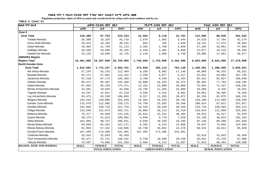**Populaion projection values of 2016 at zonal and wereda levels by urban and rural residence and by sex.**

| ክልል ፣ ዞን ፣ ወሪዳ                 | ጠቅሳሳ የሕዝብ ብዛት በጾታ |                         |              |             | የከተማ ሕዝብ ብዛት በጾታ        |              | የንጠር ሕዝብ ብዛት በጾታ |                         |              |  |  |
|--------------------------------|-------------------|-------------------------|--------------|-------------|-------------------------|--------------|------------------|-------------------------|--------------|--|--|
|                                | ወንድ               | ሴት                      | ድምር          | ወንድ         | ቤት                      | ድምር          | ወንድ              | ሌት                      | ድምር          |  |  |
| Zone 5                         |                   |                         |              |             |                         |              |                  |                         |              |  |  |
| <b>Zone Total</b>              | 125,480           | 97,753                  | 223,233      | 12,583      | 9,118                   | 21,701       | 112,896          | 88,636                  | 201,532      |  |  |
| Telalak-Wereda                 | 26,389            | 19,329                  | 45,718       | 1,879       | 1,565                   | 3,444        | 24,510           | 17,764                  | 42,274       |  |  |
| Sumu Robi-Wereda               | 20,076            | 18,166                  | 38,242       | 854         | 794                     | 1,648        | 19,222           | 17,372                  | 36,594       |  |  |
| Dawe-Wereda                    | 29,364            | 21,759                  | 51,123       | 2,262       | 1,768                   | 4,030        | 27,102           | 19,991                  | 47,093       |  |  |
| Dalifage-Wereda                | 26,526            | 18,899                  | 45,425       | 5,449       | 3,381                   | 8,830        | 21,077           | 15,518                  | 36,595       |  |  |
| Hadele Ele-Wereda              | 23,125            | 19,600                  | 42,725       | 2,139       | 1,609                   | 3,748        | 20,986           | 17,991                  | 38,977       |  |  |
| <b>AMHARA Region</b>           |                   |                         |              |             |                         |              |                  |                         |              |  |  |
| <b>Region Total</b>            | 10,401,995        | 10,367,990              | 20,769,985   | 1,749,000   | 1,743,000               | 3,492,000    | 8,653,000        | 8,625,000               | 17,278,000   |  |  |
| North Gondar-Zone              |                   |                         |              |             |                         |              |                  |                         |              |  |  |
| <b>Zone Total</b>              | 1,812,604         | 1,772,157               | 3,584,761    | 372,026     | 392,112                 | 764,138      | 1,440,581        | 1,380,050               | 2,820,631    |  |  |
| Adi Arkay-Wereda               | 57,154            | 55,315                  | 112,469      | 8,166       | 8,982                   | 17,148       | 48,988           | 46,333                  | 95,321       |  |  |
| Beyeda-Wereda                  | 55,171            | 57,981                  | 113,152      | 2,340       | 3,077                   | 5,417        | 52,831           | 54,904                  | 107,735      |  |  |
| Janamora-Wereda                | 97,210            | 97,173                  | 194,383      | 3,788       | 4,546                   | 8,334        | 93,422           | 92,627                  | 186,049      |  |  |
| Debark-Wereda                  | 96,571            | 95,997                  | 192,568      | 16,080      | 18,293                  | 34,373       | 80,491           | 77,704                  | 158,195      |  |  |
| Dabat-Wereda                   | 87,945            | 86,426                  | 174,371      | 12,101      | 13,989                  | 26,090       | 75,844           | 72,437                  | 148,281      |  |  |
| Merab Armachoho-Wereda         | 24,381            | 19,649                  | 44,030       | 13,795      | 11,204                  | 24,999       | 10,586           | 8,445                   | 19,031       |  |  |
| Tegede-Wereda                  | 44,297            | 42,921                  | 87,218       | 4,336       | 4,516                   | 8,852        | 39,961           | 38,405                  | 78,366       |  |  |
| Lay Armachoho-Wereda           | 93,473            | 93,330                  | 186,803      | 9,317       | 11,355                  | 20,672       | 84,156           | 81,975                  | 166,131      |  |  |
| Wegera-Wereda                  | 132,543           | 129,086                 | 261,629      | 14,363      | 16,420                  | 30,783       | 118,180          | 112,666                 | 230,846      |  |  |
| Gondar Zuria-Wereda            | 115,570           | 112,605                 | 228,175      | 14,756      | 15,592                  | 30,348       | 100,814          | 97,013                  | 197,827      |  |  |
| Dembia-Wereda                  | 163,020           | 158,733                 | 321,753      | 18,310      | 20,230                  | 38,540       | 144,710          | 138,503                 | 283, 213     |  |  |
| Chilga-Wereda                  | 132,648           | 131,073                 | 263,721      | 16,005      | 18,213                  | 34,218       | 116,643          | 112,860                 | 229,503      |  |  |
| Metema-Wereda                  | 75,377            | 65,858                  | 141,235      | 25,824      | 23,341                  | 49,165       | 49,553           | 42,517                  | 92,070       |  |  |
| Quara-Wereda                   | 58,179            | 51,813                  | 109,992      | 4,049       | 3,779                   | 7,828        | 54,130           | 48,034                  | 102,164      |  |  |
| Alefa-Wereda                   | 101,084           | 99,747                  | 200,831      | 8,936       | 10,259                  | 19,195       | 92,148           | 89,488                  | 181,636      |  |  |
| Merab Belsa-Wereda             | 84,839            | 82,332                  | 167,171      | 6,292       | 6,376                   | 12,668       | 78,547           | 75,956                  | 154,503      |  |  |
| Misrak Belesa-Wereda           | 61,063            | 57,442                  | 118,505      | 10,748      | 10,831                  | 21,579       | 50,315           | 46,611                  | 96,926       |  |  |
| Gonder/Town/-Wereda            | 167,495           | 174,496                 | 341,991      | 167,495     | 174,496                 | 341,991      |                  |                         |              |  |  |
| Tselemet-Wereda                | 32,616            | 32,843                  | 65,459       |             |                         |              | 32,616           | 32,843                  | 65,459       |  |  |
| Tach Armachoho-Wereda          | 55,371            | 52,731                  | 108,102      | 9,740       | 10,496                  | 20,236       | 45,631           | 42,235                  | 87,866       |  |  |
| Takusa-Wereda                  | 76,597            | 74,606                  | 151,203      | 5,584       | 6,113                   | 11,697       | 71,013           | 68,493                  | 139,506      |  |  |
| <b>REGION, ZONE AND WEREDA</b> | <b>MALE</b>       | <b>FEMALE</b>           | <b>TOTAL</b> | <b>MALE</b> | <b>FEMALE</b>           | <b>TOTAL</b> | <b>MALE</b>      | <b>FEMALE</b>           | <b>TOTAL</b> |  |  |
|                                |                   | <b>TOTAL POPULATION</b> |              |             | <b>URBAN POPULATION</b> |              |                  | <b>RURAL POPULATION</b> |              |  |  |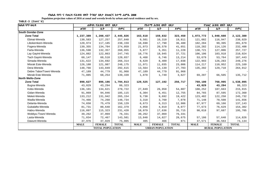Populaion projection values of 2016 at zonal and wereda levels by urban and rural residence and by sex.

| ክልል ፣ ዞን ፣ ወረዳ            | ጠቅሳሳ የሕዝብ ብዛት በጾታ |                         |              |             | <i>የከተማ ሕዝ</i> ብ ብዛት በጾታ |              | የንጠር ሕዝብ ብዛት በጾታ        |               |              |  |
|---------------------------|-------------------|-------------------------|--------------|-------------|--------------------------|--------------|-------------------------|---------------|--------------|--|
|                           | ወንድ               | ሴት                      | ድምር          | ወንድ         | ሴት                       | ድምር          | ወንድ                     | ሴት            | ድምር          |  |
| <b>South Gondar-Zone</b>  |                   |                         |              |             |                          |              |                         |               |              |  |
| <b>Zone Total</b>         | 1,237,389         | 1,208,437               | 2,445,826    | 163,618     | 159,832                  | 323,450      | 1,073,772               | 1,048,608     | 2,122,380    |  |
| Ebinat-Wereda             | 130,583           | 127,257                 | 257,840      | 9,501       | 10,310                   | 19,811       | 121,082                 | 116,947       | 238,029      |  |
| Libokemkem-Wereda         | 120,974           | 117,185                 | 238,159      | 18,690      | 17,790                   | 36,480       | 102,284                 | 99,395        | 201,679      |  |
| Fogera-Wereda             | 139,355           | 134,704                 | 274,059      | 21,073      | 20,578                   | 41,651       | 118,282                 | 114,126       | 232,408      |  |
| Farta-Wereda              | 136,598           | 132,357                 | 268,955      | 5,877       | 5,351                    | 11,228       | 130,721                 | 127,006       | 257,727      |  |
| Lay Gayint-Wereda         | 124,882           | 122,863                 | 247,745      | 18,776      | 18,945                   | 37,721       | 106,106                 | 103,918       | 210,024      |  |
| <b>Tach Gayint-Wereda</b> | 60,147            | 60,510                  | 120,657      | 6,468       | 6,746                    | 13,214       | 53,679                  | 53,764        | 107,443      |  |
| Simada-Wereda             | 131,622           | 134,692                 | 266,314      | 8,629       | 8,409                    | 17,038       | 122,993                 | 126,283       | 249,276      |  |
| Misrak Este-Wereda        | 126,188           | 121,987                 | 248,175      | 11,971      | 11,035                   | 23,006       | 114,217                 | 110,952       | 225,169      |  |
| Dera-Wereda               | 148,766           | 143,849                 | 292,615      | 13,564      | 14,139                   | 27,703       | 135,202                 | 129,710       | 264,912      |  |
| Debre Tabor/Town/-Wereda  | 47,189            | 44,779                  | 91,968       | 47,189      | 44,779                   | 91,968       |                         |               |              |  |
| Merab Este-Wereda         | 71,085            | 68,254                  | 139,339      | 1,878       | 1,749                    | 3,627        | 69,207                  | 66,505        | 135,712      |  |
| North Wello-Zone          |                   |                         |              |             |                          |              |                         |               |              |  |
| <b>Zone Total</b>         | 898,627           | 896,186                 | 1,794,813    | 129,525     | 127,192                  | 256,717      | 769,100                 | 768,995       | 1,538,095    |  |
| Bugna-Wereda              | 43,029            | 43,294                  | 86,323       |             |                          |              | 43,029                  | 43,294        | 86,323       |  |
| Kobo-Wereda               | 136,101           | 134,621                 | 270,722      | 27,849      | 26,958                   | 54,807       | 108,252                 | 107,663       | 215,915      |  |
| Gidan-Wereda              | 91,069            | 94,046                  | 185,115      | 6,304       | 6,451                    | 12,755       | 84,765                  | 87,595        | 172,360      |  |
| Meket-Wereda              | 133,212           | 131,942                 | 265,154      | 9,730       | 9,692                    | 19,422       | 123,482                 | 122,250       | 245,732      |  |
| Wadla-Wereda              | 74,466            | 74,268                  | 148,734      | 3,318       | 3,760                    | 7,078        | 71,148                  | 70,508        | 141,656      |  |
| Delanta-Wereda            | 74,650            | 75,479                  | 150,129      | 6,673       | 6,313                    | 12,986       | 67,977                  | 69,166        | 137,143      |  |
| Gubalafto-Wereda          | 81,731            | 80,648                  | 162,379      | 4,058       | 4,019                    | 8,077        | 77,673                  | 76,629        | 154,302      |  |
| Habru-Wereda              | 116,097           | 115,323                 | 231,420      | 18,079      | 17,636                   | 35,715       | 98,018                  | 97,687        | 195,705      |  |
| Woldiya /Town/-Wereda     | 39,262            | 37,069                  | 76,331       | 39,262      | 37,069                   | 76,331       |                         |               |              |  |
| Lasta-Wereda              | 71,034            | 72,467                  | 143,501      | 13,848      | 14,827                   | 28,675       | 57,186                  | 57,640        | 114,826      |  |
| Dawunt-Wereda             | 37,976            | 37,029                  | 75,005       | 405         | 466                      | 871          | 37,571                  | 36,563        | 74,134       |  |
|                           | <b>MALE</b>       | <b>FEMALE</b>           | <b>TOTAL</b> | <b>MALE</b> | <b>FEMALE</b>            | <b>TOTAL</b> | <b>MALE</b>             | <b>FEMALE</b> | <b>TOTAL</b> |  |
|                           |                   | <b>TOTAL POPULATION</b> |              |             | <b>URBAN POPULATION</b>  |              | <b>RURAL POPULATION</b> |               |              |  |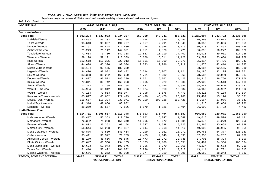Populaion projection values of 2016 at zonal and wereda levels by urban and rural residence and by sex.

| ክልል ፣ ዞን ፣ ወረዳ                 |             | ጠቅሳሳ የሕዝብ ብዛት በጾታ       |              |             | የከተማ ሕዝብ ብዛት በጾታ        |              |             | የንጠር ሕዝብ ብዛት በጾታ        |              |  |
|--------------------------------|-------------|-------------------------|--------------|-------------|-------------------------|--------------|-------------|-------------------------|--------------|--|
|                                | ወንድ         | ሴት                      | ድምር          | ወንድ         | ቤት                      | ድምር          | ወንድ         | ሌት                      | ድምር          |  |
| South Wello-Zone               |             |                         |              |             |                         |              |             |                         |              |  |
| <b>Zone Total</b>              | 1,502,294   | 1,532,033               | 3,034,327    | 250,390     | 248,241                 | 498,631      | 1,251,904   | 1,283,792               | 2,535,696    |  |
| Mekdela-Wereda                 | 80,452      | 85,302                  | 165,754      | 4,054       | 4,389                   | 8,443        | 76,398      | 80,913                  | 157,311      |  |
| Tenta-Wereda                   | 95,610      | 99,097                  | 194,707      | 7,557       | 7,291                   | 14,848       | 88,053      | 91,806                  | 179,859      |  |
| Kutaber-Wereda                 | 55,191      | 56,448                  | 111,639      | 4,218       | 3,955                   | 8,173        | 50,973      | 52,493                  | 103,466      |  |
| Ambasel-Wereda                 | 71,249      | 71,142                  | 142,391      | 4,851       | 4,870                   | 9,721        | 66,398      | 66,272                  | 132,670      |  |
| Tehuledere-Wereda              | 71,608      | 70,730                  | 142,338      | 12,683      | 11,719                  | 24,402       | 58,925      | 59,011                  | 117,936      |  |
| Werebabu-Wereda                | 59,198      | 59,191                  | 118,389      | 5,609       | 5,511                   | 11,120       | 53,589      | 53,680                  | 107,269      |  |
| Kalu-Wereda                    | 112,618     | 110,395                 | 223,013      | 16,801      | 15,969                  | 32,770       | 95,817      | 94,426                  | 190,243      |  |
| Albuko-Wereda                  | 44,608      | 45,396                  | 90,004       | 2,733       | 2,986                   | 5,719        | 41,875      | 42,410                  | 84,285       |  |
| Dessie Zuria-Wereda            | 88,184      | 92,155                  | 180,339      |             |                         |              | 88,184      | 92,155                  | 180,339      |  |
| Legambo-Wereda                 | 94,400      | 98,082                  | 192,482      | 6,214       | 5,907                   | 12,121       | 88,186      | 92,175                  | 180,361      |  |
| Sayint-Wereda                  | 83,368      | 85,232                  | 168,600      | 4,781       | 4,282                   | 9,063        | 78,587      | 80,950                  | 159,537      |  |
| Debresina-Wereda               | 91,877      | 93,522                  | 185,399      | 7,661       | 6,762                   | 14,423       | 84,216      | 86,760                  | 170,976      |  |
| Kelela-Wereda                  | 79,311      | 80,742                  | 160,053      | 6,405       | 6,229                   | 12,634       | 72,906      | 74,513                  | 147,419      |  |
| Jama - Wereda                  | 73,373      | 74,795                  | 148,168      | 4,831       | 5,155                   | 9,986        | 68,542      | 69,640                  | 138,182      |  |
| Were IIu - Wereda              | 64,984      | 65,812                  | 130,796      | 10,024      | 8,910                   | 18,934       | 54,960      | 56,902                  | 111,862      |  |
| Wegidi - Wereda                | 77,114      | 79,863                  | 156,977      | 3,798       | 3,675                   | 7,473        | 73,316      | 76,188                  | 149,504      |  |
| Kombolcha/Town/ - Wereda       | 63,897      | 63,602                  | 127,499      | 48,490      | 48,478                  | 96,968       | 15,407      | 15,124                  | 30,531       |  |
| Dessie/Town/-Wereda            | 115,667     | 118,304                 | 233,971      | 98,100      | 100,328                 | 198,428      | 17,567      | 17,976                  | 35,543       |  |
| Mehal Saynt Wereda             | 41,316      | 42,666                  | 83,982       |             |                         |              | 41,316      | 42,666                  | 83,982       |  |
| Legahida - Wereda              | 38,269      | 39,557                  | 77,826       | 1,579       | 1,825                   | 3,404        | 36,690      | 37,732                  | 74,422       |  |
| North Shewa - Zone             |             |                         |              |             |                         |              |             |                         |              |  |
| <b>Zone Total</b>              | 1,114,781   | 1,095,567               | 2,210,348    | 178,693     | 175,494                 | 354,187      | 936,089     | 920,071                 | 1,856,160    |  |
| Mida Woremo - Wereda           | 55,417      | 55,353                  | 110,770      | 5,802       | 5,847                   | 11,649       | 49,615      | 49,506                  | 99,121       |  |
| Merhabete - Wereda             | 76,382      | 74,958                  | 151,340      | 11,005      | 10,679                  | 21,684       | 65,377      | 64,279                  | 129,656      |  |
| Ensaro - Wereda                | 34,802      | 33,352                  | 68,154       | 2,537       | 2,688                   | 5,225        | 32,265      | 30,664                  | 62,929       |  |
| Moretna Jiru - Wereda          | 56,644      | 54,223                  | 110,867      | 7,644       | 7,268                   | 14,912       | 49,000      | 46,955                  | 95,955       |  |
| Menz Gera Midir - Wereda       | 69,875      | 73,539                  | 143,414      | 9,109       | 9,162                   | 18,271       | 60,766      | 64,377                  | 125,143      |  |
| Gishe - Wereda                 | 35,411      | 36,372                  | 71,783       | 2,455       | 2,140                   | 4,595        | 32,956      | 34,232                  | 67,188       |  |
| Antsokiya Gemza - Wereda       | 48,179      | 48,666                  | 96,845       | 10,473      | 10,272                  | 20,745       | 37,706      | 38,394                  | 76,100       |  |
| Efrata Gidim - Wereda          | 67,647      | 66,538                  | 134,185      | 13,163      | 12,188                  | 25,351       | 54,484      | 54,350                  | 108,834      |  |
| Menz Mama Midir - Wereda       | 49,633      | 51,043                  | 100,676      | 5,396       | 5,370                   | 10,766       | 44,237      | 45,673                  | 89,910       |  |
| Tarma Ber - Wereda             | 51,410      | 50,422                  | 101,832      | 8,296       | 8,721                   | 17,017       | 43,114      | 41,701                  | 84,815       |  |
| Mojana Waderea - Wereda        | 40,666      | 40,262                  | 80,928       | $2\,,077$   | 2,019                   | 4,096        | 38,589      | 38,243                  | 76,832       |  |
| <b>REGION, ZONE AND WEREDA</b> | <b>MALE</b> | <b>FEMALE</b>           | <b>TOTAL</b> | <b>MALE</b> | <b>FEMALE</b>           | <b>TOTAL</b> | <b>MALE</b> | <b>FEMALE</b>           | <b>TOTAL</b> |  |
|                                |             | <b>TOTAL POPULATION</b> |              |             | <b>URBAN POPULATION</b> |              |             | <b>RURAL POPULATION</b> |              |  |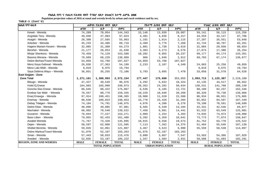Populaion projection values of 2016 at zonal and wereda levels by urban and rural residence and by sex.

| ክልል ፣ ዞን ፣ ወሪ <i>ዳ</i>         |             | ጠቅሳሳ የሕዝብ ብዛት በጾታ       |              |             | የከተማ ሕዝብ ብዛት በጾታ        |              |                         | የንጠር ሕዝብ ብዛት በጾታ |              |  |
|--------------------------------|-------------|-------------------------|--------------|-------------|-------------------------|--------------|-------------------------|------------------|--------------|--|
|                                | ወንድ         | ሴት                      | ድምር          | ወንድ         | ቤት                      | ድምር          | ወንድ                     | ሴት               | ድምር          |  |
| Kewet - Wereda                 | 74,289      | 70,054                  | 144,343      | 15,148      | 13,939                  | 29,087       | 59,141                  | 56,115           | 115,256      |  |
| Angolala Tera - Wereda         | 49,040      | 47,983                  | 97,023       | 4,481       | 4,836                   | 9,317        | 44,559                  | 43,147           | 87,706       |  |
| Asagirt - Wereda               | 28,398      | 27,565                  | 55,963       | 1,101       | 1,014                   | 2,115        | 27,297                  | 26,551           | 53,848       |  |
| Ankober - Wereda               | 45,233      | 44,486                  | 89,719       | 3,489       | 3,779                   | 7,268        | 41,744                  | 40,707           | 82,451       |  |
| Hagere Mariam Kesem - Wereda   | 32,885      | 31,388                  | 64,273       | 1,881       | 1,738                   | 3,619        | 31,004                  | 29,650           | 60,654       |  |
| Berehet - Wereda               | 21,177      | 20,653                  | 41,830       | 3,303       | 3,273                   | 6,576        | 17,874                  | 17,380           | 35,254       |  |
| Minjar Shenkora - Wereda       | 79,459      | 74,129                  | 153,588      | 10,282      | 9,955                   | 20,237       | 69,177                  | 64,174           | 133,351      |  |
| Basona Werana - Wereda         | 70,669      | 68,220                  | 138,889      | 966         | 1,046                   | 2,012        | 69,703                  | 67,174           | 136,877      |  |
| Debre Berhan/Town/-Wereda      | 54,059      | 53,768                  | 107,827      | 54,059      | 53,768                  | 107,827      |                         |                  |              |  |
| Menz Keya Gebreal - Wereda     | 26,836      | 27,363                  | 54,199       | 2,233       | 2,107                   | 4,340        | 24,603                  | 25,256           | 49,859       |  |
| Menz Lalo Midir - Wereda       | 9,819       | 9,975                   | 19,794       |             |                         |              | 9,819                   | 9,975            | 19,794       |  |
| Saya Debirna Wayu - Wereda     | 36,851      | 35,255                  | 72,106       | 3,793       | 3,685                   | 7,478        | 33,058                  | 31,570           | 64,628       |  |
| East Gojjam - Zone             |             |                         |              |             |                         |              |                         |                  |              |  |
| <b>Zone Total</b>              | 1,271,161   | 1,300,993               | 2,572,154    | 177,447     | 175,608                 | 353,055      | 1,093,713               | 1,125,387        | 2,219,100    |  |
| Bibugn - Wereda                | 47,427      | 49,549                  | 96,976       | 5,292       | 5,032                   | 10,324       | 42,135                  | 44,517           | 86,652       |  |
| Hulet Ej Enese                 | 164,883     | 165,990                 | 330,873      | 26,352      | 24,282                  | 50,634       | 138,531                 | 141,708          | 280,239      |  |
| Goncha Siso Enese - Wereda     | 86,645      | 88,422                  | 175,067      | 6,536       | 6,185                   | 12,721       | 80,109                  | 82,237           | 162,346      |  |
| Enebse Sar Midir - Wereda      | 78,557      | 80,778                  | 159,335      | 10,229      | 10,040                  | 20,269       | 68,328                  | 70,738           | 139,066      |  |
| Enarj Enawga - Wereda          | 97,914      | 100,451                 | 198,365      | 10,980      | 11,520                  | 22,500       | 86,934                  | 88,931           | 175,865      |  |
| Enemay - Wereda                | 98,630      | 100,023                 | 198,653      | 15,778      | 15,426                  | 31,204       | 82,852                  | 84,597           | 167,449      |  |
| Debay Tilatgen - Wereda        | 74,184      | 74,791                  | 148,975      | 4,076       | 4,200                   | 8,276        | 70,108                  | 70,591           | 140,699      |  |
| Debre Elias - Wereda           | 48,896      | 49,085                  | 97,981       | 6,565       | 6,539                   | 13,104       | 42,331                  | 42,546           | 84,877       |  |
| Machakel - Wereda              | 68,982      | 70,540                  | 139,522      | 7,450       | 6,991                   | 14,441       | 61,532                  | 63,549           | 125,081      |  |
| Gozamin - Wereda               | 76,044      | 77,227                  | 153,271      | 2,009       | 2,254                   | 4,263        | 74,035                  | 74,973           | 149,008      |  |
| Baso Liben - Wereda            | 79,055      | 82,433                  | 161,488      | 5,282       | 5,359                   | 10,641       | 73,773                  | 77,074           | 150,847      |  |
| Awabel Wereda                  | 71,767      | 73,328                  | 145,095      | 10,015      | 9,558                   | 19,573       | 61,752                  | 63,770           | 125,522      |  |
| Dejen - Wereda                 | 58,597      | 62,908                  | 121,505      | 7,113       | 7,262                   | 14,375       | 51,484                  | 55,646           | 107,130      |  |
| Shebel Berenta - Wereda        | 59,026      | 62,061                  | 121,087      | 3,467       | 3,523                   | 6,990        | 55,559                  | 58,538           | 114,097      |  |
| Debre Markos/Town/-Wereda      | 51,076      | 52,187                  | 103,263      | 51,076      | 52,187                  | 103,263      |                         |                  |              |  |
| Sinan - Wereda                 | 57,443      | 58,033                  | 115,476      | 3,880       | 3,667                   | 7,547        | 53,563                  | 54,366           | 107,929      |  |
| Aneded - Wereda                | 52,035      | 53,187                  | 105,222      | 1,347       | 1,584                   | 2,931        | 50,688                  | 51,603           | 102,291      |  |
| <b>REGION, ZONE AND WEREDA</b> | <b>MALE</b> | <b>FEMALE</b>           | <b>TOTAL</b> | <b>MALE</b> | <b>FEMALE</b>           | <b>TOTAL</b> | <b>MALE</b>             | <b>FEMALE</b>    | <b>TOTAL</b> |  |
|                                |             | <b>TOTAL POPULATION</b> |              |             | <b>URBAN POPULATION</b> |              | <b>RURAL POPULATION</b> |                  |              |  |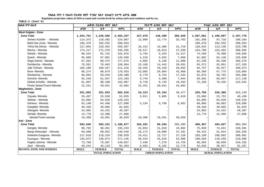Populaion projection values of 2016 at zonal and wereda levels by urban and rural residence and by sex.

| ክልል ፣ ዞን ፣ ወሪዳ                 | ጠቅሳሳ የሕዝብ ብዛት በጾታ       |               |              |             | የከተማ ሕዝብ ብዛት በጾታ        |              | የንጠር ሕዝብ ብዛት በጾታ |                         |              |  |  |
|--------------------------------|-------------------------|---------------|--------------|-------------|-------------------------|--------------|------------------|-------------------------|--------------|--|--|
|                                | ወንድ                     | ሴት            | ድምር          | ወንድ         | ሴት                      | ድምር          | ወንድ              | ቤት                      | ድምር          |  |  |
| <b>West Gojjam - Zone</b>      |                         |               |              |             |                         |              |                  |                         |              |  |  |
| <b>Zone Total</b>              | 1,254,751               | 1,248,586     | 2,503,337    | 157,070     | 148,489                 | 305,559      | 1,097,681        | 1,100,097               | 2,197,778    |  |  |
| Semen Achefer - Wereda         | 114,375                 | 110,492       | 224,867      | 12,989      | 12,774                  | 25,763       | 101,386          | 97,718                  | 199,104      |  |  |
| Bahri Dar Zuria - Wereda       | 106,378                 | 102,555       | 208,933      |             |                         |              | 106,378          | 102,555                 | 208,933      |  |  |
| Yilma Na Densa - Wereda        | 127,055                 | 128,452       | 255,507      | 16,413      | 15,306                  | 31,719       | 110,642          | 113,146                 | 223,788      |  |  |
| Mecha - Wereda                 | 174,217                 | 171,378       | 345,595      | 19,517      | 18,013                  | 37,530       | 154,700          | 153,365                 | 308,065      |  |  |
| Sekela - Wereda                | 80,344                  | 81,732        | 162,076      | 5,794       | 5,423                   | 11,217       | 74,550           | 76,309                  | 150,859      |  |  |
| Quarit - Wereda                | 65,898                  | 67,801        | 133,699      | 4,216       | 3,653                   | 7,869        | 61,682           | 64,148                  | 125,830      |  |  |
| Dega Damot - Wereda            | 87,201                  | 90,474        | 177,675      | 5,963       | 5,136                   | 11,099       | 81,238           | 85,338                  | 166,576      |  |  |
| Dembecha - Wereda              | 78,561                  | 78,403        | 156,964      | 15,189      | 14,442                  | 29,631       | 63,372           | 63,961                  | 127,333      |  |  |
| Jabi Tehnan - Wereda           | 105,189                 | 106,327       | 211,516      | 10,432      | 10,410                  | 20,842       | 94,757           | 95,917                  | 190,674      |  |  |
| Bure-Wereda                    | 88,274                  | 88,679        | 176,953      | 22,065      | 20,904                  | 42,969       | 66,209           | 67,775                  | 133,984      |  |  |
| Wonberma - Wereda              | 60,855                  | 59,545        | 120,400      | 8,779       | 8,753                   | 17,532       | 52,076           | 50,792                  | 102,868      |  |  |
| Goncha-Wereda                  | 62,246                  | 61,937        | 124,183      | 3,744       | 3,300                   | 7,044        | 58,502           | 58,637                  | 117,139      |  |  |
| Debub Achefer - Wereda         | 81,907                  | 80,180        | 162,087      | 9,718       | 9,745                   | 19,463       | 72,189           | 70,435                  | 142,624      |  |  |
| Finote Selam/Town/-Wereda      | 22,251                  | 20,631        | 42,882       | 22,251      | 20,631                  | 42,882       |                  |                         |              |  |  |
| <b>Waghemira - Zone</b>        |                         |               |              |             |                         |              |                  |                         |              |  |  |
| <b>Zone Total</b>              | 251,063                 | 251,553       | 502,616      | 24,313      | 25,164                  | 49,477       | 226,750          | 226,389                 | 453,139      |  |  |
| Ziquala-Wereda                 | 26,497                  | 25,558        | 52,055       | 2,811       | 2,805                   | 5,616        | 23,686           | 22,753                  | 46,439       |  |  |
| Sekota - Wereda                | 63,895                  | 64,639        | 128,534      |             |                         |              | 63,895           | 64,639                  | 128,534      |  |  |
| Dehena - Wereda                | 63,140                  | 64,460        | 127,600      | 3,134       | 3,798                   | 6,932        | 60,006           | 60,662                  | 120,668      |  |  |
| Gazgibla- Wereda               | 40,420                  | 40,605        | 81,025       |             |                         |              | 40,420           | 40,605                  | 81,025       |  |  |
| Abergele-Wereda                | 24,965                  | 24,422        | 49,387       |             |                         |              | 24,965           | 24,422                  | 49,387       |  |  |
| Sehala-Wereda                  | 13,778                  | 13,308        | 27,086       |             |                         |              | 13,778           | 13,308                  | 27,086       |  |  |
| Sekota/Town/-wereda            | 18,368                  | 18,561        | 36,929       | 18,368      | 18,561                  | 36,929       |                  |                         |              |  |  |
| Awi - Zone                     |                         |               |              |             |                         |              |                  |                         |              |  |  |
| <b>Zone Total</b>              | 593,646                 | 593,231       | 1,186,877    | 104,281     | 99,204                  | 203,485      | 489,367          | 494,027                 | 983,394      |  |  |
| Dangila-Wereda                 | 98,792                  | 96,451        | 195,243      | 22,852      | 21,810                  | 44,662       | 75,940           | 74,641                  | 150,581      |  |  |
| Banja Shekudad - Wereda        | 69,588                  | 69,952        | 139,540      | 19,173      | 18,008                  | 37,181       | 50,415           | 51,944                  | 102,359      |  |  |
| Ankasha Guagusa - Wereda       | 117,610                 | 119,319       | 236,929      | 14,411      | 12,717                  | 27,128       | 103,199          | 106,602                 | 209,801      |  |  |
| Guangua - Wereda               | 135,072                 | 136,074       | 271,146      | 26,244      | 25,816                  | 52,060       | 108,828          | 110,258                 | 219,086      |  |  |
| Fagita Lekoma - Wereda         | 73,750                  | 75,307        | 149,057      | 7,446       | 7,279                   | 14,725       | 66,304           | 68,028                  | 134,332      |  |  |
| Jawi - Wereda                  | 49,244                  | 45,119        | 94,363       | 6,594       | 6,182                   | 12,776       | 42,650           | 38,937                  | 81,587       |  |  |
| <b>REGION, ZONE AND WEREDA</b> | <b>MALE</b>             | <b>FEMALE</b> | <b>TOTAL</b> | <b>MALE</b> | <b>FEMALE</b>           | <b>TOTAL</b> | <b>MALE</b>      | <b>FEMALE</b>           | <b>TOTAL</b> |  |  |
|                                | <b>TOTAL POPULATION</b> |               |              |             | <b>URBAN POPULATION</b> |              |                  | <b>RURAL POPULATION</b> |              |  |  |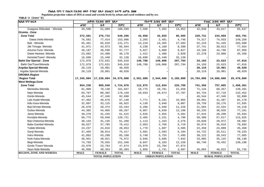Populaion projection values of 2016 at zonal and wereda levels by urban and rural residence and by sex.

| ጠቅላሳ የሕዝብ ብዛት በጾታ<br>ክልል ፣ ዞን ፣ ወረዳ |             |                         |              | የከተማ ሕዝብ ብዛት በጾታ |                         |              | የንጠር ሕዝብ ብዛት በጾታ |                         |              |  |  |
|-------------------------------------|-------------|-------------------------|--------------|------------------|-------------------------|--------------|------------------|-------------------------|--------------|--|--|
|                                     | ወንድ         | ሴት                      | ድምር          | ወንድ              | ሴት                      | ድምር          | ወንድ              | ሴት                      | ድምር          |  |  |
| Guagusa Shikudad - Wereda           | 49,590      | 51,009                  | 100,599      | 7,560            | 7,392                   | 14,952       | 42,030           | 43,617                  | 85,647       |  |  |
| Oromia - Zone                       |             |                         |              |                  |                         |              |                  |                         |              |  |  |
| <b>Zone Total</b>                   | 272,581     | 276,715                 | 549,296      | 42,850           | 42,655                  | 85,505       | 229,731          | 234,060                 | 463,791      |  |  |
| Dawa chefa-Wereda                   | 76,582      | 77,414                  | 153,996      | 2,265            | 2,481                   | 4,746        | 74,317           | 74,933                  | 149,250      |  |  |
| Bati - Wereda                       | 65,461      | 65,810                  | 131,271      | 13,218           | 14,365                  | 27,583       | 52,243           | 51,445                  | 103,688      |  |  |
| Jile Timuga- Wereda                 | 41,971      | 43,973                  | 85,944       | 4,230            | 4,160                   | 8,390        | 37,741           | 39,813                  | 77,554       |  |  |
| Artuma Fursi- Wereda                | 48,187      | 49,590                  | 97,777       | 5,027            | 4,800                   | 9,827        | 43,160           | 44,790                  | 87,950       |  |  |
| Dawe Harewa- Wereda                 | 23,682      | 24,488                  | 48,170       | 1,412            | 1,408                   | 2,820        | 22,270           | 23,080                  | 45,350       |  |  |
| Kemisie/Town/- Wereda               | 16,698      | 15,440                  | 32,138       | 16,698           | 15,440                  | 32,138       |                  |                         |              |  |  |
| <b>Bahir Dar Special - Zone</b>     | 172,979     | 172,631                 | 345,610      | 148,786          | 149,008                 | 297,794      | 24,193           | 23,623                  | 47,816       |  |  |
| Bahir Dar/Town/Wereda               | 172,979     | 172,631                 | 345,610      | 148,786          | 149,008                 | 297,794      | 24,193           | 23,623                  | 47,816       |  |  |
| Argoba Special Wereda               | 20,119      | 19,901                  | 40,020       |                  |                         |              | 20,119           | 19,901                  | 40,020       |  |  |
| Argoba Special-Wereda               | 20,119      | 19,901                  | 40,020       |                  |                         |              | 20,119           | 19,901                  | 40,020       |  |  |
| <b>OROMIA Region</b>                |             |                         |              |                  |                         |              |                  |                         |              |  |  |
| <b>Region Total</b>                 |             | 17,345,004 17,230,004   | 34,575,008   | 2,561,000        | 2,544,000               | 5,105,000    | 14,784,000       | 14,686,000              | 29,470,000   |  |  |
| <b>West Wellega-Zone</b>            |             |                         |              |                  |                         |              |                  |                         |              |  |  |
| <b>Zone Total</b>                   | 854,230     | 869,840                 | 1,724,070    | 112,875          | 112,834                 | 225,709      | 741,356          | 757,005                 | 1,498,361    |  |  |
| Menesibu-Wereda                     | 81,909      | 79,138                  | 161,047      | 10,775           | 10,781                  | 21,556       | 71,134           | 68,357                  | 139,491      |  |  |
| Nejo-Wereda                         | 83,767      | 86,392                  | 170,159      | 19,033           | 18,674                  | 37,707       | 64,734           | 67,718                  | 132,452      |  |  |
| Gimbi-Wereda                        | 45,544      | 47,346                  | 92,890       |                  |                         |              | 45,544           | 47,346                  | 92,890       |  |  |
| Lalo Asabi-Wereda                   | 47,462      | 49,678                  | 97,140       | 7,771            | 8,191                   | 15,962       | 39,691           | 41,487                  | 81,178       |  |  |
| Kiltu Kara-Wereda                   | 32,897      | 33,125                  | 66,022       | 4,138            | 3,949                   | 8,087        | 28,759           | 29,176                  | 57,935       |  |  |
| Boji Dirmeji-Wereda                 | 26,970      | 28,474                  | 55,444       | 5,286            | 5,940                   | 11,226       | 21,684           | 22,534                  | 44,218       |  |  |
| Guliso-Wereda                       | 44,302      | 44,965                  | 89,267       | 6,067            | 6,039                   | 12,106       | 38,235           | 38,926                  | 77,161       |  |  |
| Jarso-Wereda                        | 30,270      | 31,245                  | 61,515       | 2,626            | 2,955                   | 5,581        | 27,644           | 28,290                  | 55,934       |  |  |
| Kondala-Wereda                      | 60,773      | 59,948                  | 120,721      | 2,465            | 2,331                   | 4,796        | 58,308           | 57,617                  | 115,925      |  |  |
| Boji Chekorsa-Wereda                | 30,133      | 31,135                  | 61,268       | 1,113            | 1,163                   | 2,276        | 29,020           | 29,972                  | 58,992       |  |  |
| Babo Gambel-Wereda                  | 38,627      | 37,785                  | 76,412       | 2,953            | 2,766                   | 5,719        | 35,674           | 35,019                  | 70,693       |  |  |
| Yubdo-Wereda                        | 24,237      | 24,816                  | 49,053       | 1,778            | 1,807                   | 3,585        | 22,459           | 23,009                  | 45,468       |  |  |
| Genji-Wereda                        | 37,403      | 38,014                  | 75,417       | 2,681            | 2,503                   | 5,184        | 34,722           | 35,511                  | 70,233       |  |  |
| Haru-Wereda                         | 41,862      | 43,298                  | 85,160       | 3,740            | 3,755                   | 7,495        | 38,122           | 39,543                  | 77,665       |  |  |
| Nole Kaba-Wereda                    | 36,951      | 39,021                  | 75,972       | 3,946            | 3,896                   | 7,842        | 33,005           | 35,125                  | 68,130       |  |  |
| Begi-Wereda                         | 74,793      | 76,555                  | 151,348      | 6,047            | 6,103                   | 12,150       | 68,746           | 70,452                  | 139,198      |  |  |
| Gimbi /Town/-Wereda                 | 23,970      | 23,704                  | 47,674       | 23,970           | 23,704                  | 47,674       |                  |                         |              |  |  |
| Seyo Nole-Wereda                    | 46,950      | 48,353                  | 95,303       | 1,856            | 1,731                   | 3,587        | 45,094           | 46,622                  | 91,716       |  |  |
| <b>REGION, ZONE AND WEREDA</b>      | <b>MALE</b> | <b>FEMALE</b>           | <b>TOTAL</b> | <b>MALE</b>      | <b>FEMALE</b>           | <b>TOTAL</b> | <b>MALE</b>      | <b>FEMALE</b>           | <b>TOTAL</b> |  |  |
|                                     |             | <b>TOTAL POPULATION</b> |              |                  | <b>URBAN POPULATION</b> |              |                  | <b>RURAL POPULATION</b> |              |  |  |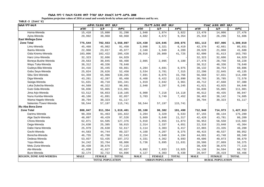**Populaion projection values of 2016 at zonal and wereda levels by urban and rural residence and by sex.**

| ክልል ፣ ዞን ፣ ወረዳ                 |                         | ጠቅላሳ የሕዝብ ብዛት በጾታ |              |                         | የከተማ ሕዝብ ብዛት በጾታ |              |                         | የንጠር ሕዝብ ብዛት በጾታ |              |  |
|--------------------------------|-------------------------|-------------------|--------------|-------------------------|------------------|--------------|-------------------------|------------------|--------------|--|
|                                | ወንድ                     | ሴት                | ድምር          | ወንድ                     | ቤት               | ድምር          | ወንድ                     | ሌት               | ድምር          |  |
| Homa-Wereda                    | 15,418                  | 15,880            | 31,298       | 1,948                   | 1,874            | 3,822        | 13,470                  | 14,006           | 27,476       |  |
| Ayira-Wereda                   | 29,992                  | 30,968            | 60,960       | 4,682                   | 4,672            | 9,354        | 25,310                  | 26,296           | 51,606       |  |
| <b>East Wellega-Zone</b>       |                         |                   |              |                         |                  |              |                         |                  |              |  |
| <b>Zone Total</b>              | 775,544                 | 782,553           | 1,558,097    | 124,430                 | 124,645          | 249,075      | 651,113                 | 657,906          | 1,309,019    |  |
| Limu-Wereda                    | 45,468                  | 45,982            | 91,450       | 3,098                   | 3,321            | 6,419        | 42,370                  | 42,661           | 85,031       |  |
| Ibantu-Wereda                  | 22,960                  | 23,017            | 45,977       | 2,340                   | 1,949            | 4,289        | 20,620                  | 21,068           | 41,688       |  |
| Gida Kiremu-Wereda             | 103,006                 | 102,422           | 205,428      | 20,916                  | 20,809           | 41,725       | 82,090                  | 81,613           | 163,703      |  |
| Haro Limu-Wereda               | 32,323                  | 32,606            | 64,929       |                         |                  |              | 32,323                  | 32,606           | 64,929       |  |
| Boneya Bushe-Wereda            | 29,563                  | 30,845            | 60,408       | 2,085                   | 2,095            | 4,180        | 27,478                  | 28,750           | 56,228       |  |
| Wayu Tuka-Wereda               | 38,312                  | 40,336            | 78,648       |                         |                  |              | 38,312                  | 40,336           | 78,648       |  |
| Gudeya Bila-Wereda             | 34,416                  | 35,445            | 69,861       | 4,284                   | 4,691            | 8,975        | 30,132                  | 30,754           | 60,886       |  |
| Gobu Seyo-Wereda               | 25,824                  | 26,626            | 52,450       | 3,534                   | 3,781            | 7,315        | 22,290                  | 22,845           | 45,135       |  |
| Sibu Sire-Wereda               | 64,359                  | 65,906            | 130,265      | 7,691                   | 8,075            | 15,766       | 56,668                  | 57,831           | 114,499      |  |
| Diga-Wereda                    | 43,261                  | 42,207            | 85,468       | 6,468                   | 6,422            | 12,890       | 36,793                  | 35,785           | 72,578       |  |
| Sasiga-Wereda                  | 51,631                  | 49,710            | 101,341      | 1,919                   | 2,042            | 3,961        | 49,712                  | 47,668           | 97,380       |  |
| Leka Dulecha-Wereda            | 44,569                  | 46,322            | 90,891       | 2,948                   | 3,297            | 6,245        | 41,621                  | 43,025           | 84,646       |  |
| Guto Gida-Wereda               | 56,836                  | 55,065            | 111,901      |                         |                  |              | 56,836                  | 55,065           | 111,901      |  |
| Jima Arjo-Wereda               | 53,512                  | 56,653            | 110,165      | 6,900                   | 7,218            | 14,118       | 46,612                  | 49,435           | 96,047       |  |
| Nunu Kumba-Wereda              | 40,166                  | 41,891            | 82,057       | 3,703                   | 3,749            | 7,452        | 36,463                  | 38,142           | 74,605       |  |
| Wama Hagelo-Wereda             | 30,794                  | 30,323            | 61,117       |                         |                  |              | 30,794                  | 30,323           | 61,117       |  |
| Nekemte /Town/-Wereda          | 58,544                  | 57,197            | 115,741      | 58,544                  | 57,197           | 115,741      |                         |                  |              |  |
| Illu Aba Bora-Zone             |                         |                   |              |                         |                  |              |                         |                  |              |  |
| <b>Zone Total</b>              | 808,047                 | 811,354           | 1,619,401    | 95,108                  | 96,382           | 191,490      | 712,940                 | 714,973          | 1,427,913    |  |
| Darimu-Wereda                  | 90,359                  | 91,463            | 181,822      | 3,204                   | 3,329            | 6,533        | 87,155                  | 88,134           | 175,289      |  |
| Alge Sachi-Wereda              | 48,097                  | 49,429            | 97,526       | 5,669                   | 5,648            | 11,317       | 42,428                  | 43,781           | 86,209       |  |
| Chora-Wereda                   | 62,871                  | 64,505            | 127,376      | 5,918                   | 5,955            | 11,873       | 56,953                  | 58,550           | 115,503      |  |
| Dega-Wereda                    | 24,630                  | 25,385            | 50,015       | 2,314                   | 2,337            | 4,651        | 22,316                  | 23,048           | 45,364       |  |
| Dabo Hana-Wereda               | 25,979                  | 26,638            | 52,617       | 3,114                   | 3,303            | 6,417        | 22,865                  | 23,335           | 46,200       |  |
| Gechi-Wereda                   | 44,583                  | 44,744            | 89,327       | 4,168                   | 4,207            | 8,375        | 40,415                  | 40,537           | 80,952       |  |
| Borecha-Wereda                 | 46,755                  | 45,788            | 92,543       | 2,154                   | 2,040            | 4,194        | 44,601                  | 43,748           | 88,349       |  |
| Dedesa-Wereda                  | 53,937                  | 53,435            | 107,372      | 4,331                   | 4,362            | 8,693        | 49,606                  | 49,073           | 98,679       |  |
| Yayu-Wereda                    | 34,242                  | 33,764            | 68,006       | 5,736                   | 5,895            | 11,631       | 28,506                  | 27,869           | 56,375       |  |
| Metu Zuria-Wereda              | 38,439                  | 38,676            | 77,115       |                         |                  |              | 38,439                  | 38,676           | 77,115       |  |
| Ale-Wereda                     | 41,030                  | 41,627            | 82,657       | 6,892                   | 7,033            | 13,925       | 34,138                  | 34,594           | 68,732       |  |
| Bure-Wereda                    | 32,174                  | 32,722            | 64,896       | 4,127                   | 4,303            | 8,430        | 28,047                  | 28,419           | 56,466       |  |
| <b>REGION, ZONE AND WEREDA</b> | <b>MALE</b>             | <b>FEMALE</b>     | <b>TOTAL</b> | <b>MALE</b>             | <b>FEMALE</b>    | <b>TOTAL</b> | <b>MALE</b>             | <b>FEMALE</b>    | <b>TOTAL</b> |  |
|                                | <b>TOTAL POPULATION</b> |                   |              | <b>URBAN POPULATION</b> |                  |              | <b>RURAL POPULATION</b> |                  |              |  |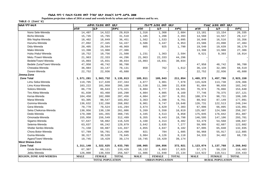Populaion projection values of 2016 at zonal and wereda levels by urban and rural residence and by sex.

| ክልል ፣ ዞን ፣ ወረዳ                 | ጠቅሳሳ የሕዝብ ብዛት በጾታ |                         |              | የከተማ ሕዝብ ብዛት በጾታ |                         |              | የንጠር ሕዝብ ብዛት በጾታ        |               |              |
|--------------------------------|-------------------|-------------------------|--------------|------------------|-------------------------|--------------|-------------------------|---------------|--------------|
|                                | ወንድ               | ルオ                      | lድምር         | ወንድ              | ቤት                      | ድምር          | ወንድ                     | ሌት            | ድምር          |
| Nono Sele-Wereda               | 14,497            | 14,522                  | 29,019       | 1,316            | 1,368                   | 2,684        | 13,181                  | 13,154        | 26,335       |
| Bicho-Wereda                   | 15,745            | 15,765                  | 31,510       | 1,185            | 1,208                   | 2,393        | 14,560                  | 14,557        | 29,117       |
| Bilo Nopha-Wereda              | 18,402            | 18,049                  | 36,451       | 1,562            | 1,533                   | 3,095        | 16,840                  | 16,516        | 33,356       |
| Hurumu-Wereda                  | 27,092            | 27,345                  | 54,437       | 3,506            | 3,447                   | 6,953        | 23,586                  | 23,898        | 47,484       |
| Didu-Wereda                    | 20,405            | 20,564                  | 40,969       | 865              | 925                     | 1,790        | 19,540                  | 19,639        | 39,179       |
| Mako-Wereda                    | 13,398            | 13,988                  | 27,386       |                  |                         |              | 13,398                  | 13,988        | 27,386       |
| Huka /Halu/-Wereda             | 10,752            | 10,756                  | 21,508       | 1,231            | 1,363                   | 2,594        | 9,521                   | 9,393         | 18,914       |
| Metu /Town/-Wereda             | 21,963            | 22,333                  | 44,296       | 21,963           | 22,333                  | 44,296       |                         |               |              |
| Bedele/Town/-Wereda            | 15,003            | 15,031                  | 30,034       | 15,003           | 15,031                  | 30,034       |                         |               |              |
| Bedele Zuria/Town/-Wereda      | 47,958            | 48,742                  | 96,700       |                  |                         |              | 47,958                  | 48,742        | 96,700       |
| Chewaka-Wereda                 | 36,984            | 33,147                  | 70,131       | 850              | 762                     | 1,612        | 36,134                  | 32,385        | 68,519       |
| Doreni-Wereda                  | 22,752            | 22,936                  | 45,688       |                  |                         |              | 22,752                  | 22,936        | 45,688       |
| Jimma-Zone                     |                   |                         |              |                  |                         |              |                         |               |              |
| <b>Zone Total</b>              | 1,571,281         | 1,563,732               | 3,135,013    | 105,911          | 105,943                 | 211,854      | 1,465,372               | 1,457,786     | 2,923,158    |
| Limu Seka-Wereda               | 119,705           | 117,639                 | 237,344      | 4,077            | 3,901                   | 7,978        | 115,628                 | 113,738       | 229,366      |
| Limu Kosa-Wereda               | 103,222           | 101,958                 | 205,180      | 11,538           | 11,300                  | 22,838       | 91,684                  | 90,658        | 182,342      |
| Sokoru-Wereda                  | 86,778            | 86,643                  | 173,421      | 9,804            | 9,777                   | 19,581       | 76,974                  | 76,866        | 153,840      |
| Tiro Afeta-Wereda              | 81,830            | 83,460                  | 165,290      | 4,084            | 4,085                   | 8,169        | 77,746                  | 79,375        | 157,121      |
| Kersa-Wereda                   | 104,458           | 102,998                 | 207,456      | 4,084            | 4,267                   | 8,351        | 100,374                 | 98,731        | 199,105      |
| Mana-Wereda                    | 93,305            | 90,547                  | 183,852      | 3,363            | 3,398                   | 6,761        | 89,942                  | 87,149        | 177,091      |
| Gomma-Wereda                   | 136,632           | 132,260                 | 268,892      | 9,901            | 9,747                   | 19,648       | 126,731                 | 122,513       | 249,244      |
| Gera-Wereda                    | 70,770            | 70,524                  | 141,294      | 3,674            | 3,629                   | 7,303        | 67,096                  | 66,895        | 133,991      |
| Seka Chekorsa-Wereda           | 130,956           | 130,130                 | 261,086      | 5,269            | 5,550                   | 10,819       | 125,687                 | 124,580       | 250,267      |
| Dedo-Wereda                    | 179,390           | 181,355                 | 360,745      | 4,345            | 4,513                   | 8,858        | 175,045                 | 176,842       | 351,887      |
| Omonada-Wereda                 | 155,950           | 156,549                 | 312,499      | 9,355            | 9,443                   | 18,798       | 146,595                 | 147,106       | 293,701      |
| Sigamo-Wereda                  | 57,647            | 58,882                  | 116,529      | 4,168            | 4,314                   | 8,482        | 53,479                  | 54,568        | 108,047      |
| Setema-Wereda                  | 63,637            | 66,242                  | 129,879      | 3,642            | 3,635                   | 7,277        | 59,995                  | 62,607        | 122,602      |
| Shebe Senbo-Wereda             | 71,150            | 69,887                  | 141,037      | 4,055            | $4\,,\,0\,4\,7$         | 8,102        | 67,095                  | 65,840        | 132,935      |
| Chora Botor-Wereda             | 57,789            | 56,701                  | 114,490      | 821              | 784                     | 1,605        | 56,968                  | 55,917        | 112,885      |
| Guma-Wereda                    | 38,317            | 38,528                  | 76,845       | 3,984            | 4,126                   | 8,110        | 34,333                  | 34,402        | 68,735       |
| Agaro/Town/-Wereda             | 19,745            | 19,429                  | 39,174       | 19,745           | 19,429                  | 39,174       |                         |               |              |
| <b>West Shewa-Zone</b>         |                   |                         |              |                  |                         |              |                         |               |              |
| <b>Zone Total</b>              | 1,311,140         | 1,322,625               | 2,633,765    | 188,065          | 184,856                 | 372,921      | 1,123,074               | 1,137,768     | 2,260,842    |
| Ginde Beret-Wereda             | 67,307            | 66,121                  | 133,428      | 10,132           | 6,893                   | 17,025       | 57,175                  | 59,228        | 116,403      |
| Jeldu-Wereda                   | 126,008           | 130,559                 | 256,567      | 11,086           | 11,048                  | 22,134       | 114,922                 | 119,511       | 234,433      |
| <b>REGION, ZONE AND WEREDA</b> | <b>MALE</b>       | <b>FEMALE</b>           | <b>TOTAL</b> | <b>MALE</b>      | <b>FEMALE</b>           | <b>TOTAL</b> | <b>MALE</b>             | <b>FEMALE</b> | <b>TOTAL</b> |
|                                |                   | <b>TOTAL POPULATION</b> |              |                  | <b>URBAN POPULATION</b> |              | <b>RURAL POPULATION</b> |               |              |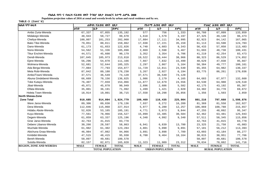Populaion projection values of 2016 at zonal and wereda levels by urban and rural residence and by sex.

| [ክልል ፣ ዞን ፣ ወረ <i>ዳ</i>        | ጠቅሳሳ የሕዝብ ብዛት በጾታ |                         |              |             | የከተማ ሕዝብ ብዛት በጾታ        |              | የንጠር ሕዝብ ብዛት በጾታ        |               |              |  |
|--------------------------------|-------------------|-------------------------|--------------|-------------|-------------------------|--------------|-------------------------|---------------|--------------|--|
|                                | ወንድ               | ቤት                      | ድምር          | ወንድ         | ሴት                      | ድምር          | ወንድ                     | ሴት            | ድምር          |  |
| Ambo Zuria-Wereda              | 67,337            | 67,855                  | 135,192      | 577         | 756                     | 1,333        | 66,760                  | 67,099        | 133,859      |  |
| Midakegn-Wereda                | 48,943            | 50,727                  | 99,670       | 1,618       | 1,579                   | 3,197        | 47,325                  | 49,148        | 96,473       |  |
| Cheliya-Wereda                 | 100,807           | 101,253                 | 202,060      | 17,884      | 17,111                  | 34,995       | 82,923                  | 84,142        | 167,065      |  |
| Bako Tibe-Wereda               | 79,051            | 80,811                  | 159,862      | 17,938      | 17,221                  | 35,159       | 61,113                  | 63,590        | 124,703      |  |
| Dano-Wereda                    | 61,173            | 61,653                  | 122,826      | 4,740       | 4,603                   | 9,343        | 56,433                  | 57,050        | 113,483      |  |
| Nono-Wereda                    | 54,562            | 51,336                  | 105,898      | 2,869       | 2,598                   | 5,467        | 51,693                  | 48,738        | 100,431      |  |
| Tikur Enchini-Wereda           | 44,571            | 45,608                  | 90,179       | 3,352       | 3,354                   | 6,706        | 41,219                  | 42,254        | 83,473       |  |
| Dendi-Wereda                   | 107,845           | 105,973                 | 213,818      | 19,522      | 19,444                  | 38,966       | 88,323                  | 86,529        | 174,852      |  |
| Ejere-Wereda                   | 56,296            | 54,870                  | 111,166      | 7,667       | 7,832                   | 15,499       | 48,629                  | 47,038        | 95,667       |  |
| Wolmera-Wereda                 | 52,681            | 52,644                  | 105,325      | 2,297       | 2,867                   | 5,164        | 50,384                  | 49,777        | 100,161      |  |
| Ada Berga-Wereda               | 77,084            | 77,793                  | 154,877      | 11,729      | 12,811                  | 24,540       | 65,355                  | 64,982        | 130,337      |  |
| Meta Robi-Wereda               | 87,042            | 89,188                  | 176,230      | 3,267       | 2,927                   | 6,194        | 83,775                  | 86,261        | 170,036      |  |
| Ambo/Town/-Wereda              | 37,571            | 36,549                  | 74,120       | 37,571      | 36,549                  | 74,120       |                         |               |              |  |
| Abuna Gindeberet-Wereda        | 66,669            | 70,156                  | 136,825      | 1,986       | 2,179                   | 4,165        | 64,683                  | 67,977        | 132,660      |  |
| Toke Kutayu-Wereda             | 76,407            | 77,659                  | 154,066      | 11,877      | 12,679                  | 24,556       | 64,530                  | 64,980        | 129,510      |  |
| Jibat-Wereda                   | 45,071            | 45,878                  | 90,949       | 2,896       | 2,686                   | 5,582        | 42,175                  | 43,192        | 85,367       |  |
| Elfata-Wereda                  | 35,801            | 36,191                  | 71,992       | 1,499       | 1,421                   | 2,920        | 34,302                  | 34,770        | 69,072       |  |
| Holeta Town-Wereda             | 18,914            | 19,801                  | 38,715       | 17,558      | 18,298                  | 35,856       | 1,356                   | 1,503         | 2,859        |  |
| <b>North Shewa-Zone</b>        |                   |                         |              |             |                         |              |                         |               |              |  |
| <b>Zone Total</b>              | 910,685           | 914,094                 | 1,824,779    | 109,469     | 116,435                 | 225,904      | 801,216                 | 797,660       | 1,598,876    |  |
| Were Jarso-Wereda              | 89,306            | 89,830                  | 179,136      | 7,937       | 8,272                   | 16,209       | 81,369                  | 81,558        | 162,927      |  |
| Dera-Wereda                    | 112,846           | 115,068                 | 227,914      | 5,977       | 6,280                   | 12,257       | 106,869                 | 108,788       | 215,657      |  |
| Hidabu Abote-Wereda            | 52,026            | 53,165                  | 105,191      | 4,771       | 5,073                   | 9,844        | 47,255                  | 48,092        | 95,347       |  |
| Kuyu-Wereda                    | 77,561            | 78,966                  | 156,527      | 15,099      | 15,485                  | 30,584       | 62,462                  | 63,481        | 125,943      |  |
| Degem-Wereda                   | 61,859            | 63,337                  | 125,196      | 4,348       | 4,992                   | 9,340        | 57,511                  | 58,345        | 115,856      |  |
| Girar Jarso-Wereda             | 42,763            | 41,015                  | 83,778       |             |                         |              | 42,763                  | 41,015        | 83,778       |  |
| Debere Libanos-Wereda          | 30,266            | 28,597                  | 58,863       | 6,941       | 6,839                   | 13,780       | 23,325                  | 21,758        | 45,083       |  |
| Wuchale-Wereda                 | 61,982            | 61,302                  | 123,284      | 4,801       | 5,090                   | 9,891        | 57,181                  | 56,212        | 113,393      |  |
| Abichuna Gnaa-Wereda           | 46,984            | 47,082                  | 94,066       | 3,891       | 3,898                   | 7,789        | 43,093                  | 43,184        | 86,277       |  |
| Kimbibit-Wereda                | 47,515            | 48,415                  | 95,930       | 8,700       | 9,464                   | 18,164       | 38,815                  | 38,951        | 77,766       |  |
| Bereh-Wereda                   | 50,897            | 49,681                  | 100,578      |             |                         |              | 50,897                  | 49,681        | 100,578      |  |
| Sululta-Wereda                 | 82,157            | 82,871                  | 165,028      | 11,323      | 11,989                  | 23,312       | 70,834                  | 70,882        | 141,716      |  |
| <b>REGION, ZONE AND WEREDA</b> | <b>MALE</b>       | <b>FEMALE</b>           | <b>TOTAL</b> | <b>MALE</b> | <b>FEMALE</b>           | <b>TOTAL</b> | <b>MALE</b>             | <b>FEMALE</b> | <b>TOTAL</b> |  |
|                                |                   | <b>TOTAL POPULATION</b> |              |             | <b>URBAN POPULATION</b> |              | <b>RURAL POPULATION</b> |               |              |  |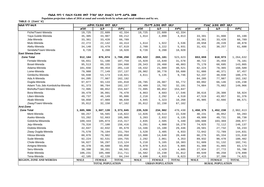Populaion projection values of 2016 at zonal and wereda levels by urban and rural residence and by sex.

| ክልል ፣ ዞን ፣ ወሪዳ                   |             | ጠቅሳሳ የሕዝብ ብዛት በጾታ       |              |             | የከተማ ሕዝብ ብዛት በጾታ        |              |                         | የንጠር ሕዝብ ብዛት በጾታ |              |  |
|----------------------------------|-------------|-------------------------|--------------|-------------|-------------------------|--------------|-------------------------|------------------|--------------|--|
|                                  | ወንድ         | ሴት                      | ድምር          | ወንድ         | ሴት                      | ድምር          | ወንድ                     | ሴት               | ድምር          |  |
| Fiche/Town/-Wereda               | 19,725      | 22,609                  | 42,334       | 19,725      | 22,609                  | 42,334       |                         |                  |              |  |
| Yaya Gulele-Wereda               | 35,305      | 33,907                  | 69,212       | 1,914       | 2,099                   | 4,013        | 33,391                  | 31,808           | 65,199       |  |
| Jida-Wereda                      | 33,361      | 33,428                  | 66,789       |             |                         |              | 33,361                  | 33,428           | 66,789       |  |
| Mulo-Wereda                      | 22,272      | 22,142                  | 44,414       | 1,614       | 1,922                   | 3,536        | 20,658                  | 20,220           | 40,878       |  |
| Aleltu-Wereda                    | 34,140      | 33,479                  | 67,619       | 2,709       | 3,222                   | 5,931        | 31,431                  | 30,257           | 61,688       |  |
| Sendafa/Town/-Wereda             | 9,720       | 9,200                   | 18,920       | 9,720       | 9,200                   | 18,920       |                         |                  |              |  |
| <b>East Shewa-Zone</b>           |             |                         |              |             |                         |              |                         |                  |              |  |
| <b>Zone Total</b>                | 912,184     | 876,074                 | 1,788,258    | 258,522     | 265,101                 | 523,623      | 653,659                 | 610,973          | 1,264,632    |  |
| Fentale-Wereda                   | 56,651      | 51,108                  | 107,759      | 15,929      | 15,649                  | 31,578       | 40,722                  | 35,459           | 76,181       |  |
| Boset-Wereda                     | 95,513      | 89,155                  | 184,668      | 20,343      | 20,460                  | 40,803       | 75,170                  | 68,695           | 143,865      |  |
| Adama-Wereda                     | 101,656     | 99,454                  | 201,110      | 19,432      | 21,089                  | 40,521       | 82,224                  | 78,365           | 160,589      |  |
| Lome-Wereda                      | 79,988      | 77,149                  | 157,137      | 28,902      | 30,778                  | 59,680       | 51,086                  | 46,371           | 97,457       |  |
| Gimbichu-Wereda                  | 56,848      | 53,173                  | 110,021      | 4,611       | 5,135                   | 9,746        | 52,237                  | 48,038           | 100,275      |  |
| Ada A-Wereda                     | 84,205      | 77,987                  | 162,192      |             |                         |              | 84,205                  | 77,987           | 162,192      |  |
| Dugda-Wereda                     | 97,877      | 93,133                  | 191,010      | 28,785      | 26,987                  | 55,772       | 69,092                  | 66,146           | 135,238      |  |
| Adami Tulu Jido Kombolcha-Wereda | 91,373      | 90,784                  | 182,157      | 16,489      | 15,702                  | 32,191       | 74,884                  | 75,082           | 149,966      |  |
| Bishoftu/Town/-Wereda            | 72,995      | 80,852                  | 153,847      | 72,995      | 80,852                  | 153,847      |                         |                  |              |  |
| Bora-Wereda                      | 39,479      | 36,991                  | 76,470       | 8,863       | 8,683                   | 17,546       | 30,616                  | 28,308           | 58,924       |  |
| Liben-Wereda                     | 49,737      | 46,149                  | 95,886       | 2,218       | 2,292                   | 4,510        | 47,519                  | 43,857           | 91,376       |  |
| Akaki-Wereda                     | 50,850      | 47,989                  | 98,839       | 4,945       | 5,323                   | 10,268       | 45,905                  | 42,666           | 88,571       |  |
| Ziway/Town/-Wereda               | 35,012      | 32,150                  | 67,162       | 35,012      | 32,150                  | 67,162       |                         |                  |              |  |
| Arsi-Zone                        |             |                         |              |             |                         |              |                         |                  |              |  |
| <b>Zone Total</b>                | 1,685,906   | 1,687,139               | 3,373,045    | 235,528     | 234,902                 | 470,430      | 1,450,375               | 1,452,238        | 2,902,613    |  |
| Merti-Wereda                     | 60,257      | 56,565                  | 116,822      | 12,026      | 10,513                  | 22,539       | 48,231                  | 46,052           | 94,283       |  |
| Aseko-Wereda                     | 53,202      | 52,663                  | 105,865      | 3,203       | 2,932                   | 6,135        | 49,999                  | 49,731           | 99,730       |  |
| Gololcha-Wewreda                 | 109,443     | 105,874                 | 215,317      | 2,835       | 2,505                   | 5,340        | 106,608                 | 103,369          | 209,977      |  |
| Jeju-Wereda                      | 79,316      | 77,100                  | 156,416      | 5,291       | 4,988                   | 10,279       | 74,025                  | 72,112           | 146,137      |  |
| Dodota-Wereda                    | 42,847      | 42,832                  | 85,679       | 14,346      | 15,100                  | 29,446       | 28,501                  | 27,732           | 56,233       |  |
| Ziway Dugda-Wereda               | 75,570      | 76,194                  | 151,764      | 3,528       | 3,405                   | 6,933        | 72,042                  | 72,789           | 144,831      |  |
| Hitosa-Wereda                    | 80,076      | 79,982                  | 160,058      | 13,800      | 14,648                  | 28,448       | 66,276                  | 65,334           | 131,610      |  |
| Sude-Wereda                      | 92,224      | 92,531                  | 184,755      | 2,292       | 2,061                   | 4,353        | 89,932                  | 90,470           | 180,402      |  |
| Chole-Wereda                     | 56,827      | 56,297                  | 113,124      | 5,218       | 5,165                   | 10,383       | 51,609                  | 51,132           | 102,741      |  |
| Amigna-Wereda                    | 46,378      | 46,680                  | 93,058       | 5,070       | 4,815                   | 9,885        | 41,308                  | 41,865           | 83,173       |  |
| Seru-Wereda                      | 30,390      | 30,201                  | 60,591       | 2,456       | 2,429                   | 4,885        | 27,934                  | 27,772           | 55,706       |  |
| Robe-Wereda                      | 106,231     | 105,480                 | 211,711      | 16,582      | 15,230                  | 31,812       | 89,649                  | 90,250           | 179,899      |  |
| Tena-Wereda                      | 42,105      | 42,139                  | 84,244       | 4,690       | 4,933                   | 9,623        | 37, 415                 | 37,206           | 74,621       |  |
| <b>REGION, ZONE AND WEREDA</b>   | <b>MALE</b> | <b>FEMALE</b>           | <b>TOTAL</b> | <b>MALE</b> | <b>FEMALE</b>           | <b>TOTAL</b> | <b>MALE</b>             | <b>FEMALE</b>    | <b>TOTAL</b> |  |
|                                  |             | <b>TOTAL POPULATION</b> |              |             | <b>URBAN POPULATION</b> |              | <b>RURAL POPULATION</b> |                  |              |  |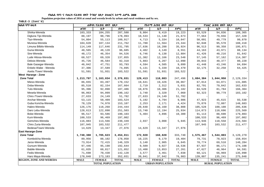Populaion projection values of 2016 at zonal and wereda levels by urban and rural residence and by sex.

| ክልል ፣ ዞን ፣ ወሪዳ                 |             | ጠቅሳሳ የሕዝብ ብዛት በጾታ       |              |             | <u>የከተማ ሕዝብ ብዛት በጾታ</u> |              |             | የንጠር ሕዝብ ብዛት በጾታ        |              |  |  |
|--------------------------------|-------------|-------------------------|--------------|-------------|-------------------------|--------------|-------------|-------------------------|--------------|--|--|
|                                | ወንድ         | ሴት                      | ድምር          | ወንድ         | ቤት                      | ድምር          | ወንድ         | ሌት                      | ድምር          |  |  |
| Shirka-Wereda                  | 103,333     | 104,255                 | 207,588      | 9,804       | 9,419                   | 19,223       | 93,529      | 94,836                  | 188,365      |  |  |
| Digluna Tijo-Wereda            | 88,197      | 90,796                  | 178,993      | 10,533      | 11,140                  | 21,673       | 77,664      | 79,656                  | 157,320      |  |  |
| Tiyo-Wereda                    | 54,804      | 55,113                  | 109,917      | 4,713       | 5,334                   | 10,047       | 50,091      | 49,779                  | 99,870       |  |  |
| Munesa-Wereda                  | 104,628     | 107,134                 | 211,762      | 11,780      | 11,564                  | 23,344       | 92,848      | 95,570                  | 188,418      |  |  |
| Limuna Bilbilo-Wereda          | 114,149     | 117,646                 | 231,795      | 17,636      | 18,288                  | 35,924       | 96,513      | 99,358                  | 195,871      |  |  |
| Guna-Wereda                    | 48,565      | 48,120                  | 96,685       | 4,402       | 4,149                   | 8,551        | 44,163      | 43,971                  | 88,134       |  |  |
| Sire-Wereda                    | 48,172      | 46,354                  | 94,526       | 6,746       | 6,138                   | 12,884       | 41,426      | 40,216                  | 81,642       |  |  |
| Lude Hitosa-Wereda             | 68,527      | 69,328                  | 137,855      | 11,382      | 12,166                  | 23,548       | 57,145      | 57,162                  | 114,307      |  |  |
| Deksis-Wereda                  | 45,726      | 46,584                  | 92,310       | 5,883       | 6,207                   | 12,090       | 39,843      | 40,377                  | 80,220       |  |  |
| Bale Gasegar-Wereda            | 46,042      | 47,751                  | 93,793       | 4,594       | 4,505                   | 9,099        | 41,448      | 43,246                  | 84,694       |  |  |
| Enkelo Wabe - Wereda           | 37,306      | 37,589                  | 74,895       | 5,131       | 5,339                   | 10,470       | 32,175      | 32,250                  | 64,425       |  |  |
| Asela /Town/ Wereda            | 51,591      | 51,931                  | 103,522      | 51,591      | 51,931                  | 103,522      |             |                         |              |  |  |
| <b>West Hararge - Zone</b>     |             |                         |              |             |                         |              |             |                         |              |  |  |
| <b>Zone Total</b>              | 1,213,797   | 1,163,034               | 2,376,831    | 129,413     | 118,083                 | 247,496      | 1,084,384   | 1,044,950               | 2,129,334    |  |  |
| Mieso-Wereda                   | 86,655      | 83,497                  | 170,152      | 19,641      | 19,426                  | 39,067       | 67,014      | 64,071                  | 131,085      |  |  |
| Doba-Wereda                    | 85,510      | 82,154                  | 167,664      | 2,719       | 2,312                   | 5,031        | 82,791      | 79,842                  | 162,633      |  |  |
| Tulo-Wereda                    | 95,396      | 92,090                  | 187,486      | 10,876      | 10,306                  | 21,182       | 84,520      | 81,784                  | 166,304      |  |  |
| Mesela-Wereda                  | 96,063      | 94,099                  | 190,162      | 3,740       | 3,320                   | 7,060        | 92,323      | 90,779                  | 183,102      |  |  |
| Chiro /Town/-Wereda            | 27,633      | 24,149                  | 51,782       | 27,633      | 24,149                  | 51,782       |             |                         |              |  |  |
| Anchar-Wereda                  | 53,115      | 50,409                  | 103,524      | 5,192       | 4,794                   | 9,986        | 47,923      | 45,615                  | 93,538       |  |  |
| Guba Koricha-Wereda            | 78,129      | 74,978                  | 153,107      | 2,253       | 2,171                   | 4,424        | 75,876      | 72,807                  | 148,683      |  |  |
| Habro-Wereda                   | 126,176     | 118,268                 | 244,444      | 20,648      | 18,160                  | 38,808       | 105,528     | 100,108                 | 205,636      |  |  |
| Daro Lebu-Wereda               | 128,613     | 122,890                 | 251,503      | 13,740      | 12,194                  | 25,934       | 114,873     | 110,696                 | 225,569      |  |  |
| Boke-Wereda                    | 96,517      | 93,586                  | 190,103      | 5,404       | 4,896                   | 10,300       | 91,113      | 88,690                  | 179,803      |  |  |
| Kuni-Wereda                    | 100,533     | 96,469                  | 197,002      |             |                         |              | 100,533     | 96,469                  | 197,002      |  |  |
| Gemches-Wereda                 | 116,883     | 113,566                 | 230,449      | 2,937       | 3,008                   | 5,945        | 113,946     | 110,558                 | 224,504      |  |  |
| Chiro Zuria-Wereda             | 107,945     | 103,532                 | 211,477      |             |                         |              | 107,945     | 103,532                 | 211,477      |  |  |
| Bedesa/Town/-Wereda            | 14,629      | 13,347                  | 27,976       | 14,629      | 13,347                  | 27,976       |             |                         |              |  |  |
| <b>East Hararge-Zone</b>       |             |                         |              |             |                         |              |             |                         |              |  |  |
| <b>Zone Total</b>              | 1,748,388   | 1,705,623               | 3,454,011    | 172,920     | 160,820                 | 333,740      | 1,575,467   | 1,544,803               | 3,120,270    |  |  |
| Kombolcha-Wereda               | 89,956      | 88,102                  | 178,058      | 10,225      | 9,179                   | 19,404       | 79,731      | 78,923                  | 158,654      |  |  |
| Jarso-Wereda                   | 73,914      | 72,415                  | 146,329      | 3,140       | 2,905                   | 6,045        | 70,774      | 69,510                  | 140,284      |  |  |
| Gursum-Wereda                  | 97,446      | 95,198                  | 192,644      | 9,509       | 9,027                   | 18,536       | 87,937      | 86,171                  | 174,108      |  |  |
| Babile-Wereda                  | 61,035      | 60,817                  | 121,852      | 13,408      | 13,853                  | 27,261       | 47,627      | 46,964                  | 94,591       |  |  |
| Fedis-Wereda                   | 71,698      | 70,430                  | 142,128      | 3,577       | 3,461                   | 7,038        | 68,121      | 66,969                  | 135,090      |  |  |
| Haro Maya-Wereda               | 178,848     | 173,183                 | 352,031      | 39,041      | 37,942                  | 76,983       | 139,807     | 135,241                 | 275,048      |  |  |
| <b>REGION, ZONE AND WEREDA</b> | <b>MALE</b> | <b>FEMALE</b>           | <b>TOTAL</b> | <b>MALE</b> | <b>FEMALE</b>           | <b>TOTAL</b> | <b>MALE</b> | <b>FEMALE</b>           | <b>TOTAL</b> |  |  |
|                                |             | <b>TOTAL POPULATION</b> |              |             | <b>URBAN POPULATION</b> |              |             | <b>RURAL POPULATION</b> |              |  |  |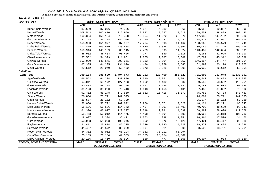Populaion projection values of 2016 at zonal and wereda levels by urban and rural residence and by sex.

| ክልል ፣ ዞን ፣ ወረዳ                 | ጠቅሳሳ የሕዝብ ብዛት በጾታ       |               |              |                         | የከተማ ሕዝብ ብዛት በጾታ |              | የንጠር ሕዝብ ብዛት በጾታ        |               |              |
|--------------------------------|-------------------------|---------------|--------------|-------------------------|------------------|--------------|-------------------------|---------------|--------------|
|                                | ወንድ                     | ሴት            | ድምር          | ወንድ                     | ቤት               | ድምር          | ወንድ                     | ሴት            | ድምር          |
| Kurfa Chele-Wereda             | 37,680                  | 37,076        | 74,756       | 4,627                   | 4,239            | 8,866        | 33,053                  | 32,837        | 65,890       |
| Kersa-Wereda                   | 108,543                 | 107,416       | 215,959      | 8,992                   | 8,527            | 17,519       | 99,551                  | 98,889        | 198,440      |
| Meta-Wereda                    | 160,334                 | 158,124       | 318,458      | 12,354                  | 11,022           | 23,376       | 147,980                 | 147,102       | 295,082      |
| Goro Gutu-Wereda               | 92,768                  | 89,328        | 182,096      | 8,250                   | 7,231            | 15,481       | 84,518                  | 82,097        | 166,615      |
| Deder-Wereda                   | 155,930                 | 151,977       | 307,907      | 17,764                  | 16,398           | 34,162       | 138,166                 | 135,579       | 273,745      |
| Melka Belo-Wereda              | 113,879                 | 109,679       | 223,558      | 7,830                   | 6,534            | 14,364       | 106,049                 | 103,145       | 209,194      |
| Bedeno-Wereda                  | 150,916                 | 149,199       | 300,115      | 7,429                   | 6,595            | 14,024       | 143,487                 | 142,604       | 286,091      |
| Midga Tola-Wereda              | 48,962                  | 46,464        | 95,426       | 4,777                   | 4,539            | 9,316        | 44,185                  | 41,925        | 86,110       |
| Chinaksan-Wereda               | 57,562                  | 54,399        | 111,961      | 9,775                   | 9,087            | 18,862       | 47,787                  | 45,312        | 93,099       |
| Girawa-Wereda                  | 152,020                 | 148,641       | 300,661      | 5,163                   | 3,894            | 9,057        | 146,857                 | 144,747       | 291,604      |
| Gola Oda-Wereda                | 67,385                  | 64,235        | 131,620      | 4,486                   | 4,059            | 8,545        | 62,899                  | 60,176        | 123,075      |
| Meyu-Wereda                    | 29,512                  | 28,940        | 58,452       | 2,573                   | 2,328            | 4,901        | 26,939                  | 26,612        | 53,551       |
| <b>Bale-Zone</b>               |                         |               |              |                         |                  |              |                         |               |              |
| <b>Zone Total</b>              | 909,164                 | 885,509       | 1,794,673    | 128,162                 | 128,460          | 256,622      | 781,003                 | 757,048       | 1,538,051    |
| Agarfa-Wereda                  | 66,552                  | 64,334        | 130,886      | 10,010                  | 9,851            | 19,861       | 56,542                  | 54,483        | 111,025      |
| Gololcha-Wereda                | 64,011                  | 63,172        | 127,183      | 4,452                   | 4,480            | 8,932        | 59,559                  | 58,692        | 118,251      |
| Gasera-Wereda                  | 50,438                  | 48,328        | 98,766       | 3,657                   | 3,725            | 7,382        | 46,781                  | 44,603        | 91,384       |
| Legehida-Wereda                | 39,123                  | 39,290        | 78,413       | 1,643                   | 1,458            | 3,101        | 37,480                  | 37,832        | 75,312       |
| Ginir-Wereda                   | 91,412                  | 88,148        | 179,560      | 15,662                  | 15,415           | 31,077       | 75,750                  | 72,733        | 148,483      |
| Sinana Wereda                  | 76,884                  | 70,711        | 147,595      |                         |                  |              | 76,884                  | 70,711        | 147,595      |
| Goba Wereda                    | 25,577                  | 25,152        | 50,729       |                         |                  |              | 25,577                  | 25,152        | 50,729       |
| Harena Buluk-Wereda            | 52,080                  | 50,792        | 102,872      | 3,956                   | 3,571            | 7,527        | 48,124                  | 47,221        | 95,345       |
| Dolo Mena-Wereda               | 58,106                  | 56,636        | 114,742      | 8,404                   | 7,997            | 16,401       | 49,702                  | 48,639        | 98,341       |
| Meda Welabu-Wereda             | 61,300                  | 60,977        | 122,277      | 2,318                   | 2,281            | 4,599        | 58,982                  | 58,696        | 117,678      |
| Berbere-Wereda                 | 58,463                  | 56,012        | 114,475      | 4,498                   | 4,194            | 8,692        | 53,965                  | 51,818        | 105,783      |
| Guradamole-Wereda              | 18,027                  | 18,394        | 36,421       | 1,063                   | 888              | 1,951        | 16,964                  | 17,506        | 34,470       |
| Goro-Wereda                    | 53,953                  | 51,993        | 105,946      | 6,552                   | 6,576            | 13,128       | 47,401                  | 45, 417       | 92,818       |
| Rayitu-Wereda                  | 21,411                  | 20,814        | 42,225       | 2,539                   | 2,390            | 4,929        | 18,872                  | 18,424        | 37,296       |
| Seweyna-Wereda                 | 41,497                  | 41,572        | 83,069       | 2,997                   | 2,811            | 5,808        | 38,500                  | 38,761        | 77,261       |
| Robe/Town/-Wereda              | 34,382                  | 33,912        | 68,294       | 34,382                  | 33,912           | 68,294       |                         |               |              |
| Goba/Town/-Wereda              | 23,155                  | 26,154        | 49,309       | 23,155                  | 26,154           | 49,309       |                         |               |              |
| Dawe Kachen - Wereda           | 20,186                  | 18,410        | 38,596       | 589                     | 477              | 1,066        | 19,597                  | 17,933        | 37,530       |
| <b>REGION, ZONE AND WEREDA</b> | <b>MALE</b>             | <b>FEMALE</b> | <b>TOTAL</b> | <b>MALE</b>             | <b>FEMALE</b>    | <b>TOTAL</b> | <b>MALE</b>             | <b>FEMALE</b> | <b>TOTAL</b> |
|                                | <b>TOTAL POPULATION</b> |               |              | <b>URBAN POPULATION</b> |                  |              | <b>RURAL POPULATION</b> |               |              |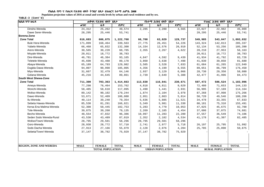Populaion projection values of 2016 at zonal and wereda levels by urban and rural residence and by sex.

| ክልል ፣ ዞን ፣ ወረዳ                 |             | ጠቅሳሳ የሕዝብ ብዛት በጾታ       |              |             | የከተማ ሕዝብ ብዛት በጾታ        |              | የንጠር ሕዝብ ብዛት በጾታ |                         |              |  |
|--------------------------------|-------------|-------------------------|--------------|-------------|-------------------------|--------------|------------------|-------------------------|--------------|--|
|                                | ወንድ         | ሴት                      | ድምር          | ወንድ         | ቤት                      | ድምር          | ወንድ              | ቤት                      | ድምር          |  |
| Dinsho-Wereda                  | 24,312      | 25,262                  | 49,574       | 2,285       | 2,280                   | 4,565        | 22,027           | 22,982                  | 45,009       |  |
| Dawe Serer-Wereda              | 28,295      | 25,446                  | 53,741       |             |                         |              | 28,295           | 25,446                  | 53,741       |  |
| Borena-Zone                    |             |                         |              |             |                         |              |                  |                         |              |  |
| <b>Zone Total</b>              | 616,693     | 606,075                 | 1,222,768    | 66,708      | 63,029                  | 129,737      | 549,985          | 543,047                 | 1,093,032    |  |
| Bule Hora-Wereda               | 171,099     | 168,464                 | 339,563      | 27,775      | 26,451                  | 54,226       | 143,324          | 142,013                 | 285,337      |  |
| Yabelo-Wereda                  | 66,468      | 65,832                  | 132,300      | 14,334      | 12,576                  | 26,910       | 52,134           | 53,256                  | 105,390      |  |
| Arero-Wereda                   | 30,565      | 30,220                  | 60,785       | 2,355       | 2,267                   | 4,622        | 28,210           | 27,953                  | 56,163       |  |
| Moyale-Wereda                  | 20,011      | 18,772                  | 38,783       |             |                         |              | 20,011           | 18,772                  | 38,783       |  |
| Dire-Wereda                    | 46,781      | 46,384                  | 93,165       | 4,847       | 4,592                   | 9,439        | 41,934           | 41,792                  | 83,726       |  |
| Teletele-Wereda                | 45,690      | 43,488                  | 89,178       | 3,860       | 3,638                   | 7,498        | 41,830           | 39,850                  | 81,680       |  |
| Abaya-Wereda                   | 65,189      | 64,793                  | 129,982      | 3,505       | 3,528                   | 7,033        | 61,684           | 61,265                  | 122,949      |  |
| Dugida Dawa-Wereda             | 94,007      | 90,998                  | 185,005      | 4,356       | 4,199                   | 8,555        | 89,651           | 86,799                  | 176,450      |  |
| Miyu-Wereda                    | 31,667      | 32,479                  | 64,146       | 2,937       | 3,129                   | 6,066        | 28,730           | 29,350                  | 58,080       |  |
| Gelana-Wereda                  | 45,216      | 44,645                  | 89,861       | 2,739       | 2,649                   | 5,388        | 42,477           | 41,996                  | 84,473       |  |
| South West Shewa-Zone          |             |                         |              |             |                         |              |                  |                         |              |  |
| <b>Zone Total</b>              | 711,300     | 703,363                 | 1,414,663    | 113,830     | 116,841                 | 230,671      | 597,472          | 586,524                 | 1,183,996    |  |
| Ameya-Wereda                   | 77,298      | 76,464                  | 153,762      | 4,818       | 4,811                   | 9,629        | 72,480           | 71,653                  | 144,133      |  |
| Wonchi-Wereda                  | 58,485      | 58,610                  | 117,095      | 1,490       | 1,441                   | 2,931        | 56,995           | 57,169                  | 114,164      |  |
| Woliso-Wereda                  | 89,142      | 90,102                  | 179,244      | 1,874       | 2,104                   | 3,978        | 87,268           | 87,998                  | 175,266      |  |
| Dawo-Wereda                    | 53,671      | 52,409                  | 106,080      | 2,951       | 2,863                   | 5,814        | 50,720           | 49,546                  | 100,266      |  |
| Ilu-Wereda                     | 40,114      | 39,240                  | 79,354       | 5,636       | 5,885                   | 11,521       | 34,478           | 33,355                  | 67,833       |  |
| Sebeta Hawas-Wereda            | 85,530      | 81,291                  | 166,821      | 5,349       | 5,981                   | 11,330       | 80,181           | 75,310                  | 155,491      |  |
| Kersa Ena Malima-Wereda        | 52,308      | 50,445                  | 102,753      | 5,283       | 4,770                   | 10,053       | 47,025           | 45,675                  | 92,700       |  |
| Tole-Wereda                    | 39,875      | 39,260                  | 79,135       | 2,269       | 2,185                   | 4,454        | 37,606           | 37,075                  | 74,681       |  |
| Becho-Wereda                   | 48,554      | 47,832                  | 96,386       | 10,997      | 11,283                  | 22,280       | 37,557           | 36,549                  | 74,106       |  |
| Seden Sodo Wereda-Rural        | 43,530      | 43,489                  | 87,019       | 2,352       | 2,182                   | 4,534        | 41,178           | 41,307                  | 82,485       |  |
| Woliso/Town/-Wereda            | 28,795      | 29,501                  | 58,296       | 28,795      | 29,501                  | 58,296       |                  |                         |              |  |
| Goro-Wereda                    | 28,938      | 28,772                  | 57,710       | 2,741       | 2,977                   | 5,718        | 26,197           | 25,795                  | 51,992       |  |
| Sodo Dacha Wereda              | 27,913      | 27,166                  | 55,079       | 2,128       | 2,076                   | 4,204        | 25,785           | 25,090                  | 50,875       |  |
| Sebeta/Town/-Wereda            | 37,147      | 38,782                  | 75,929       | 37,147      | 38,782                  | 75,929       |                  |                         |              |  |
|                                |             |                         |              |             |                         |              |                  |                         |              |  |
|                                |             |                         |              |             |                         |              |                  |                         |              |  |
| <b>REGION, ZONE AND WEREDA</b> | <b>MALE</b> | <b>FEMALE</b>           | <b>TOTAL</b> | <b>MALE</b> | <b>FEMALE</b>           | <b>TOTAL</b> | <b>MALE</b>      | <b>FEMALE</b>           | <b>TOTAL</b> |  |
|                                |             | <b>TOTAL POPULATION</b> |              |             | <b>URBAN POPULATION</b> |              |                  | <b>RURAL POPULATION</b> |              |  |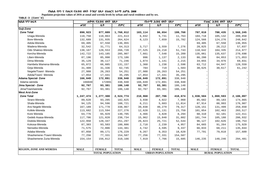Populaion projection values of 2016 at zonal and wereda levels by urban and rural residence and by sex.

| ክልል ፣ ዞን ፣ ወረዳ                 |                                                    | ጠቅሳሳ የሕዝብ ብዛት በጾታ |              |             | የከተማ ሕዝብ ብዛት በጾታ |                         |             | የንጠር ሕዝብ ብዛት በጾታ |              |
|--------------------------------|----------------------------------------------------|-------------------|--------------|-------------|------------------|-------------------------|-------------|------------------|--------------|
|                                | ወንድ                                                | ሴት                | ድምር          | ወንድ         | ሴት               | ድምር                     | ወንድ         | ሌት               | ድምር          |
| Guji-Zone                      |                                                    |                   |              |             |                  |                         |             |                  |              |
| <b>Zone Total</b>              | 890,923                                            | 877,089           | 1,768,012    | 103,114     | 96,654           | 199,768                 | 787,810     | 780,435          | 1,568,245    |
| Uraga-Wereda                   | 110,750                                            | 110,863           | 221,613      | 6,032       | 5,731            | 11,763                  | 104,718     | 105,132          | 209,850      |
| Bore-Wereda                    | 132,689                                            | 131,935           | 264,624      | 8,123       | 7,659            | 15,782                  | 124,566     | 124,276          | 248,842      |
| Adola-Wereda                   | 69,405                                             | 67,550            | 136,955      |             |                  |                         | 69,405      | 67,550           | 136,955      |
| Wadera-Wereda                  | 32,542                                             | 31,771            | 64,313       | 3,717       | 3,559            | 7,276                   | 28,825      | 28,212           | 57,037       |
| Odo Shakiso-Wereda             | 138,167                                            | 128,553           | 266,720      | 27,525      | 24,218           | 51,743                  | 110,642     | 104,335          | 214,977      |
| Kercha-Wereda                  | 142,722                                            | 143,185           | 285,907      | 7,661       | 7,548            | 15,209                  | 135,061     | 135,637          | 270,698      |
| Liben-Wereda                   | 87,196                                             | 85,990            | 173,186      | 996         | 1,137            | 2,133                   | 86,200      | 84,853           | 171,053      |
| Dima-Wereda                    | 35,129                                             | 36,117            | 71,246       | 1,074       | 1,141            | 2,215                   | 34,055      | 34,976           | 69,031       |
| Hambela Wamena-Wereda          | 65,072                                             | 66,085            | 131,157      | 1,360       | 1,238            | 2,598                   | 63,712      | 64,847           | 128,559      |
| Girja-Wereda                   | 31,409                                             | 31,336            | 62,745       | 784         | 719              | 1,503                   | 30,625      | 30,617           | 61,242       |
| Negele/Town/- Wereda           | 27,988                                             | 26,263            | 54,251       | 27,988      | 26,263           | 54,251                  |             |                  |              |
| Adola/Town/- Wereda            | 17,854                                             | 17,441            | 35,295       | 17,854      | 17,441           | 35,295                  |             |                  |              |
| <b>Adama Special- Zone</b>     | 166,049                                            | 172,891           | 338,940      | 166,049     | 172,891          | 338,940                 |             |                  |              |
| Adama wereda                   | 166049                                             | 172891            | 338,940      | 166,049     | 172,891          | 338,940                 |             |                  |              |
| Jima Special - Zone            | 92,767                                             | 93,381            | 186,148      | 92,767      | 93,381           | 186,148                 |             |                  |              |
| Jima/Town/wereda               | 92,767                                             | 93,381            | 186,148      | 92,767      | 93,381           | 186,148                 |             |                  |              |
| <b>West Arsi-Zone</b>          |                                                    |                   |              |             |                  |                         |             |                  |              |
| <b>Zone Total</b>              | 1,247,474                                          | 1,277,300         | 2,524,774    | 210,968     | 207,706          | 418,674                 | 1,036,504   | 1,069,593        | 2,106,097    |
| Siraro-Wereda                  | 89,620                                             | 93,205            | 182,825      | 3,938       | 4,022            | 7,960                   | 85,682      | 89,183           | 174,865      |
| Shala-Wereda                   | 94,125                                             | 94,596            | 188,721      | 6,211       | 5,603            | 11,814                  | 87,914      | 88,993           | 176,907      |
| Arsi Negele-Wereda             | 167,189                                            | 171,778           | 338,967      | 39,038      | 40,279           | 79,317                  | 128,151     | 131,499          | 259,650      |
| Kofele-Wereda                  | 113,682                                            | 113,594           | 227,276      | 12,628      | 11,131           | 23,759                  | 101,054     | 102,463          | 203,517      |
| Kore Wereda                    | 64,776                                             | 65,929            | 130,705      | 4,466       | 3,828            | 8,294                   | 60,310      | 62,101           | 122,411      |
| Gedeb Asasa-Wereda             | 117,706                                            | 121,028           | 238,734      | 15,962      | 15,840           | 31,802                  | 101,744     | 105,188          | 206,932      |
| Dodola-Wereda                  | 122,950                                            | 128,347           | 251,297      | 26,823      | 25,721           | 52,544                  | 96,127      | 102,626          | 198,753      |
| Kokosa-Wereda                  | 87,383                                             | 93,503            | 180,886      | 2,718       | 2,239            | 4,957                   | 84,665      | 91,264           | 175,929      |
| Nensebo-Wereda                 | 71,575                                             | 72,806            | 144,381      | 4,742       | 4,595            | 9,337                   | 66,833      | 68,211           | 135,044      |
| Adaba-Wereda                   | 87,058                                             | 89,171            | 176,229      | 9,267       | 9,353            | 18,620                  | 77,791      | 79,818           | 157,609      |
| Shashemene /Town/-Wereda       | 77,256                                             | 77,331            | 154,587      | 77,256      | 77,331           | 154,587                 |             |                  |              |
| Shashemene Zuria-Wereda        | 154,154                                            | 156,012           | 310,166      | 7,919       | 7,766            | 15,685                  | 146,235     | 148,246          | 294,481      |
|                                |                                                    |                   |              |             |                  |                         |             |                  |              |
|                                |                                                    |                   |              |             |                  |                         |             |                  |              |
| <b>REGION, ZONE AND WEREDA</b> | <b>MALE</b>                                        | <b>FEMALE</b>     | <b>TOTAL</b> | <b>MALE</b> | <b>FEMALE</b>    | <b>TOTAL</b>            | <b>MALE</b> | <b>FEMALE</b>    | <b>TOTAL</b> |
|                                | <b>TOTAL POPULATION</b><br><b>URBAN POPULATION</b> |                   |              |             |                  | <b>RURAL POPULATION</b> |             |                  |              |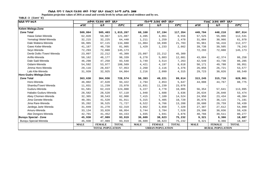Populaion projection values of 2016 at zonal and wereda levels by urban and rural residence and by sex.

| ክልል ፣ ዞን ፣ ወረዳ               | ጠቅሳሳ የሕዝብ ብዛት በጾታ       |               |              |             | የከተማ ሕዝብ ብዛት በጾታ        |              | የንጠር ሕዝብ ብዛት በጾታ        |               |              |
|------------------------------|-------------------------|---------------|--------------|-------------|-------------------------|--------------|-------------------------|---------------|--------------|
|                              | ወንድ                     | ሴት            | ድምር          | ወንድ         | ሴት                      | ድምር          | ወንድ                     | ሌት            | ድምር          |
| Kelem Welega-Zone            |                         |               |              |             |                         |              |                         |               |              |
| <b>Zone Total</b>            | 509,864                 | 505,403       | 1,015,267    | 60,160      | 57,194                  | 117,354      | 449,704                 | 448,210       | 897,914      |
| Hawa Gelan-Wereda            | 62,020                  | 59,067        | 121,087      | 4,495       | 4,061                   | 8,556        | 57,525                  | 55,006        | 112,531      |
| Yemalogi Welel-Wereda        | 32,215                  | 32,225        | 64,440       | 1,211       | 1,259                   | 2,470        | 31,004                  | 30,966        | 61,970       |
| Dale Wabera-Wereda           | 66,965                  | 67,115        | 134,080      | 11,004      | 10,699                  | 21,703       | 55,961                  | 56,416        | 112,377      |
| Gawo Kebe-Wereda             | 41,167                  | 40,738        | 81,905       | 1,429       | 1,233                   | 2,662        | 39,738                  | 39,505        | 79,243       |
| Seyo Wereda                  | 72,293                  | 72,880        | 145,173      |             |                         |              | 72,293                  | 72,880        | 145,173      |
| Denbi Dollo /Town/-Wereda    | 23,097                  | 22,212        | 45,309       | 23,097      | 22,212                  | 45,309       |                         |               |              |
| Anfilo-Wereda                | 50,162                  | 48,177        | 98,339       | 6,278       | 5,803                   | 12,081       | 43,884                  | 42,374        | 86,258       |
| Dale Sadi-Wereda             | 46,298                  | 47,250        | 93,548       | 3,749       | 3,514                   | 7,263        | 42,549                  | 43,736        | 86,285       |
| Gidami-Wereda                | 54,592                  | 53,977        | 108,569      | 4,421       | 4,197                   | 8,618        | 50,171                  | 49,780        | 99,951       |
| Jimma Horo-Wereda            | 29,116                  | 28,837        | 57,953       | 2,260       | 2,116                   | 4,376        | 26,856                  | 26,721        | 53,577       |
| Lalo Kile-Wereda             | 31,939                  | 32,925        | 64,864       | 2,216       | 2,099                   | 4,315        | 29,723                  | 30,826        | 60,549       |
| Horo Gudru Welega-Zone       |                         |               |              |             |                         |              |                         |               |              |
| <b>Zone Total</b>            | 363,638                 | 364,936       | 728,574      | 50,393      | 49,221                  | 99,614       | 313,245                 | 315,716       | 628,961      |
| Horo-Wereda                  | 46,802                  | 47,620        | 94,422       | 2,794       | 2,853                   | 5,647        | 44,008                  | 44,767        | 88,775       |
| Shambu/Town/-Wereda          | 11,831                  | 11,239        | 23,070       | 11,831      | 11,239                  | 23,070       |                         |               |              |
| Guduru-Wereda                | 61,581                  | 62,419        | 124,000      | 5,227       | 4,778                   | 10,005       | 56,354                  | 57,641        | 113,995      |
| Hababo Guduru-Wereda         | 28,582                  | 28,528        | 57,110       | 1,948       | 1,688                   | 3,636        | 26,634                  | 26,840        | 53,474       |
| Abey Chomen-Wereda           | 32,365                  | 30,543        | 62,908       | 7,415       | 7,109                   | 14,524       | 24,950                  | 23,434        | 48,384       |
| Jima Genete-Wereda           | 40,391                  | 41,520        | 81,911       | 5,315       | 5,405                   | 10,720       | 35,076                  | 36,115        | 71,191       |
| Jima Rare-Wereda             | 35,202                  | 36,525        | 71,727       | 6,522       | 6,766                   | 13,288       | 28,680                  | 29,759        | 58,439       |
| Jardega Jarte Wereda         | 31,049                  | 31,270        | 62,319       | 3,662       | 3,658                   | 7,320        | 27,387                  | 27,612        | 54,999       |
| Amuru-Wereda                 | 33,134                  | 33,820        | 66,954       | 3,744       | 3,784                   | 7,528        | 29,390                  | 30,036        | 59,426       |
| Abe Dongoro-Wereda           | 42,701                  | 41,452        | 84,153       | 1,935       | 1,941                   | 3,876        | 40,766                  | 39,511        | 80,277       |
| <b>Burayu Special - Zone</b> | 45,930                  | 47,989        | 93,919       | 36,609      | 38,623                  | 75,232       | 9,321                   | 9,366         | 18,687       |
| Burayu Special-Wereda        | 45,930                  | 47,989        | 93,919       | 36,609      | 38,623                  | 75,232       | 9,321                   | 9,366         | 18,687       |
|                              | <b>MALE</b>             | <b>FEMALE</b> | <b>TOTAL</b> | <b>MALE</b> | <b>FEMALE</b>           | <b>TOTAL</b> | <b>MALE</b>             | <b>FEMALE</b> | <b>TOTAL</b> |
|                              | <b>TOTAL POPULATION</b> |               |              |             | <b>URBAN POPULATION</b> |              | <b>RURAL POPULATION</b> |               |              |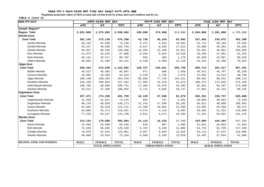**Populaion projection values of 2016 at zonal and wereda levels by urban and rural residence and by sex.**

| ክልል ፣ ዞን ፣ ወሪዳ                 | ጠቅላሳ የሕዝብ ብዛት በጾታ       |               |              | የከተማ ሕዝብ ብዛት በጾታ |                         |              | የንጠር ሕዝብ ብዛት በጾታ        |               |              |
|--------------------------------|-------------------------|---------------|--------------|------------------|-------------------------|--------------|-------------------------|---------------|--------------|
|                                | ወንድ                     | ሴት            | ድምር          | ወንድ              | ቤት                      | ድምር          | ወንድ                     | ቤት            | ድምር          |
| Somali Region**                |                         |               |              |                  |                         |              |                         |               |              |
| <b>Region Total</b>            | 3,023,000               | 2,575,002     | 5,598,002    | 439,000          | 374,000                 | 813,000      | 2,584,000               | 2,201,000     | 4,785,000    |
| Shinile-Zone                   |                         |               |              |                  |                         |              |                         |               |              |
| <b>Zone Total</b>              | 301,142                 | 275,138       | 576,280      | 43,738           | 40,164                  | 83,902       | 257,405                 | 234,975       | 492,380      |
| Ayisha-Wereda                  | 38,192                  | 35,038        | 73,230       | 5,471            | 4,933                   | 10,404       | 32,721                  | 30,105        | 62,826       |
| Denbel-Wereda                  | 55,227                  | 48,566        | 103,793      | 9,547            | 8,265                   | 17,812       | 45,680                  | 40,301        | 85,981       |
| Shinile-Wereda                 | 68,957                  | 60,549        | 129,506      | 13,393           | 12,458                  | 25,851       | 55,564                  | 48,091        | 103,655      |
| Erer-Wereda                    | 51,973                  | 45,925        | 97,898       | 8,504            | 8,024                   | 16,528       | 43,469                  | 37,901        | 81,370       |
| Mulo-Wereda                    | 46,131                  | 43,571        | 89,702       | 692              | 484                     | 1,176        | 45,439                  | 43,087        | 88,526       |
| Afdem-Wereda                   | 40,662                  | 41,489        | 82,151       | 6,130            | 5,999                   | 12,129       | 34,532                  | 35,490        | 70,022       |
| Jijiga-Zone                    |                         |               |              |                  |                         |              |                         |               |              |
| <b>Zone Total</b>              | 646,443                 | 576,639       | 1,223,082    | 140,727          | 125,021                 | 265,748      | 505,714                 | 451,617       | 957,331      |
| Babile-Wereda                  | 50,512                  | 46,485        | 96,997       | 971              | 688                     | 1,659        | 49,541                  | 45,797        | 95,338       |
| Gursum-Wereda                  | 18,084                  | 16,560        | 34,644       | 2,129            | 1,746                   | 3,875        | 15,955                  | 14,814        | 30,769       |
| Jijiga-Wereda                  | 186,140                 | 168,294       | 354,434      | 86,558           | 77,763                  | 164,321      | 99,582                  | 90,531        | 190,113      |
| Awubere-Wereda                 | 228,430                 | 198,864       | 427,294      | 27,955           | 23,919                  | 51,874       | 200,475                 | 174,945       | 375,420      |
| Kebri Beyah-Wereda             | 109,765                 | 98,986        | 208,751      | 17,404           | 15,879                  | 33,283       | 92,361                  | 83,107        | 175,468      |
| Harshin-Wereda                 | 53,512                  | 47,450        | 100,962      | 5,711            | 5,026                   | 10,737       | 47,801                  | 42,424        | 90,225       |
| Degehabur-Zone                 |                         |               |              |                  |                         |              |                         |               |              |
| <b>Zone Total</b>              | 327,471                 | 274,288       | 601,759      | 44,120           | 37,550                  | 81,670       | 283,351                 | 236,737       | 520,088      |
| Degehamedo-Wereda              | 41,503                  | 31,641        | 73,144       | 894              | 757                     | 1,651        | 40,609                  | 30,884        | 71,493       |
| Degehabur-Wereda               | 80,153                  | 66,020        | 146,173      | 21,242           | 17,940                  | 39,182       | 58,911                  | 48,080        | 106,991      |
| Aware-Wereda                   | 64,502                  | 56,629        | 121,131      | 11,499           | 10,061                  | 21,560       | 53,003                  | 46,568        | 99,571       |
| Gashamo-Wereda                 | 64,080                  | 55,471        | 119,551      | 4,574            | 4,119                   | 8,693        | 59,506                  | 51,352        | 110,858      |
| Gunagudo-Wereda                | 77,233                  | 64,527        | 141,760      | 5,911            | 4,673                   | 10,584       | 71,322                  | 59,854        | 131,176      |
| <b>Warder-Zone</b>             |                         |               |              |                  |                         |              |                         |               |              |
| <b>Zone Total</b>              | 214,124                 | 170,680       | 384,804      | 21,124           | 16,416                  | 37,540       | 193,000                 | 154,264       | 347,264      |
| Danot-Wereda                   | 32,469                  | 26,690        | 59,159       | 818              | 687                     | 1,505        | 31,651                  | 26,003        | 57,654       |
| Boh-Wereda                     | 71,505                  | 58,035        | 129,540      | 6,762            | 5,240                   | 12,002       | 64,743                  | 52,795        | 117,538      |
| Geladin-Wereda                 | 70,070                  | 52,931        | 123,001      | 6,957            | 5,059                   | 12,016       | 63,113                  | 47,872        | 110,985      |
| Warder-Wereda                  | 40,080                  | 33,024        | 73,104       | 6,588            | 5,430                   | 12,018       | 33,492                  | 27,594        | 61,086       |
| <b>REGION, ZONE AND WEREDA</b> | <b>MALE</b>             | <b>FEMALE</b> | <b>TOTAL</b> | <b>MALE</b>      | <b>FEMALE</b>           | <b>TOTAL</b> | <b>MALE</b>             | <b>FEMALE</b> | <b>TOTAL</b> |
|                                | <b>TOTAL POPULATION</b> |               |              |                  | <b>URBAN POPULATION</b> |              | <b>RURAL POPULATION</b> |               |              |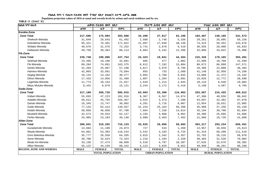Populaion projection values of 2016 at zonal and wereda levels by urban and rural residence and by sex.

| ክልል ፣ ዞን ፣ ወረዳ                 |             | ጠቅላላ የሕዝብ ብዛት በጾታ       |              |             | የከተማ ሕዝብ ብዛት በጾታ        |              |             | የንጠር ሕዝብ ብዛት በጾታ        |              |  |
|--------------------------------|-------------|-------------------------|--------------|-------------|-------------------------|--------------|-------------|-------------------------|--------------|--|
|                                | ወንድ         | ሴት                      | ድምር          | ወንድ         | ሴት                      | ድምር          | ወንድ         | ቤት                      | ድምር          |  |
| Korahe-Zone                    |             |                         |              |             |                         |              |             |                         |              |  |
| <b>Zone Total</b>              | 217,696     | 175,984                 | 393,680      | 34,289      | 27,817                  | 62,106       | 183,407     | 148,166                 | 331,573      |  |
| Shekosh-Wereda                 | 31,849      | 29,643                  | 61,492       | 2,588       | 2,748                   | 5,336        | 29,261      | 26,895                  | 56,156       |  |
| Kebridehar-Wereda              | 95,421      | 76,401                  | 171,822      | 21,097      | 17,049                  | 38,146       | 74,324      | 59,352                  | 133,676      |  |
| Shilabo-Wereda                 | 40,676      | 31,576                  | 72,252       | 3,741       | 2,678                   | 6,419        | 36,935      | 28,898                  | 65,833       |  |
| Debewoin-Wereda                | 49,750      | 38,364                  | 88,114       | 6,864       | 5,342                   | 12,206       | 42,886      | 33,022                  | 75,908       |  |
| <b>Fik-Zone</b>                |             |                         |              |             |                         |              |             |                         |              |  |
| <b>Zone Total</b>              | 239,748     | 198,006                 | 437,754      | 24,423      | 19,841                  | 44,264       | 215,326     | 178,165                 | 393,491      |  |
| Selehad-Wereda                 | 23,495      | 19,186                  | 42,681       | 605         | 477                     | 1,082        | 22,890      | 18,709                  | 41,599       |  |
| Fik-Wereda                     | 89,284      | 74,091                  | 163,375      | 8,612       | 7,192                   | 15,804       | 80,672      | 66,899                  | 147,571      |  |
| Gerbo-Wereda                   | 31,203      | 25,987                  | 57,190       | 4,817       | 3,979                   | 8,796        | 26,386      | 22,008                  | 48,394       |  |
| Hamero-Wereda                  | 42,003      | 33,691                  | 75,694       | 855         | 733                     | 1,588        | 41,148      | 32,958                  | 74,106       |  |
| Segeg-Wereda                   | 16,115      | 14,162                  | 30,277       | 3,055       | 2,790                   | 5,845        | 13,060      | 11,372                  | 24,432       |  |
| Dihun-Wereda                   | 17,433      | 14,056                  | 31,489       | 1,607       | 1,284                   | 2,891        | 15,826      | 12,772                  | 28,598       |  |
| Legehida-Wereda                | 11,773      | 10,154                  | 21,927       | 1,629       | 1,214                   | 2,843        | 10,144      | 8,940                   | 19,084       |  |
| Meyu Muluke-Wereda             | 8,442       | 6,679                   | 15,121       | 3,244       | 2,172                   | 5,416        | 5,198       | 4,507                   | 9,705        |  |
| Gode-Zone                      |             |                         |              |             |                         |              |             |                         |              |  |
| <b>Zone Total</b>              | 317,189     | 268,726                 | 585,915      | 63,603      | 53,300                  | 116,903      | 253,587     | 215,425                 | 469,012      |  |
| Imiberi-Wereda                 | 55,693      | 47,223                  | 102,916      | 8,307       | 6,567                   | 14,874       | 47,386      | 40,656                  | 88,042       |  |
| Adadilo-Wereda                 | 58,612      | 45,755                  | 104,367      | 3,915       | 3,373                   | 7,288        | 54,697      | 42,382                  | 97,079       |  |
| Danan-Wereda                   | 16,345      | 13,747                  | 30,092       | 4,291       | 3,716                   | 8,007        | 12,054      | 10,031                  | 22,085       |  |
| Gode-Wereda                    | 77,143      | 62,414                  | 139,557      | 31,234      | 25,164                  | 56,398       | 45,909      | 37,250                  | 83,159       |  |
| Kelafo-Wereda                  | 50,858      | 46,850                  | 97,708       | 7,664       | 7,150                   | 14,814       | 43,194      | 39,700                  | 82,894       |  |
| Mustahil-Wereda                | 32,573      | 29,554                  | 62,127       | 4,193       | 3,868                   | 8,061        | 28,380      | 25,686                  | 54,066       |  |
| Ferfer-Wereda                  | 25,965      | 23,183                  | 49,148       | 3,999       | 3,463                   | 7,462        | 21,966      | 19,720                  | 41,686       |  |
| Afder-Zone                     |             |                         |              |             |                         |              |             |                         |              |  |
| <b>Zone Total</b>              | 396,841     | 319,292                 | 716,133      | 33,625      | 26,058                  | 59,683       | 363,217     | 293,234                 | 656,451      |  |
| Guradamole-Wereda              | 13,684      | 11,189                  | 24,873       | 727         | 533                     | 1,260        | 12,957      | 10,656                  | 23,613       |  |
| Weyib-Wereda                   | 64,861      | 53,383                  | 118,244      | 3,542       | 3,183                   | 6,725        | 61,319      | 50,200                  | 111,519      |  |
| Goro Bekeksa-Wereda            | 35,777      | 28,558                  | 64,335       | 3,015       | 2,342                   | 5,357        | 32,762      | 26,216                  | 58,978       |  |
| Serer-Wereda                   | 39,700      | 32,624                  | 72,324       | 1,216       | 1,104                   | 2,320        | 38,484      | 31,520                  | 70,004       |  |
| Mirab Imi-Wereda               | 33,136      | 27,473                  | 60,609       | 5,510       | 4,797                   | 10,307       | 27,626      | 22,676                  | 50,302       |  |
| Afker-Wereda                   | 55,122      | 44,220                  | 99,342       | 5,123       | 3,929                   | 9,052        | 49,999      | 40,291                  | 90,290       |  |
| <b>REGION, ZONE AND WEREDA</b> | <b>MALE</b> | <b>FEMALE</b>           | <b>TOTAL</b> | <b>MALE</b> | <b>FEMALE</b>           | <b>TOTAL</b> | <b>MALE</b> | <b>FEMALE</b>           | <b>TOTAL</b> |  |
|                                |             | <b>TOTAL POPULATION</b> |              |             | <b>URBAN POPULATION</b> |              |             | <b>RURAL POPULATION</b> |              |  |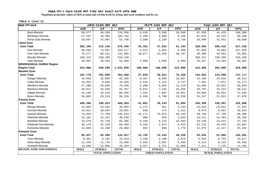Populaion projection values of 2016 at zonal and wereda levels by urban and rural residence and by sex.

| ክልል ፣ ዞን ፣ ወሪዳ                  |             | ጠቅላሳ የሕዝብ ብዛት በጾታ       |              |             | የከተማ ሕዝብ ብዛት በጾታ        |              |             | የንጠር ሕዝብ ብዛት በጾታ        |              |  |  |
|---------------------------------|-------------|-------------------------|--------------|-------------|-------------------------|--------------|-------------|-------------------------|--------------|--|--|
|                                 | ወንድ         | ሴት                      | ድምር          | ወንድ         | ሴት                      | ድምር          | ወንድ         | ሴት                      | ድምር          |  |  |
| Bare-Wereda                     | 68,577      | 48,359                  | 116,936      | 6,638       | 3,930                   | 10,568       | 61,939      | 44,429                  | 106,368      |  |  |
| Bdolobay-Wereda                 | 57,297      | 48,405                  | 105,702      | 5,266       | 4,090                   | 9,356        | 52,031      | 44,315                  | 96,346       |  |  |
| Kersa Dula Wereda               | 28,687      | 25,081                  | 53,768       | 2,588       | 2,150                   | 4,738        | 26,099      | 22,931                  | 49,030       |  |  |
| Liben-Zone                      |             |                         |              |             |                         |              |             |                         |              |  |  |
| <b>Zone Total</b>               | 362,346     | 316,249                 | 678,595      | 33,351      | 27,833                  | 61,184       | 328,994     | 288,416                 | 617,410      |  |  |
| Filtu-Wereda                    | 90,550      | 73,567                  | 164,117      | 3,524       | 2,964                   | 6,488        | 87,026      | 70,603                  | 157,629      |  |  |
| Dolo Odo-Wereda                 | 75,277      | 66,421                  | 141,698      | 26,877      | 21,920                  | 48,797       | 48,400      | 44,501                  | 92,901       |  |  |
| Moyale-Wereda                   | 168,212     | 150,208                 | 318,420      |             |                         |              | 168,212     | 150,208                 | 318,420      |  |  |
| Udet-Wereda                     | 28,307      | 26,053                  | 54,360       | 2,950       | 2,949                   | 5,899        | 25,357      | 23,104                  | 48,461       |  |  |
| <b>BENISHANGUL-GUMUZ Region</b> |             |                         |              |             |                         |              |             |                         |              |  |  |
| <b>Region Total</b>             | 524,000     | 509,999                 | 1,033,999    | 109,000     | 106,000                 | 215,000      | 415,000     | 404,000                 | 819,000      |  |  |
| <b>Metekel Zone</b>             |             |                         |              |             |                         |              |             |                         |              |  |  |
| <b>Zone Total</b>               | 182,779     | 181,809                 | 364,588      | 37,835      | 38,521                  | 76,356       | 144,944     | 143,288                 | 288,232      |  |  |
| Dangur-Wereda                   | 32,603      | 32,866                  | 65,469       | 8,107       | 8,850                   | 16,957       | 24,496      | 24,016                  | 48,512       |  |  |
| Guba-Wereda                     | 10,034      | 9,886                   | 19,920       | 2,533       | 2,214                   | 4,747        | 7,501       | 7,672                   | 15,173       |  |  |
| Wenbera-Wereda                  | 37,288      | 39,660                  | 76,948       | 5,290       | 5,829                   | 11,119       | 31,998      | 33,831                  | 65,829       |  |  |
| Mandura-Wereda                  | 28,811      | 26,556                  | 55,367       | $8\,,\,014$ | 7,242                   | 15,256       | 20,797      | 19,314                  | 40,111       |  |  |
| Dibate-Wereda                   | 43,238      | 43,318                  | 86,556       | 7,334       | 7,687                   | 15,021       | 35,904      | 35,631                  | 71,535       |  |  |
| Bulen-Wereda                    | 30,805      | 29,523                  | 60,328       | 6,558       | 6,700                   | 13,258       | 24,247      | 22,823                  | 47,070       |  |  |
| Asossa-Zone                     |             |                         |              |             |                         |              |             |                         |              |  |  |
| <b>Zone Total</b>               | 208,260     | 199,823                 | 408,083      | 41,861      | 39,233                  | 81,094       | 166,399     | 160,591                 | 326,990      |  |  |
| Menge-Wereda                    | 24,892      | 24,592                  | 49,484       | 1,272       | 961                     | 2,233        | 23,620      | 23,631                  | 47,251       |  |  |
| Kurmuk-Wereda                   | 10,621      | 10,034                  | 20,655       | 648         | 473                     | 1,121        | 9,973       | 9,561                   | 19,534       |  |  |
| Asossa-Wereda                   | 73,940      | 71,703                  | 145,643      | 25,172      | 23,973                  | 49,145       | 48,768      | 47,730                  | 96,498       |  |  |
| Sherkole-Wereda                 | 15,191      | 15,347                  | 30,538       | 980         | 853                     | 1,833        | 14,211      | 14,494                  | 28,705       |  |  |
| Bambasi-Wereda                  | 33,578      | 32,728                  | 66,306       | 9,448       | 9,115                   | 18,563       | 24,130      | 23,613                  | 47,743       |  |  |
| Odabuldi-Guli-Wereda            | 36,170      | 32,319                  | 68,489       | 3,448       | 2,974                   | 6,422        | 32,722      | 29,345                  | 62,067       |  |  |
| Homesha-Wereda                  | 13,868      | 13,100                  | 26,968       | 893         | 883                     | 1,776        | 12,975      | 12,217                  | 25,192       |  |  |
| Kemashi Zone                    |             |                         |              |             |                         |              |             |                         |              |  |  |
| <b>Zone Total</b>               | 69,327      | 65,500                  | 134,827      | 15,792      | 14,434                  | 30,226       | 53,535      | 51,066                  | 104,601      |  |  |
| Yaso-Wereda                     | 8,361       | 8,192                   | 16,553       | 1,436       | 1,440                   | 2,876        | 6,925       | 6,752                   | 13,677       |  |  |
| Sirba Abay-Wereda               | 12,256      | 11,710                  | 23,966       | 2,943       | 2,587                   | 5,530        | 9,313       | 9,123                   | 18,436       |  |  |
| Kemashi-Wereda                  | 13,568      | 12,886                  | 26,454       | $6\,, 257$  | 5,751                   | 12,008       | 7,311       | 7,135                   | 14,446       |  |  |
| <b>REGION, ZONE AND WEREDA</b>  | <b>MALE</b> | <b>FEMALE</b>           | <b>TOTAL</b> | <b>MALE</b> | <b>FEMALE</b>           | <b>TOTAL</b> | <b>MALE</b> | <b>FEMALE</b>           | <b>TOTAL</b> |  |  |
|                                 |             | <b>TOTAL POPULATION</b> |              |             | <b>URBAN POPULATION</b> |              |             | <b>RURAL POPULATION</b> |              |  |  |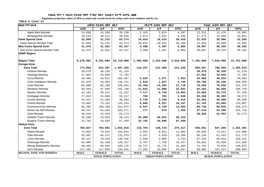Populaion projection values of 2016 at zonal and wereda levels by urban and rural residence and by sex.

| ክልል ፣ ዞን ፣ ወሪዳ                                      |                        | ጠቅሳሳ የሕዝብ ብዛት በጾታ       |              | የከተማ ሕዝብ ብዛት በጾታ |                         |              | የንጠር ሕዝብ ብዛት በጾታ |                         |              |  |
|-----------------------------------------------------|------------------------|-------------------------|--------------|------------------|-------------------------|--------------|------------------|-------------------------|--------------|--|
|                                                     | ወንድ                    | ሴት                      | ድምር          | ወንድ              | ሌት                      | ድምር          | ወንድ              | ሴት                      | ድምር          |  |
| Agelo Meti-Wereda                                   | 14,698                 | 14,500                  | 29,198       | 2,183            | 2,024                   | 4,207        | 12,515           | 12,476                  | 24,991       |  |
| Belojegonfoy-Wereda                                 | $\bf{20}$ , $\bf{444}$ | 18,212                  | 38,656       | 2,973            | 2,632                   | 5,605        | 17,471           | 15,580                  | 33,051       |  |
| <b>Pawe Special Zone</b>                            | 32,059                 | 31,215                  | 63,274       | 10,024           | 10,415                  | 20,439       | 22,035           | 20,800                  | 42,835       |  |
| Pawe Special Wereda Total                           | 32,059                 | 31,215                  | 63,274       | 10,024           | 10,415                  | 20,439       | 22,035           | 20,800                  | 42,835       |  |
| <b>Mao Komo Special Zone</b>                        | 31,575                 | 31,652                  | 63,227       | 3,488            | 3,397                   | 6,885        | 28,087           | 28,255                  | 56,342       |  |
| Mao Komo Special Wereda Total<br><b>SNNP Region</b> | 31,575                 | 31,652                  | 63,227       | 3,488            | 3,397                   | 6,885        | 28,087           | 28,255                  | 56,342       |  |
| <b>Region Total</b>                                 | 9,278,004              | 9,441,004               | 18,719,008   | 1,496,000        | 1,522,000               | 3,018,000    | 7,782,000        | 7,919,000               | 15,701,000   |  |
| <b>Gurage-Zone</b>                                  |                        |                         |              |                  |                         |              |                  |                         |              |  |
| <b>Zone Total</b>                                   | 774,893                | 822,467                 | 1,597,360    | 119,427          | 122,409                 | 241,836      | 655,467          | 700,056                 | 1,355,523    |  |
| Kebena-Wereda                                       | 30,679                 | 30,539                  | 61,218       |                  |                         |              | 30,679           | 30,539                  | 61,218       |  |
| Abeshge-Wereda                                      | 37,953                 | 33,840                  | 71,793       |                  |                         |              | 37,953           | 33,840                  | 71,793       |  |
| Ezha-Wereda                                         | 48,486                 | 53,911                  | 102,397      | 3,526            | 3,977                   | 7,503        | 44,960           | 49,934                  | 94,894       |  |
| Kokir Gedabano-Wereda                               | 52,678                 | 58,063                  | 110,741      | 1,918            | 1,827                   | 3,745        | 50,760           | 56,236                  | 106,996      |  |
| Sodo-Wereda                                         | 83,806                 | 85,288                  | 169,094      | 13,356           | 14,362                  | 27,718       | 70,450           | 70,926                  | 141,376      |  |
| Mesekan-Wereda                                      | 94,044                 | 97,656                  | 191,700      | 11,843           | 11,098                  | 22,941       | 82,201           | 86,558                  | 168,759      |  |
| Mareko-Wereda                                       | 41,101                 | 40,121                  | 81,222       | 7,117            | 6,746                   | 13,863       | 33,984           | 33,375                  | 67,359       |  |
| Endegagn-Wereda                                     | 27,033                 | 31,084                  | 58,117       | 765              | 781                     | 1,546        | 26,268           | 30,303                  | 56,571       |  |
| Gumer-Wereda                                        | 44,937                 | 51,266                  | 96,203       | 2,735            | 3,180                   | 5,915        | 42,202           | 48,086                  | 90,288       |  |
| Cheha-Wereda                                        | 70,002                 | 73,162                  | 143,164      | 8,860            | 9,297                   | 18,157       | 61,142           | 63,865                  | 125,007      |  |
| Enemorna Ener-Wereda                                | 95,285                 | 106,390                 | 201,675      | 6,547            | 6,755                   | 13,302       | 88,738           | 99,635                  | 188,373      |  |
| Muhor Na Aklil-Wereda                               | 48,287                 | 54,884                  | 103,171      | 777              | 678                     | 1,455        | 47,510           | 54,206                  | 101,716      |  |
| Geta-Wereda                                         | 38,620                 | 42,554                  | 81,174       |                  |                         |              | 38,620           | 42,554                  | 81,174       |  |
| Welkite /Town/-Wereda                               | 29,200                 | 29,023                  | 58,223       | 29,200           | 29,023                  | 58,223       |                  |                         |              |  |
| Butajira /Town/-Wereda                              | 32,782                 | 34,686                  | 67,468       | 32,782           | 34,686                  | 67,468       |                  |                         |              |  |
| Hadiya-Zone                                         |                        |                         |              |                  |                         |              |                  |                         |              |  |
| <b>Zone Total</b>                                   | 768,827                | 783,991                 | 1,552,818    | 133,784          | 136,733                 | 270,517      | 635,041          | 647,260                 | 1,282,301    |  |
| Misha-Wereda                                        | 74,802                 | 79,042                  | 153,844      | 5,953            | 6,031                   | 11,984       | 68,849           | 73,011                  | 141,860      |  |
| Gibe-Wereda                                         | 65,507                 | 66,472                  | 131,979      | 5,267            | 4,939                   | 10,206       | 60,240           | 61,533                  | 121,773      |  |
| Lemo-Wereda                                         | 69,427                 | 70,919                  | 140,346      | 2,049            | 2,085                   | 4,134        | 67,378           | 68,834                  | 136,212      |  |
| Shashago-Wereda                                     | 64,809                 | 63,348                  | 128,157      | 8,787            | 7,750                   | 16,537       | 56,022           | 55,598                  | 111,620      |  |
| Misrak Badawacho-Wereda                             | 89,482                 | 90,694                  | 180,176      | 15,727           | 15,776                  | 31,503       | 73,755           | 74,918                  | 148,673      |  |
| Soro-Wereda                                         | 117,182                | 117,859                 | 235,041      | 17,202           | 16,845                  | 34,047       | 99,980           | 101,014                 | 200,994      |  |
| <b>REGION, ZONE AND WEREDA</b>                      | <b>MALE</b>            | <b>FEMALE</b>           | <b>TOTAL</b> | <b>MALE</b>      | <b>FEMALE</b>           | <b>TOTAL</b> | <b>MALE</b>      | <b>FEMALE</b>           | <b>TOTAL</b> |  |
|                                                     |                        | <b>TOTAL POPULATION</b> |              |                  | <b>URBAN POPULATION</b> |              |                  | <b>RURAL POPULATION</b> |              |  |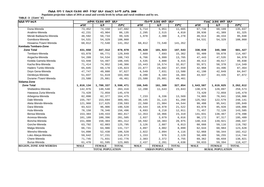**Populaion projection values of 2016 at zonal and wereda levels by urban and rural residence and by sex.**

| <b>ከልል</b> ፣ዞን፣ወረዳ             | ጠቅሳሳ የሕዝብ ብዛት በጾታ       |               |              | የከተማ ሕዝብ ብዛት በጾታ        |               | የንጠር ሕዝብ ብዛት በጾታ |                         |               |              |  |
|--------------------------------|-------------------------|---------------|--------------|-------------------------|---------------|------------------|-------------------------|---------------|--------------|--|
|                                | ወንድ                     | ሴት            | ድምር          | ወንድ                     | ቤት            | ድምር              | ወንድ                     | ቤት            | ድምር          |  |
| Duna-Wereda                    | 73,452                  | 74,150        | 147,602      | 5,714                   | 5,951         | 11,665           | 67,738                  | 68,199        | 135,937      |  |
| Analimo-Wereda                 | 42,231                  | 43,904        | 86,135       | 2,295                   | 2,515         | 4,810            | 39,936                  | 41,389        | 81,325       |  |
| Merab Badwacho-Wereda          | 48,592                  | 50,734        | 99,326       | 1,978                   | 2,300         | 4,278            | 46,614                  | 48,434        | 95,048       |  |
| Gomibora-Wereda                | 54,531                  | 54,329        | 108,860      |                         |               |                  | 54,531                  | 54,329        | 108,860      |  |
| Hosaena /Town/-Wereda          | 68,812                  | 72,540        | 141,352      | 68,812                  | 72,540        | 141,352          |                         |               |              |  |
| <b>Kembata Tembaro-Zone</b>    |                         |               |              |                         |               |                  |                         |               |              |  |
| <b>Zone Total</b>              | 431,658                 | 447,312       | 878,970      | 95,620                  | 101,923       | 197,543          | 336,039                 | 345,388       | 681,427      |  |
| Tembaro-Wereda                 | 63,078                  | 66,771        | 129,849      | 7,669                   | 7,693         | 15,362           | 55,409                  | 59,078        | 114,487      |  |
| Angacha-Wereda                 | 54,209                  | 54,534        | 108,743      | 6,766                   | 6,999         | 13,765           | 47,443                  | 47,535        | 94,978       |  |
| Kedida Gamela-Wereda           | 53,948                  | 54,497        | 108,445      | 4,535                   | 4,880         | 9,415            | 49,413                  | 49,617        | 99,030       |  |
| Kacha Bira-Wereda              | 71,414                  | 74,952        | 146,366      | 15,443                  | 16,574        | 32,017           | 55,971                  | 58,378        | 114,349      |  |
| Hadero Tunito-Wereda           | 65,845                  | 69,178        | 135,023      | 22,877                  | 24,682        | 47,559           | 42,968                  | 44,496        | 87,464       |  |
| Doyo Gena-Wereda               | 47,747                  | 49,880        | 97,627       | 6,549                   | 7,031         | 13,580           | 41,198                  | 42,849        | 84,047       |  |
| Deniboya-Wereda                | 51,837                  | 51,619        | 103,456      | 8,200                   | 8,184         | 16,384           | 43,637                  | 43,435        | 87,072       |  |
| Durame /Town/-Wereda           | 23,580                  | 25,881        | 49,461       | 23,580                  | 25,881        | 49,461           |                         |               |              |  |
| Sidama-Zone                    |                         |               |              |                         |               |                  |                         |               |              |  |
| <b>Zone Total</b>              | 1,810,134               | 1,780,337     | 3,590,471    | 166,545                 | 161,309       | 327,854          | 1,643,587               | 1,619,025     | 3,262,612    |  |
| Shebedino-Wereda               | 142,876                 | 140,540       | 283,416      | 12,200                  | 11,643        | 23,843           | 130,676                 | 128,897       | 259,573      |  |
| Hawassa Zuria-Wereda           | 73,420                  | 72,059        | 145,479      |                         |               |                  | 73,420                  | 72,059        | 145,479      |  |
| Arbegona-Wereda                | 82,098                  | 82,377        | 164,475      | 7,233                   | 6,336         | 13,569           | 74,865                  | 76,041        | 150,906      |  |
| Dale-Wereda                    | 155,707                 | 153,694       | 309,401      | 30,145                  | 31,115        | 61,260           | 125,562                 | 122,579       | 248,141      |  |
| Aleta Wendo-Wereda             | 121,968                 | 117,625       | 239,593      | 22,560                  | 21,984        | 44,544           | 99,408                  | 95,641        | 195,049      |  |
| Dara-Wereda                    | 93,622                  | 96,906        | 190,528      | 10,544                  | 10,978        | 21,522           | 83,078                  | 85,928        | 169,006      |  |
| Hula-Wereda                    | 78,150                  | 78,346        | 156,496      | 6,693                   | 6,218         | 12,911           | 71,457                  | 72,128        | 143,585      |  |
| Bensa-Wereda                   | 153,384                 | 149,433       | 302,817      | 12,353                  | 10,966        | 23,319           | 141,031                 | 138,467       | 279,498      |  |
| Aroresa-Wereda                 | 101,109                 | 100,396       | 201,505      | 2,937                   | 3,079         | 6,016            | 98,172                  | 97,317        | 195,489      |  |
| Boricha-Wereda                 | 151,008                 | 150,304       | 301,312      | 10,592                  | 10,383        | 20,975           | 140,416                 | 139,921       | 280,337      |  |
| Gorche-Wereda                  | 63,792                  | 62,003        | 125,795      | 3,126                   | 2,887         | 6,013            | 60,666                  | 59,116        | 119,782      |  |
| Malga-Wereda                   | 66,741                  | 64,986        | 131,727      | 4,097                   | 4,002         | 8,099            | 62,644                  | 60,984        | 123,628      |  |
| Wensho-Wereda                  | 54,090                  | 52,438        | 106,528      | 2,022                   | 2,094         | 4,116            | 52,068                  | 50,344        | 102,412      |  |
| Loko Abeya-Wereda              | 59,642                  | 57,231        | 116,873      | 1,153                   | 976           | 2,129            | 58,489                  | 56,255        | 114,744      |  |
| Chere-Wereda                   | 71,745                  | 71,031        | 142,776      | 2,383                   | 2,372         | 4,755            | 69,362                  | 68,659        | 138,021      |  |
| Bursa-Wereda                   | 61,470                  | 61,595        | 123,065      | 2,437                   | 2,201         | 4,638            | 59,033                  | 59,394        | 118,427      |  |
| <b>REGION, ZONE AND WEREDA</b> | <b>MALE</b>             | <b>FEMALE</b> | <b>TOTAL</b> | <b>MALE</b>             | <b>FEMALE</b> | <b>TOTAL</b>     | <b>MALE</b>             | <b>FEMALE</b> | <b>TOTAL</b> |  |
|                                | <b>TOTAL POPULATION</b> |               |              | <b>URBAN POPULATION</b> |               |                  | <b>RURAL POPULATION</b> |               |              |  |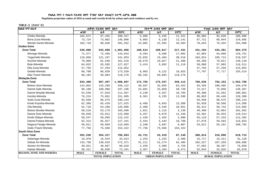Populaion projection values of 2016 at zonal and wereda levels by urban and rural residence and by sex.

| ክልል ፣ ዞን ፣ ወረዳ                 |             | ጠቅሳሳ የሕዝብ ብዛት በጾታ       |              |             | <i>የከተማ ሕዝ</i> ብ ብዛት በጾ <i>ታ</i> |              |             | የንጠር ሕዝብ ብዛት በጾታ        |              |
|--------------------------------|-------------|-------------------------|--------------|-------------|----------------------------------|--------------|-------------|-------------------------|--------------|
|                                | ወንድ         | ሴት                      | ድምር          | ወንድ         | ሴት                               | ድምር          | ወንድ         | ሴት                      | ድምር          |
| Cheko-Wereda                   | 102,872     | 97,455                  | 200,327      | 5,986       | 5,435                            | 11,421       | 96,886      | 92,020                  | 188,906      |
| Bona Zuria-Wereda              | 73,724      | 73,082                  | 146,806      | 6,003       | 6,138                            | 12,141       | 67,721      | 66,944                  | 134,665      |
| Wendo Genet-Wereda             | 102,716     | 98,836                  | 201,552      | 24,082      | 22,502                           | 46,584       | 78,634      | 76,334                  | 154,968      |
| Gedeo-Zone                     |             |                         |              |             |                                  |              |             |                         |              |
| <b>Zone Total</b>              | 539,808     | 542,098                 | 1,081,906    | 108,614     | 108,817                          | 217,431      | 431,194     | 433,281                 | 864,475      |
| Wenago-Wereda                  | 71,377      | 72,466                  | 143,843      | 8,494       | 8,598                            | 17,092       | 62,883      | 63,868                  | 126,751      |
| Yirgachefe-Wereda              | 119,856     | 121,197                 | 241,053      | 15,032      | 15,484                           | 30,516       | 104,824     | 105,713                 | 210,537      |
| Kochire-Wereda                 | 79,868      | 81,648                  | 161,516      | 10,579      | 10,827                           | 21,406       | 69,289      | 70,821                  | 140,110      |
| Bule-Wereda                    | 64,032      | 63,595                  | 127,627      | 5,424       | 5,692                            | 11,116       | 58,608      | 57,903                  | 116,511      |
| Dila Zuria-Wereda              | 57,793      | 57,259                  | 115,052      |             |                                  |              | 57,793      | 57,259                  | 115,052      |
| Gedeb-Wereda                   | 86,700      | 86,839                  | 173,539      | 8,903       | 9,122                            | 18,025       | 77,797      | 77,717                  | 155,514      |
| Dila /Town/-Wereda             | 60,182      | 59,094                  | 119,276      | 60,182      | 59,094                           | 119,276      |             |                         |              |
| <b>Wolayita-Zone</b>           |             |                         |              |             |                                  |              |             |                         |              |
| <b>Zone Total</b>              | 933,400     | 967,497                 | 1,900,897    | 172,765     | 175,347                          | 348,112      | 760,636     | 792,153                 | 1,552,789    |
| Boloso Sore-Wereda             | 124,862     | 133,260                 | 258,122      | 30,597      | 32,855                           | 63,452       | 94,265      | 100,405                 | 194,670      |
| Damot Gale-Wereda              | 96,198      | 100,908                 | 197,106      | 23,681      | 25,058                           | 48,739       | 72,517      | 75,850                  | 148,367      |
| Damot Woyide-Wereda            | 54,548      | 57,019                  | 111,567      | 5,248       | 5,457                            | 10,705       | 49,300      | 51,562                  | 100,862      |
| Humbo-Wereda                   | 76,224      | 75,681                  | 151,905      | 6,361       | 6,235                            | 12,596       | 69,863      | 69,446                  | 139,309      |
| Sodo Zuria-Wereda              | 93,569      | 96,575                  | 190,144      |             |                                  |              | 93,569      | 96,575                  | 190,144      |
| Kindo Koyisha-Wereda           | 62,386      | 65,429                  | 127,815      | 6,466       | 6,843                            | 13,309       | 55,920      | 58,586                  | 114,506      |
| Ofa-Wereda                     | 61,718      | 64,288                  | 126,006      | 5,406       | 5,545                            | 10,951       | 56,312      | 58,743                  | 115,055      |
| Boloso Bonibe-Wereda           | 50,519      | 53,179                  | 103,698      | 1,021       | 1,115                            | 2,136        | 49,498      | 52,064                  | 101,562      |
| Damot Sore-Wereda              | 59,848      | 63,012                  | 122,860      | 6,267       | 6,079                            | 12,346       | 53,581      | 56,933                  | 110,514      |
| Kindo Didaye-Wereda            | 56,547      | 58,695                  | 115,242      | 1,428       | 1,452                            | 2,880        | 55,119      | 57,243                  | 112,362      |
| Damot Pulasa-Wereda            | 62,414      | 65,027                  | 127,441      | $5\,, 344$  | 5,444                            | 10,788       | 57,070      | 59,583                  | 116,653      |
| Deguna Fanigo-Wereda           | 56,811      | 58,858                  | 115,669      | 3,190       | 3,697                            | 6,887        | 53,621      | 55,161                  | 108,782      |
| Sodo /Town/-Wereda             | 77,756      | 75,566                  | 153,322      | 77,756      | 75,566                           | 153,322      |             |                         |              |
| South Omo-Zone                 |             |                         |              |             |                                  |              |             |                         |              |
| <b>Zone Total</b>              | 352,536     | 354,317                 | 706,853      | 43,721      | 43,419                           | 87,140       | 308,814     | 310,898                 | 619,712      |
| Selamago-Wereda                | 16,970      | 16,644                  | 33,614       | 1,253       | 1,233                            | 2,486        | 15,717      | 15,411                  | 31,128       |
| Debub Ari-Wereda               | 133,738     | 138,633                 | 272,371      | 31,211      | 31,274                           | 62,485       | 102,527     | 107,359                 | 209,886      |
| Semen Ari-Wereda               | 39,921      | 40,897                  | 80,818       | 2,259       | 2,500                            | 4,759        | 37,662      | 38,397                  | 76,059       |
| Hamer-Wereda                   | 36,311      | 36,030                  | 72,341       | 3,367       | 3,104                            | 6,471        | 32,944      | 32,926                  | 65,870       |
| <b>REGION, ZONE AND WEREDA</b> | <b>MALE</b> | <b>FEMALE</b>           | <b>TOTAL</b> | <b>MALE</b> | <b>FEMALE</b>                    | <b>TOTAL</b> | <b>MALE</b> | <b>FEMALE</b>           | <b>TOTAL</b> |
|                                |             | <b>TOTAL POPULATION</b> |              |             | <b>URBAN POPULATION</b>          |              |             | <b>RURAL POPULATION</b> |              |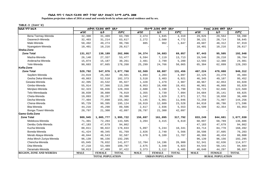Populaion projection values of 2016 at zonal and wereda levels by urban and rural residence and by sex.

| ክልል ፣ ዞን ፣ ወረዳ                 | ጠቅላሳ የሕዝብ ብዛት በጾታ |                         |              | የከተማ ሕዝብ ብዛት በጾታ |                         | የንጠር ሕዝብ ብዛት በጾታ  |             |                         |              |  |  |
|--------------------------------|-------------------|-------------------------|--------------|------------------|-------------------------|-------------------|-------------|-------------------------|--------------|--|--|
|                                | ወንድ               | ሴት                      | ድምር          | ወንድ              | ሌት                      | ድምር               | ወንድ         | ሴት                      | ድምር          |  |  |
| Bena Tsemay-Wereda             | 32,300            | 31,409                  | 63,709       | 2,474            | 1,845                   | 4,319             | 29,826      | 29,564                  | 59,390       |  |  |
| Dasenech-Wereda                | 32,403            | 31,214                  | 63,617       | 2,272            | 2,500                   | 4,772             | 30,131      | 28,714                  | 58,845       |  |  |
| Male-Wereda                    | 50,492            | 49,274                  | 99,766       | 885              | 962                     | 1,847             | 49,607      | 48,312                  | 97,919       |  |  |
| Nyangatom-Wereda               | 10,401            | 10,216                  | 20,617       |                  |                         |                   | 10,401      | 10,216                  | 20,617       |  |  |
| Sheka-Zone                     |                   |                         |              |                  |                         |                   |             |                         |              |  |  |
| <b>Zone Total</b>              | 131,817           | 130,189                 | 262,006      | 34,374           | 34,683                  | 69,057            | 97,443      | 95,505                  | 192,948      |  |  |
| Masha-Wereda                   | 26,140            | 27,337                  | 53,477       | 6,594            | 7,119                   | 13,713            | 19,546      | 20,218                  | 39,764       |  |  |
| Anderacha-Wereda               | 15,074            | 15,187                  | 30,261       | 2,481            | 2,799                   | 5,280             | 12,593      | 12,388                  | 24,981       |  |  |
| Yeki-Wereda                    | 90,603            | 87,665                  | 178,268      | 25,299           | 24,766                  | 50,065            | 65,304      | 62,899                  | 128,203      |  |  |
| Keffa-Zone                     |                   |                         |              |                  |                         |                   |             |                         |              |  |  |
| <b>Zone Total</b>              | 529,792           | 547,976                 | 1,077,768    | 62,569           | 68,887                  | 131,456           | 467,224     | 479,088                 | 946,312      |  |  |
| Sayilem-Wereda                 | 24,019            | 25,482                  | 49,501       | 1,894            | 2,203                   | 4,097             | 22,125      | 23,279                  | 45,404       |  |  |
| Gesha Deka-Wereda              | 49,863            | 52,510                  | 102,373      | 3,518            | 3,403                   | 6,921             | 46,345      | 49,107                  | 95,452       |  |  |
| Gewata-Wereda                  | 42,395            | 43,532                  | 85,927       | 1,428            | 1,479                   | 2,907             | 40,967      | 42,053                  | 83,020       |  |  |
| Gimbo-Wereda                   | 55,914            | 57,366                  | 113,280      | 8,953            | 10,498                  | 19,451            | 46,961      | 46,868                  | 93,829       |  |  |
| Menjiwo-Wereda                 | 62,323            | 66,036                  | 128,359      | 2,600            | 3,190                   | 5,790             | 59,723      | 62,846                  | 122,569      |  |  |
| Telo-Weredaada                 | 38,039            | 38,880                  | 76,919       | 3,355            | 3,739                   | 7,094             | 34,684      | 35,141                  | 69,825       |  |  |
| Cheta-Wereda                   | 19,093            | 20,287                  | 39,380       | 1,342            | 1,629                   | 2,971             | 17,751      | 18,658                  | 36,409       |  |  |
| Decha-Wereda                   | 77,404            | 77,898                  | 155,302      | 5,145            | 5,901                   | 11,046            | 72,259      | 71,997                  | 144,256      |  |  |
| Chena-Wereda                   | 95,729            | 99,395                  | 195,124      | 10,919           | 12,609                  | 23,528            | 84,810      | 86,786                  | 171,596      |  |  |
| Bita-Wereda                    | 44,216            | 45,290                  | 89,506       | 2,617            | 2,936                   | 5,553             | 41,599      | 42,354                  | 83,953       |  |  |
| Bonga /Town/-Wereda            | 20,797            | 21,300                  | 42,097       | 20,797           | 21,300                  | 42,097            |             |                         |              |  |  |
| <b>Gamo Gofa-Zone</b>          |                   |                         |              |                  |                         |                   |             |                         |              |  |  |
| <b>Zone Total</b>              | 989,945           | 1,005,777               | 1,995,722    | 156,697          | 161,095                 | 317,792           | 833,249     | 844,681                 | 1,677,930    |  |  |
| Melekoza-Wereda                | 71,301            | 72,204                  | 143,505      | 3,204            | 3,415                   | 6,619             | 68,097      | 68,789                  | 136,886      |  |  |
| Denibu Gofa-Wereda             | 47,183            | 47,679                  | 94,862       |                  |                         |                   | 47,183      | 47,679                  | 94,862       |  |  |
| Kucha-Wereda                   | 88,811            | 90,022                  | 178,833      | 5,097            | 5,244                   | 10,341            | 83,714      | 84,778                  | 168,492      |  |  |
| Boreda-Wereda                  | 41,424            | 40,345                  | 81,769       | 2,826            | 2,740                   | 5,566             | 38,598      | 37,605                  | 76,203       |  |  |
| Merab Abaya-Wereda             | 46,044            | 46,543                  | 92,587       | 5,678            | 6,109                   | 11,787            | 40,366      | 40,434                  | 80,800       |  |  |
| Arba Minch Zuriya-Wereda       | 96,139            | 96,156                  | 192,295      |                  |                         |                   | 96,139      | 96,156                  | 192,295      |  |  |
| Chencha-Wereda                 | 65,045            | 76,832                  | 141,877      | 12,704           | 14,196                  | 26,900            | 52,341      | 62,636                  | 114,977      |  |  |
| Dita-Wereda                    | 47,218            | 53,489                  | 100,707      | 2,675            | 3,348                   | 6,023             | 44,543      | 50,141                  | 94,684       |  |  |
| Deramalo-Wereda                | 50,013            | 47,409                  | 97,422       | 3,373            | 3,112                   | $\,$ 6 , 485 $\,$ | 46,640      | 44,297                  | 90,937       |  |  |
| <b>REGION, ZONE AND WEREDA</b> | <b>MALE</b>       | <b>FEMALE</b>           | <b>TOTAL</b> | <b>MALE</b>      | <b>FEMALE</b>           | <b>TOTAL</b>      | <b>MALE</b> | <b>FEMALE</b>           | <b>TOTAL</b> |  |  |
|                                |                   | <b>TOTAL POPULATION</b> |              |                  | <b>URBAN POPULATION</b> |                   |             | <b>RURAL POPULATION</b> |              |  |  |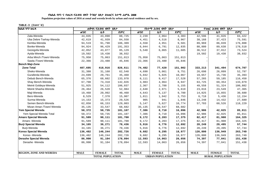**Populaion projection values of 2016 at zonal and wereda levels by urban and rural residence and by sex.**

| ክልል ፣ ዞን ፣ ወሪዳ                 |             | ጠቅላሳ የሕዝብ ብዛት በጾታ       |              |             | የከተማ ሕዝብ ብዛት በጾታ        |              |             | የንጠር ሕዝብ ብዛት በጾታ        |              |
|--------------------------------|-------------|-------------------------|--------------|-------------|-------------------------|--------------|-------------|-------------------------|--------------|
|                                | ወንድ         | ሴት                      | ድምር          | ወንድ         | ሴት                      | ድምር          | ወንድ         | ሴት                      | ድምር          |
| Zala-Wereda                    | 44,835      | 43,890                  | 88,725       | 2,239       | 2,064                   | 4,303        | 42,596      | 41,826                  | 84,422       |
| Uba Debre Tsehay-Wereda        | 42,619      | 41,939                  | 84,558       | 4,451       | 4,516                   | 8,967        | 38,168      | 37,423                  | 75,591       |
| Kemba-Wereda                   | 94,519      | 91,790                  | 186,309      | 4,550       | 4,951                   | 9,501        | 89,969      | 86,839                  | 176,808      |
| Bonke-Wereda                   | 94,924      | 96,429                  | 191,353      | 6,044       | 6,791                   | 12,835       | 88,880      | 89,638                  | 178,518      |
| Gezegofa-Wereda                | 42,052      | 43,077                  | 85,129       | 5,540       | 6,065                   | 11,605       | 36,512      | 37,012                  | 73,524       |
| Ayida-Wereda                   | 19,502      | 19,430                  | 38,932       |             |                         |              | 19,502      | 19,430                  | 38,932       |
| Arba Minch /Town/-Wereda       | 75,950      | 75,063                  | 151,013      | 75,950      | 75,063                  | 151,013      |             |                         |              |
| Sawla /Town/-Wereda            | 22,366      | 23,480                  | 45,846       | 22,366      | 23,480                  | 45,846       |             |                         |              |
| <b>Bench Maji-Zone</b>         |             |                         |              |             |                         |              |             |                         |              |
| <b>Zone Total</b>              | 407,695     | 418,916                 | 826,611      | 74,482      | 77,420                  | 151,902      | 333,213     | 341,494                 | 674,707      |
| Sheko-Wereda                   | 31,388      | 31,160                  | 62,548       | 4,690       | 5,061                   | 9,751        | 26,698      | 26,099                  | 52,797       |
| Guraferda-Wereda               | 24,699      | 20,761                  | 45,460       | 5,042       | 5,025                   | 10,067       | 19,657      | 15,736                  | 35,393       |
| Debub Bench-Wereda             | 65,376      | 68,602                  | 133,978      | 8,111       | 9,417                   | 17,528       | 57,265      | 59,185                  | 116,450      |
| Shay Bench-Wereda              | 67,708      | 74,318                  | 142,026      | 3,983       | 4,964                   | 8,947        | 63,725      | 69,354                  | 133,079      |
| Meinit Goldeya-Wereda          | 51,925      | 54,112                  | 106,037      | 2,367       | 2,788                   | 5,155        | 49,558      | 51,324                  | 100,882      |
| Meinit Shasha-Wereda           | 26,464      | 26,520                  | 52,984       | 2,648       | 2,971                   | 5,619        | 23,816      | 23,549                  | 47,365       |
| Maji-Wereda                    | 19,468      | 20,992                  | 40,460       | 4,643       | 5,137                   | 9,780        | 14,825      | 15,855                  | 30,680       |
| Bero-Wereda                    | 8,529       | 7,378                   | 15,907       | 1,811       | 1,942                   | 3,753        | 6,718       | 5,436                   | 12,154       |
| Surma-Wereda                   | 14,153      | 15,373                  | 29,526       | 905         | 941                     | 1,846        | 13,248      | 14,432                  | 27,680       |
| Semen Bench-Wereda             | 62,850      | 66,153                  | 129,003      | 5,147       | 5,627                   | 10,774       | 57,703      | 60,526                  | 118,229      |
| Mizan Aman /Town/-Wereda       | 35,135      | 33,547                  | 68,682       | 35,135      | 33,547                  | 68,682       |             |                         |              |
| Yem Special Wereda             | 50,372      | 50,735                  | 101,107      | 7,386       | 8,710                   | 16,096       | 42,986      | 42,025                  | 85,011       |
| Yem Special Wereda Total       | 50,372      | 50,735                  | 101,107      | 7,386       | 8,710                   | 16,096       | 42,986      | 42,025                  | 85,011       |
| <b>Amaro Special Wereda</b>    | 91,589      | 90,111                  | 181,700      | 9,172       | 8,203                   | 17,375       | 82,417      | 81,908                  | 164,325      |
| Amaro - Wereda                 | 91,589      | 90,111                  | 181,700      | 9,172       | 8,203                   | 17,375       | 82,417      | 81,908                  | 164,325      |
| <b>Burji Special Wereda</b>    | 34,165      | 36,271                  | 70,436       | 5,916       | 6,776                   | 12,692       | 28,249      | 29,495                  | 57,744       |
| Burji-Wereda                   | 34,165      | 36,271                  | 70,436       | 5,916       | 6,776                   | 12,692       | 28,249      | 29,495                  | 57,744       |
| Konso Special Wereda           | 136,482     | 146,244                 | 282,726      | 9,682       | 9,295                   | 18,977       | 126,800     | 136,949                 | 263,749      |
| Konso - Wereda                 | 136,482     | 146,244                 | 282,726      | 9,682       | 9,295                   | 18,977       | 126,800     | 136,949                 | 263,749      |
| Derashe Special Wereda         | 86,990      | 91,104                  | 178,094      | 12,593      | 14,063                  | 26,656       | 74,397      | 77,041                  | 151,438      |
| Derashe - Wereda               | 86,990      | 91,104                  | 178,094      | 12,593      | 14,063                  | 26,656       | 74,397      | 77,041                  | 151,438      |
|                                |             |                         |              |             |                         |              |             |                         |              |
| <b>REGION, ZONE AND WEREDA</b> | <b>MALE</b> | <b>FEMALE</b>           | <b>TOTAL</b> | <b>MALE</b> | <b>FEMALE</b>           | <b>TOTAL</b> | <b>MALE</b> | <b>FEMALE</b>           | <b>TOTAL</b> |
|                                |             | <b>TOTAL POPULATION</b> |              |             | <b>URBAN POPULATION</b> |              |             | <b>RURAL POPULATION</b> |              |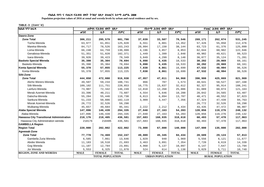Populaion projection values of 2016 at zonal and wereda levels by urban and rural residence and by sex.

| <b>ከልል</b> ፣ዞን፣ወረዳ                       |             | ጠቅሳሳ የሕዝብ ብዛት በጾታ       |              |             | የከተማ ሕዝብ ብዛት በጾታ                                        |              |             | የንጠር ሕዝብ ብዛት በጾታ        |              |
|------------------------------------------|-------------|-------------------------|--------------|-------------|---------------------------------------------------------|--------------|-------------|-------------------------|--------------|
|                                          | ወንድ         | ሴት                      | ድምር          | ወንድ         | ሴት                                                      | ድምር          | ወንድ         | ሴት                      | ድምር          |
| Dawro-Zone                               |             |                         |              |             |                                                         |              |             |                         |              |
| <b>Zone Total</b>                        | 306,211     | 295,579                 | 601,790      | 37,039      | 33,507                                                  | 70,546       | 269,171     | 262,074                 | 531,245      |
| Tocha-Wereda                             | 63,977      | 61,851                  | 125,828      | 6,551       | 6,801                                                   | 13,352       | 57,426      | 55,050                  | 112,476      |
| Mareka-Wereda                            | 84,717      | 78,526                  | 163,243      | 20,994      | 17,150                                                  | 38,144       | 63,723      | 61,376                  | 125,099      |
| Loma-Wereda                              | 66,240      | 64,759                  | 130,999      | 4,196       | 3,857                                                   | 8,053        | 62,044      | 60,902                  | 122,946      |
| Genabosa-Wereda                          | 51,351      | 51,020                  | 102,371      | 1,449       | 1,399                                                   | 2,848        | 49,902      | 49,621                  | 99,523       |
| Isara-Wereda                             | 39,926      | 39,423                  | 79,349       | 3,849       | 4,299                                                   | 8,148        | 36,077      | 35,124                  | 71,201       |
| <b>Basketo Special Wereda</b>            | 35,390      | 35,304                  | 70,694       | 5,098       | 5,435                                                   | 10,533       | 30,292      | 29,869                  | 60,161       |
| Basketo-Wereda                           | 35,390      | 35,304                  | 70,694       | 5,098       | 5,435                                                   | 10,533       | 30,292      | 29,869                  | 60,161       |
| Konta Special Wereda                     | 55,370      | 57,855                  | 113,225      | 7,838       | 8,861                                                   | 16,699       | 47,532      | 48,994                  | 96,526       |
| Konta-Wereda                             | 55,370      | 57,855                  | 113,225      | 7,838       | 8,861                                                   | 16,699       | 47,532      | 48,994                  | 96,526       |
| Silti-Zone                               |             |                         |              |             |                                                         |              |             |                         |              |
| <b>Zone Total</b>                        | 444,858     | 472,080                 | 916,938      | 47,957      | 47,011                                                  | 94,968       | 396,900     | 425,069                 | 821,969      |
| Alicho Werero-Wereda                     | 49,507      | 59,234                  | 108,741      | 866         | 707                                                     | 1,573        | 48,641      | 58,527                  | 107,168      |
| Silti-Wereda                             | 109,102     | 111,751                 | 220,853      | 16,775      | 15,837                                                  | 32,612       | 92,327      | 95,914                  | 188,241      |
| Lanfuro-Wereda                           | 73,907      | 72,342                  | 146,249      | 12,818      | 12,268                                                  | 25,086       | 61,089      | 60,074                  | 121,163      |
| Merab Azernet-Wereda                     | 33,396      | 40,211                  | 73,607       | 4,554       | 5,646                                                   | 10,200       | 28,842      | 34,565                  | 63,407       |
| Dalocha-Wereda                           | 55,284      | 55,446                  | 110,730      | 6,813       | 6,894                                                   | 13,707       | 48,471      | 48,552                  | 97,023       |
| Sankura-Wereda                           | 51,233      | 50,886                  | 102,119      | 3,909       | $\ensuremath{\mathbf{3}}$ , $\ensuremath{\mathbf{447}}$ | 7,356        | 47,324      | 47,439                  | 94,763       |
| Misrak Azernet-Wereda                    | 26,772      | 32,526                  | 59,298       |             |                                                         |              | 26,772      | 32,526                  | 59,298       |
| Wulbareg-Wereda                          | 45,657      | 49,684                  | 95,341       | 2,222       | 2,212                                                   | 4,434        | 43,435      | 47,472                  | 90,907       |
| Alaba Special Wereda                     | 147,896     | 146,439                 | 294,335      | 27,040      | 27,163                                                  | 54,203       | 120,856     | 119,276                 | 240,132      |
| Alaba-Wereda                             | 147,896     | 146,439                 | 294,335      | 27,040      | 27,163                                                  | 54,203       | 120,856     | 119,276                 | 240,132      |
| Hawassa City Transitional Administration | 218,176     | 218,405                 | 436,581      | 157,683     | 160,935                                                 | 318,618      | 60,493      | 57,470                  | 117,963      |
| Hawassa City Administration wereda       | 218176      | 218405                  | 436,581      | 157,683     | 160,935                                                 | 318,618      | 60,493      | 57,470                  | 117,963      |
| <b>GAMBELLA Region</b>                   |             |                         |              |             |                                                         |              |             |                         |              |
| <b>Region Total</b>                      | 220,000     | 202,002                 | 422,002      | 73,000      | 67,000                                                  | 140,000      | 147,000     | 135,000                 | 282,000      |
| Agnewak-Zone                             |             |                         |              |             |                                                         |              |             |                         |              |
| <b>Zone Total</b>                        | 77,778      | 74,469                  | 152,247      | 49,089      | 45,345                                                  | 94,434       | 28,689      | 29,124                  | 57,813       |
| Gambella Zuria Wereda                    | 6,585       | 7,061                   | 13,646       | 1,029       | 940                                                     | 1,969        | 5,556       | 6,121                   | 11,677       |
| Abobo Wereda                             | 11,183      | 10,510                  | 21,693       | 3,463       | 3,891                                                   | 7,354        | 7,720       | 6,619                   | 14,339       |
| Gog Wereda                               | 11,107      | 12,784                  | 23,891       | 4,960       | 5,137                                                   | 10,097       | 6,147       | 7,647                   | 13,794       |
| Jor Wereda                               | 5,553       | 6,325                   | 11,878       | 524         | 614                                                     | 1,138        | 5,029       | 5,711                   | 10,740       |
| <b>REGION, ZONE AND WEREDA</b>           | <b>MALE</b> | <b>FEMALE</b>           | <b>TOTAL</b> | <b>MALE</b> | <b>FEMALE</b>                                           | <b>TOTAL</b> | <b>MALE</b> | <b>FEMALE</b>           | <b>TOTAL</b> |
|                                          |             | <b>TOTAL POPULATION</b> |              |             | <b>URBAN POPULATION</b>                                 |              |             | <b>RURAL POPULATION</b> |              |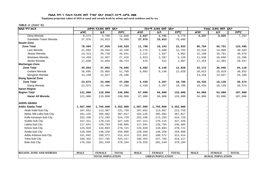Populaion projection values of 2016 at zonal and wereda levels by urban and rural residence and by sex.

| ክልል ፣ ዞን ፣ ወሪዳ                 |             | ጠቅላሳ የሕዝብ ብዛት በጾታ       |              |             | የከተማ ሕዝብ ብዛት በጾታ        |              |                         | የንጠር ሕዝብ ብዛት በጾታ |              |
|--------------------------------|-------------|-------------------------|--------------|-------------|-------------------------|--------------|-------------------------|------------------|--------------|
|                                | ወንድ         | ሴት                      | ድምር          | ወንድ         | ሴት                      | ድምር          | ወንድ                     | ሌት               | ድምር          |
| Dima Wereda                    | 6,274       | 4,766                   | 11,040       | 2,037       | 1,741                   | 3,778        | 4,237                   | 3,025            | 7,262        |
| Gambella /Town/ Wereda         | 37,076      | 33,023                  | 70,099       | 37,076      | 33,023                  | 70,099       |                         |                  |              |
| Nuwer-Zone                     |             |                         |              |             |                         |              |                         |                  |              |
| <b>Zone Total</b>              | 78,494      | 67,035                  | 145,529      | 11,790      | 10,243                  | 22,033       | 66,704                  | 56,791           | 123,495      |
| Lare Wereda                    | 21,892      | 20,456                  | 42,348       | 6,276       | 5,488                   | 11,764       | 15,616                  | 14,968           | 30,584       |
| Jikawo Wereda                  | 24,313      | 20,728                  | 45,041       | 2,115       | 1,947                   | 4,062        | 22,198                  | 18,781           | 40,979       |
| Wantawa Wereda                 | 14,459      | 12,957                  | 27,416       | 2,823       | 2,297                   | 5,120        | 11,636                  | 10,660           | 22,296       |
| Akobo Wereda                   | 17,830      | 12,894                  | 30,724       | 576         | 511                     | 1,087        | 17,254                  | 12,383           | 29,637       |
| Mezhenger-Zone                 |             |                         |              |             |                         |              |                         |                  |              |
| <b>Zone Total</b>              | 39,854      | 37,092                  | 76,946       | 6,682       | 6,146                   | 12,828       | 33,172                  | 30,946           | 64,118       |
| Godare Wereda                  | 26,695      | 25,065                  | 51,760       | 6,682       | 6,146                   | 12,828       | 20,013                  | 18,919           | 38,932       |
| Mengesh Wereda                 | 13,159      | 12,027                  | 25,186       |             |                         |              | 13,159                  | 12,027           | 25,186       |
| <b>Etang Special Zone</b>      |             |                         |              |             |                         |              |                         |                  |              |
| <b>Zone Total</b>              | 23,874      | 23,406                  | 47,280       | 5,439       | 5,267                   | 10,706       | 18,435                  | 18,139           | 36,574       |
| Etang Wereda                   | 23,874      | 23,406                  | 47,280       | 5,439       | 5,267                   | 10,706       | 18,435                  | 18,139           | 36,574       |
| <b>Harari Region</b>           |             |                         |              |             |                         |              |                         |                  |              |
| <b>Region Total</b>            | 121,000     | 119,000                 | 240,000      | 67,000      | 66,000                  | 133,000      | 54,000                  | 53,000           | 107,000      |
| Harari All Wereda              | 121,000     | 119,000                 | 240,000      | 67,000      | 66,000                  | 133,000      | 54,000                  | 53,000           | 107,000      |
| <b>ADDIS ABABA</b>             |             |                         |              |             |                         |              |                         |                  |              |
| Addis Ababa Total              | 1,587,000   | 1,765,000               | 3,352,000    | 1,587,000   | 1,765,000               | 3,352,000    |                         |                  |              |
| Akaki Kaliti-Sub City          | 107,852     | 113,907                 | 221,759      | 107,852     | 113,907                 | 221,759      |                         |                  |              |
| Nefas Silk-Lafto-Sub City      | 181,125     | 205,892                 | 387,017      | 181,125     | 205,892                 | 387,017      |                         |                  |              |
| Kolfe Keraniyo-Sub City        | 252,436     | 272,293                 | 524,729      | 252,436     | 272,293                 | 524,729      |                         |                  |              |
| Gulele-Sub City                | 157,311     | 170,115                 | 327,426      | 157,311     | 170,115                 | 327,426      |                         |                  |              |
| Lideta-Sub City                | 117,041     | 129,764                 | 246,805      | 117,041     | 129,764                 | 246,805      |                         |                  |              |
| Kirkos-Sub City                | 125,828     | 144,893                 | 270,721      | 125,828     | 144,893                 | 270,721      |                         |                  |              |
| Arada-Sub City                 | 120,558     | 138,250                 | 258,808      | 120,558     | 138,250                 | 258,808      |                         |                  |              |
| Addis Ketema-Sub City          | 151,842     | 160,572                 | 312,414      | 151,842     | 160,572                 | 312,414      |                         |                  |              |
| Yeka-Sub City                  | 196,452     | 227,765                 | 424,217      | 196,452     | 227,765                 | 424,217      |                         |                  |              |
| <b>Bole-Sub City</b>           | 176,555     | 201,549                 | 378,104      | 176,555     | 201,549                 | 378,104      |                         |                  |              |
|                                |             |                         |              |             |                         |              |                         |                  |              |
| <b>REGION, ZONE AND WEREDA</b> | <b>MALE</b> | <b>FEMALE</b>           | <b>TOTAL</b> | <b>MALE</b> | <b>FEMALE</b>           | <b>TOTAL</b> | <b>MALE</b>             | <b>FEMALE</b>    | <b>TOTAL</b> |
|                                |             | <b>TOTAL POPULATION</b> |              |             | <b>URBAN POPULATION</b> |              | <b>RURAL POPULATION</b> |                  |              |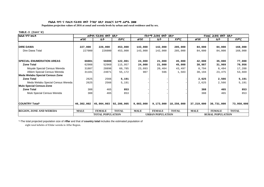**Populaion projection values of 2016 at zonal and wereda levels by urban and rural residence and by sex.**

#### **TABLE-3 (Cont'd)**

| ክልል ፣ ዞን ፣ ወረ <i>ዳ</i>            |             | ጠቅሳሳ የሕዝብ ብዛት           | በጾታ          |             | የከተማ ሕዝብ ብዛት በጾ <i>ታ</i> |              | የንጠር ሕዝብ ብዛት በጾታ        |               |              |  |
|-----------------------------------|-------------|-------------------------|--------------|-------------|--------------------------|--------------|-------------------------|---------------|--------------|--|
|                                   | ወንድ         | ሴት                      | ድምር          | ወንድ         | ሌት                       | ድምር          | ወንድ                     | ሴት            | ድምር          |  |
|                                   |             |                         |              |             |                          |              |                         |               |              |  |
| <b>DIRE DAWA</b>                  | 227,000     | 226,000                 | 453,000      | 143,000     | 142,000                  | 285,000      | 84,000                  | 84,000        | 168,000      |  |
| Dire Dawa Total                   | 227000      | 226000                  | 453,000      | 143,000     | 142,000                  | 285,000      | 84,000                  | 84,000        | 168,000      |  |
| <b>ISPECIAL ENUMERATION AREAS</b> | 66001       | 56000                   | 122,001      | 24,000      | 21,000                   | 45,000       | 42,000                  | 35,000        | 77,000       |  |
| <b>Zone Total</b>                 | 62988       | 52969                   | 115,957      | 24,000      | 21,000                   | 45,000       | 38,987                  | 31,969        | 70,956       |  |
| Moyale Special Census Wereda      | 31887       | 28898                   | 60,785       | 23,093      | 20,404                   | 43,497       | 8,794                   | 8,494         | 17,288       |  |
| Afdem Special Census Wereda       | 31101       | 24071                   | 55,172       | 907         | 596                      | 1,503        | 30,194                  | 23,475        | 53,669       |  |
| Meda Welabu Special Census Zone   |             |                         |              |             |                          |              |                         |               |              |  |
| <b>Zone Total</b>                 | 2625        | 2566                    | 5,191        |             |                          |              | 2,625                   | 2,566         | 5,191        |  |
| Meda Welabu Special Census Wereda | 2625        | 2566                    | 5,191        |             |                          |              | 2,625                   | 2,566         | 5,191        |  |
| Mulo Special Census-Zone          |             |                         |              |             |                          |              |                         |               |              |  |
| <b>Zone Total</b>                 | 388         | 465                     | 853          |             |                          |              | 388                     | 465           | 853          |  |
| Mulo Special Census Wereda        | 388         | 465                     | 853          |             |                          |              | 388                     | 465           | 853          |  |
|                                   |             |                         |              |             |                          |              |                         |               |              |  |
| <b>COUNTRY Total*</b>             | 46,302,002  | 45,904,003              | 92,206,005   | 9,083,000   | 9,173,000                | 18,256,000   | 37,219,000              | 36,731,000    | 73,950,000   |  |
| <b>REGION, ZONE AND WEREDA</b>    | <b>MALE</b> | <b>FEMALE</b>           | <b>TOTAL</b> | <b>MALE</b> | <b>FEMALE</b>            | <b>TOTAL</b> | <b>MALE</b>             | <b>FEMALE</b> | <b>TOTAL</b> |  |
|                                   |             | <b>TOTAL POPULATION</b> |              |             | <b>URBAN POPULATION</b>  |              | <b>RURAL POPULATION</b> |               |              |  |

\*-The total projected population size of A**ffar** and that of **country total** includes the estimated population of eight rural kebeles of Elidar wereda in Affar Region.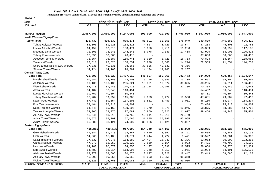Populaion projection values of 2017 at zonal and wereda levels by urban and rural residence and by sex.

TABLE-4

| haa                             | ጠቅሳሳ የሕዝብ ብዛት<br><u>በጾታ</u> |               |              |             | የከተማ ሕዝብ ብዛት በጾታ        |              | የንጠር ሕዝብ ብዛት በጾታ        |               |              |  |
|---------------------------------|-----------------------------|---------------|--------------|-------------|-------------------------|--------------|-------------------------|---------------|--------------|--|
| ዞንና ወረዳ                         | ወንድ                         | ሴት            | ድምር          | ወንድ         | ሴት                      | ድምር          | ወንድ                     | ሌት            | ድምር          |  |
|                                 |                             |               |              |             |                         |              |                         |               |              |  |
| <b>TIGRAY Region</b>            | 2,587,003                   | 2,660,002     | 5,247,005    | 690,000     | 710,000                 | 1,400,000    | 1,897,000               | 1,950,000     | 3,847,000    |  |
| North Western Tigray-Zone       |                             |               |              |             |                         |              |                         |               |              |  |
| <b>Zone Total</b>               | 435,732                     | 439,639       | 875,371      | 85,891      | 93,058                  | 178,949      | 349,839                 | 346,580       | 696,419      |  |
| Tahtay Adiyabo-Wereda           | 52,090                      | 51,220        | 103,310      | 4,827       | 5,720                   | 10,547       | 47,263                  | 45,500        | 92,763       |  |
| Laelay Adiyabo-Wereda           | 64,459                      | 66,015        | 130,474      | $6,070$     | 7,216                   | 13,286       | 58,389                  | 58,799        | 117,188      |  |
| Medebay Zana-Wereda             | 71,003                      | 73,243        | 144,246      | 8,078       | 9,340                   | 17,418       | 62,925                  | 63,903        | 126,828      |  |
| Tahtay Koraro-Wereda            | 37,856                      | 38,560        | 76,416       |             |                         |              | 37,856                  | 38,560        | 76,416       |  |
| Asegede Tsimbila-Wereda         | 78,854                      | 76,887        | 155,741      | 8,030       | 8,723                   | 16,753       | 70,824                  | 68,164        | 138,988      |  |
| Tselemti-Wereda                 | 79,511                      | 79,020        | 158,531      | 6,928       | 7,366                   | 14,294       | 72,583                  | 71,654        | 144,237      |  |
| Shere Endasilasie /Town/-Wereda | 37,835                      | 40,531        | 78,366       | 37,835      | 40,531                  | 78,366       |                         |               |              |  |
| Shiraro /Town/-Wereda           | 14,124                      | 14,163        | 28,287       | 14,124      | 14,163                  | 28,287       |                         |               |              |  |
| <b>Central Tigray-Zone</b>      |                             |               |              |             |                         |              |                         |               |              |  |
| <b>Zone Total</b>               | 725,696                     | 751,323       | 1,477,019    | 141,607     | 150,866                 | 292,473      | 584,090                 | 600,457       | 1,184,547    |  |
| Mereb Lehe-Wereda               | 60,947                      | 62,153        | 123,100      | 6,256       | 6,849                   | 13,105       | 54,691                  | 55,304        | 109,995      |  |
| Ahiferom-Wereda                 | 99,136                      | 106,185       | 205,321      | 18,851      | 19,974                  | 38,825       | 80,285                  | 86,211        | 166,496      |  |
| Were Lehe-Wereda                | 83,478                      | 87,445        | 170,923      | 13,124      | 14,256                  | 27,380       | 70,354                  | 73,189        | 143,543      |  |
| Adwa-Wereda                     | 54,402                      | 56,049        | 110,451      |             |                         |              | 54,402                  | 56,049        | 110,451      |  |
| Laelay Maychew-Wereda           | 39,751                      | 40,694        | 80,445       |             |                         |              | 39,751                  | 40,694        | 80,445       |  |
| Tahtay Maychew-Wereda           | 56,704                      | 59,259        | 115,963      | 9,073       | 9,477                   | 18,550       | 47,631                  | 49,782        | 97,413       |  |
| Nader Adet-Wereda               | 57,741                      | 59,554        | 117,295      | 1,581       | 1,480                   | 3,061        | 56,160                  | 58,074        | 114,234      |  |
| Kola Temben-Wereda              | 73,484                      | 75,318        | 148,802      |             |                         |              | 73,484                  | 75,318        | 148,802      |  |
| Dega Temben-Wereda              | 64,645                      | 65,162        | 129,807      | 5,770       | 6,275                   | 12,045       | 58,875                  | 58,887        | 117,762      |  |
| Tanqua Abergele-Wereda          | 54,306                      | 52,775        | 107,081      | 5,850       | 5,827                   | 11,677       | 48,456                  | 46,948        | 95,404       |  |
| Abi Adi /Town/-Wereda           | 13,541                      | 13,218        | 26,759       | 13,541      | 13,218                  | 26,759       |                         |               |              |  |
| Adwa /Town/-Wereda              | 31,675                      | 35,390        | 67,065       | 31,675      | 35,390                  | 67,065       |                         |               |              |  |
| Axum /Town/-Wereda              | 35,886                      | 38,121        | 74,007       | 35,886      | 38,121                  | 74,007       |                         |               |              |  |
| <b>Eastern Tigray-Zone</b>      |                             |               |              |             |                         |              |                         |               |              |  |
| <b>Zone Total</b>               | 436,815                     | 480,185       | 917,000      | 114,749     | 127,160                 | 241,909      | 322,065                 | 353,025       | 675,090      |  |
| Gulo Meheda-Wereda              | 47,384                      | 51,473        | 98,857       | 7,829       | 8,892                   | 16,721       | 39,555                  | 42,581        | 82,136       |  |
| Erob-Wereda                     | 14,266                      | 15,108        | 29,374       | 1,744       | 1,727                   | 3,471        | 12,522                  | 13,381        | 25,903       |  |
| Saesi Tsadamba-Wereda           | 77,537                      | 87,045        | 164,582      | 14,484      | 16,842                  | 31,326       | 63,053                  | 70,203        | 133,256      |  |
| Ganta Afeshum-Wereda            | 47,270                      | 52,952        | 100,222      | 2,869       | 3,154                   | 6,023        | 44,401                  | 49,798        | 94,199       |  |
| Hawuzen-Wereda                  | 64,183                      | 70,673        | 134,856      | 6,127       | 6,398                   | 12,525       | 58,056                  | 64,275        | 122,331      |  |
| Kilte Awlalo-Wereda             | 54,782                      | 58,314        | 113,096      | 3,748       | 4,213                   | 7,961        | 51,034                  | 54,101        | 105,135      |  |
| Atsbi Wonberta-Wereda           | 62,070                      | 68,505        | 130,575      | 8,627       | 9,820                   | 18,447       | 53,443                  | 58,685        | 112,128      |  |
| Adigrat /Town/-Wereda           | 45,003                      | 50,355        | 95,358       | 45,003      | 50,355                  | 95,358       |                         |               |              |  |
| Wukro /Town/-Wereda             | 24,320                      | 25,760        | 50,080       | 24,320      | 25,760                  | 50,080       |                         |               |              |  |
| <b>REGION, ZONE AND WEREDA</b>  | <b>MALE</b>                 | <b>FEMALE</b> | <b>TOTAL</b> | <b>MALE</b> | <b>FEMALE</b>           | <b>TOTAL</b> | <b>MALE</b>             | <b>FEMALE</b> | <b>TOTAL</b> |  |
|                                 | <b>TOTAL POPULATION</b>     |               |              |             | <b>URBAN POPULATION</b> |              | <b>RURAL POPULATION</b> |               |              |  |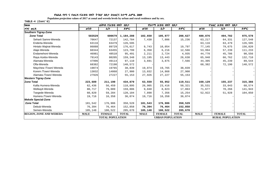Populaion projection values of 2017 at zonal and wereda levels by urban and rural residence and by sex.

| haa                            |             | ጠቅላሳ የሕዝብ ብዛት በጾታ       |              |             | የከተማ ሕዝብ ብዛት በጾታ        |              |             | የንጠር ሕዝብ ብዛት በጾታ        |              |
|--------------------------------|-------------|-------------------------|--------------|-------------|-------------------------|--------------|-------------|-------------------------|--------------|
| ዞንና ወረዳ                        | ወንድ         | ሴት                      | ድምር          | ወንድ         | ሌት                      | ድምር          | ወንድ         | ሌት                      | ድምር          |
| <b>Southern Tigray-Zone</b>    |             |                         |              |             |                         |              |             |                         |              |
| <b>Zone Total</b>              | 583529      | 600679                  | 1,184,208    | 102,650     | 105,977                 | 208,627      | 480,876     | 494,702                 | 975,578      |
| Seharti Samre-Wereda           | 70647       | 72137                   | 142,784      | 7,430       | 7,806                   | 15,236       | 63,217      | 64,331                  | 127,548      |
| Enderta-Wereda                 | 63116       | 63479                   | 126,595      |             |                         |              | 63,116      | 63,479                  | 126,595      |
| Hintalo Wajirat-Wereda         | 86888       | 89729                   | 176,617      | 9,743       | 10,054                  | 19,797       | 77,145      | 79,675                  | 156,820      |
| Alaje-Wereda                   | 60344       | 63455                   | 123,799      | 6,350       | 6,216                   | 12,566       | 53,994      | 57,239                  | 111,233      |
| Endamehoni-Wereda              | 46981       | 48510                   | 95,491       | 2,211       | 2,724                   | 4,935        | 44,770      | 45,786                  | 90,556       |
| Raya Azebo-Wereda              | 79143       | 80205                   | 159,348      | 13,195      | 13,443                  | 26,638       | 65,948      | 66,762                  | 132,710      |
| Alamata-Wereda                 | 47996       | 49114                   | 97,110       | 3,691       | 3,875                   | 7,566        | 44,305      | 45,239                  | 89,544       |
| Ofla-Wereda                    | 68382       | 72190                   | 140,572      |             |                         |              | 68,382      | 72,190                  | 140,572      |
| Maychew /Town/-Wereda          | 19074       | 19765                   | 38,839       | 19,074      | 19,765                  | 38,839       |             |                         |              |
| Korem /Town/-Wereda            | 13032       | 14868                   | 27,900       | 13,032      | 14,868                  | 27,900       |             |                         |              |
| Alamata /Town/-Wereda          | 27926       | 27227                   | 55,153       | 27,926      | 27,227                  | 55,153       |             |                         |              |
| <b>Western Tigray-Zone</b>     |             |                         |              |             |                         |              |             |                         |              |
| <b>Zone Total</b>              | 223,689     | 211,190                 | 434,879      | 63,559      | 55,952                  | 119,511      | 160,129     | 155,237                 | 315,366      |
| Kafta Humera-Wereda            | 62,436      | 56,459                  | 118,895      | 26,905      | 23,416                  | 50,321       | 35,531      | 33,043                  | 68,574       |
| Welkayit-Wereda                | 80,717      | 79,089                  | 159,806      | 9,040       | 8,823                   | 17,863       | 71,677      | 70,266                  | 141,943      |
| Tsegede-Wereda                 | 60,820      | 59,284                  | 120,104      | 7,898       | 7,356                   | 15,254       | 52,922      | 51,928                  | 104,850      |
| Humera /Town/-Wereda           | 19,716      | 16,358                  | 36,074       | 19,716      | 16,358                  | 36,074       |             |                         |              |
| Mekele Special-Zone            |             |                         |              |             |                         |              |             |                         |              |
| <b>Zone Total</b>              | 181,542     | 176,986                 | 358,528      | 181,543     | 176,986                 | 358,529      |             |                         |              |
| Debub-Wereda                   | 76,394      | 76,464                  | 152,858      | 76,394      | 76,464                  | 152,858      |             |                         |              |
| Semen-Wereda                   | 105,148     | 100,522                 | 205,670      | 105,148     | 100,522                 | 205,670      |             |                         |              |
| <b>REGION, ZONE AND WEREDA</b> | <b>MALE</b> | <b>FEMALE</b>           | <b>TOTAL</b> | <b>MALE</b> | <b>FEMALE</b>           | <b>TOTAL</b> | <b>MALE</b> | <b>FEMALE</b>           | <b>TOTAL</b> |
|                                |             | <b>TOTAL POPULATION</b> |              |             | <b>URBAN POPULATION</b> |              |             | <b>RURAL POPULATION</b> |              |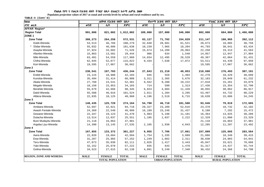Populaion projection values of 2017 at zonal and wereda levels by urban and rural residence and by sex.

| haa                            | ጠቅሳሳ የሕዝብ ብዛት በጾታ |                         |              |             | የከተማ ሕዝብ ብዛት በጾታ        |              | የንጠር ሕዝብ ብዛት በጾታ |                         |              |  |
|--------------------------------|-------------------|-------------------------|--------------|-------------|-------------------------|--------------|------------------|-------------------------|--------------|--|
| ዞንና ወረዳ                        | ወንድ               | ሴት                      | ድምር          | ወንድ         | ሴት                      | ድምር          | ወንድ              | ሌት                      | ድምር          |  |
| <b>AFFAR Region*</b>           |                   |                         |              |             |                         |              |                  |                         |              |  |
| <b>Region Total</b>            | 991,000           | 821,002                 | 1,812,002    | 189,000     | 157,000                 | 346,000      | 802,000          | 664,000                 | 1,466,000    |  |
| ZONE <sub>1</sub>              |                   |                         |              |             |                         |              |                  |                         |              |  |
| <b>Zone Total</b>              | 308,273           | 264,258                 | 572,531      | 83,127      | 71,702                  | 154,829      | 211,147          | 180,965                 | 392,112      |  |
| Dubti-Wereda                   | 53,513            | 46,766                  | 100,279      | 32,840      | 28,681                  | 61,521       | 20,673           | 18,085                  | 38,758       |  |
| Elidar-Wereda                  | 55,032            | 46,606                  | 101,638      | 10,239      | 7,965                   | 18,204       | 44,793           | 38,641                  | 83,434       |  |
| Asayita-Wereda                 | 37,924            | 33,602                  | 71,526       | 15,674      | 14,289                  | 29,963       | 22,250           | 19,313                  | 41,563       |  |
| Afambo-Wereda                  | 15,863            | 13,581                  | 29,444       | 906         | 634                     | 1,540        | 14,957           | 12,947                  | 27,904       |  |
| Mile-Wereda                    | 63,401            | 54,559                  | 117,960      | 14,034      | 12,495                  | 26,529       | 49,367           | 42,064                  | 91,431       |  |
| Chifra-Wereda                  | 62,945            | 52,077                  | 115,022      | 9,434       | 7,638                   | 17,072       | 53,511           | 44,439                  | 97,950       |  |
| Kori-Wereda                    | 19,595            | 17,067                  | 36,662       |             |                         |              | 19,595           | 17,067                  | 36,662       |  |
| Zone 2                         |                   |                         |              |             |                         |              |                  |                         |              |  |
| <b>Zone Total</b>              | 238,541           | 197,703                 | 436,244      | 27,843      | 21,210                  | 49,053       | 210,698          | 176,493                 | 387,191      |  |
| Erebti-Wereda                  | 23,115            | 18,988                  | 42,103       | 845         | 559                     | 1,404        | 22,270           | 18,429                  | 40,699       |  |
| Kunoba-Wereda                  | 35,494            | 31,414                  | 66,908       | 3,311       | 2,365                   | 5,676        | 32,183           | 29,049                  | 61,232       |  |
| Abala-Wereda                   | 27,760            | 24,541                  | 52,301       | 9,942       | 9,280                   | 19,222       | 17,818           | 15,261                  | 33,079       |  |
| Megale-Wereda                  | 18,150            | 15,953                  | 34,103       | 714         | 599                     | 1,313        | 17,436           | 15,354                  | 32,790       |  |
| Berahile-Wereda                | 55,679            | 42,666                  | 98,345       | 6,824       | 4,604                   | 11,428       | 48,855           | 38,062                  | 86,917       |  |
| Dalol-Wereda                   | 55,508            | 46,016                  | 101,524      | 2,011       | 1,284                   | 3,295        | 53,497           | 44,732                  | 98,229       |  |
| Afdera-Wereda                  | 22,835            | 18,125                  | 40,960       | 4,196       | 2,519                   | 6,715        | 18,639           | 15,606                  | 34,245       |  |
| Zone 3                         |                   |                         |              |             |                         |              |                  |                         |              |  |
| <b>Zone Total</b>              | 148,435           | 125,729                 | 274,164      | 54,790      | 46,710                  | 101,500      | 93,646           | 79,019                  | 172,665      |  |
| Amibara-Wereda                 | 52,697            | 42,021                  | 94,718       | 29,327      | 23,289                  | 52,616       | 23,370           | 18,732                  | 42,102       |  |
| Awash Fentale-Wereda           | 24,369            | 22,540                  | 46,909       | 16,189      | 15,248                  | 31,437       | 8,180            | 7,292                   | 15,472       |  |
| Gewane-Wereda                  | 22,347            | 19,123                  | 41,470       | 5,983       | 5,198                   | 11,181       | 16,364           | 13,925                  | 30,289       |  |
| Dulacha-Wereda                 | 13,514            | 12,037                  | 25,551       | 1,185       | 1,037                   | 2,222        | 12,329           | 11,000                  | 23,329       |  |
| Bure Mudayitu-Wereda           | 21,118            | 16,863                  | 37,981       |             |                         |              | 21,118           | 16,863                  | 37,981       |  |
| Argoba Liyu-Wereda             | 14,390            | 13,145                  | 27,535       | 2,105       | 1,938                   | 4,043        | 12,285           | 11,207                  | 23,492       |  |
| Zone 4                         |                   |                         |              |             |                         |              |                  |                         |              |  |
| <b>Zone Total</b>              | 167,855           | 133,372                 | 301,227      | 9,955       | 7,706                   | 17,661       | 157,899          | 125,665                 | 283,564      |  |
| Awra-Wereda                    | 22,820            | 19,684                  | 42,504       | 1,754       | 1,335                   | 3,089        | 21,066           | 18,349                  | 39,415       |  |
| Ewa-Wereda                     | 31,287            | 25,965                  | 57,252       | 1,249       | 1,062                   | 2,311        | 30,038           | 24,903                  | 54,941       |  |
| Teru-Wereda                    | 47,073            | 35,038                  | 82,111       | 2,026       | 1,417                   | 3,443        | 45,047           | 33,621                  | 78,668       |  |
| Yalo-Wereda                    | 32,152            | 25,070                  | 57,222       | 835         | 643                     | 1,478        | 31,317           | 24,427                  | 55,744       |  |
| Golina-Wereda                  | 34,523            | 27,615                  | 62,138       | 4,091       | 3,249                   | 7,340        | 30,432           | 24,366                  | 54,798       |  |
| <b>REGION, ZONE AND WEREDA</b> | <b>MALE</b>       | <b>FEMALE</b>           | <b>TOTAL</b> | <b>MALE</b> | <b>FEMALE</b>           | <b>TOTAL</b> | <b>MALE</b>      | <b>FEMALE</b>           | <b>TOTAL</b> |  |
|                                |                   | <b>TOTAL POPULATION</b> |              |             | <b>URBAN POPULATION</b> |              |                  | <b>RURAL POPULATION</b> |              |  |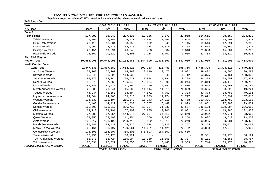Populaion projection values of 2017 at zonal and wereda levels by urban and rural residence and by sex.

| haa                            | ጠቅሳሳ የሕዝብ ብዛት በጾታ |                         |              |             | የከተማ ሕዝብ ብዛት በጾታ        |              | የንጠር ሕዝብ ብዛት በጾታ |                         |              |  |  |
|--------------------------------|-------------------|-------------------------|--------------|-------------|-------------------------|--------------|------------------|-------------------------|--------------|--|--|
| ዞንና ወረዳ                        | ወንድ               | ሴት                      | ድምር          | ወንድ         | ሴት                      | ድምር          | ወንድ              | ሌት                      | ድምር          |  |  |
| Zone 5                         |                   |                         |              |             |                         |              |                  |                         |              |  |  |
| <b>Zone Total</b>              | 127,896           | 99,940                  | 227,836      | 13,286      | 9,672                   | 22,958       | 114,611          | 90,268                  | 204,879      |  |  |
| Telalak-Wereda                 | 26,866            | 19,751                  | 46,617       | 1,984       | 1,660                   | 3,644        | 24,882           | 18,091                  | 42,973       |  |  |
| Sumu Robi-Wereda               | 20,416            | 18,534                  | 38,950       | 902         | 843                     | 1,745        | 19,514           | 17,691                  | 37,205       |  |  |
| Dawe-Wereda                    | 29,901            | 22,235                  | 52,136       | 2,388       | 1,876                   | 4,264        | 27,513           | 20,359                  | 47,872       |  |  |
| Dalifage-Wereda                | 27,151            | 19,391                  | 46,542       | 5,753       | 3,587                   | 9,340        | 21,398           | 15,804                  | 37,202       |  |  |
| Hadele Ele-Wereda              | 23,562            | 20,029                  | 43,591       | 2,258       | 1,707                   | 3,965        | 21,304           | 18,322                  | 39,626       |  |  |
| <b>AMHARA Region</b>           |                   |                         |              |             |                         |              |                  |                         |              |  |  |
| <b>Region Total</b>            | 10,585,995        | 10,548,993              | 21, 134, 988 | 1,844,000   | 1,838,000               | 3,682,000    | 8,742,000        | 8,711,000               | 17,453,000   |  |  |
| North Gondar-Zone              |                   |                         |              |             |                         |              |                  |                         |              |  |  |
| <b>Zone Total</b>              | 1,847,631         | 1,807,289               | 3,654,920    | 392,233     | 413,483                 | 805,716      | 1,455,398        | 1,393,810               | 2,849,208    |  |  |
| Adi Arkay-Wereda               | 58,102            | 56,267                  | 114,369      | 8,610       | 9,472                   | 18,082       | 49,492           | 46,795                  | 96,287       |  |  |
| Beyeda-Wereda                  | 55,842            | 58,696                  | 114,538      | 2,467       | 3,245                   | 5,712        | 53,375           | 55,451                  | 108,826      |  |  |
| Janamora-Wereda                | 98,377            | 98,344                  | 196,721      | 3,994       | 4,794                   | 8,788        | 94,383           | 93,550                  | 187,933      |  |  |
| Debark-Wereda                  | 98,273            | 97,769                  | 196,042      | 16,954      | 19,290                  | 36,244       | 81,319           | 78,479                  | 159,798      |  |  |
| Dabat-Wereda                   | 89,383            | 87,911                  | 177,294      | 12,759      | 14,751                  | 27,510       | 76,624           | 73,160                  | 149,784      |  |  |
| Merab Armachoho-Wereda         | 25,239            | 20,344                  | 45,583       | 14,544      | 11,815                  | 26,359       | 10,695           | 8,529                   | 19,224       |  |  |
| Tegede-Wereda                  | 44,944            | 43,550                  | 88,494       | 4,571       | 4,762                   | 9,333        | 40,373           | 38,788                  | 79,161       |  |  |
| Lay Armachoho-Wereda           | 94,844            | 94,766                  | 189,610      | 9,823       | 11,974                  | 21,797       | 85,021           | 82,792                  | 167,813      |  |  |
| Wegera-Wereda                  | 134,539           | 131,104                 | 265,643      | 15,143      | 17,315                  | 32,458       | 119,396          | 113,789                 | 233,185      |  |  |
| Gondar Zuria-Wereda            | 117,408           | 114,422                 | 231,830      | 15,557      | 16,442                  | 31,999       | 101,851          | 97,980                  | 199,831      |  |  |
| Dembia-Wereda                  | 165,502           | 161,217                 | 326,719      | 19,304      | 21,333                  | 40,637       | 146,198          | 139,884                 | 286,082      |  |  |
| Chilga-Wereda                  | 134,718           | 133,191                 | 267,909      | 16,875      | 19,206                  | 36,081       | 117,843          | 113,985                 | 231,828      |  |  |
| Metema-Wereda                  | 77,289            | 67,554                  | 144,843      | 27,227      | 24,613                  | 51,840       | 50,062           | 42,941                  | 93,003       |  |  |
| Quara-Wereda                   | 58,956            | 52,498                  | 111,454      | 4,269       | 3,985                   | 8,254        | 54,687           | 48,513                  | 103,200      |  |  |
| Alefa-Wereda                   | 102,517           | 101,199                 | 203,716      | 9,422       | 10,818                  | 20,240       | 93,095           | 90,381                  | 183,476      |  |  |
| Merab Belsa-Wereda             | 85,989            | 83,437                  | 169,426      | 6,634       | 6,723                   | 13,357       | 79,355           | 76,714                  | 156,069      |  |  |
| Misrak Belesa-Wereda           | 62,164            | 58,497                  | 120,661      | 11,331      | 11,421                  | 22,752       | 50,833           | 47,076                  | 97,909       |  |  |
| Gonder/Town/-Wereda            | 176,593           | 184,007                 | 360,600      | 176,593     | 184,007                 | 360,600      |                  |                         |              |  |  |
| Tselemet-Wereda                | 32,951            | 33,170                  | 66,121       |             |                         |              | 32,951           | 33,170                  | 66,121       |  |  |
| Tach Armachoho-Wereda          | 56,370            | 53,724                  | 110,094      | 10,269      | 11,068                  | 21,337       | 46,101           | 42,656                  | 88,757       |  |  |
| Takusa-Wereda                  | 77,631            | 75,622                  | 153,253      | 5,887       | 6,446                   | 12,333       | 71,744           | 69,176                  | 140,920      |  |  |
| <b>REGION, ZONE AND WEREDA</b> | <b>MALE</b>       | <b>FEMALE</b>           | <b>TOTAL</b> | <b>MALE</b> | <b>FEMALE</b>           | <b>TOTAL</b> | <b>MALE</b>      | <b>FEMALE</b>           | <b>TOTAL</b> |  |  |
|                                |                   | <b>TOTAL POPULATION</b> |              |             | <b>URBAN POPULATION</b> |              |                  | <b>RURAL POPULATION</b> |              |  |  |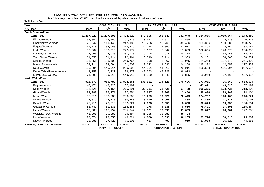Populaion projection values of 2017 at zonal and wereda levels by urban and rural residence and by sex.

| haa                            | ጠቅሳሳ የሕዝብ ብዛት<br>በጾታ |                         |              |             | <i>የከተማ ሕዝ</i> ብ ብዛት በጾታ |              | የንጠር ሕዝብ ብዛት በጾታ        |               |              |  |
|--------------------------------|----------------------|-------------------------|--------------|-------------|--------------------------|--------------|-------------------------|---------------|--------------|--|
| ዞንና ወረዳ                        | ወንድ                  | ሴት                      | ድምር          | ወንድ         | ሴት                       | ድምር          | ወንድ                     | ሌት            | ድምር          |  |
| <b>South Gondar-Zone</b>       |                      |                         |              |             |                          |              |                         |               |              |  |
| <b>Zone Total</b>              | 1,257,323            | 1,227,606               | 2,484,929    | 172,505     | 168,543                  | 341,048      | 1,084,816               | 1,059,064     | 2,143,880    |  |
| Ebinat-Wereda                  | 132,344              | 128,985                 | 261,329      | 10,017      | 10,872                   | 20,889       | 122,327                 | 118,113       | 240,440      |  |
| Libokemkem-Wereda              | 123,042              | 119,146                 | 242,188      | 19,706      | 18,760                   | 38,466       | 103,336                 | 100,386       | 203,722      |  |
| Fogera-Wereda                  | 141,716              | 136,963                 | 278,679      | 22,218      | 21,699                   | 43,917       | 119,498                 | 115,264       | 234,762      |  |
| Farta-Wereda                   | 138,262              | 133,915                 | 272,177      | 6,197       | 5,642                    | 11,839       | 132,065                 | 128,273       | 260,338      |  |
| Lay Gayint-Wereda              | 126,993              | 124,933                 | 251,926      | 19,796      | 19,978                   | 39,774       | 107,197                 | 104,955       | 212,152      |  |
| Tach Gayint-Wereda             | 61,050               | 61,414                  | 122,464      | 6,819       | 7,114                    | 13,933       | 54,231                  | 54,300        | 108,531      |  |
| Simada-Wereda                  | 133,356              | 136,409                 | 269,765      | 9,098       | 8,867                    | 17,965       | 124,258                 | 127,542       | 251,800      |  |
| Misrak Este-Wereda             | 128,014              | 123,694                 | 251,708      | 12,622      | 11,636                   | 24,258       | 115,392                 | 112,058       | 227,450      |  |
| Dera-Wereda                    | 150,894              | 145,914                 | 296,808      | 14,301      | 14,910                   | 29,211       | 136,593                 | 131,004       | 267,597      |  |
| Debre Tabor/Town/-Wereda       | 49,753               | 47,220                  | 96,973       | 49,753      | 47,220                   | 96,973       |                         |               |              |  |
| Merab Este-Wereda              | 71,899               | 69,013                  | 140,912      | 1,980       | 1,845                    | 3,825        | 69,919                  | 67,168        | 137,087      |  |
| North Wello-Zone               |                      |                         |              |             |                          |              |                         |               |              |  |
| <b>Zone Total</b>              | 913,572              | 910,789                 | 1,824,361    | 136,561     | 134,125                  | 270,686      | 777,011                 | 776,663       | 1,553,674    |  |
| Bugna-Wereda                   | 43,471               | 43,726                  | 87,197       |             |                          |              | 43,471                  | 43,726        | 87,197       |  |
| Kobo-Wereda                    | 138,726              | 137,165                 | 275,891      | 29,361      | 28,428                   | 57,789       | 109,365                 | 108,737       | 218,102      |  |
| Gidan-Wereda                   | 92,283               | 95,271                  | 187,554      | 6,647       | 6,803                    | 13,450       | 85,636                  | 88,468        | 174,104      |  |
| Meket-Wereda                   | 135,011              | 133,689                 | 268,700      | 10,259      | 10,220                   | 20,479       | 124,752                 | 123,469       | 248,221      |  |
| Wadla-Wereda                   | 75,379               | 75,176                  | 150,555      | 3,499       | 3,965                    | 7,464        | 71,880                  | 71,211        | 143,091      |  |
| Delanta-Wereda                 | 75,711               | 76,513                  | 152,224      | 7,035       | 6,658                    | 13,693       | 68,676                  | 69,855        | 138,531      |  |
| Gubalafto-Wereda               | 82,749               | 81,631                  | 164,380      | 4,278       | 4,238                    | 8,516        | 78,471                  | 77,393        | 155,864      |  |
| Habru-Wereda                   | 118,088              | 117,259                 | 235,347      | 19,061      | 18,598                   | 37,659       | 99,027                  | 98,661        | 197,688      |  |
| Woldiya /Town/-Wereda          | 41,395               | 39,089                  | 80,484       | 41,395      | 39,089                   | 80,484       |                         |               |              |  |
| Lasta-Wereda                   | 72,374               | 73,850                  | 146,224      | 14,600      | 15,635                   | 30,235       | 57,774                  | 58,215        | 115,989      |  |
| Dawunt-Wereda                  | 38,385               | 37,420                  | 75,805       | 427         | 492                      | 919          | 37,958                  | 36,928        | 74,886       |  |
| <b>REGION, ZONE AND WEREDA</b> | <b>MALE</b>          | <b>FEMALE</b>           | <b>TOTAL</b> | <b>MALE</b> | <b>FEMALE</b>            | <b>TOTAL</b> | <b>MALE</b>             | <b>FEMALE</b> | <b>TOTAL</b> |  |
|                                |                      | <b>TOTAL POPULATION</b> |              |             | <b>URBAN POPULATION</b>  |              | <b>RURAL POPULATION</b> |               |              |  |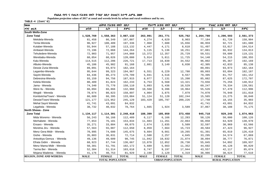Populaion projection values of 2017 at zonal and wereda levels by urban and rural residence and by sex.

| <b>haa</b>                     | ጠቅሳሳ የሕዝብ ብዛት በጾታ       |               |              |                         | የከተማ ሕዝብ ብዛት በጾታ |              | የንጠር ሕዝብ ብዛት በጾታ        |               |              |  |
|--------------------------------|-------------------------|---------------|--------------|-------------------------|------------------|--------------|-------------------------|---------------|--------------|--|
| ዞንና ወረዳ                        | ወንድ                     | ሴት            | ድምር          | ወንድ                     | ሴት               | ድምር          | ወንድ                     | ቤት            | ድምር          |  |
| <b>South Wello-Zone</b>        |                         |               |              |                         |                  |              |                         |               |              |  |
| <b>Zone Total</b>              | 1,528,769               | 1,558,363     | 3,087,132    | 263,991                 | 261,771          | 525,762      | 1,264,780               | 1,296,593     | 2,561,373    |  |
| Mekdela-Wereda                 | 81,458                  | 86,349        | 167,807      | 4,274                   | 4,629            | 8,903        | 77,184                  | 81,720        | 158,904      |  |
| Tenta-Wereda                   | 96,927                  | 100,409       | 197,336      | 7,968                   | 7,688            | 15,656       | 88,959                  | 92,721        | 181,680      |  |
| Kutaber-Wereda                 | 55,944                  | 57,188        | 113,132      | 4,447                   | 4,171            | 8,618        | 51,497                  | 53,017        | 104,514      |  |
| Ambasel-Wereda                 | 72,196                  | 72,068        | 144,264      | 5,115                   | 5,136            | 10,251       | 67,081                  | 66,932        | 134,013      |  |
| Tehuledere-Wereda              | 72,903                  | 71,957        | 144,860      | 13,372                  | 12,357           | 25,729       | 59,531                  | 59,600        | 119,131      |  |
| Werebabu-Wereda                | 60,054                  | 60,026        | 120,080      | 5,914                   | 5,811            | 11,725       | 54,140                  | 54,215        | 108,355      |  |
| Kalu-Wereda                    | 114,515                 | 112,206       | 226,721      | 17,713                  | 16,839           | 34,552       | 96,802                  | 95,367        | 192,169      |  |
| Albuko-Wereda                  | 45,186                  | 45,982        | 91,168       | 2,881                   | 3,149            | 6,030        | 42,305                  | 42,833        | 85,138       |  |
| Dessie Zuria-Wereda            | 89,091                  | 93,073        | 182,164      |                         |                  |              | 89,091                  | 93,073        | 182,164      |  |
| Legambo-Wereda                 | 95,644                  | 99,323        | 194,967      | 6,551                   | 6,229            | 12,780       | 89,093                  | 93,094        | 182,187      |  |
| Sayint-Wereda                  | 84,436                  | 86,273        | 170,709      | 5,041                   | 4,516            | 9,557        | 79,395                  | 81,757        | 161,152      |  |
| Debresina-Wereda               | 93,159                  | 94,756        | 187,915      | 8,077                   | 7,131            | 15,208       | 85,082                  | 87,625        | 172,707      |  |
| Kelela-Wereda                  | 80,409                  | 81,824        | 162,233      | 6,753                   | 6,568            | 13,321       | 73,656                  | 75,256        | 148,912      |  |
| Jama - Wereda                  | 74,340                  | 75,770        | 150,110      | 5,093                   | 5,436            | 10,529       | 69,247                  | 70,334        | 139,581      |  |
| Were IIu - Wereda              | 66,094                  | 66,866        | 132,960      | 10,568                  | 9,396            | 19,964       | 55,526                  | 57,470        | 112,996      |  |
| Wegidi - Wereda                | 78,074                  | 80,823        | 158,897      | 4,004                   | 3,875            | 7,879        | 74,070                  | 76,948        | 151,018      |  |
| Kombolcha/Town/ - Wereda       | 66,689                  | 66,395        | 133,084      | 51,124                  | 51,120           | 102,244      | 15,565                  | 15,275        | 30,840       |  |
| Dessie/Town/-Wereda            | 121,177                 | 123,952       | 245,129      | 103,429                 | 105,797          | 209,226      | 17,748                  | 18,155        | 35,903       |  |
| Mehal Saynt Wereda             | 41,741                  | 43,091        | 84,832       |                         |                  |              | 41,741                  | 43,091        | 84,832       |  |
| Legahida - Wereda              | 38,732                  | 40,032        | 78,764       | 1,665                   | 1,924            | 3,589        | 37,067                  | 38,108        | 75,175       |  |
| North Shewa - Zone             |                         |               |              |                         |                  |              |                         |               |              |  |
| <b>Zone Total</b>              | 1,134,117               | 1,114,301     | 2,248,418    | 188,399                 | 185,059          | 373,458      | 945,718                 | 929,245       | 1,874,963    |  |
| Mida Woremo - Wereda           | 56,243                  | 56,166        | 112,409      | 6,117                   | 6,166            | 12,283       | 50,126                  | 50,000        | 100,126      |  |
| Merhabete - Wereda             | 77,653                  | 76,181        | 153,834      | 11,603                  | 11,261           | 22,864       | 66,050                  | 64,920        | 130,970      |  |
| Ensaro - Wereda                | 35,271                  | 33,804        | 69,075       | 2,674                   | 2,835            | 5,509        | 32,597                  | 30,969        | 63,566       |  |
| Moretna Jiru - Wereda          | 57,563                  | 55,087        | 112,650      | 8,059                   | 7,664            | 15,723       | 49,504                  | 47,423        | 96,927       |  |
| Menz Gera Midir - Wereda       | 70,995                  | 74,680        | 145,675      | 9,604                   | 9,661            | 19,265       | 61,391                  | 65,019        | 126,410      |  |
| Gishe - Wereda                 | 35,883                  | 36,831        | 72,714       | 2,588                   | 2,257            | 4,845        | 33,295                  | 34,574        | 67,869       |  |
| Antsokiya Gemza - Wereda       | 49,136                  | 49,609        | 98,745       | 11,042                  | 10,832           | 21,874       | 38,094                  | 38,777        | 76,871       |  |
| Efrata Gidim - Wereda          | 68,923                  | 67,744        | 136,667      | 13,878                  | 12,852           | 26,730       | 55,045                  | 54,892        | 109,937      |  |
| Menz Mama Midir - Wereda       | 50,381                  | 51,791        | 102,172      | 5,689                   | 5,663            | 11,352       | 44,692                  | 46,128        | 90,820       |  |
| Tarma Ber - Wereda             | 52,304                  | 51,314        | 103,618      | 8,747                   | 9,197            | 17,944       | 43,557                  | 42,117        | 85,674       |  |
| Mojana Waderea - Wereda        | 41,176                  | 40,753        | 81,929       | 2,190                   | 2,129            | 4,319        | 38,986                  | 38,624        | 77,610       |  |
| <b>REGION, ZONE AND WEREDA</b> | <b>MALE</b>             | <b>FEMALE</b> | <b>TOTAL</b> | <b>MALE</b>             | <b>FEMALE</b>    | <b>TOTAL</b> | <b>MALE</b>             | <b>FEMALE</b> | <b>TOTAL</b> |  |
|                                | <b>TOTAL POPULATION</b> |               |              | <b>URBAN POPULATION</b> |                  |              | <b>RURAL POPULATION</b> |               |              |  |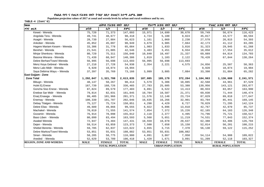Populaion projection values of 2017 at zonal and wereda levels by urban and rural residence and by sex.

| haa                            | ጠቅሳሳ የሕዝብ ብዛት በጾታ       |               |              |             | የከተማ ሕዝብ ብዛት በጾታ        |              | የንጠር ሕዝብ ብዛት በጾታ |                         |              |  |
|--------------------------------|-------------------------|---------------|--------------|-------------|-------------------------|--------------|------------------|-------------------------|--------------|--|
| ዞንና ወረዳ                        | ወንድ                     | ሴት            | ድምር          | ወንድ         | ሴት                      | ድምር          | ወንድ              | ሌት                      | ድምር          |  |
| Kewet - Wereda                 | 75,720                  | 71,373        | 147,093      | 15,971      | 14,699                  | 30,670       | 59,749           | 56,674                  | 116,423      |  |
| Angolala Tera - Wereda         | 49,741                  | 48,677        | 98,418       | 4,724       | 5,100                   | 9,824        | 45,017           | 43,577                  | 88,594       |  |
| Asagirt - Wereda               | 28,739                  | 27,884        | 56,623       | 1,161       | 1,069                   | 2,230        | 27,578           | 26,815                  | 54,393       |  |
| Ankober - Wereda               | 45,852                  | 45,097        | 90,949       | 3,679       | 3,985                   | 7,664        | 42,173           | 41,112                  | 83,285       |  |
| Hagere Mariam Kesem - Wereda   | 33,306                  | 31,778        | 65,084       | 1,983       | 1,833                   | 3,816        | 31,323           | 29,945                  | 61,268       |  |
| Berehet - Wereda               | 21,541                  | 21,005        | 42,546       | 3,483       | 3,451                   | 6,934        | 18,058           | 17,554                  | 35,612       |  |
| Minjar Shenkora - Wereda       | 80,729                  | 75,311        | 156,040      | 10,840      | 10,497                  | 21,337       | 69,889           | 64,814                  | 134,703      |  |
| Basona Werana - Wereda         | 71,439                  | 68,947        | 140,386      | 1,019       | 1,103                   | 2,122        | 70,420           | 67,844                  | 138,264      |  |
| Debre Berhan/Town/-Wereda      | 56,995                  | 56,698        | 113,693      | 56,995      | 56,698                  | 113,693      |                  |                         |              |  |
| Menz Keya Gebreal - Wereda     | 27,210                  | 27,728        | 54,938       | 2,354       | 2,221                   | 4,575        | 24,856           | 25,507                  | 50,363       |  |
| Menz Lalo Midir - Wereda       | 9,920                   | 10,074        | 19,994       |             |                         |              | 9,920            | 10,074                  | 19,994       |  |
| Saya Debirna Wayu - Wereda     | 37,397                  | 35,769        | 73,166       | 3,999       | 3,885                   | 7,884        | 33,398           | 31,884                  | 65,282       |  |
| <b>East Gojjam - Zone</b>      |                         |               |              |             |                         |              |                  |                         |              |  |
| <b>Zone Total</b>              | 1,292,047               | 1,321,788     | 2,613,835    | 187,085     | 185,179                 | 372,264      | 1,104,963        | 1,136,608               | 2,241,571    |  |
| Bibugn - Wereda                | 48,147                  | 50,267        | 98,414       | 5,579       | 5,306                   | 10,885       | 42,568           | 44,961                  | 87,529       |  |
| Hulet Ej Enese                 | 167,739                 | 168,726       | 336,465      | 27,783      | 25,605                  | 53,388       | 139,956          | 143,121                 | 283,077      |  |
| Goncha Siso Enese - Wereda     | 87,824                  | 89,579        | 177,403      | 6,891       | 6,522                   | 13,413       | 80,933           | 83,057                  | 163,990      |  |
| Enebse Sar Midir - Wereda      | 79,814                  | 82,031        | 161,845      | 10,784      | 10,587                  | 21,371       | 69,030           | 71,444                  | 140,474      |  |
| Enarj Enawga - Wereda          | 99,405                  | 101,966       | 201,371      | 11,576      | 12,148                  | 23,724       | 87,829           | 89,818                  | 177,647      |  |
| Enemay - Wereda                | 100,339                 | 101,707       | 202,046      | 16,635      | 16,266                  | 32,901       | 83,704           | 85,441                  | 169,145      |  |
| Debay Tilatgen - Wereda        | 75,127                  | 75,724        | 150,851      | 4,298       | 4,429                   | 8,727        | 70,829           | 71,295                  | 142,124      |  |
| Debre Elias - Wereda           | 49,689                  | 49,866        | 99,555       | 6,922       | 6,896                   | 13,818       | 42,767           | 42,970                  | 85,737       |  |
| Machakel - Wereda              | 70,019                  | 71,555        | 141,574      | 7,854       | 7,372                   | 15,226       | 62,165           | 64,183                  | 126,348      |  |
| Gozamin - Wereda               | 76,914                  | 78,098        | 155,012      | 2,118       | 2,377                   | 4,495        | 74,796           | 75,721                  | 150,517      |  |
| Baso Liben - Wereda            | 80,099                  | 83,494        | 163,593      | 5,568       | 5,651                   | 11,219       | 74,531           | 77,843                  | 152,374      |  |
| Awabel Wereda                  | 72,947                  | 74,484        | 147,431      | 10,559      | 10,078                  | 20,637       | 62,388           | 64,406                  | 126,794      |  |
| Dejen - Wereda                 | 59,514                  | 63,859        | 123,373      | 7,500       | 7,658                   | 15,158       | 52,014           | 56,201                  | 108,215      |  |
| Shebel Berenta - Wereda        | 59,785                  | 62,837        | 122,622      | 3,655       | 3,715                   | 7,370        | 56,130           | 59,122                  | 115,252      |  |
| Debre Markos/Town/-Wereda      | 53,851                  | 55,031        | 108,882      | 53,851      | 55,031                  | 108,882      |                  |                         |              |  |
| Sinan - Wereda                 | 58,205                  | 58,775        | 116,980      | 4,091       | 3,867                   | 7,958        | 54,114           | 54,908                  | 109,022      |  |
| Aneded - Wereda                | 52,629                  | 53,789        | 106,418      | 1,420       | 1,671                   | 3,091        | 51,209           | 52,118                  | 103,327      |  |
| <b>REGION, ZONE AND WEREDA</b> | <b>MALE</b>             | <b>FEMALE</b> | <b>TOTAL</b> | <b>MALE</b> | <b>FEMALE</b>           | <b>TOTAL</b> | <b>MALE</b>      | <b>FEMALE</b>           | <b>TOTAL</b> |  |
|                                | <b>TOTAL POPULATION</b> |               |              |             | <b>URBAN POPULATION</b> |              |                  | <b>RURAL POPULATION</b> |              |  |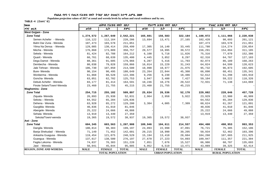Populaion projection values of 2017 at zonal and wereda levels by urban and rural residence and by sex.

| haa                            |             | ጠቅሳሳ የሕዝብ ብዛት በጾታ       |              |             | <i>የከተማ ሕዝ</i> ብ ብዛት በጾታ |              |             | የንጠር ሕዝብ ብዛት በጾታ        |              |
|--------------------------------|-------------|-------------------------|--------------|-------------|--------------------------|--------------|-------------|-------------------------|--------------|
| ዞንና ወሪዳ                        | ወንድ         | ሴት                      | ድምር          | ወንድ         | ሌት                       | ድምር          | ወንድ         | ሴት                      | ድምር          |
| <b>West Gojjam - Zone</b>      |             |                         |              |             |                          |              |             |                         |              |
| <b>Zone Total</b>              | 1,274,572   | 1,267,649               | 2,542,221    | 165,601     | 156,583                  | 322,184      | 1,108,972   | 1,111,066               | 2,220,038    |
| Semen Achefer - Wereda         | 116,122     | 112,164                 | 228,286      | 13,694      | 13,471                   | 27,165       | 102,428     | 98,693                  | 201,121      |
| Bahri Dar Zuria - Wereda       | 107,473     | 103,578                 | 211,051      |             |                          |              | 107,473     | 103,578                 | 211,051      |
| Yilma Na Densa - Wereda        | 129,085     | 130,414                 | 259,499      | 17,305      | 16,140                   | 33,445       | 111,780     | 114,274                 | 226,054      |
| Mecha - Wereda                 | 176,868     | 173,889                 | 350,757      | 20,577      | 18,995                   | 39,572       | 156,291     | 154,894                 | 311,185      |
| Sekela - Wereda                | 81,424      | 82,788                  | 164,212      | 6,108       | 5,718                    | 11,826       | 75,316      | 77,070                  | 152,386      |
| Quarit - Wereda                | 66,761      | 68,639                  | 135,400      | 4,445       | 3,852                    | 8,297        | 62,316      | 64,787                  | 127,103      |
| Dega Damot - Wereda            | 88,361      | 91,605                  | 179,966      | 6,287       | 5,416                    | 11,703       | 82,074      | 86,189                  | 168,263      |
| Dembecha - Wereda              | 80,038      | 79,828                  | 159,866      | 16,014      | 15,229                   | 31,243       | 64,024      | 64,599                  | 128,623      |
| Jabi Tehnan - Wereda           | 106,730     | 107,850                 | 214,580      | 10,998      | 10,977                   | 21,975       | 95,732      | 96,873                  | 192,605      |
| Bure-Wereda                    | 90,154      | 90,495                  | 180,649      | 23,264      | 22,044                   | 45,308       | 66,890      | 68,451                  | 135,341      |
| Wonberma - Wereda              | 61,868      | 60,528                  | 122,396      | 9,256       | 9,230                    | 18,486       | 52,612      | 51,298                  | 103,910      |
| Goncha-Wereda                  | 63,051      | 62,702                  | 125,753      | 3,947       | 3,480                    | 7,427        | 59,104      | 59,222                  | 118,326      |
| Debub Achefer - Wereda         | 83,177      | 81, 414                 | 164,591      | 10,246      | 10,276                   | 20,522       | 72,931      | 71,138                  | 144,069      |
| Finote Selam/Town/-Wereda      | 23,460      | 21,755                  | 45,215       | 23,460      | 21,755                   | 45,215       |             |                         |              |
| Waghemira - Zone               |             |                         |              |             |                          |              |             |                         |              |
| <b>Zone Total</b>              | 254,715     | 255,182                 | 509,897      | 25,634      | 26,536                   | 52,170       | 229,082     | 228,646                 | 457,728      |
| Ziquala-Wereda                 | 26,893      | 25,938                  | 52,831       | 2,964       | 2,958                    | 5,922        | 23,929      | 22,980                  | 46,909       |
| Sekota - Wereda                | 64,552      | 65,284                  | 129,836      |             |                          |              | 64,552      | 65,284                  | 129,836      |
| Dehena - Wereda                | 63,928      | 65,272                  | 129,200      | 3,304       | 4,005                    | 7,309        | 60,624      | 61,267                  | 121,891      |
| Gazgibla-Wereda                | 40,836      | 41,010                  | 81,846       |             |                          |              | 40,836      | 41,010                  | 81,846       |
| Abergele-Wereda                | 25,222      | 24,666                  | 49,888       |             |                          |              | 25,222      | 24,666                  | 49,888       |
| Sehala-Wereda                  | 13,919      | 13,440                  | 27,359       |             |                          |              | 13,919      | 13,440                  | 27,359       |
| Sekota/Town/-wereda            | 19,365      | 19,572                  | 38,937       | 19,365      | 19,572                   | 38,937       |             |                         |              |
| Awi - Zone                     |             |                         |              |             |                          |              |             |                         |              |
| <b>Zone Total</b>              | 604,345     | 603,563                 | 1,207,908    | 109,946     | 104,611                  | 214,557      | 494,400     | 498,953                 | 993,353      |
| Dangila-Wereda                 | 100,814     | 98,383                  | 199,197      | 24,093      | 22,998                   | 47,091       | 76,721      | 75,385                  | 152,106      |
| Banja Shekudad - Wereda        | 71,149      | 71,452                  | 142,601      | 20,215      | 18,990                   | 39,205       | 50,934      | 52,462                  | 103,396      |
| Ankasha Guagusa - Wereda       | 119,454     | 121,075                 | 240,529      | 15,194      | 13,410                   | 28,604       | 104,260     | 107,665                 | 211,925      |
| Guangua - Wereda               | 137,617     | 138,580                 | 276,197      | 27,670      | 27,223                   | 54,893       | 109,947     | 111,357                 | 221,304      |
| Fagita Lekoma - Wereda         | 74,837      | 76,383                  | 151,220      | 7,851       | 7,676                    | 15,527       | 66,986      | 68,707                  | 135,693      |
| Jawi - Wereda                  | 50,041      | 45,844                  | 95,885       | 6,952       | 6,519                    | 13,471       | 43,089      | 39,325                  | 82,414       |
| <b>REGION, ZONE AND WEREDA</b> | <b>MALE</b> | <b>FEMALE</b>           | <b>TOTAL</b> | <b>MALE</b> | <b>FEMALE</b>            | <b>TOTAL</b> | <b>MALE</b> | <b>FEMALE</b>           | <b>TOTAL</b> |
|                                |             | <b>TOTAL POPULATION</b> |              |             | <b>URBAN POPULATION</b>  |              |             | <b>RURAL POPULATION</b> |              |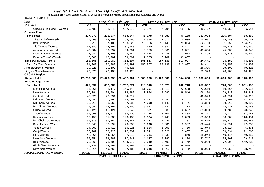Populaion projection values of 2017 at zonal and wereda levels by urban and rural residence and by sex.

| haa                             | ጠቅሳሳ የሕዝብ ብዛት<br><u>በጾታ</u> |                         |              |             | የከተማ ሕዝብ ብዛት በጾታ        |              | የንጠር ሕዝብ ብዛት በጾታ |                         |              |
|---------------------------------|-----------------------------|-------------------------|--------------|-------------|-------------------------|--------------|------------------|-------------------------|--------------|
| ዞንና ወሪዳ                         | ወንድ                         | ሴት                      | ድምር          | ወንድ         | ሴት                      | ድምር          | ወንድ              | ሌት                      | ድምር          |
| Guagusa Shikudad - Wereda       | 50,433                      | 51,846                  | 102,279      | 7,971       | 7,794                   | 15,765       | 42,462           | 44,052                  | 86,514       |
| Oromia - Zone                   |                             |                         |              |             |                         |              |                  |                         |              |
| <b>Zone Total</b>               | 277,270                     | 281,374                 | 558,644      | 45,178      | 44,980                  | 90,158       | 232,094          | 236,394                 | 468,488      |
| Dawa chefa-Wereda               | 77,469                      | 78,297                  | 155,766      | 2,388       | 2,617                   | 5,005        | 75,081           | 75,680                  | 150,761      |
| Bati - Wereda                   | 66,716                      | 67,106                  | 133,822      | 13,936      | 15,148                  | 29,084       | 52,780           | 51,958                  | 104,738      |
| Jile Timuga- Wereda             | 42,589                      | 44,597                  | 87,186       | 4,460       | 4,387                   | $8\,,\,847$  | 38,129           | 40,210                  | 78,339       |
| Artuma Fursi- Wereda            | 48,904                      | 50,297                  | 99,201       | 5,300       | 5,061                   | 10,361       | 43,604           | 45,236                  | 88,840       |
| Dawe Harewa- Wereda             | 23,987                      | 24,795                  | 48,782       | 1,488       | 1,485                   | 2,973        | 22,499           | 23,310                  | 45,809       |
| Kemisie/Town/- Wereda           | 17,605                      | 16,282                  | 33,887       | 17,605      | 16,282                  | 33,887       |                  |                         |              |
| <b>Bahir Dar Special - Zone</b> | 181,308                     | 180,989                 | 362,297      | 156,867     | 157,130                 | 313,997      | 24,441           | 23,859                  | 48,300       |
| Bahir Dar/Town/Wereda           | 181,308                     | 180,989                 | 362,297      | 156,867     | 157,130                 | 313,997      | 24,441           | 23,859                  | 48,300       |
| Argoba Special Wereda           | 20,326                      | 20,100                  | 40,426       |             |                         |              | 20,326           | 20,100                  | 40,426       |
| Argoba Special-Wereda           | 20,326                      | 20,100                  | 40,426       |             |                         |              | 20,326           | 20,100                  | 40,426       |
| <b>OROMIA Region</b>            |                             |                         |              |             |                         |              |                  |                         |              |
| <b>Region Total</b>             | 17,788,003                  | 17,678,998              | 35,467,001   | 2,685,000   | 2,669,000               | 5,354,000    | 15,103,000       | 15,010,000              | 30,113,000   |
| <b>West Wellega-Zone</b>        |                             |                         |              |             |                         |              |                  |                         |              |
| <b>Zone Total</b>               | 875,692                     | 892,082                 | 1,767,774    | 118,340     | 118,378                 | 236,718      | 757,352          | 773,706                 | 1,531,058    |
| Menesibu-Wereda                 | 83,966                      | 81,177                  | 165,143      | 11,297      | 11,311                  | 22,608       | 72,669           | 69,866                  | 142,535      |
| Nejo-Wereda                     | 86,084                      | 88,804                  | 174,888      | 19,954      | 19,592                  | 39,546       | 66,130           | 69,212                  | 135,342      |
| Gimbi-Wereda                    | 46,526                      | 48,391                  | 94,917       |             |                         |              | 46,526           | 48,391                  | 94,917       |
| Lalo Asabi-Wereda               | 48,695                      | 50,996                  | 99,691       | 8,147       | 8,594                   | 16,741       | 40,548           | 42,402                  | 82,950       |
| Kiltu Kara-Wereda               | 33,718                      | 33,962                  | 67,680       | 4,338       | 4,143                   | 8,481        | 29,380           | 29,819                  | 59,199       |
| Boji Dirmeji-Wereda             | 27,694                      | 29,262                  | 56,956       | 5,542       | 6,231                   | 11,773       | 22,152           | 23,031                  | 45,183       |
| Guliso-Wereda                   | 45,421                      | 46,121                  | 91,542       | 6,361       | 6,336                   | 12,697       | 39,060           | 39,785                  | 78,845       |
| Jarso-Wereda                    | 30,995                      | 32,014                  | 63,009       | 2,754       | 3,100                   | 5,854        | 28,241           | 28,914                  | 57,155       |
| Kondala-Wereda                  | 62,150                      | 61,333                  | 123,483      | 2,584       | 2,445                   | 5,029        | 59,566           | 58,888                  | 118,454      |
| Boji Chekorsa-Wereda            | 30,813                      | 31,854                  | 62,667       | 1,167       | 1,220                   | 2,387        | 29,646           | 30,634                  | 60,280       |
| Babo Gambel-Wereda              | 39,540                      | 38,692                  | 78,232       | 3,096       | 2,901                   | 5,997        | 36,444           | 35,791                  | 72,235       |
| Yubdo-Wereda                    | 24,808                      | 25,413                  | 50,221       | 1,864       | 1,896                   | 3,760        | 22,944           | 23,517                  | 46,461       |
| Genji-Wereda                    | 38,282                      | 38,920                  | 77,202       | 2,811       | 2,626                   | 5,437        | 35,471           | 36,294                  | 71,765       |
| Haru-Wereda                     | 42,865                      | 44,354                  | 87,219       | 3,921       | 3,939                   | 7,860        | 38,944           | 40,415                  | 79,359       |
| Nole Kaba-Wereda                | 37,854                      | 39,987                  | 77,841       | 4,137       | 4,087                   | 8,224        | 33,717           | 35,900                  | 69,617       |
| Begi-Wereda                     | 76,569                      | 78,408                  | 154,977      | 6,340       | 6,402                   | 12,742       | 70,229           | 72,006                  | 142,235      |
| Gimbi /Town/-Wereda             | 25,130                      | 24,869                  | 49,999       | 25,130      | 24,869                  | 49,999       |                  |                         |              |
| Seyo Nole-Wereda                | 48,014                      | 49,466                  | 97,480       | 1,946       | 1,816                   | 3,762        | 46,068           | 47,650                  | 93,718       |
| <b>REGION, ZONE AND WEREDA</b>  | <b>MALE</b>                 | <b>FEMALE</b>           | <b>TOTAL</b> | <b>MALE</b> | <b>FEMALE</b>           | <b>TOTAL</b> | <b>MALE</b>      | <b>FEMALE</b>           | <b>TOTAL</b> |
|                                 |                             | <b>TOTAL POPULATION</b> |              |             | <b>URBAN POPULATION</b> |              |                  | <b>RURAL POPULATION</b> |              |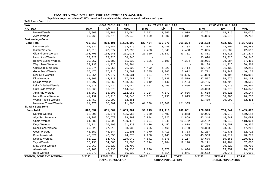Populaion projection values of 2017 at zonal and wereda levels by urban and rural residence and by sex.

| haa                            |             | ጠቅላሳ የሕዝብ ብዛት በጾታ       |              |                   | የከተማ ሕዝብ ብዛት በጾታ        |              |             | የንጠር ሕዝብ ብዛት በጾታ        |              |
|--------------------------------|-------------|-------------------------|--------------|-------------------|-------------------------|--------------|-------------|-------------------------|--------------|
| ዞንና ወረዳ                        | ወንድ         | ሴት                      | ድምር          | ወንድ               | ሴት                      | ድምር          | ወንድ         | ቤት                      | ድምር          |
| Homa-Wereda                    | 15,803      | 16,281                  | 32,084       | 2,042             | 1,966                   | 4,008        | 13,761      | 14,315                  | 28,076       |
| Ayira-Wereda                   | 30,765      | 31,778                  | 62,543       | 4,909             | 4,902                   | 9,811        | 25,856      | 26,876                  | 52,732       |
| East Wellega-Zone              |             |                         |              |                   |                         |              |             |                         |              |
| <b>Zone Total</b>              | 795,618     | 803,191                 | 1,598,809    | 130,454           | 130,770                 | 261,224      | 665,163     | 672,420                 | 1,337,583    |
| Limu-Wereda                    | 46,532      | 47,087                  | 93,619       | 3,248             | 3,485                   | 6,733        | 43,284      | 43,602                  | 86,886       |
| Ibantu-Wereda                  | 23,518      | 23,577                  | 47,095       | 2,453             | 2,045                   | 4,498        | 21,065      | 21,532                  | 42,597       |
| Gida Kiremu-Wereda             | 105,790     | 105,245                 | 211,035      | 21,929            | 21,832                  | 43,761       | 83,861      | 83,413                  | 167,274      |
| Haro Limu-Wereda               | 33,020      | 33,325                  | 66,345       |                   |                         |              | 33,020      | 33,325                  | 66,345       |
| Boneya Bushe-Wereda            | 30,257      | 31,582                  | 61,839       | 2,186             | 2,198                   | 4,384        | 28,071      | 29,384                  | 57,455       |
| Wayu Tuka-Wereda               | 39,138      | 41,226                  | 80,364       |                   |                         |              | 39,138      | 41,226                  | 80,364       |
| Gudeya Bila-Wereda             | 35,274      | 36,355                  | 71,629       | 4,492             | 4,922                   | 9,414        | 30,782      | 31,433                  | 62,215       |
| Gobu Seyo-Wereda               | 26,476      | 27,316                  | 53,792       | 3,705             | 3,967                   | 7,672        | 22,771      | 23,349                  | 46,120       |
| Sibu Sire-Wereda               | 65,954      | 67,577                  | 133,531      | 8,064             | 8,471                   | 16,535       | 57,890      | 59,106                  | 116,996      |
| Diga-Wereda                    | 44,368      | 43,313                  | 87,681       | 6,781             | 6,738                   | 13,519       | 37,587      | 36,575                  | 74,162       |
| Sasiga-Wereda                  | 52,797      | 50,862                  | 103,659      | 2,012             | 2,142                   | 4,154        | 50,785      | 48,720                  | 99,505       |
| Leka Dulecha-Wereda            | 45,610      | 47,434                  | 93,044       | 3,091             | 3,459                   | 6,550        | 42,519      | 43,975                  | 86,494       |
| Guto Gida-Wereda               | 58,063      | 56,279                  | 114,342      |                   |                         |              | 58,063      | 56,279                  | 114,342      |
| Jima Ario-Wereda               | 54,852      | 58,098                  | 112,950      | 7,234             | 7,572                   | 14,806       | 47,618      | 50,526                  | 98,144       |
| Nunu Kumba-Wereda              | 41,132      | 42,916                  | 84,048       | 3,882             | 3,933                   | 7,815        | 37,250      | 38,983                  | 76,233       |
| Wama Hagelo-Wereda             | 31,459      | 30,992                  | 62,451       |                   |                         |              | 31,459      | 30,992                  | 62,451       |
| Nekemte /Town/-Wereda          | 61,378      | 60,007                  | 121,385      | 61,378            | 60,007                  | 121,385      |             |                         |              |
| Illu Aba Bora-Zone             |             |                         |              |                   |                         |              |             |                         |              |
| <b>Zone Total</b>              | 828,037     | 831,864                 | 1,659,901    | 99,713            | 101,118                 | 200,831      | 728,323     | 730,747                 | 1,459,070    |
| Darimu-Wereda                  | 92,396      | 93,571                  | 185,967      | 3,360             | 3,493                   | 6,853        | 89,036      | 90,078                  | 179,114      |
| Alge Sachi-Wereda              | 49,288      | 50,672                  | 99,960       | 5,944             | 5,925                   | 11,869       | 43,344      | 44,747                  | 88,091       |
| Chora-Wereda                   | 64,386      | 66,090                  | 130,476      | $\,$ 6 , 204 $\,$ | 6,248                   | 12,452       | 58,182      | 59,842                  | 118,024      |
| Dega-Wereda                    | 25,224      | 26,009                  | 51,233       | 2,426             | 2,452                   | 4,878        | 22,798      | 23,557                  | 46,355       |
| Dabo Hana-Wereda               | 26,623      | 27,315                  | 53,938       | 3,265             | 3,465                   | 6,730        | 23,358      | 23,850                  | 47,208       |
| Gechi-Wereda                   | 45,657      | 45,844                  | 91,501       | 4,370             | 4,413                   | 8,783        | 41,287      | 41,431                  | 82,718       |
| Borecha-Wereda                 | 47,821      | 46,855                  | 94,676       | 2,258             | 2,141                   | 4,399        | 45,563      | 44,714                  | 90,277       |
| Dedesa-Wereda                  | 55,217      | 54,732                  | 109,949      | 4,541             | 4,576                   | 9,117        | 50,676      | 50,156                  | 100,832      |
| Yayu-Wereda                    | 35,135      | 34,668                  | 69,803       | 6,014             | 6,184                   | 12,198       | 29,121      | 28,484                  | 57,605       |
| Metu Zuria-Wereda              | 39,269      | 39,529                  | 78,798       |                   |                         |              | 39,269      | 39,529                  | 78,798       |
| Ale-Wereda                     | 42,100      | 42,735                  | 84,835       | 7,226             | 7,378                   | 14,604       | 34,874      | 35,357                  | 70,231       |
| Bure-Wereda                    | 32,979      | 33,560                  | 66,539       | 4,327             | 4,514                   | 8,841        | 28,652      | 29,046                  | 57,698       |
| <b>REGION, ZONE AND WEREDA</b> | <b>MALE</b> | <b>FEMALE</b>           | <b>TOTAL</b> | <b>MALE</b>       | <b>FEMALE</b>           | <b>TOTAL</b> | <b>MALE</b> | <b>FEMALE</b>           | <b>TOTAL</b> |
|                                |             | <b>TOTAL POPULATION</b> |              |                   | <b>URBAN POPULATION</b> |              |             | <b>RURAL POPULATION</b> |              |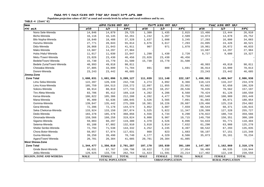Populaion projection values of 2017 at zonal and wereda levels by urban and rural residence and by sex.

| haa                            | ጠቅሳሳ የሕዝብ ብዛት<br><u>በጾታ</u> |                         |              | የከተማ ሕዝብ ብዛት በጾታ |                         |              | የንጠር ሕዝብ ብዛት በጾታ        |               |              |
|--------------------------------|-----------------------------|-------------------------|--------------|------------------|-------------------------|--------------|-------------------------|---------------|--------------|
| ዞንና ወረዳ                        | ወንድ                         | ሴት                      | ድምር          | ወንድ              | ሴት                      | ድምር          | ወንድ                     | ሴት            | ድምር          |
| Nono Sele-Wereda               | 14,846                      | 14,879                  | 29,725       | 1,380            | 1,435                   | 2,815        | 13,466                  | 13,444        | 26,910       |
| Bicho-Wereda                   | 16,116                      | 16,145                  | 32,261       | 1,242            | 1,267                   | 2,509        | 14,874                  | 14,878        | 29,752       |
| Bilo Nopha-Wereda              | 18,840                      | 18,488                  | 37,328       | 1,637            | 1,608                   | 3,245        | 17,203                  | 16,880        | 34,083       |
| Hurumu-Wereda                  | 27,771                      | 28,043                  | 55,814       | 3,676            | 3,617                   | 7,293        | 24,095                  | 24,426        | 48,521       |
| Didu-Wereda                    | 20,868                      | 21,043                  | 41,911       | 907              | 971                     | 1,878        | 19,961                  | 20,072        | 40,033       |
| Mako-Wereda                    | 13,687                      | 14,297                  | 27,984       |                  |                         |              | 13,687                  | 14,297        | 27,984       |
| Huka /Halu/-Wereda             | 11,017                      | 11,030                  | 22,047       | 1,290            | 1,430                   | 2,720        | 9,727                   | 9,600         | 19,327       |
| Metu /Town/-Wereda             | 23,026                      | 23,430                  | 46,456       | 23,026           | 23,430                  | 46,456       |                         |               |              |
| Bedele/Town/-Wereda            | 15,730                      | 15,770                  | 31,500       | 15,730           | 15,770                  | 31,500       |                         |               |              |
| Bedele Zuria/Town/-Wereda      | 48,993                      | 49,818                  | 98,811       |                  |                         |              | 48,993                  | 49,818        | 98,811       |
| Chewaka-Wereda                 | 37,805                      | 33,899                  | 71,704       | 891              | 800                     | 1,691        | 36,914                  | 33,099        | 70,013       |
| Doreni-Wereda                  | 23, 243                     | 23,442                  | 46,685       |                  |                         |              | 23,243                  | 23,442        | 46,685       |
| Jimma-Zone                     |                             |                         |              |                  |                         |              |                         |               |              |
| <b>Zone Total</b>              | 1,608,031                   | 1,601,096               | 3,209,127    | 111,039          | 111,148                 | 222,187      | 1,496,991               | 1,489,947     | 2,986,938    |
| Limu Seka-Wereda               | 122,397                     | 120,339                 | 242,736      | 4,274            | 4,092                   | 8,366        | 118,123                 | 116,247       | 234,370      |
| Limu Kosa-Wereda               | 105,759                     | 104,513                 | 210,272      | 12,097           | 11,855                  | 23,952       | 93,662                  | 92,658        | 186,320      |
| Sokoru-Wereda                  | 88,914                      | 88,819                  | 177,733      | 10,279           | 10,257                  | 20,536       | 78,635                  | 78,562        | 157,197      |
| Tiro Afeta-Wereda              | 83,706                      | 85,412                  | 169,118      | 4,282            | 4,286                   | 8,568        | 79,424                  | 81,126        | 160,550      |
| Kersa-Wereda                   | 106,822                     | 105,386                 | 212,208      | 4,282            | 4,477                   | 8,759        | 102,540                 | 100,909       | 203,449      |
| Mana-Wereda                    | 95,409                      | 92,636                  | 188,045      | 3,526            | 3,565                   | 7,091        | 91,883                  | 89,071        | 180,954      |
| Gomma-Wereda                   | 139,847                     | 135,442                 | 275,289      | 10,381           | 10,226                  | 20,607       | 129,466                 | 125,216       | 254,682      |
| Gera-Wereda                    | 72,396                      | 72,178                  | 144,574      | 3,852            | 3,807                   | 7,659        | 68,544                  | 68,371        | 136,915      |
| Seka Chekorsa-Wereda           | 133,924                     | 133,150                 | 267,074      | 5,525            | 5,822                   | 11,347       | 128,399                 | 127,328       | 255,727      |
| Dedo-Wereda                    | 183,378                     | 185,478                 | 368,856      | 4,556            | 4,734                   | 9,290        | 178,822                 | 180,744       | 359,566      |
| Omonada-Wereda                 | 159,566                     | 160,258                 | 319,824      | 9,808            | 9,907                   | 19,715       | 149,758                 | 150,351       | 300,109      |
| Sigamo-Wereda                  | 59,003                      | 60,297                  | 119,300      | 4,370            | 4,526                   | 8,896        | 54,633                  | 55,771        | 110,404      |
| Setema-Wereda                  | 65,108                      | 67,802                  | 132,910      | 3,818            | 3,814                   | 7,632        | 61,290                  | 63,988        | 125,278      |
| Shebe Senbo-Wereda             | 72,794                      | 71,538                  | 144,332      | 4,252            | 4,245                   | 8,497        | 68,542                  | 67,293        | 135,835      |
| Chora Botor-Wereda             | 59,057                      | 57,974                  | 117,031      | 860              | 823                     | 1,683        | 58,197                  | 57,151        | 115,348      |
| Guma-Wereda                    | 39,250                      | 39,490                  | 78,740       | 4,177            | 4,329                   | 8,506        | 35,073                  | 35,161        | 70,234       |
| Agaro/Town/-Wereda             | 20,701                      | 20,384                  | 41,085       | 20,701           | 20,384                  | 41,085       |                         |               |              |
| <b>West Shewa-Zone</b>         |                             |                         |              |                  |                         |              |                         |               |              |
| <b>Zone Total</b>              | 1,344,477                   | 1,356,810               | 2,701,287    | 197,170          | 193,939                 | 391,109      | 1,147,307               | 1,162,869     | 2,310,176    |
| Ginde Beret-Wereda             | 69,031                      | 67,767                  | 136,798      | 10,622           | 7,232                   | 17,854       | 58,409                  | 60,535        | 118,944      |
| Jeldu-Wereda                   | 129,025                     | 133,739                 | 262,764      | 11,623           | 11,591                  | 23, 214      | 117,402                 | 122,148       | 239,550      |
| <b>REGION, ZONE AND WEREDA</b> | <b>MALE</b>                 | <b>FEMALE</b>           | <b>TOTAL</b> | <b>MALE</b>      | <b>FEMALE</b>           | <b>TOTAL</b> | <b>MALE</b>             | <b>FEMALE</b> | <b>TOTAL</b> |
|                                |                             | <b>TOTAL POPULATION</b> |              |                  | <b>URBAN POPULATION</b> |              | <b>RURAL POPULATION</b> |               |              |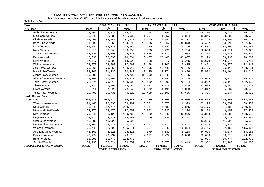Populaion projection values of 2017 at zonal and wereda levels by urban and rural residence and by sex.

| haa                            | ጠቅሳሳ የሕዝብ ብዛት በጾታ |                         |              |             | የከተማ ሕዝብ ብዛት በጾታ        |              | የንጠር ሕዝብ ብዛት በጾታ        |               |              |  |
|--------------------------------|-------------------|-------------------------|--------------|-------------|-------------------------|--------------|-------------------------|---------------|--------------|--|
| ዞንና ወረዳ                        | ወንድ               | ሴት                      | ድምር          | ወንድ         | ሴት                      | ድምር          | ወንድ                     | ሌት            | ድምር          |  |
| Ambo Zuria-Wereda              | 68,804            | 69,372                  | 138,176      | 604         | 793                     | 1,397        | 68,200                  | 68,579        | 136,779      |  |
| Midakegn-Wereda                | 50,043            | 51,889                  | 101,932      | 1,697       | 1,657                   | 3,354        | 48,346                  | 50,232        | 98,578       |  |
| Cheliya-Wereda                 | 103,463           | 103,949                 | 207,412      | 18,750      | 17,951                  | 36,701       | 84,713                  | 85,998        | 170,711      |  |
| Bako Tibe-Wereda               | 81,238            | 83,060                  | 164,298      | 18,806      | 18,067                  | 36,873       | 62,432                  | 64,993        | 127,425      |  |
| Dano-Wereda                    | 62,621            | 63,138                  | 125,759      | 4,970       | 4,829                   | 9,799        | 57,651                  | 58,309        | 115,960      |  |
| Nono-Wereda                    | 55,816            | 52,540                  | 108,356      | 3,008       | 2,726                   | 5,734        | 52,808                  | 49,814        | 102,622      |  |
| <b>Tikur Enchini-Wereda</b>    | 45,623            | 46,705                  | 92,328       | 3,515       | 3,519                   | 7,034        | 42,108                  | 43,186        | 85,294       |  |
| Dendi-Wereda                   | 110,696           | 108,838                 | 219,534      | 20,467      | 20,400                  | 40,867       | 90,229                  | 88,438        | 178,667      |  |
| Ejere-Wereda                   | 57,717            | 56,292                  | 114,009      | 8,038       | 8,217                   | 16,255       | 49,679                  | 48,075        | 97,754       |  |
| Wolmera-Wereda                 | 53,879            | 53,883                  | 107,762      | 2,408       | 3,007                   | 5,415        | 51,471                  | 50,876        | 102,347      |  |
| Ada Berga-Wereda               | 79,061            | 79,856                  | 158,917      | 12,296      | 13,440                  | 25,736       | 66,765                  | 66,416        | 133,181      |  |
| Meta Robi-Wereda               | 89,007            | 91,235                  | 180,242      | 3,425       | 3,071                   | 6,496        | 85,582                  | 88,164        | 173,746      |  |
| Ambo/Town/-Wereda              | 39,390            | 38,345                  | 77,735       | 39,390      | 38,345                  | 77,735       |                         |               |              |  |
| Abuna Gindeberet-Wereda        | 68,160            | 71,762                  | 139,922      | 2,082       | 2,286                   | 4,368        | 66,078                  | 69,476        | 135,554      |  |
| Toke Kutayu-Wereda             | 78,374            | 79,715                  | 158,089      | 12,452      | 13,302                  | 25,754       | 65,922                  | 66,413        | 132,335      |  |
| Jibat-Wereda                   | 46,122            | 46,962                  | 93,084       | 3,037       | 2,818                   | 5,855        | 43,085                  | 44,144        | 87,229       |  |
| Elfata-Wereda                  | 36,614            | 37,028                  | 73,642       | 1,572       | 1,491                   | 3,063        | 35,042                  | 35,537        | 70,579       |  |
| Holeta Town-Wereda             | 19,793            | 20,735                  | 40,528       | 18,408      | 19,198                  | 37,606       | 1,385                   | 1,537         | 2,922        |  |
| North Shewa-Zone               |                   |                         |              |             |                         |              |                         |               |              |  |
| <b>Zone Total</b>              | 933,273           | 937,414                 | 1,870,687    | 114,770     | 122,156                 | 236,926      | 818,504                 | 815,258       | 1,633,762    |  |
| Were Jarso-Wereda              | 91,446            | 92,035                  | 183,481      | 8,321       | 8,678                   | 16,999       | 83,125                  | 83,357        | 166,482      |  |
| Dera-Wereda                    | 115,442           | 117,776                 | 233,218      | 6,267       | 6,588                   | 12,855       | 109,175                 | 111,188       | 220,363      |  |
| Hidabu Abote-Wereda            | 53,276            | 54,475                  | 107,751      | 5,002       | 5,322                   | 10,324       | 48,274                  | 49,153        | 97,427       |  |
| Kuyu-Wereda                    | 79,640            | 81,128                  | 160,768      | 15,830      | 16,246                  | 32,076       | 63,810                  | 64,882        | 128,692      |  |
| Degem-Wereda                   | 63,311            | 64,870                  | 128,181      | 4,559       | 5,238                   | 9,797        | 58,752                  | 59,632        | 118,384      |  |
| Girar Jarso-Wereda             | 43,686            | 41,920                  | 85,606       |             |                         |              | 43,686                  | 41,920        | 85,606       |  |
| Debere Libanos-Wereda          | 31,105            | 29,413                  | 60,518       | 7,277       | 7,175                   | 14,452       | 23,828                  | 22,238        | 46,066       |  |
| Wuchale-Wereda                 | 63,449            | 62,792                  | 126,241      | 5,034       | 5,340                   | 10,374       | 58,415                  | 57,452        | 115,867      |  |
| Abichuna Gnaa-Wereda           | 48,102            | 48,226                  | 96,328       | 4,079       | 4,089                   | 8,168        | 44,023                  | 44,137        | 88,160       |  |
| Kimbibit-Wereda                | 48,774            | 49,739                  | 98,513       | 9,121       | 9,929                   | 19,050       | 39,653                  | 39,810        | 79,463       |  |
| Bereh-Wereda                   | 51,995            | 50,777                  | 102,772      |             |                         |              | 51,995                  | 50,777        | 102,772      |  |
| Sululta-Wereda                 | 84,233            | 85,024                  | 169,257      | 11,871      | 12,578                  | 24,449       | 72,362                  | 72,446        | 144,808      |  |
| <b>REGION, ZONE AND WEREDA</b> | <b>MALE</b>       | <b>FEMALE</b>           | <b>TOTAL</b> | <b>MALE</b> | <b>FEMALE</b>           | <b>TOTAL</b> | <b>MALE</b>             | <b>FEMALE</b> | <b>TOTAL</b> |  |
|                                |                   | <b>TOTAL POPULATION</b> |              |             | <b>URBAN POPULATION</b> |              | <b>RURAL POPULATION</b> |               |              |  |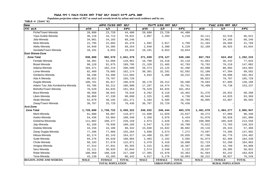Populaion projection values of 2017 at zonal and wereda levels by urban and rural residence and by sex.

| haa                              |             | ጠቅሳሳ የሕዝብ ብዛት           | $\overline{08}$ |                         | የከተማ ሕዝብ ብዛት በጾታ |              |                         | የንጠር ሕዝብ ብዛት በጾታ |              |
|----------------------------------|-------------|-------------------------|-----------------|-------------------------|------------------|--------------|-------------------------|------------------|--------------|
| ዞንና ወሪዳ                          | ወንድ         | ሴት                      | ድምር             | ወንድ                     | ሴት               | ድምር          | ወንድ                     | ቤት               | ድምር          |
| Fiche/Town/-Wereda               | 20,680      | 23,720                  | 44,400          | 20,680                  | 23,720           | 44,400       |                         |                  |              |
| Yaya Gulele-Wereda               | 36,118      | 34,713                  | 70,831          | 2,007                   | 2,203            | 4,210        | 34,111                  | 32,510           | 66,621       |
| Jida-Wereda                      | 34,081      | 34,165                  | 68,246          |                         |                  |              | 34,081                  | 34,165           | 68,246       |
| Mulo-Wereda                      | 22,795      | 22,683                  | 45,478          | 1,692                   | 2,017            | 3,709        | 21,103                  | 20,666           | 41,769       |
| Aleltu-Wereda                    | 34,949      | 34,305                  | 69,254          | 2,840                   | 3,380            | 6,220        | 32,109                  | 30,925           | 63,034       |
| Sendafa/Town/-Wereda             | 10,191      | 9,653                   | 19,844          | 10,191                  | 9,653            | 19,844       |                         |                  |              |
| <b>East Shewa-Zone</b>           |             |                         |                 |                         |                  |              |                         |                  |              |
| <b>Zone Total</b>                | 938,800     | 902,579                 | 1,841,379       | 271,039                 | 278,127          | 549,166      | 667,763                 | 624,452          | 1,292,215    |
| Fentale-Wereda                   | 58,301      | 52,660                  | 110,961         | 16,700                  | 16,418           | 33,118       | 41,601                  | 36,242           | 77,843       |
| Boset-Wereda                     | 98,120      | 91,675                  | 189,795         | 21,328                  | 21,465           | 42,793       | 76,792                  | 70,210           | 147,002      |
| Adama-Wereda                     | 104,371     | 102,219                 | 206,590         | 20,373                  | 22,125           | 42,498       | 83,998                  | 80,094           | 164,092      |
| Lome-Wereda                      | 82,489      | 79,685                  | 162,174         | 30,301                  | 32,291           | 62,592       | 52,188                  | 47,394           | 99,582       |
| Gimbichu-Wereda                  | 58,198      | 54,486                  | 112,684         | 4,834                   | 5,388            | 10,222       | 53,364                  | 49,098           | 102,462      |
| Ada A-Wereda                     | 86,022      | 79,707                  | 165,729         |                         |                  |              | 86,022                  | 79,707           | 165,729      |
| Dugda-Wereda                     | 100,761     | 95,917                  | 196,678         | 30,178                  | 28,312           | 58,490       | 70,583                  | 67,605           | 138,188      |
| Adami Tulu Jido Kombolcha-Wereda | 93,786      | 93,212                  | 186,998         | 17,287                  | 16,474           | 33,761       | 76,499                  | 76,738           | 153,237      |
| Bishoftu/Town/-Wereda            | 76,529      | 84,825                  | 161,354         | 76,529                  | 84,825           | 161,354      |                         |                  |              |
| Bora-Wereda                      | 40,568      | 38,042                  | 78,610          | 9,292                   | 9,110            | 18,402       | 31,276                  | 28,932           | 60,208       |
| Liben-Wereda                     | 50,869      | 47,230                  | 98,099          | 2,325                   | 2,405            | 4,730        | 48,544                  | 44,825           | 93,369       |
| Akaki-Wereda                     | 52,079      | 49,192                  | 101,271         | 5,184                   | 5,585            | 10,769       | 46,895                  | 43,607           | 90,502       |
| Ziway/Town/-Wereda               | 36,707      | 33,729                  | 70,436          | 36,707                  | 33,729           | 70,436       |                         |                  |              |
| Arsi-Zone                        |             |                         |                 |                         |                  |              |                         |                  |              |
| <b>Zone Total</b>                | 1,728,600   | 1,730,722               | 3,459,322       | 246,932                 | 246,444          | 493,376      | 1,481,670               | 1,484,277        | 2,965,947    |
| Merti-Wereda                     | 61,880      | 58,097                  | 119,977         | 12,608                  | 11,029           | 23,637       | 49,272                  | 47,068           | 96,340       |
| Aseko-Wereda                     | 54,436      | 53,904                  | 108,340         | 3,358                   | 3,076            | 6,434        | 51,078                  | 50,828           | 101,906      |
| Gololcha-Wewreda                 | 111,882     | 108,277                 | 220,159         | 2,973                   | 2,628            | 5,601        | 108,909                 | 105,649          | 214,558      |
| Jeju-Wereda                      | 81,169      | 78,936                  | 160,105         | 5,547                   | 5,233            | 10,780       | 75,622                  | 73,703           | 149,325      |
| Dodota-Wereda                    | 44,156      | 44,186                  | 88,342          | 15,040                  | 15,842           | 30,882       | 29,116                  | 28,344           | 57,460       |
| Ziway Dugda-Wereda               | 77,296      | 77,968                  | 155,264         | 3,699                   | 3,573            | 7,272        | 73,597                  | 74,395           | 147,992      |
| Hitosa-Wereda                    | 82,174      | 82,143                  | 164,317         | 14,468                  | 15,367           | 29,835       | 67,706                  | 66,776           | 134,482      |
| Sude-Wereda                      | 94,276      | 94,628                  | 188,904         | 2,403                   | 2,162            | 4,565        | 91,873                  | 92,466           | 184,339      |
| Chole-Wereda                     | 58,193      | 57,678                  | 115,871         | 5,470                   | 5,418            | 10,888       | 52,723                  | 52,260           | 104,983      |
| Amigna-Wereda                    | 47,514      | 47,841                  | 95,355          | 5,315                   | 5,052            | 10,367       | 42,199                  | 42,789           | 84,988       |
| Seru-Wereda                      | 31,111      | 30,933                  | 62,044          | 2,574                   | 2,548            | 5,122        | 28,537                  | 28,385           | 56,922       |
| Robe-Wereda                      | 108,969     | 108,220                 | 217,189         | 17,385                  | 15,978           | 33,363       | 91,584                  | 92,242           | 183,826      |
| Tena-Wereda                      | 43,139      | 43,203                  | 86,342          | 4,917                   | 5,176            | 10,093       | 38,222                  | 38,027           | 76,249       |
| <b>REGION, ZONE AND WEREDA</b>   | <b>MALE</b> | <b>FEMALE</b>           | <b>TOTAL</b>    | <b>MALE</b>             | <b>FEMALE</b>    | <b>TOTAL</b> | <b>MALE</b>             | <b>FEMALE</b>    | <b>TOTAL</b> |
|                                  |             | <b>TOTAL POPULATION</b> |                 | <b>URBAN POPULATION</b> |                  |              | <b>RURAL POPULATION</b> |                  |              |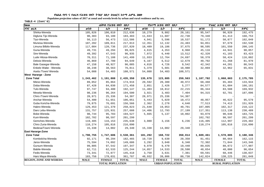Populaion projection values of 2017 at zonal and wereda levels by urban and rural residence and by sex.

| haa                            |             | ጠቅሳሳ የሕዝብ ብዛት በጾታ       |              |             | የከተማ ሕዝብ ብዛት በጾታ        |              |             | የንጠር ሕዝብ ብዛት በጾታ        |              |
|--------------------------------|-------------|-------------------------|--------------|-------------|-------------------------|--------------|-------------|-------------------------|--------------|
| ዞንና ወረዳ                        | ወንድ         | ሴት                      | ድምር          | ወንድ         | ሌት                      | ድምር          | ወንድ         | ሌት                      | ድምር          |
| Shirka-Wereda                  | 105,826     | 106,810                 | 212,636      | 10,279      | 9,882                   | 20,161       | 95,547      | 96,928                  | 192,475      |
| Digluna Tijo-Wereda            | 90,383      | 93,100                  | 183,483      | 11,043      | 11,687                  | 22,730       | 79,340      | 81,413                  | 160,753      |
| Tiyo-Wereda                    | 56,113      | 56,473                  | 112,586      | 4,941       | 5,596                   | 10,537       | 51,172      | 50,877                  | 102,049      |
| Munesa-Wereda                  | 107,202     | 109,811                 | 217,013      | 12,351      | 12,132                  | 24,483       | 94,851      | 97,679                  | 192,530      |
| Limuna Bilbilo-Wereda          | 117,084     | 120,736                 | 237,820      | 18,489      | 19,186                  | 37,675       | 98,595      | 101,550                 | 200,145      |
| Guna-Wereda                    | 49,731      | 49,294                  | 99,025       | 4,615       | 4,353                   | 8,968        | 45,116      | 44,941                  | 90,057       |
| Sire-Wereda                    | 49,392      | 47,543                  | 96,935       | 7,072       | 6,440                   | 13,512       | 42,320      | 41,103                  | 83,423       |
| Lude Hitosa-Wereda             | 70,311      | 71,188                  | 141,499      | 11,933      | 12,764                  | 24,697       | 58,378      | 58,424                  | 116,802      |
| Deksis-Wereda                  | 46,869      | 47,780                  | 94,649       | 6,167       | 6,512                   | 12,679       | 40,702      | 41,268                  | 81,970       |
| Bale Gasegar-Wereda            | 47,158      | 48,927                  | 96,085       | 4,816       | 4,726                   | 9,542        | 42,342      | 44,201                  | 86,543       |
| Enkelo Wabe - Wereda           | 38,248      | 38,563                  | 76,811       | 5,379       | 5,601                   | 10,980       | 32,869      | 32,962                  | 65,831       |
| Asela /Town/ Wereda            | 54,088      | 54,483                  | 108,571      | 54,088      | 54,483                  | 108,571      |             |                         |              |
| <b>West Hararge - Zone</b>     |             |                         |              |             |                         |              |             |                         |              |
| <b>Zone Total</b>              | 1,243,462   | 1,191,888               | 2,435,350    | 135,678     | 123,885                 | 259,563      | 1,107,782   | 1,068,003               | 2,175,785    |
| Mieso-Wereda                   | 89,052      | 85,864                  | 174,916      | 20,592      | 20,380                  | 40,972       | 68,460      | 65,484                  | 133,944      |
| Doba-Wereda                    | 87,428      | 84,030                  | 171,458      | 2,851       | 2,426                   | 5,277        | 84,577      | 81,604                  | 166,181      |
| Tulo-Wereda                    | 97,747      | 94,400                  | 192,147      | 11,403      | 10,812                  | 22,215       | 86,344      | 83,588                  | 169,932      |
| Mesela-Wereda                  | 98,236      | 96,264                  | 194,500      | 3,921       | 3,483                   | 7,404        | 94,315      | 92,781                  | 187,096      |
| Chiro /Town/-Wereda            | 28,971      | 25,336                  | 54,307       | 28,971      | 25,336                  | 54,307       |             |                         |              |
| Anchar-Wereda                  | 54,400      | 51,651                  | 106,051      | 5,443       | 5,029                   | 10,472       | 48,957      | 46,622                  | 95,579       |
| Guba Koricha-Wereda            | 79,875      | 76,691                  | 156,566      | 2,362       | 2,278                   | 4,640        | 77,513      | 74,413                  | 151,926      |
| Habro-Wereda                   | 129,453     | 121,370                 | 250,823      | 21,648      | 19,053                  | 40,701       | 107,805     | 102,317                 | 210,122      |
| Daro Lebu-Wereda               | 131,757     | 125,931                 | 257,688      | 14,406      | 12,793                  | 27,199       | 117,351     | 113,138                 | 230,489      |
| Boke-Wereda                    | 98,744      | 95,783                  | 194,527      | 5,665       | 5,137                   | 10,802       | 93,079      | 90,646                  | 183,725      |
| Kuni-Wereda                    | 102,702     | 98,597                  | 201,299      |             |                         |              | 102,702     | 98,597                  | 201,299      |
| Gemches-Wereda                 | 119,485     | 116,153                 | 235,638      | 3,080       | 3,156                   | 6,236        | 116,405     | 112,997                 | 229,402      |
| Chiro Zuria-Wereda             | 110,274     | 105,816                 | 216,090      |             |                         |              | 110,274     | 105,816                 | 216,090      |
| Bedesa/Town/-Wereda            | 15,338      | 14,002                  | 29,340       | 15,338      | 14,002                  | 29,340       |             |                         |              |
| <b>East Hararge-Zone</b>       |             |                         |              |             |                         |              |             |                         |              |
| <b>Zone Total</b>              | 1,790,755   | 1,747,606               | 3,538,361    | 181,292     | 168,722                 | 350,014      | 1,609,461   | 1,578,885               | 3,188,346    |
| Kombolcha-Wereda               | 92,171      | 90,294                  | 182,465      | 10,720      | 9,630                   | 20,350       | 81,451      | 80,664                  | 162, 115     |
| Jarso-Wereda                   | 75,594      | 74,092                  | 149,686      | 3,292       | 3,048                   | 6,340        | 72,302      | 71,044                  | 143,346      |
| Gursum-Wereda                  | 99,805      | 97,542                  | 197,347      | 9,970       | 9,470                   | 19,440       | 89,835      | 88,072                  | 177,907      |
| Babile-Wereda                  | 62,711      | 62,533                  | 125,244      | 14,057      | 14,533                  | 28,590       | 48,654      | 48,000                  | 96,654       |
| Fedis-Wereda                   | 73,341      | 72,077                  | 145,418      | 3,750       | 3,631                   | 7,381        | 69,591      | 68,446                  | 138,037      |
| Haro Maya-Wereda               | 183,756     | 178,031                 | 361,787      | 40,932      | 39,806                  | 80,738       | 142,824     | 138,225                 | 281,049      |
| <b>REGION, ZONE AND WEREDA</b> | <b>MALE</b> | <b>FEMALE</b>           | <b>TOTAL</b> | <b>MALE</b> | <b>FEMALE</b>           | <b>TOTAL</b> | <b>MALE</b> | <b>FEMALE</b>           | <b>TOTAL</b> |
|                                |             | <b>TOTAL POPULATION</b> |              |             | <b>URBAN POPULATION</b> |              |             | <b>RURAL POPULATION</b> |              |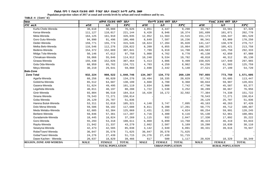Populaion projection values of 2017 at zonal and wereda levels by urban and rural residence and by sex.

| lhaa                           | ጠቅሳሳ የሕዝብ ብዛት በጾታ |                         |              |             | የከተማ ሕዝብ ብዛት በጾታ        |              | የንጠር ሕዝብ ብዛት በጾታ |                         |              |
|--------------------------------|-------------------|-------------------------|--------------|-------------|-------------------------|--------------|------------------|-------------------------|--------------|
| ዞንና ወረዳ                        | ወንድ               | ሴት                      | ድምር          | ወንድ         | ሴት                      | ድምር          | ወንድ              | ሴት                      | ድምር          |
| Kurfa Chele-Wereda             | 38,618            | 38,008                  | 76,626       | 4,851       | 4,447                   | 9,298        | 33,767           | 33,561                  | 67,328       |
| Kersa-Wereda                   | 111,127           | 110,017                 | 221,144      | 9,428       | 8,946                   | 18,374       | 101,699          | 101,071                 | 202,770      |
| Meta-Wereda                    | 164,125           | 161,910                 | 326,035      | 12,952      | 11,563                  | 24,515       | 151,173          | 150,347                 | 301,520      |
| Goro Gutu-Wereda               | 94,990            | 91,496                  | 186,486      | 8,649       | 7,587                   | 16,236       | 86,341           | 83,909                  | 170,250      |
| Deder-Wereda                   | 159,771           | 155,774                 | 315,545      | 18,624      | 17,204                  | 35,828       | 141,147          | 138,570                 | 279,717      |
| Melka Belo-Wereda              | 116,546           | 112,276                 | 228,822      | 8,209       | 6,855                   | 15,064       | 108,337          | 105,421                 | 213,758      |
| Bedeno-Wereda                  | 154,372           | 152,669                 | 307,041      | 7,789       | 6,919                   | 14,708       | 146,583          | 145,750                 | 292,333      |
| Midga Tola-Wereda              | 50,146            | 47,612                  | 97,758       | 5,008       | 4,762                   | 9,770        | 45,138           | 42,850                  | 87,988       |
| Chinaksan-Wereda               | 59,066            | 55,846                  | 114,912      | 10,248      | 9,534                   | 19,782       | 48,818           | 46,312                  | 95,130       |
| Girawa-Wereda                  | 155,438           | 152,026                 | 307,464      | 5,413       | 4,086                   | 9,499        | 150,025          | 147,940                 | 297,965      |
| Gola Oda-Wereda                | 68,959            | 65,762                  | 134,721      | 4,703       | 4,259                   | 8,962        | 64,256           | 61,503                  | 125,759      |
| Meyu-Wereda                    | 30,219            | 29,641                  | 59,860       | 2,698       | 2,442                   | 5,140        | 27,521           | 27,199                  | 54,720       |
| <b>Bale-Zone</b>               |                   |                         |              |             |                         |              |                  |                         |              |
| <b>Zone Total</b>              | 932,224           | 908,522                 | 1,840,746    | 134,367     | 134,772                 | 269,139      | 797,855          | 773,750                 | 1,571,605    |
| Agarfa-Wereda                  | 68,256            | 66,020                  | 134,276      | 10,494      | 10,335                  | 20,829       | 57,762           | 55,685                  | 113,447      |
| Gololcha-Wereda                | 65,512            | 64,687                  | 130,199      | 4,668       | 4,700                   | 9,368        | 60,844           | 59,987                  | 120,831      |
| Gasera-Wereda                  | 51,624            | 49,495                  | 101,119      | 3,834       | 3,908                   | 7,742        | 47,790           | 45,587                  | 93,377       |
| Legehida-Wereda                | 40,011            | 40,197                  | 80,208       | 1,722       | 1,530                   | 3,252        | 38,289           | 38,667                  | 76,956       |
| Ginir-Wereda                   | 93,804            | 90,510                  | 184,314      | 16,420      | 16,172                  | 32,592       | 77,384           | 74,338                  | 151,722      |
| Sinana Wereda                  | 78,543            | 72,271                  | 150,814      |             |                         |              | 78,543           | 72,271                  | 150,814      |
| Goba Wereda                    | 26,129            | 25,707                  | 51,836       |             |                         |              | 26,129           | 25,707                  | 51,836       |
| Harena Buluk-Wereda            | 53,311            | 52,010                  | 105,321      | 4,148       | 3,747                   | 7,895        | 49,163           | 48,263                  | 97,426       |
| Dolo Mena-Wereda               | 59,586            | 58,102                  | 117,688      | 8,811       | 8,390                   | 17,201       | 50,775           | 49,712                  | 100,487      |
| Meda Welabu-Wereda             | 62,685            | 62,384                  | 125,069      | 2,431       | 2,393                   | 4,824        | 60,254           | 59,991                  | 120,245      |
| Berbere-Wereda                 | 59,846            | 57,361                  | 117,207      | 4,716       | 4,400                   | 9,116        | 55,130           | 52,961                  | 108,091      |
| Guradamole-Wereda              | 18,445            | 18,824                  | 37,269       | 1,115       | 932                     | 2,047        | 17,330           | 17,892                  | 35,222       |
| Goro-Wereda                    | 55,293            | 53,318                  | 108,611      | 6,869       | 6,899                   | 13,768       | 48,424           | 46,419                  | 94,843       |
| Rayitu-Wereda                  | 21,942            | 21,337                  | 43,279       | 2,662       | 2,507                   | 5,169        | 19,280           | 18,830                  | 38,110       |
| Seweyna-Wereda                 | 42,473            | 42,565                  | 85,038       | 3,142       | 2,949                   | 6,091        | 39,331           | 39,616                  | 78,947       |
| Robe/Town/-Wereda              | 36,047            | 35,578                  | 71,625       | 36,047      | 35,578                  | 71,625       |                  |                         |              |
| Goba/Town/-Wereda              | 24,276            | 27,439                  | 51,715       | 24,276      | 27,439                  | 51,715       |                  |                         |              |
| Dawe Kachen - Wereda           | 20,637            | 18,829                  | 39,466       | 617         | 500                     | 1,117        | 20,020           | 18,329                  | 38,349       |
| <b>REGION, ZONE AND WEREDA</b> | <b>MALE</b>       | <b>FEMALE</b>           | <b>TOTAL</b> | <b>MALE</b> | <b>FEMALE</b>           | <b>TOTAL</b> | <b>MALE</b>      | <b>FEMALE</b>           | <b>TOTAL</b> |
|                                |                   | <b>TOTAL POPULATION</b> |              |             | <b>URBAN POPULATION</b> |              |                  | <b>RURAL POPULATION</b> |              |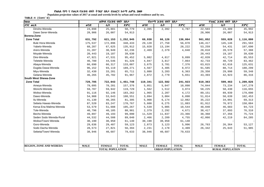Populaion projection values of 2017 at zonal and wereda levels by urban and rural residence and by sex.

| haa                            | ጠቅሳሳ የሕዝብ ብዛት በጾታ |                         |              |             | የከተማ ሕዝብ ብዛት በጾታ        |              | የንጠር ሕዝብ ብዛት በጾታ |                         |              |  |
|--------------------------------|-------------------|-------------------------|--------------|-------------|-------------------------|--------------|------------------|-------------------------|--------------|--|
| ዞንና ወሪዳ                        | ወንድ               | ሴት                      | ድምር          | ወንድ         | ሌት                      | ድምር          | ወንድ              | ሌት                      | ድምር          |  |
| Dinsho-Wereda                  | 24,898            | 25,881                  | 50,779       | 2,395       | 2,392                   | 4,787        | 22,503           | 23,489                  | 45,992       |  |
| Dawe Serer-Wereda              | 28,906            | 26,007                  | 54,913       |             |                         |              | 28,906           | 26,007                  | 54,913       |  |
| Borena-Zone                    |                   |                         |              |             |                         |              |                  |                         |              |  |
| <b>Zone Total</b>              | 631,792           | 621,153                 | 1,252,945    | 69,938      | 66,126                  | 136,064      | 561,852          | 555,028                 | 1,116,880    |  |
| <b>Bule Hora-Wereda</b>        | 175,537           | 172,896                 | 348,433      | 29,120      | 27,750                  | 56,870       | 146,417          | 145,146                 | 291,563      |  |
| Yabelo-Wereda                  | 68,287            | 67,625                  | 135,912      | 15,028      | 13,194                  | 28,222       | 53,259           | 54,431                  | 107,690      |  |
| Arero-Wereda                   | 31,287            | 30,949                  | 62,236       | 2,469       | 2,379                   | 4,848        | 28,818           | 28,570                  | 57,388       |  |
| Moyale-Wereda                  | 20,443            | 19,187                  | 39,630       |             |                         |              | 20,443           | 19,187                  | 39,630       |  |
| Dire-Wereda                    | 47,921            | 47,531                  | 95,452       | 5,082       | 4,817                   | 9,899        | 42,839           | 42,714                  | 85,553       |  |
| Teletele-Wereda                | 46,780            | 44,546                  | 91,326       | 4,047       | 3,817                   | 7,864        | 42,733           | 40,729                  | 83,462       |  |
| Abaya-Wereda                   | 66,690            | 66,317                  | 133,007      | 3,675       | 3,701                   | 7,376        | 63,015           | 62,616                  | 125,631      |  |
| Dugida Dawa-Wereda             | 96,152            | 93,119                  | 189,271      | 4,567       | 4,405                   | 8,972        | 91,585           | 88,714                  | 180,299      |  |
| Miyu-Wereda                    | 32,430            | 33,281                  | 65,711       | 3,080       | 3,283                   | 6,363        | 29,350           | 29,998                  | 59,348       |  |
| Gelana-Wereda                  | 46,265            | 45,702                  | 91,967       | 2,872       | 2,779                   | 5,651        | 43,393           | 42,923                  | 86,316       |  |
| <b>South West Shewa-Zone</b>   |                   |                         |              |             |                         |              |                  |                         |              |  |
| <b>Zone Total</b>              | 729,705           | 722,043                 | 1,451,748    | 119,341     | 122,582                 | 241,923      | 610,363          | 599,463                 | 1,209,826    |  |
| Ameya-Wereda                   | 79,095            | 78,281                  | 157,376      | 5,051       | 5,047                   | 10,098       | 74,044           | 73,234                  | 147,278      |  |
| Wonchi-Wereda                  | 59,787            | 59,942                  | 119,729      | 1,562       | 1,512                   | 3,074        | 58,225           | 58,430                  | 116,655      |  |
| Woliso-Wereda                  | 91,116            | 92,146                  | 183,262      | 1,965       | 2,207                   | 4,172        | 89,151           | 89,939                  | 179,090      |  |
| Dawo-Wereda                    | 54,908            | 53,643                  | 108,551      | 3,094       | 3,004                   | 6,098        | 51,814           | 50,639                  | 102,453      |  |
| Ilu-Wereda                     | 41,130            | 40,265                  | 81,395       | 5,908       | 6,174                   | 12,082       | 35,222           | 34,091                  | 69,313       |  |
| Sebeta Hawas-Wereda            | 87,520            | 83,247                  | 170,767      | 5,608       | 6,275                   | 11,883       | 81,912           | 76,972                  | 158,884      |  |
| Kersa Ena Malima-Wereda        | 53,579            | 51,688                  | 105,267      | 5,539       | 5,005                   | 10,544       | 48,040           | 46,683                  | 94,723       |  |
| Tole-Wereda                    | 40,796            | 40,185                  | 80,981       | 2,379       | 2,292                   | 4,671        | 38,417           | 37,893                  | 76,310       |  |
| Becho-Wereda                   | 49,897            | 49,193                  | 99,090       | 11,529      | 11,837                  | 23,366       | 38,368           | 37,356                  | 75,724       |  |
| Seden Sodo Wereda-Rural        | 44,532            | 44,508                  | 89,040       | 2,466       | 2,289                   | 4,755        | 42,066           | 42,219                  | 84,285       |  |
| Woliso/Town/-Wereda            | 30,190            | 30,950                  | 61,140       | 30,190      | 30,950                  | 61,140       |                  |                         |              |  |
| Goro-Wereda                    | 29,636            | 29,487                  | 59,123       | 2,873       | 3,123                   | 5,996        | 26,763           | 26,364                  | 53,127       |  |
| Sodo Dacha Wereda              | 28,573            | 27,821                  | 56,394       | 2,231       | 2,178                   | 4,409        | 26,342           | 25,643                  | 51,985       |  |
| Sebeta/Town/-Wereda            | 38,946            | 40,687                  | 79,633       | 38,946      | 40,687                  | 79,633       |                  |                         |              |  |
|                                |                   |                         |              |             |                         |              |                  |                         |              |  |
|                                |                   |                         |              |             |                         |              |                  |                         |              |  |
| <b>REGION, ZONE AND WEREDA</b> | <b>MALE</b>       | <b>FEMALE</b>           | <b>TOTAL</b> | <b>MALE</b> | <b>FEMALE</b>           | <b>TOTAL</b> | <b>MALE</b>      | <b>FEMALE</b>           | <b>TOTAL</b> |  |
|                                |                   | <b>TOTAL POPULATION</b> |              |             | <b>URBAN POPULATION</b> |              |                  | <b>RURAL POPULATION</b> |              |  |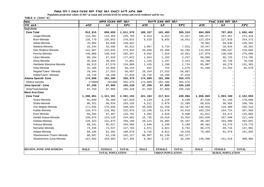Populaion projection values of 2017 at zonal and wereda levels by urban and rural residence and by sex.

| haa                            | ጠቅሳሳ የሕዝብ ብዛት በጾታ |                         |              | የከተማ ሕዝብ ብዛት በጾታ |                         | የንጠር ሕዝብ ብዛት በጾታ |                         |               |              |
|--------------------------------|-------------------|-------------------------|--------------|------------------|-------------------------|------------------|-------------------------|---------------|--------------|
| ዞንና ወረዳ                        | ወንድ               | ሴት                      | ድምር          | ወንድ              | ሴት                      | ድምር              | ወንድ                     | ሌት            | ድምር          |
| Guji-Zone                      |                   |                         |              |                  |                         |                  |                         |               |              |
| <b>Zone Total</b>              | 912,915           | 899,055                 | 1,811,970    | 108,107          | 101,403                 | 209,510          | 804,809                 | 797,653       | 1,602,462    |
| Uraga-Wereda                   | 113,301           | 113,464                 | 226,765      | 6,324            | 6,013                   | 12,337           | 106,977                 | 107,451       | 214,428      |
| Bore-Wereda                    | 135,770           | 135,053                 | 270,823      | 8,516            | 8,035                   | 16,551           | 127,254                 | 127,018       | 254,272      |
| Adola-Wereda                   | 70,902            | 69,040                  | 139,942      |                  |                         |                  | 70,902                  | 69,040        | 139,942      |
| Wadera-Wereda                  | 33,344            | 32,568                  | 65,912       | 3,897            | 3,734                   | 7,631            | 29,447                  | 28,834        | 58,281       |
| Odo Shakiso-Wereda             | 141,887           | 132,045                 | 273,932      | 28,858           | 25,408                  | 54,266           | 113,029                 | 106,637       | 219,666      |
| Kercha-Wereda                  | 146,008           | 146,549                 | 292,557      | 8,032            | 7,919                   | 15,951           | 137,976                 | 138,630       | 276,606      |
| Liben-Wereda                   | 89,104            | 87,918                  | 177,022      | 1,044            | 1,193                   | 2,237            | 88,060                  | 86,725        | 174,785      |
| Dima-Wereda                    | 35,916            | 36,945                  | 72,861       | 1,126            | 1,197                   | 2,323            | 34,790                  | 35,748        | 70,538       |
| Hambela Wamena-Wereda          | 66,513            | 67,576                  | 134,089      | 1,426            | 1,298                   | 2,724            | 65,087                  | 66,278        | 131,365      |
| Girja-Wereda                   | 32,108            | 32,046                  | 64,154       | 822              | 754                     | 1,576            | 31,286                  | 31,292        | 62,578       |
| Negele/Town/- Wereda           | 29,344            | 27,553                  | 56,897       | 29,344           | 27,553                  | 56,897           |                         |               |              |
| Adola/Town/- Wereda            | 18,718            | 18,298                  | 37,016       | 18,718           | 18,298                  | 37,016           |                         |               |              |
| Adama Special- Zone            | 174,089           | 181,386                 | 355,475      | 174,089          | 181,386                 | 355,475          |                         |               |              |
| Adama wereda                   | 174089            | 181386                  | 355,475      | 174,089          | 181,386                 | 355,475          |                         |               |              |
| Jima Special - Zone            | 97,259            | 97,969                  | 195,228      | 97,259           | 97,969                  | 195,228          |                         |               |              |
| Jima/Town/wereda               | 97,259            | 97,969                  | 195,228      | 97,259           | 97,969                  | 195,228          |                         |               |              |
| <b>West Arsi-Zone</b>          |                   |                         |              |                  |                         |                  |                         |               |              |
| <b>Zone Total</b>              | 1,280,051         | 1,311,101               | 2,591,152    | 221,183          | 217,911                 | 439,094          | 1,058,869               | 1,093,190     | 2,152,059    |
| Siraro-Wereda                  | 91,659            | 95,369                  | 187,028      | 4,129            | 4,219                   | 8,348            | 87,530                  | 91,150        | 178,680      |
| Shala-Wereda                   | 96,321            | 96,834                  | 193,155      | 6,511            | 5,878                   | 12,389           | 89,810                  | 90,956        | 180,766      |
| Arsi Negele-Wereda             | 171,845           | 176,658                 | 348,503      | 40,929           | 42,258                  | 83,187           | 130,916                 | 134,400       | 265,316      |
| Kofele-Wereda                  | 116,474           | 116,402                 | 232,876      | 13,240           | 11,678                  | 24,918           | 103,234                 | 104,724       | 207,958      |
| Kore Wereda                    | 66,294            | 67,487                  | 133,781      | 4,682            | 4,016                   | 8,698            | 61,612                  | 63,471        | 125,083      |
| Gedeb Asasa-Wereda             | 120,674           | 124,128                 | 244,802      | 16,735           | 16,619                  | 33,354           | 103,939                 | 107,509       | 211,448      |
| Dodola-Wereda                  | 126,323           | 131,875                 | 258,198      | 28,122           | 26,985                  | 55,107           | 98,201                  | 104,890       | 203,091      |
| Kokosa-Wereda                  | 89,341            | 95,627                  | 184,968      | 2,849            | 2,349                   | 5,198            | 86,492                  | 93,278        | 179,770      |
| Nensebo-Wereda                 | 73,246            | 74,537                  | 147,783      | 4,971            | 4,821                   | 9,792            | 68,275                  | 69,716        | 137,991      |
| Adaba-Wereda                   | 89,185            | 91,391                  | 180,576      | 9,716            | 9,812                   | 19,528           | 79,469                  | 81,579        | 161,048      |
| Shashemene /Town/-Wereda       | 80,997            | 81,130                  | 162,127      | 80,997           | 81,130                  | 162,127          |                         |               |              |
| Shashemene Zuria-Wereda        | 157,692           | 159,663                 | 317,355      | 8,302            | 8,147                   | 16,449           | 149,390                 | 151,516       | 300,906      |
|                                |                   |                         |              |                  |                         |                  |                         |               |              |
|                                |                   |                         |              |                  |                         |                  |                         |               |              |
| <b>REGION, ZONE AND WEREDA</b> | <b>MALE</b>       | <b>FEMALE</b>           | <b>TOTAL</b> | <b>MALE</b>      | <b>FEMALE</b>           | <b>TOTAL</b>     | <b>MALE</b>             | <b>FEMALE</b> | <b>TOTAL</b> |
|                                |                   | <b>TOTAL POPULATION</b> |              |                  | <b>URBAN POPULATION</b> |                  | <b>RURAL POPULATION</b> |               |              |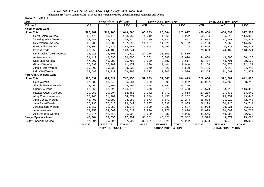Populaion projection values of 2017 at zonal and wereda levels by urban and rural residence and by sex.

| haa                          | ጠቅሳሳ የሕዝብ ብዛት በጾታ       |               |              |             | <i>የከተማ ሕዝ</i> ብ ብዛት በጾታ |              | የንጠር ሕዝብ ብዛት በጾታ        |               |              |
|------------------------------|-------------------------|---------------|--------------|-------------|--------------------------|--------------|-------------------------|---------------|--------------|
| ዞንና ወረዳ                      | ወንድ                     | ሴት            | ድምር          | ወንድ         | ሌት                       | ድምር          | ወንድ                     | ሌት            | ድምር          |
| Kelem Welega-Zone            |                         |               |              |             |                          |              |                         |               |              |
| <b>Zone Total</b>            | 522,482                 | 518,103       | 1,040,585    | 63,073      | 60,004                   | 123,077      | 459,408                 | 458,099       | 917,507      |
| Hawa Gelan-Wereda            | 63,478                  | 60,479        | 123,957      | 4,712       | 4,260                    | 8,972        | 58,766                  | 56,219        | 114,985      |
| Yemalogi Welel-Wereda        | 32,943                  | 32,971        | 65,914       | 1,270       | 1,321                    | 2,591        | 31,673                  | 31,650        | 63,323       |
| Dale Wabera-Wereda           | 68,705                  | 68,885        | 137,590      | 11,537      | 11,225                   | 22,762       | 57,168                  | 57,660        | 114,828      |
| Gawo Kebe-Wereda             | 42,094                  | 41,671        | 83,765       | 1,498       | 1,294                    | 2,792        | 40,596                  | 40,377        | 80,973       |
| Seyo Wereda                  | 73,853                  | 74,488        | 148,341      |             |                          |              | 73,853                  | 74,488        | 148,341      |
| Denbi Dollo /Town/-Wereda    | 24,216                  | 23,303        | 47,519       | 24,216      | 23,303                   | 47,519       |                         |               |              |
| Anfilo-Wereda                | 51,412                  | 49,396        | 100,808      | 6,582       | 6,088                    | 12,670       | 44,830                  | 43,308        | 88,138       |
| Dale Sadi-Wereda             | 47,397                  | 48,388        | 95,785       | 3,930       | 3,687                    | 7,617        | 43,467                  | 44,701        | 88,168       |
| Gidami-Wereda                | 55,890                  | 55,282        | 111,172      | 4,636       | 4,404                    | 9,040        | 51,254                  | 50,878        | 102,132      |
| Jimma Horo-Wereda            | 29,806                  | 29,530        | 59,336       | 2,370       | 2,220                    | 4,590        | 27,436                  | 27,310        | 54,746       |
| Lalo Kile-Wereda             | 32,688                  | 33,710        | 66,398       | 2,323       | 2,203                    | 4,526        | 30,365                  | 31,507        | 61,872       |
| Horo Gudru Welega-Zone       |                         |               |              |             |                          |              |                         |               |              |
| <b>Zone Total</b>            | 372,837                 | 374,321       | 747,158      | 52,833      | 51,640                   | 104,473      | 320,004                 | 322,681       | 642,685      |
| Horo-Wereda                  | 47,886                  | 48,748        | 96,634       | 2,929       | 2,993                    | 5,922        | 44,957                  | 45,755        | 90,712       |
| Shambu/Town/-Wereda          | 12,404                  | 11,792        | 24,196       | 12,404      | 11,792                   | 24,196       |                         |               |              |
| Guduru-Wereda                | 63,050                  | 63,925        | 126,975      | 5,480       | 5,013                    | 10,493       | 57,570                  | 58,912        | 116,482      |
| Hababo Guduru-Wereda         | 29,251                  | 29,204        | 58,455       | 2,042       | 1,771                    | 3,813        | 27,209                  | 27,433        | 54,642       |
| Abey Chomen-Wereda           | 33,263                  | 31,409        | 64,672       | 7,774       | 7,458                    | 15,232       | 25,489                  | 23,951        | 49,440       |
| Jima Genete-Wereda           | 41,406                  | 42,583        | 83,989       | 5,573       | 5,671                    | 11,244       | 35,833                  | 36,912        | 72,745       |
| Jima Rare-Wereda             | 36,136                  | 37,513        | 73,649       | 6,837       | 7,098                    | 13,935       | 29,299                  | 30,415        | 59,714       |
| Jardega Jarte Wereda         | 31,817                  | 32,059        | 63,876       | 3,839       | 3,838                    | 7,677        | 27,978                  | 28,221        | 56,199       |
| Amuru-Wereda                 | 33,950                  | 34,669        | 68,619       | 3,926       | 3,970                    | 7,896        | 30,024                  | 30,699        | 60,723       |
| Abe Dongoro-Wereda           | 43,674                  | 42,419        | 86,093       | 2,029       | 2,036                    | 4,065        | 41,645                  | 40,383        | 82,028       |
| <b>Burayu Special - Zone</b> | 47,904                  | 50,093        | 97,997       | 38,381      | 40,521                   | 78,902       | 9,523                   | 9,572         | 19,095       |
| Burayu Special-Wereda        | 47,904                  | 50,093        | 97,997       | 38,381      | 40,521                   | 78,902       | 9,523                   | 9,572         | 19,095       |
|                              | <b>MALE</b>             | <b>FEMALE</b> | <b>TOTAL</b> | <b>MALE</b> | <b>FEMALE</b>            | <b>TOTAL</b> | <b>MALE</b>             | <b>FEMALE</b> | <b>TOTAL</b> |
|                              | <b>TOTAL POPULATION</b> |               |              |             | <b>URBAN POPULATION</b>  |              | <b>RURAL POPULATION</b> |               |              |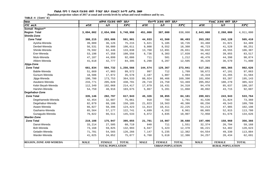Populaion projection values of 2017 at zonal and wereda levels by urban and rural residence and by sex.

| haa                            | ጠቅሳሳ የሕዝብ ብዛት በጾታ |                         |              |             | የከተማ ሕዝብ ብዛት በጾታ        |              | የንጠር ሕዝብ ብዛት በጾታ |                         |              |  |
|--------------------------------|-------------------|-------------------------|--------------|-------------|-------------------------|--------------|------------------|-------------------------|--------------|--|
| ዞንና ወሪዳ                        | ወንድ               | ሴት                      | ድምር          | ወንድ         | ሌት                      | ድምር          | ወንድ              | ሌት                      | ድምር          |  |
| Somali Region**                |                   |                         |              |             |                         |              |                  |                         |              |  |
| <b>Region Total</b>            | 3,094,002         | 2,654,996               | 5,748,998    | 451,000     | 387,000                 | 838,000      | 2,643,000        | 2,268,000               | 4,911,000    |  |
| Shinile-Zone                   |                   |                         |              |             |                         |              |                  |                         |              |  |
| <b>Zone Total</b>              | 308,215           | 283,686                 | 591,901      | 44,933      | 41,560                  | 86,493       | 263,282          | 242,128                 | 505,410      |  |
| Ayisha-Wereda                  | 39,089            | 36,126                  | 75,215       | 5,621       | 5,105                   | 10,726       | 33,468           | 31,021                  | 64,489       |  |
| Denbel-Wereda                  | 56,531            | 50,080                  | 106,611      | 9,808       | 8,552                   | 18,360       | 46,723           | 41,528                  | 88,251       |  |
| Shinile-Wereda                 | 70,592            | 62,446                  | 133,038      | 13,760      | 12,891                  | 26,651       | 56,832           | 49,555                  | 106,387      |  |
| Erer-Wereda                    | 53,198            | 47,358                  | 100,556      | 8,736       | 8,303                   | 17,039       | 44,462           | 39,055                  | 83,517       |  |
| Mulo-Wereda                    | 47,187            | 44,899                  | 92,086       | 711         | 501                     | 1,212        | 46,476           | 44,398                  | 90,874       |  |
| Afdem-Wereda                   | 41,618            | 42,777                  | 84,395       | 6,298       | 6,207                   | 12,505       | 35,320           | 36,570                  | 71,890       |  |
| Jijiga-Zone                    |                   |                         |              |             |                         |              |                  |                         |              |  |
| <b>Zone Total</b>              | 661,834           | 594,732                 | 1,256,566    | 144,574     | 129,367                 | 273,941      | 517,261          | 465,365                 | 982,626      |  |
| Babile-Wereda                  | 51,669            | 47,903                  | 99,572       | 997         | 712                     | 1,709        | 50,672           | 47,191                  | 97,863       |  |
| Gursum-Wereda                  | 18,506            | 17,072                  | 35,578       | 2,187       | 1,807                   | 3,994        | 16,319           | 15,265                  | 31,584       |  |
| Jijiga-Wereda                  | 190,780           | 173,753                 | 364,533      | 88,924      | 80,466                  | 169,390      | 101,856          | 93,287                  | 195,143      |  |
| Awubere-Wereda                 | 233,771           | 205,020                 | 438,791      | 28,719      | 24,750                  | 53,469       | 205,052          | 180,270                 | 385,322      |  |
| Kebri Beyah-Wereda             | 112,349           | 102,068                 | 214,417      | 17,879      | 16,431                  | 34,310       | 94,470           | 85,637                  | 180,107      |  |
| Harshin-Wereda                 | 54,759            | 48,916                  | 103,675      | 5,867       | 5,201                   | 11,068       | 48,892           | 43,715                  | 92,607       |  |
| Degehabur-Zone                 |                   |                         |              |             |                         |              |                  |                         |              |  |
| <b>Zone Total</b>              | 335,146           | 282,797                 | 617,943      | 45,326      | 38,855                  | 84,181       | 289,821          | 243,943                 | 533,764      |  |
| Degehamedo-Wereda              | 42,454            | 32,607                  | 75,061       | 918         | 783                     | 1,701        | 41,536           | 31,824                  | 73,360       |  |
| Degehabur-Wereda               | 82,079            | 68,106                  | 150,185      | 21,823      | 18,563                  | 40,386       | 60,256           | 49,543                  | 109,799      |  |
| Aware-Wereda                   | 66,027            | 58,396                  | 124,423      | 11,814      | 10,411                  | 22,225       | 54,213           | 47,985                  | 102,198      |  |
| Gashamo-Wereda                 | 65,564            | 57,177                  | 122,741      | 4,699       | 4,262                   | 8,961        | 60,865           | 52,915                  | 113,780      |  |
| Gunagudo-Wereda                | 79,022            | 66,511                  | 145,533      | 6,072       | 4,835                   | 10,907       | 72,950           | 61,676                  | 134,626      |  |
| <b>Warder-Zone</b>             |                   |                         |              |             |                         |              |                  |                         |              |  |
| <b>Zone Total</b>              | 219,108           | 175,947                 | 395,055      | 21,701      | 16,987                  | 38,688       | 197,406          | 158,960                 | 356,366      |  |
| Danot-Wereda                   | 33,214            | 27,505                  | 60,719       | 840         | 711                     | 1,551        | 32,374           | 26,794                  | 59,168       |  |
| Boh-Wereda                     | 73,168            | 59,825                  | 132,993      | 6,947       | 5,423                   | 12,370       | 66,221           | 54,402                  | 120,623      |  |
| Geladin-Wereda                 | 71,701            | 54,565                  | 126,266      | 7,147       | 5,235                   | 12,382       | 64,554           | 49,330                  | 113,884      |  |
| Warder-Wereda                  | 41,025            | 34,052                  | 75,077       | 6,768       | 5,618                   | 12,386       | 34,257           | 28,434                  | 62,691       |  |
| <b>REGION, ZONE AND WEREDA</b> | <b>MALE</b>       | <b>FEMALE</b>           | <b>TOTAL</b> | <b>MALE</b> | <b>FEMALE</b>           | <b>TOTAL</b> | <b>MALE</b>      | <b>FEMALE</b>           | <b>TOTAL</b> |  |
|                                |                   | <b>TOTAL POPULATION</b> |              |             | <b>URBAN POPULATION</b> |              |                  | <b>RURAL POPULATION</b> |              |  |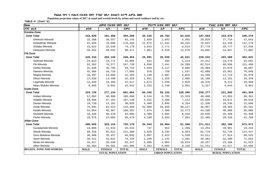Populaion projection values of 2017 at zonal and wereda levels by urban and rural residence and by sex.

| haa                            |             | ጠቅላሳ የሕዝብ ብዛት በጾታ       |              |             | የከተማ ሕዝብ ብዛት በጾታ        |              |                         | የንጠር ሕዝብ ብዛት በጾታ |              |  |  |
|--------------------------------|-------------|-------------------------|--------------|-------------|-------------------------|--------------|-------------------------|------------------|--------------|--|--|
| ዞንና ወሪዳ                        | ወንድ         | ሴት                      | ድምር          | ወንድ         | ሌት                      | ድምር          | ወንድ                     | ሌት               | ድምር          |  |  |
| Korahe-Zone                    |             |                         |              |             |                         |              |                         |                  |              |  |  |
| <b>Zone Total</b>              | 222,820     | 181,460                 | 404,280      | 35,226      | 28,784                  | 64,010       | 187,594                 | 152,676          | 340,270      |  |  |
| Shekosh-Wereda                 | 32,588      | 30,557                  | 63,145       | 2,659       | 2,843                   | 5,502        | 29,929                  | 27,714           | 57,643       |  |  |
| Kebridehar-Wereda              | 97,694      | 78,800                  | 176,494      | 21,673      | 17,642                  | 39,315       | 76,021                  | 61,158           | 137,179      |  |  |
| Shilabo-Wereda                 | 41,622      | 32,548                  | 74,170       | 3,843       | 2,771                   | $6,614$      | 37,779                  | 29,777           | 67,556       |  |  |
| Debewoin-Wereda                | 50,916      | 39,555                  | 90,471       | 7,051       | 5,528                   | 12,579       | 43,865                  | 34,027           | 77,892       |  |  |
| <b>Fik-Zone</b>                |             |                         |              |             |                         |              |                         |                  |              |  |  |
| <b>Zone Total</b>              | 245,334     | 204,120                 | 449,454      | 25,091      | 20,530                  | 45,621       | 220,242                 | 183,589          | 403,831      |  |  |
| Selehad-Wereda                 | 24,033      | 19,772                  | 43,805       | 621         | 493                     | 1,114        | 23,412                  | 19,279           | 42,691       |  |  |
| Fik-Wereda                     | 91,362      | 76,377                  | 167,739      | 8,848       | 7,441                   | 16,289       | 82,514                  | 68,936           | 151,450      |  |  |
| Gerbo-Wereda                   | 31,938      | 26,795                  | 58,733       | 4,949       | 4,117                   | 9,066        | 26,989                  | 22,678           | 49,667       |  |  |
| Hamero-Wereda                  | 42,966      | 34,720                  | 77,686       | 878         | 759                     | 1,637        | 42,088                  | 33,961           | 76,049       |  |  |
| Segeg-Wereda                   | 16,497      | 14,606                  | 31,103       | 3,138       | 2,887                   | 6,025        | 13,359                  | 11,719           | 25,078       |  |  |
| Dihun-Wereda                   | 17,839      | 14,490                  | 32,329       | 1,651       | 1,329                   | 2,980        | 16,188                  | 13,161           | 29,349       |  |  |
| Legehida-Wereda                | 12,049      | 10,468                  | 22,517       | 1,673       | 1,256                   | 2,929        | 10,376                  | 9,212            | 19,588       |  |  |
| Meyu Muluke-Wereda             | 8,650       | 6,892                   | 15,542       | 3,333       | 2,248                   | 5,581        | 5,317                   | 4,644            | 9,961        |  |  |
| Gode-Zone                      |             |                         |              |             |                         |              |                         |                  |              |  |  |
| <b>Zone Total</b>              | 324,720     | 277,134                 | 601,854      | 65,342      | 55,153                  | 120,495      | 259,377                 | 221,982          | 481,359      |  |  |
| Imiberi-Wereda                 | 57,002      | 48,688                  | 105,690      | 8,534       | 6,795                   | 15,329       | 48,468                  | 41,893           | 90,361       |  |  |
| Adadilo-Wereda                 | 59,968      | 47,162                  | 107,130      | 4,022       | 3,490                   | 7,512        | 55,946                  | 43,672           | 99,618       |  |  |
| Danan-Wereda                   | 16,739      | 14,181                  | 30,920       | 4,409       | 3,845                   | 8,254        | 12,330                  | 10,336           | 22,666       |  |  |
| Gode-Wereda                    | 79,045      | 64,423                  | 143,468      | 32,088      | 26,039                  | 58,127       | 46,957                  | 38,384           | 85,341       |  |  |
| Kelafo-Wereda                  | 52,054      | 48,307                  | 100,361      | 7,874       | 7,399                   | 15,273       | 44,180                  | 40,908           | 85,088       |  |  |
| Mustahil-Wereda                | 33,336      | 30,470                  | 63,806       | 4,308       | 4,002                   | 8,310        | 29,028                  | 26,468           | 55,496       |  |  |
| Ferfer-Wereda                  | 26,576      | 23,903                  | 50,479       | 4,108       | 3,583                   | 7,691        | 22,468                  | 20,320           | 42,788       |  |  |
| Afder-Zone                     |             |                         |              |             |                         |              |                         |                  |              |  |  |
| <b>Zone Total</b>              | 406,055     | 329,124                 | 735,179      | 34,544      | 26,964                  | 61,508       | 371,511                 | 302,160          | 673,671      |  |  |
| Guradamole-Wereda              | 14,000      | 11,533                  | 25,533       | 747         | 552                     | 1,299        | 13,253                  | 10,981           | 24,234       |  |  |
| Weyib-Wereda                   | 66,358      | 55,022                  | 121,380      | 3,639       | 3,294                   | 6,933        | 62,719                  | 51,728           | 114,447      |  |  |
| Goro Bekeksa-Wereda            | 36,608      | 29,437                  | 66,045       | 3,097       | 2,423                   | 5,520        | 33,511                  | 27,014           | 60,525       |  |  |
| Serer-Wereda                   | 40,612      | 33,622                  | 74,234       | 1,249       | 1,142                   | 2,391        | 39,363                  | 32,480           | 71,843       |  |  |
| Mirab Imi-Wereda               | 33,917      | 28,330                  | 62,247       | 5,660       | 4,964                   | 10,624       | 28,257                  | 23,366           | 51,623       |  |  |
| Afker-Wereda                   | 56,404      | 45,582                  | 101,986      | 5,263       | 4,065                   | 9,328        | 51,141                  | 41,517           | 92,658       |  |  |
| <b>REGION, ZONE AND WEREDA</b> | <b>MALE</b> | <b>FEMALE</b>           | <b>TOTAL</b> | <b>MALE</b> | <b>FEMALE</b>           | <b>TOTAL</b> | <b>MALE</b>             | <b>FEMALE</b>    | <b>TOTAL</b> |  |  |
|                                |             | <b>TOTAL POPULATION</b> |              |             | <b>URBAN POPULATION</b> |              | <b>RURAL POPULATION</b> |                  |              |  |  |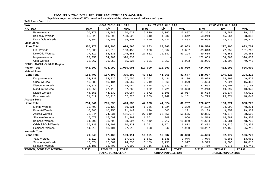Populaion projection values of 2017 at zonal and wereda levels by urban and rural residence and by sex.

| haa                             |             | ጠቅሳሳ የሕዝብ ብዛት በጾታ       |              |             | የከተማ ሕዝብ ብዛት በጾታ        |              |                         | የንጠር ሕዝብ ብዛት በጾታ |              |
|---------------------------------|-------------|-------------------------|--------------|-------------|-------------------------|--------------|-------------------------|------------------|--------------|
| ዞንና ወረዳ                         | ወንድ         | ሴት                      | ድምር          | ወንድ         | ሴት                      | ድምር          | ወንድ                     | ቤት               | ድምር          |
| Bare-Wereda                     | 70,173      | 49,849                  | 120,022      | 6,820       | 4,067                   | 10,887       | 63,353                  | 45,782           | 109,135      |
| Bdolobay-Wereda                 | 58,629      | 49,896                  | 108,525      | 5,410       | 4,232                   | 9,642        | 53,219                  | 45,664           | 98,883       |
| Kersa Dula Wereda               | 29,354      | 25,853                  | 55,207       | 2,659       | 2,224                   | 4,883        | 26,695                  | 23,629           | 50,324       |
| Liben-Zone                      |             |                         |              |             |                         |              |                         |                  |              |
| <b>Zone Total</b>               | 370,770     | 325,996                 | 696,766      | 34,263      | 28,800                  | 63,063       | 336,506                 | 297,195          | 633,701      |
| Filtu-Wereda                    | 92,633      | 75,819                  | 168,452      | 3,620       | 3,067                   | 6,687        | 89,013                  | 72,752           | 161,765      |
| Dolo Odo-Wereda                 | 77,117      | 68,538                  | 145,655      | 27,612      | 22,682                  | 50,294       | 49,505                  | 45,856           | 95,361       |
| Moyale-Wereda                   | 172,053     | 154,780                 | 326,833      |             |                         |              | 172,053                 | 154,780          | 326,833      |
| Udet-Wereda                     | 28,967      | 26,859                  | 55,826       | 3,031       | 3,052                   | 6,083        | 25,936                  | 23,807           | 49,743       |
| <b>BENISHANGUL-GUMUZ Region</b> |             |                         |              |             |                         |              |                         |                  |              |
| <b>Region Total</b>             | 541,002     | 524,999                 | 1,066,001    | 117,000     | 113,000                 | 230,000      | 424,000                 | 412,000          | 836,000      |
| <b>Metekel Zone</b>             |             |                         |              |             |                         |              |                         |                  |              |
| <b>Zone Total</b>               | 188,700     | 187,190                 | 375,890      | 40,612      | 41,065                  | 81,677       | 148,087                 | 146,126          | 294,213      |
| Dangur-Wereda                   | 33,730      | 33,926                  | 67,656       | 8,702       | 9,434                   | 18,136       | 25,028                  | 24,492           | 49,520       |
| Guba-Wereda                     | 10,383      | 10,184                  | 20,567       | 2,719       | 2,360                   | 5,079        | 7,664                   | 7,824            | 15,488       |
| Wenbera-Wereda                  | 38,370      | 40,714                  | 79,084       | 5,678       | 6,213                   | 11,891       | 32,692                  | 34,501           | 67,193       |
| Mandura-Wereda                  | 29,850      | 27,418                  | 57,268       | 8,602       | 7,721                   | 16,323       | 21,248                  | 19,697           | 40,945       |
| Dibate-Wereda                   | 44,555      | 44,532                  | 89,087       | 7,872       | 8,195                   | 16,067       | 36,683                  | 36,337           | 73,020       |
| Bulen-Wereda                    | 31,812      | 30,416                  | 62,228       | 7,039       | 7,142                   | 14,181       | 24,773                  | 23,274           | 48,047       |
| Asossa-Zone                     |             |                         |              |             |                         |              |                         |                  |              |
| <b>Zone Total</b>               | 214,941     | 205,595                 | 420,536      | 44,933      | 41,824                  | 86,757       | 170,007                 | 163,771          | 333,778      |
| Menge-Wereda                    | 25,498      | 25,123                  | 50,621       | 1,366       | 1,024                   | 2,390        | 24,132                  | 24,099           | 48,231       |
| Kurmuk-Wereda                   | 10,885      | 10,255                  | 21,140       | 696         | 505                     | 1,201        | 10,189                  | 9,750            | 19,939       |
| Asossa-Wereda                   | 76,844      | 74,231                  | 151,075      | 27,019      | 25,556                  | 52,575       | 49,825                  | 48,675           | 98,500       |
| Sherkole-Wereda                 | 15,570      | 15,690                  | 31,260       | 1,051       | 909                     | 1,960        | 14,519                  | 14,781           | 29,300       |
| Bambasi-Wereda                  | 34,796      | 33,798                  | 68,594       | 10,142      | 9,717                   | 19,859       | 24,654                  | 24,081           | 48,735       |
| Odabuldi-Guli-Wereda            | 37,133      | 33,097                  | 70,230       | 3,701       | 3,171                   | 6,872        | 33,432                  | 29,926           | 63,358       |
| Homesha-Wereda                  | 14,215      | 13,401                  | 27,616       | 958         | 942                     | 1,900        | 13,257                  | 12,459           | 25,716       |
| Kemashi Zone                    |             |                         |              |             |                         |              |                         |                  |              |
| <b>Zone Total</b>               | 71,648      | 67,463                  | 139,111      | 16,951      | 15,387                  | 32,338       | 54,696                  | 52,077           | 106,773      |
| Yaso-Wereda                     | 8,617       | 8,421                   | 17,038       | 1,541       | 1,535                   | 3,076        | 7,076                   | 6,886            | 13,962       |
| Sirba Abay-Wereda               | 12,674      | 12,061                  | 24,735       | 3,159       | 2,758                   | 5,917        | 9,515                   | 9,303            | 18,818       |
| Kemashi-Wereda                  | 14,185      | 13,407                  | 27,592       | 6,716       | 6,131                   | 12,847       | 7,469                   | 7,276            | 14,745       |
| <b>REGION, ZONE AND WEREDA</b>  | <b>MALE</b> | <b>FEMALE</b>           | <b>TOTAL</b> | <b>MALE</b> | <b>FEMALE</b>           | <b>TOTAL</b> | <b>MALE</b>             | <b>FEMALE</b>    | <b>TOTAL</b> |
|                                 |             | <b>TOTAL POPULATION</b> |              |             | <b>URBAN POPULATION</b> |              | <b>RURAL POPULATION</b> |                  |              |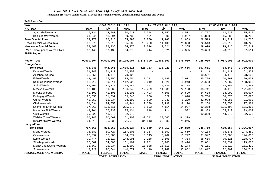Populaion projection values of 2017 at zonal and wereda levels by urban and rural residence and by sex.

| haa                            |             | ጠቅሳሳ የሕዝብ ብዛት በጾታ       |              |             | የከተማ ሕዝብ ብዛት በጾታ        |              |             | የንጠር ሕዝብ ብዛት በጾታ        |              |
|--------------------------------|-------------|-------------------------|--------------|-------------|-------------------------|--------------|-------------|-------------------------|--------------|
| ዞንና ወረዳ                        | ወንድ         | ሴት                      | ድምር          | ወንድ         | ሴት                      | ድምር          | ወንድ         | ሴት                      | ድምር          |
| Agelo Meti-Wereda              | 15,131      | 14,880                  | 30,011       | 2,344       | 2,157                   | 4,501        | 12,787      | 12,723                  | 25,510       |
| Belojegonfoy-Wereda            | 21,041      | 18,694                  | 39,735       | 3,191       | 2,806                   | 5,997        | 17,850      | 15,888                  | 33,738       |
| <b>Pawe Special Zone</b>       | 33,273      | 32,315                  | 65,588       | 10,760      | 11,103                  | 21,863       | 22,513      | 21,212                  | 43,725       |
| Pawe Special Wereda Total      | 33, 273     | 32,315                  | 65,588       | 10,760      | 11,103                  | 21,863       | 22,513      | 21,212                  | 43,725       |
| <b>Mao Komo Special Zone</b>   | 32,440      | 32,436                  | 64,876       | 3,744       | 3,621                   | 7,365        | 28,696      | 28,815                  | 57,511       |
| Mao Komo Special Wereda Total  | 32,440      | 32,436                  | 64,876       | 3,744       | 3,621                   | 7,365        | 28,696      | 28,815                  | 57,511       |
| <b>SNNP Region</b>             |             |                         |              |             |                         |              |             |                         |              |
| <b>Region Total</b>            | 9,500,004   | 9,670,003               | 19,170,007   | 1,575,000   | 1,603,000               | 3,178,000    | 7,925,000   | 8,067,000               | 15,992,000   |
| Gurage-Zone                    |             |                         |              |             |                         |              |             |                         |              |
| <b>Zone Total</b>              | 793,246     | 842,065                 | 1,635,311    | 125,733     | 128,923                 | 254,656      | 667,511     | 713,140                 | 1,380,651    |
| Kebena-Wereda                  | 31,243      | 31,110                  | 62,353       |             |                         |              | 31,243      | 31,110                  | 62,353       |
| Abeshge-Wereda                 | 38,651      | 34,472                  | 73,123       |             |                         |              | 38,651      | 34,472                  | 73,123       |
| Ezha-Wereda                    | 49,498      | 55,056                  | 104,554      | 3,712       | 4,189                   | 7,901        | 45,786      | 50,867                  | 96,653       |
| Kokir Gedabano-Wereda          | 53,712      | 59,211                  | 112,923      | 2,019       | 1,924                   | 3,943        | 51,693      | 57,287                  | 108,980      |
| Sodo-Wereda                    | 85,807      | 87,378                  | 173,185      | 14,062      | 15,126                  | 29,188       | 71,745      | 72,252                  | 143,997      |
| Mesekan-Wereda                 | 96,180      | 99,865                  | 196,045      | 12,469      | 11,689                  | 24,158       | 83,711      | 88,176                  | 171,887      |
| Mareko-Wereda                  | 42,101      | 41,105                  | 83,206       | 7,493       | 7,106                   | 14,599       | 34,608      | 33,999                  | 68,607       |
| Endegagn-Wereda                | 27,556      | 31,692                  | 59,248       | 806         | 822                     | 1,628        | 26,750      | 30,870                  | 57,620       |
| Gumer-Wereda                   | 45,858      | 52,334                  | 98,192       | 2,880       | 3,349                   | 6,229        | 42,978      | 48,985                  | 91,963       |
| Cheha-Wereda                   | 71,594      | 74,850                  | 146,444      | 9,328       | 9,792                   | 19,120       | 62,266      | 65,058                  | 127,324      |
| Enemorna Ener-Wereda           | 97,261      | 108,611                 | 205,872      | 6,893       | 7,114                   | 14,007       | 90,368      | 101,497                 | 191,865      |
| Muhor Na Aklil-Wereda          | 49,201      | 55,933                  | 105,134      | 818         | 714                     | 1,532        | 48,383      | 55,219                  | 103,602      |
| Geta-Wereda                    | 39,329      | 43,349                  | 82,678       |             |                         |              | 39,329      | 43,349                  | 82,678       |
| Welkite /Town/-Wereda          | 30,742      | 30,567                  | 61,309       | 30,742      | 30,567                  | 61,309       |             |                         |              |
| Butajira /Town/-Wereda         | 34,513      | 36,532                  | 71,045       | 34,513      | 36,532                  | 71,045       |             |                         |              |
| Hadiya-Zone                    |             |                         |              |             |                         |              |             |                         |              |
| <b>Zone Total</b>              | 787,561     | 803,366                 | 1,590,927    | 140,849     | 144,010                 | 284,859      | 646,710     | 659,357                 | 1,306,067    |
| Misha-Wereda                   | 76,381      | 80,727                  | 157,108      | 6,267       | 6,352                   | 12,619       | 70,114      | 74,375                  | 144,489      |
| Gibe-Wereda                    | 66,892      | 67,885                  | 134,777      | 5,545       | 5,202                   | 10,747       | 61,347      | 62,683                  | 124,030      |
| Lemo-Wereda                    | 70,774      | 72,317                  | 143,091      | 2,158       | 2,196                   | 4,354        | 68,616      | 70,121                  | 138,737      |
| Shashago-Wereda                | 66,302      | 64,800                  | 131,102      | 9,251       | 8,163                   | 17,414       | 57,051      | 56,637                  | 113,688      |
| Misrak Badawacho-Wereda        | 91,669      | 92,934                  | 184,603      | 16,558      | 16,616                  | 33,174       | 75,111      | 76,318                  | 151,429      |
| Soro-Wereda                    | 119,927     | 120,644                 | 240,571      | 18,110      | 17,742                  | 35,852       | 101,817     | 102,902                 | 204,719      |
| <b>REGION, ZONE AND WEREDA</b> | <b>MALE</b> | <b>FEMALE</b>           | <b>TOTAL</b> | <b>MALE</b> | <b>FEMALE</b>           | <b>TOTAL</b> | <b>MALE</b> | <b>FEMALE</b>           | <b>TOTAL</b> |
|                                |             | <b>TOTAL POPULATION</b> |              |             | <b>URBAN POPULATION</b> |              |             | <b>RURAL POPULATION</b> |              |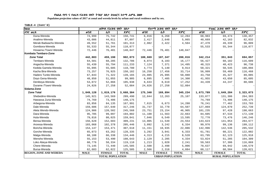Populaion projection values of 2017 at zonal and wereda levels by urban and rural residence and by sex.

| haa                            |             | ጠቅሳሳ የሕዝብ ብዛት በጾታ                                  |              |             | የከተማ ሕዝብ ብዛት በጾታ |              |                         | የንጠር ሕዝብ ብዛት በጾታ |              |
|--------------------------------|-------------|----------------------------------------------------|--------------|-------------|------------------|--------------|-------------------------|------------------|--------------|
| ዞንና ወረዳ                        | ወንድ         | ሴት                                                 | ድምር          | ወንድ         | ሌት               | ድምር          | ወንድ                     | ቤት               | ድምር          |
| Duna-Wereda                    | 74,999      | 75,742                                             | 150,741      | $6,016$     | 6,268            | 12,284       | 68,983                  | 69,474           | 138,457      |
| Analimo-Wereda                 | 43,086      | 44,811                                             | 87,897       | 2,417       | 2,648            | 5,065        | 40,669                  | 42,163           | 82,832       |
| Merab Badwacho-Wereda          | 49,552      | 51,761                                             | 101,313      | 2,082       | 2,422            | 4,504        | 47,470                  | 49,339           | 96,809       |
| Gomibora-Wereda                | 55,533      | 55,344                                             | 110,877      |             |                  |              | 55,533                  | 55,344           | 110,877      |
| Hosaena /Town/-Wereda          | 72,446      | 76,401                                             | 148,847      | 72,446      | 76,401           | 148,847      |                         |                  |              |
| Kembata Tembaro-Zone           |             |                                                    |              |             |                  |              |                         |                  |              |
| <b>Zone Total</b>              | 442,883     | 459,190                                            | 902,073      | 100,669     | 107,347          | 208,016      | 342,214                 | 351,843          | 694,057      |
| Tembaro-Wereda                 | 64,501      | 68,285                                             | 132,786      | 8,074       | 8,103            | 16,177       | 56,427                  | 60,182           | 116,609      |
| Angacha-Wereda                 | 55,439      | 55,794                                             | 111,233      | 7,124       | 7,371            | 14,495       | 48,315                  | 48,423           | 96,738       |
| Kedida Gamela-Wereda           | 55,095      | 55,685                                             | 110,780      | 4,774       | 5,140            | 9,914        | 50,321                  | 50,545           | 100,866      |
| Kacha Bira-Wereda              | 73,257      | 76,925                                             | 150,182      | 16,258      | 17,456           | 33,714       | 56,999                  | 59,469           | 116,468      |
| Hadero Tunito-Wereda           | 67,843      | 71,322                                             | 139,165      | 24,085      | 25,995           | 50,080       | 43,758                  | 45,327           | 89,085       |
| Doyo Gena-Wereda               | 48,850      | 51,055                                             | 99,905       | 6,895       | 7,405            | 14,300       | 41,955                  | 43,650           | 85,605       |
| Deniboya-Wereda                | 53,072      | 52,866                                             | 105,938      | 8,633       | 8,619            | 17,252       | 44,439                  | 44,247           | 88,686       |
| Durame /Town/-Wereda           | 24,826      | 27,258                                             | 52,084       | 24,826      | 27,258           | 52,084       |                         |                  |              |
| Sidama-Zone                    |             |                                                    |              |             |                  |              |                         |                  |              |
| <b>Zone Total</b>              | 1,849,128   | 1,819,176                                          | 3,668,304    | 175,340     | 169,894          | 345,234      | 1,673,789               | 1,649,284        | 3,323,073    |
| Shebedino-Wereda               | 145,921     | 143,569                                            | 289,490      | 12,844      | 12,263           | 25,107       | 133,077                 | 131,306          | 264,383      |
| Hawassa Zuria-Wereda           | 74,769      | 73,406                                             | 148,175      |             |                  |              | 74,769                  | 73,406           | 148,175      |
| Arbegona-Wereda                | 83,856      | 84,135                                             | 167,991      | 7,615       | 6,673            | 14,288       | 76,241                  | 77,462           | 153,703      |
| Dale-Wereda                    | 159,606     | 157,640                                            | 317,246      | 31,737      | 32,770           | 64,507       | 127,869                 | 124,870          | 252,739      |
| Aleta Wendo-Wereda             | 124,986     | 120,582                                            | 245,568      | 23,751      | 23,154           | 46,905       | 101,235                 | 97,428           | 198,663      |
| Dara-Wereda                    | 95,705      | 99,097                                             | 194,802      | 11,100      | 11,563           | 22,663       | 84,605                  | 87,534           | 172,139      |
| Hula-Wereda                    | 79,816      | 80,025                                             | 159,841      | 7,046       | 6,549            | 13,595       | 72,770                  | 73,476           | 146,246      |
| Bensa-Wereda                   | 156,628     | 152,603                                            | 309,231      | 13,005      | 11,549           | 24,554       | 143,623                 | 141,054          | 284,677      |
| Aroresa-Wereda                 | 103,068     | 102,378                                            | 205,446      | 3,092       | 3,242            | 6,334        | 99,976                  | 99,136           | 199,112      |
| Boricha-Wereda                 | 154,147     | 153,471                                            | 307,618      | 11,151      | 10,935           | 22,086       | 142,996                 | 142,536          | 285,532      |
| Gorche-Wereda                  | 65,073      | 63,262                                             | 128,335      | 3,292       | 3,041            | 6,333        | 61,781                  | 60,221           | 122,002      |
| Malga-Wereda                   | 68,108      | 66,338                                             | 134,446      | 4,313       | 4,215            | 8,528        | 63,795                  | 62,123           | 125,918      |
| Wensho-Wereda                  | 55,153      | 53,490                                             | 108,643      | 2,129       | 2,205            | 4,334        | 53,024                  | 51,285           | 104,309      |
| Loko Abeya-Wereda              | 60,776      | 58,334                                             | 119,110      | 1,213       | 1,028            | 2,241        | 59,563                  | 57,306           | 116,869      |
| Chere-Wereda                   | 73,145      | 72,440                                             | 145,585      | 2,508       | 2,498            | 5,006        | 70,637                  | 69,942           | 140,579      |
| Bursa-Wereda                   | 62,683      | 62,822                                             | 125,505      | 2,566       | 2,318            | 4,884        | 60,117                  | 60,504           | 120,621      |
| <b>REGION, ZONE AND WEREDA</b> | <b>MALE</b> | <b>FEMALE</b>                                      | <b>TOTAL</b> | <b>MALE</b> | <b>FEMALE</b>    | <b>TOTAL</b> | <b>MALE</b>             | <b>FEMALE</b>    | <b>TOTAL</b> |
|                                |             | <b>TOTAL POPULATION</b><br><b>URBAN POPULATION</b> |              |             |                  |              | <b>RURAL POPULATION</b> |                  |              |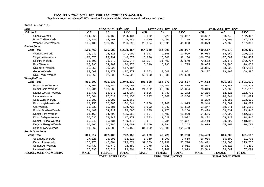Populaion projection values of 2017 at zonal and wereda levels by urban and rural residence and by sex.

| TABLE-4 (Cont'd) |  |
|------------------|--|
|                  |  |

| haa                            |             | ጠቅላሳ የሕዝብ ብዛት በጾታ       |              |             | የከተማ ሕዝብ ብዛት በጾታ        |              |             | የንጠር ሕዝብ ብዛት በጾታ        |              |
|--------------------------------|-------------|-------------------------|--------------|-------------|-------------------------|--------------|-------------|-------------------------|--------------|
| ዞንና ወረዳ                        | ወንድ         | ሴት                      | ድምር          | ወንድ         | ሴት                      | ድምር          | ወንድ         | ቤት                      | ድምር          |
| Cheko-Wereda                   | 104,969     | 99,465                  | 204,434      | 6,302       | 5,725                   | 12,027       | 98,667      | 93,740                  | 192,407      |
| Bona Zuria-Wereda              | 75,286      | 74,660                  | 149,946      | 6,320       | 6,465                   | 12,785       | 68,966      | 68,195                  | 137,161      |
| Wendo Genet-Wereda             | 105,433     | 101,459                 | 206,892      | 25,354      | 23,699                  | 49,053       | 80,079      | 77,760                  | 157,839      |
| Gedeo-Zone                     |             |                         |              |             |                         |              |             |                         |              |
| <b>Zone Total</b>              | 553,466     | 555,988                 | 1,109,454    | 114,349     | 114,608                 | 228,957      | 439,117     | 441,378                 | 880,495      |
| Wenago-Wereda                  | 72,981      | 74,118                  | 147,099      | 8,943       | 9,056                   | 17,999       | 64,038      | 65,062                  | 129,100      |
| Yirgachefe-Wereda              | 122,576     | 123,997                 | 246,573      | 15,826      | 16,308                  | 32,134       | 106,750     | 107,689                 | 214,439      |
| Kochire-Wereda                 | 81,699      | 83,548                  | 165,247      | 11,137      | 11,403                  | 22,540       | 70,562      | 72,145                  | 142,707      |
| Bule-Wereda                    | 65,395      | 64,980                  | 130,375      | 5,710       | 5,995                   | 11,705       | 59,685      | 58,985                  | 118,670      |
| Dila Zuria-Wereda              | 58,855      | 58,329                  | 117,184      |             |                         |              | 58,855      | 58,329                  | 117,184      |
| Gedeb-Wereda                   | 88,600      | 88,777                  | 177,377      | 9,373       | 9,608                   | 18,981       | 79,227      | 79,169                  | 158,396      |
| Dila /Town/-Wereda             | 63,360      | 62,239                  | 125,599      | 63,360      | 62,239                  | 125,599      |             |                         |              |
| <b>Wolayita-Zone</b>           |             |                         |              |             |                         |              |             |                         |              |
| <b>Zone Total</b>              | 956,503     | 991,636                 | 1,948,139    | 181,888     | 184,679                 | 366,567      | 774,613     | 806,957                 | 1,581,570    |
| Boloso Sore-Wereda             | 128,209     | 136,884                 | 265,093      | 32,212      | 34,603                  | 66,815       | 95,997      | 102,281                 | 198,278      |
| Damot Gale-Wereda              | 98,781      | 103,660                 | 202,441      | 24,932      | 26,392                  | 51,324       | 73,849      | 77,268                  | 151,117      |
| Damot Woyide-Wereda            | 55,731      | 58,273                  | 114,004      | 5,525       | 5,747                   | 11,272       | 50,206      | 52,526                  | 102,732      |
| Humbo-Wereda                   | 77,844      | 77,311                  | 155,155      | 6,697       | 6,567                   | 13,264       | 71,147      | 70,744                  | 141,891      |
| Sodo Zuria-Wereda              | 95,289      | 98,380                  | 193,669      |             |                         |              | 95,289      | 98,380                  | 193,669      |
| Kindo Koyisha-Wereda           | 63,756      | 66,888                  | 130,644      | 6,808       | 7,207                   | 14,015       | 56,948      | 59,681                  | 116,629      |
| Ofa-Wereda                     | 63,039      | 65,681                  | 128,720      | 5,692       | 5,840                   | 11,532       | 57,347      | 59,841                  | 117,188      |
| Boloso Bonibe-Wereda           | 51,483      | 54,212                  | 105,695      | 1,075       | 1,175                   | 2,250        | 50,408      | 53,037                  | 103,445      |
| Damot Sore-Wereda              | 61,163      | 64,400                  | 125,563      | 6,597       | 6,403                   | 13,000       | 54,566      | 57,997                  | 112,563      |
| Kindo Didaye-Wereda            | 57,635      | 59,842                  | 117,477      | 1,503       | 1,529                   | 3,032        | 56,132      | 58,313                  | 114,445      |
| Damot Pulasa-Wereda            | 63,746      | 66,431                  | 130,177      | 5,627       | 5,734                   | 11,361       | 58,119      | 60,697                  | 118,816      |
| Deguna Fanigo-Wereda           | 57,965      | 60,086                  | 118,051      | 3,359       | 3,894                   | 7,253        | 54,606      | 56,192                  | 110,798      |
| Sodo /Town/-Wereda             | 81,862      | 79,588                  | 161,450      | 81,862      | 79,588                  | 161,450      |             |                         |              |
| South Omo-Zone                 |             |                         |              |             |                         |              |             |                         |              |
| <b>Zone Total</b>              | 360,517     | 362,438                 | 722,955      | 46,029      | 45,729                  | 91,758       | 314,489     | 316,708                 | 631,197      |
| Selamago-Wereda                | 17,325      | 16,998                  | 34,323       | 1,319       | 1,299                   | 2,618        | 16,006      | 15,699                  | 31,705       |
| Debub Ari-Wereda               | 137,270     | 142,304                 | 279,574      | 32,859      | 32,939                  | 65,798       | 104,411     | 109,365                 | 213,776      |
| Semen Ari-Wereda               | 40,732      | 41,748                  | 82,480       | 2,378       | 2,633                   | 5,011        | 38,354      | 39,115                  | 77,469       |
| Hamer-Wereda                   | 37,093      | 36,811                  | 73,904       | 3,544       | 3,269                   | 6,813        | 33,549      | 33,542                  | 67,091       |
| <b>REGION, ZONE AND WEREDA</b> | <b>MALE</b> | <b>FEMALE</b>           | <b>TOTAL</b> | <b>MALE</b> | <b>FEMALE</b>           | <b>TOTAL</b> | <b>MALE</b> | <b>FEMALE</b>           | <b>TOTAL</b> |
|                                |             | <b>TOTAL POPULATION</b> |              |             | <b>URBAN POPULATION</b> |              |             | <b>RURAL POPULATION</b> |              |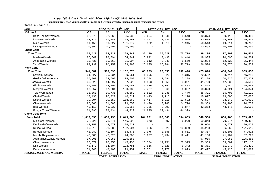Populaion projection values of 2017 at zonal and wereda levels by urban and rural residence and by sex.

| haa                            |             | ጠቅላሳ የሕዝብ ብዛት በጾታ       |              |             | የከተማ ሕዝብ ብዛት በጾታ        |              | የንጠር ሕዝብ ብዛት በጾታ |                         |              |
|--------------------------------|-------------|-------------------------|--------------|-------------|-------------------------|--------------|------------------|-------------------------|--------------|
| ዞንና ወረዳ                        | ወንድ         | ሴት                      | ድምር          | ወንድ         | ሌት                      | ድምር          | ወንድ              | ሌት                      | ድምር          |
| Bena Tsemay-Wereda             | 32,978      | 32,060                  | 65,038       | 2,604       | 1,944                   | 4,548        | 30,374           | 30,116                  | 60,490       |
| Dasenech-Wereda                | 33,077      | 31,883                  | 64,960       | 2,392       | 2,633                   | 5,025        | 30,685           | 29,250                  | 59,935       |
| Male-Wereda                    | 51,450      | 50,227                  | 101,677      | 932         | 1,013                   | 1,945        | 50,518           | 49,214                  | 99,732       |
| Nyangatom-Wereda               | 10,592      | 10,407                  | 20,999       |             |                         |              | 10,592           | 10,407                  | 20,999       |
| Sheka-Zone                     |             |                         |              |             |                         |              |                  |                         |              |
| <b>Zone Total</b>              | 135,422     | 133,821                 | 269,243      | 36,189      | 36,529                  | 72,718       | 99,234           | 97,290                  | 196,524      |
| Masha-Wereda                   | 26,847      | 28,094                  | 54,941       | 6,942       | 7,498                   | 14,440       | 19,905           | 20,596                  | 40,501       |
| Anderacha-Wereda               | 15,436      | 15,568                  | 31,004       | 2,612       | 2,948                   | 5,560        | 12,824           | 12,620                  | 25,444       |
| Yeki-Wereda                    | 93,139      | 90,159                  | 183,298      | 26,635      | 26,084                  | 52,719       | 66,504           | 64,075                  | 130,579      |
| Keffa-Zone                     |             |                         |              |             |                         |              |                  |                         |              |
| <b>Zone Total</b>              | 541,682     | 560,596                 | 1,102,278    | 65,873      | 72,553                  | 138,426      | 475,810          | 488,042                 | 963,852      |
| Sayilem-Wereda                 | 24,527      | 26,034                  | 50,561       | 1,995       | 2,320                   | 4,315        | 22,532           | 23,714                  | 46,246       |
| Gesha Deka-Wereda              | 50,900      | 53,609                  | 104,509      | 3,704       | 3,584                   | 7,288        | 47,196           | 50,025                  | 97,221       |
| Gewata-Wereda                  | 43,223      | 44,397                  | 87,620       | 1,503       | 1,558                   | 3,061        | 41,720           | 42,839                  | 84,559       |
| Gimbo-Wereda                   | 57,250      | 58,801                  | 116,051      | 9,426       | 11,057                  | 20,483       | 47,824           | 47,744                  | 95,568       |
| Menjiwo-Wereda                 | 63,557      | 67,381                  | 130,938      | 2,737       | 3,360                   | 6,097        | 60,820           | 64,021                  | 124,841      |
| Telo-Weredaada                 | 38,853      | 39,736                  | 78,589       | 3,532       | 3,938                   | 7,470        | 35,321           | 35,798                  | 71,119       |
| Cheta-Wereda                   | 19,490      | 20,721                  | 40,211       | 1,413       | 1,715                   | 3,128        | 18,077           | 19,006                  | 37,083       |
| Decha-Wereda                   | 79,004      | 79,558                  | 158,562      | 5,417       | 6,215                   | 11,632       | 73,587           | 73,343                  | 146,930      |
| Chena-Wereda                   | 97,865      | 101,688                 | 199,553      | 11,496      | 13,280                  | 24,776       | 86,369           | 88,408                  | 174,777      |
| Bita-Wereda                    | 45,118      | 46,237                  | 91,355       | 2,755       | 3,092                   | 5,847        | 42,363           | 43,145                  | 85,508       |
| Bonga /Town/-Wereda            | 21,895      | 22,434                  | 44,329       | 21,895      | 22,434                  | 44,329       |                  |                         |              |
| Gamo Gofa-Zone                 |             |                         |              |             |                         |              |                  |                         |              |
| <b>Zone Total</b>              | 1,013,533   | 1,030,135               | 2,043,668    | 164,971     | 169,668                 | 334,639      | 848,560          | 860,468                 | 1,709,028    |
| Melekoza-Wereda                | 72,721      | 73,671                  | 146,392      | 3,373       | 3,597                   | 6,970        | 69,348           | 70,074                  | 139,422      |
| Denibu Gofa-Wereda             | 48,050      | 48,570                  | 96,620       |             |                         |              | 48,050           | 48,570                  | 96,620       |
| Kucha-Wereda                   | 90,619      | 91,885                  | 182,504      | 5,366       | 5,523                   | 10,889       | 85,253           | 86,362                  | 171,615      |
| Boreda-Wereda                  | 42,282      | 41,194                  | 83,476       | 2,975       | 2,886                   | 5,861        | 39,307           | 38,308                  | 77,615       |
| Merab Abaya-Wereda             | 47,085      | 47,623                  | 94,708       | 5,977       | 6,434                   | 12,411       | 41,108           | 41,189                  | 82,297       |
| Arba Minch Zuriya-Wereda       | 97,905      | 97,953                  | 195,858      |             |                         |              | 97,905           | 97,953                  | 195,858      |
| Chencha-Wereda                 | 66,677      | 78,758                  | 145,435      | 13,374      | 14,951                  | 28,325       | 53,303           | 63,807                  | 117,110      |
| Dita-Wereda                    | 48,177      | 54,604                  | 102,781      | 2,816       | 3,526                   | 6,342        | 45,361           | 51,078                  | 96,439       |
| Deramalo-Wereda                | 51,048      | 48,403                  | 99,451       | 3,551       | 3,278                   | 6,829        | 47,497           | 45,125                  | 92,622       |
| <b>REGION, ZONE AND WEREDA</b> | <b>MALE</b> | <b>FEMALE</b>           | <b>TOTAL</b> | <b>MALE</b> | <b>FEMALE</b>           | <b>TOTAL</b> | <b>MALE</b>      | <b>FEMALE</b>           | <b>TOTAL</b> |
|                                |             | <b>TOTAL POPULATION</b> |              |             | <b>URBAN POPULATION</b> |              |                  | <b>RURAL POPULATION</b> |              |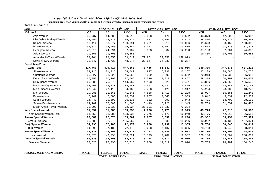Populaion projection values of 2017 at zonal and wereda levels by urban and rural residence and by sex.

| haa                            |             | ጠቅሳሳ የሕዝብ ብዛት በጾታ       |              |             | የከተማ ሕዝብ ብዛት በጾታ        |              |             | የንጠር ሕዝብ ብዛት በጾታ        |              |
|--------------------------------|-------------|-------------------------|--------------|-------------|-------------------------|--------------|-------------|-------------------------|--------------|
| ዞንና ወረዳ                        | ወንድ         | ሴት                      | ድምር          | ወንድ         | ሌት                      | ድምር          | ወንድ         | ሴት                      | ድምር          |
| Zala-Wereda                    | 45,737      | 44,782                  | 90,519       | 2,358       | 2,174                   | 4,532        | 43,379      | 42,608                  | 85,987       |
| Uba Debre Tsehay-Wereda        | 43,557      | 42,878                  | 86,435       | 4,687       | 4,756                   | 9,443        | 38,870      | 38,122                  | 76,992       |
| Kemba-Wereda                   | 96,414      | 93,677                  | 190,091      | 4,791       | 5,215                   | 10,006       | 91,623      | 88,462                  | 180,085      |
| Bonke-Wereda                   | 96,877      | 98,465                  | 195,342      | 6,363       | 7,152                   | 13,515       | 90,514      | 91,313                  | 181,827      |
| Gezegofa-Wereda                | 43,016      | 44,091                  | 87,107       | 5,833       | 6,387                   | 12,220       | 37,183      | 37,704                  | 74,887       |
| Ayida-Wereda                   | 19,860      | 19,793                  | 39,653       |             |                         |              | 19,860      | 19,793                  | 39,653       |
| Arba Minch /Town/-Wereda       | 79,961      | 79,058                  | 159,019      | 79,961      | 79,058                  | 159,019      |             |                         |              |
| Sawla /Town/-Wereda            | 23,547      | 24,730                  | 48,277       | 23,547      | 24,730                  | 48,277       |             |                         |              |
| Bench Maji-Zone                |             |                         |              |             |                         |              |             |                         |              |
| <b>Zone Total</b>              | 417,751     | 429,417                 | 847,168      | 78,415      | 81,541                  | 159,956      | 339,336     | 347,876                 | 687,212      |
| Sheko-Wereda                   | 32,126      | 31,916                  | 64,042       | 4,937       | 5,330                   | 10,267       | 27,189      | 26,586                  | 53,775       |
| Guraferda-Wereda               | 25,327      | 21,323                  | 46,650       | 5,309       | 5,293                   | 10,602       | 20,018      | 16,030                  | 36,048       |
| Debub Bench-Wereda             | 66,857      | 70,209                  | 137,066      | 8,539       | 9,918                   | 18,457       | 58,318      | 60,291                  | 118,609      |
| Shay Bench-Wereda              | 69,089      | 75,878                  | 144,967      | 4,193       | 5,228                   | 9,421        | 64,896      | 70,650                  | 135,546      |
| Meinit Goldeya-Wereda          | 52,960      | 55,220                  | 108,180      | 2,492       | 2,937                   | 5,429        | 50,468      | 52,283                  | 102,751      |
| Meinit Shasha-Wereda           | 27,042      | 27,118                  | 54,160       | 2,788       | 3,129                   | 5,917        | 24,254      | 23,989                  | 48,243       |
| Maji-Wereda                    | 19,985      | 21,561                  | 41,546       | 4,888       | 5,410                   | 10,298       | 15,097      | 16,151                  | 31,248       |
| Bero-Wereda                    | 8,749       | 7,583                   | 16,332       | 1,907       | 2,046                   | 3,953        | 6,842       | 5,537                   | 12,379       |
| Surma-Wereda                   | 14,443      | 15,693                  | 30,136       | 952         | 991                     | 1,943        | 13,491      | 14,702                  | 28,193       |
| Semen Bench-Wereda             | 64,182      | 67,583                  | 131,765      | 5,419       | 5,926                   | 11,345       | 58,763      | 61,657                  | 120,420      |
| Mizan Aman /Town/-Wereda       | 36,991      | 35,333                  | 72,324       | 36,991      | 35,333                  | 72,324       |             |                         |              |
| Yem Special Wereda             | 51,552      | 51,983                  | 103,535      | 7,776       | 9,173                   | 16,949       | 43,776      | 42,810                  | 86,586       |
| Yem Special Wereda Total       | 51,552      | 51,983                  | 103,535      | 7,776       | 9,173                   | 16,949       | 43,776      | 42,810                  | 86,586       |
| <b>Amaro Special Wereda</b>    | 93,589      | 92,078                  | 185,667      | 9,657       | 8,639                   | 18,296       | 83,932      | 83,439                  | 167,371      |
| Amaro - Wereda                 | 93,589      | 92,078                  | 185,667      | 9,657       | 8,639                   | 18,296       | 83,932      | 83,439                  | 167,371      |
| <b>Burji Special Wereda</b>    | 34,996      | 37,183                  | 72,179       | 6,228       | 7,137                   | 13,365       | 28,768      | 30,046                  | 58,814       |
| Burji-Wereda                   | 34,996      | 37,183                  | 72,179       | 6,228       | 7,137                   | 13,365       | 28,768      | 30,046                  | 58,814       |
| Konso Special Wereda           | 139,323     | 149,298                 | 288,621      | 10,193      | 9,789                   | 19,982       | 129,130     | 139,509                 | 268,639      |
| Konso - Wereda                 | 139,323     | 149,298                 | 288,621      | 10,193      | 9,789                   | 19,982       | 129,130     | 139,509                 | 268,639      |
| Derashe Special Wereda         | 89,023      | 93,293                  | 182,316      | 13,258      | 14,812                  | 28,070       | 75,765      | 78,481                  | 154,246      |
| Derashe - Wereda               | 89,023      | 93,293                  | 182,316      | 13,258      | 14,812                  | 28,070       | 75,765      | 78,481                  | 154,246      |
|                                |             |                         |              |             |                         |              |             |                         |              |
|                                |             |                         |              |             |                         |              |             |                         |              |
| <b>REGION, ZONE AND WEREDA</b> | <b>MALE</b> | <b>FEMALE</b>           | <b>TOTAL</b> | <b>MALE</b> | <b>FEMALE</b>           | <b>TOTAL</b> | <b>MALE</b> | <b>FEMALE</b>           | <b>TOTAL</b> |
|                                |             | <b>TOTAL POPULATION</b> |              |             | <b>URBAN POPULATION</b> |              |             | <b>RURAL POPULATION</b> |              |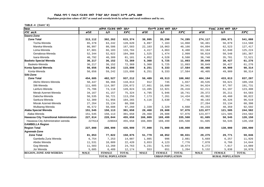Populaion projection values of 2017 at zonal and wereda levels by urban and rural residence and by sex.

| haa                                      |             | ጠቅሳሳ የሕዝብ ብዛት በጾታ       |              |             | <i>የከተማ ሕዝ</i> ብ ብዛት በጾታ |              |             | የንጠር ሕዝብ ብዛት በጾታ        |              |
|------------------------------------------|-------------|-------------------------|--------------|-------------|--------------------------|--------------|-------------|-------------------------|--------------|
| ዞንና ወሪዳ                                  | ወንድ         | ቤት                      | ድምር          | ወንድ         | ሌት                       | ድምር          | ወንድ         | ሴት                      | ድምር          |
| Dawro-Zone                               |             |                         |              |             |                          |              |             |                         |              |
| <b>Zone Total</b>                        | 313,112     | 302,262                 | 615,374      | 38,995      | 35,290                   | 74,285       | 274,117     | 266,971                 | 541,088      |
| Tocha-Wereda                             | 65,378      | 63,242                  | 128,620      | 6,897       | 7,163                    | 14,060       | 58,481      | 56,079                  | 114,560      |
| Mareka-Wereda                            | 86,997      | 80,586                  | 167,583      | 22,103      | 18,063                   | 40,166       | 64,894      | 62,523                  | 127,417      |
| Loma-Wereda                              | 67,601      | 66,103                  | 133,704      | 4,417       | 4,063                    | 8,480        | 63,184      | 62,040                  | 125,224      |
| Genabosa-Wereda                          | 52,344      | 52,022                  | 104,366      | 1,525       | 1,474                    | 2,999        | 50,819      | 50,548                  | 101,367      |
| Isara-Wereda                             | 40,792      | 40,309                  | 81,101       | 4,052       | 4,528                    | 8,580        | 36,740      | 35,781                  | 72,521       |
| <b>Basketo Special Wereda</b>            | 36,217      | 36,152                  | 72,369       | 5,368       | 5,725                    | 11,093       | 30,849      | 30,427                  | 61,276       |
| Basketo-Wereda                           | 36,217      | 36,152                  | 72,369       | 5,368       | 5,725                    | 11,093       | 30,849      | 30,427                  | 61,276       |
| Konta Special Wereda                     | 56,656      | 59,242                  | 115,898      | 8,251       | 9,333                    | 17,584       | 48,405      | 49,909                  | 98,314       |
| Konta-Wereda                             | 56,656      | 59,242                  | 115,898      | 8,251       | 9,333                    | 17,584       | 48,405      | 49,909                  | 98,314       |
| Silti-Zone                               |             |                         |              |             |                          |              |             |                         |              |
| <b>Zone Total</b>                        | 454,685     | 482,527                 | 937,212      | 50,489      | 49,513                   | 100,002      | 404,194     | 433,013                 | 837,207      |
| Alicho Werero-Wereda                     | 50,447      | 60,366                  | 110,813      | 912         | 745                      | 1,657        | 49,535      | 59,621                  | 109,156      |
| Silti-Wereda                             | 111,685     | 114,387                 | 226,072      | 17,661      | 16,680                   | 34,341       | 94,024      | 97,707                  | 191,731      |
| Lanfuro-Wereda                           | 75,706      | 74,118                  | 149,824      | 13,495      | 12,921                   | 26,416       | 62,211      | 61,197                  | 123,408      |
| Merab Azernet-Wereda                     | 34,167      | 41,157                  | 75,324       | 4,795       | 5,946                    | 10,741       | 29,372      | 35,211                  | 64,583       |
| Dalocha-Wereda                           | 56,535      | 56,721                  | 113,256      | 7,173       | 7,261                    | 14,434       | 49,362      | 49,460                  | 98,822       |
| Sankura-Wereda                           | 52,309      | 51,956                  | 104,265      | 4,116       | 3,630                    | 7,746        | 48,193      | 48,326                  | 96,519       |
| Misrak Azernet-Wereda                    | 27,264      | 33,134                  | 60,398       |             |                          |              | 27,264      | 33,134                  | 60,398       |
| Wulbareg-Wereda                          | 46,572      | 50,688                  | 97,260       | 2,339       | 2,329                    | 4,668        | 44,233      | 48,359                  | 92,592       |
| Alaba Special Wereda                     | 151,545     | 150,113                 | 301,658      | 28,468      | 28,608                   | 57,076       | 123,077     | 121,505                 | 244,582      |
| Alaba-Wereda                             | 151,545     | 150,113                 | 301,658      | 28,468      | 28,608                   | 57,076       | 123,077     | 121,505                 | 244,582      |
| Hawassa City Transitional Administration | 227,614     | 228,044                 | 455,658      | 166,009     | 169,499                  | 335,508      | 61,605      | 58,545                  | 120,150      |
| Hawassa City Administration wereda       | 227614      | 228044                  | 455,658      | 166,009     | 169,499                  | 335,508      | 61,605      | 58,545                  | 120,150      |
| <b>GAMBELLA Region</b>                   |             |                         |              |             |                          |              |             |                         |              |
| <b>Region Total</b>                      | 227,000     | 208,999                 | 435,999      | 77,000      | 71,000                   | 148,000      | 150,000     | 138,000                 | 288,000      |
| Agnewak-Zone                             |             |                         |              |             |                          |              |             |                         |              |
| <b>Zone Total</b>                        | 81,053      | 77,822                  | 158,875      | 51,779      | 48,052                   | 99,831       | 29,275      | 29,771                  | 59,046       |
| Gambella Zuria Wereda                    | 6,754       | 7,253                   | 14,007       | 1,085       | 996                      | 2,081        | 5,669       | 6,257                   | 11,926       |
| Abobo Wereda                             | 11,531      | 10,889                  | 22,420       | 3,653       | 4,123                    | 7,776        | 7,878       | 6,766                   | 14,644       |
| Gog Wereda                               | 11,503      | 13,260                  | 24,763       | 5,231       | 5,443                    | 10,674       | 6,272       | 7,817                   | 14,089       |
| Jor Wereda                               | 5,685       | 6,489                   | 12,174       | 553         | 651                      | 1,204        | 5,132       | 5,838                   | 10,970       |
| <b>REGION, ZONE AND WEREDA</b>           | <b>MALE</b> | <b>FEMALE</b>           | <b>TOTAL</b> | <b>MALE</b> | <b>FEMALE</b>            | <b>TOTAL</b> | <b>MALE</b> | <b>FEMALE</b>           | <b>TOTAL</b> |
|                                          |             | <b>TOTAL POPULATION</b> |              |             | <b>URBAN POPULATION</b>  |              |             | <b>RURAL POPULATION</b> |              |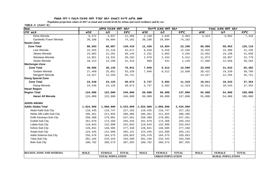Populaion projection values of 2017 at zonal and wereda levels by urban and rural residence and by sex.

| haa                            |             | ጠቅሳሳ የሕዝብ ብዛት በጾታ       |              |             | የከተማ ሕዝብ ብዛት በጾታ        |              |             | የንጠር ሕዝብ ብዛት በጾታ        |              |
|--------------------------------|-------------|-------------------------|--------------|-------------|-------------------------|--------------|-------------|-------------------------|--------------|
| ዞንና ወሪዳ                        | ወንድ         | ሴት                      | ድምር          | ወንድ         | ሴት                      | ድምር          | ወንድ         | ሌት                      | ድምር          |
| Dima Wereda                    | 6,472       | 4,937                   | 11,409       | 2,148       | 1,845                   | 3,993        | 4,324       | 3,092                   | 7,416        |
| Gambella /Town/ Wereda         | 39,108      | 34,994                  | 74,102       | 39,108      | 34,994                  | 74,102       |             |                         |              |
| Nuwer-Zone                     |             |                         |              |             |                         |              |             |                         |              |
| <b>Zone Total</b>              | 80,503      | 68,907                  | 149,410      | 12,436      | 10,854                  | 23,290       | 68,066      | 58,053                  | 126,119      |
| Lare Wereda                    | 22,555      | 21,116                  | 43,671       | 6,620       | 5,816                   | 12,436       | 15,935      | 15,300                  | 31,235       |
| Jikawo Wereda                  | 24,883      | 21,261                  | 46,144       | 2,231       | 2,063                   | 4,294        | 22,652      | 19,198                  | 41,850       |
| Wantawa Wereda                 | 14,851      | 13,331                  | 28,182       | 2,978       | 2,434                   | 5,412        | 11,873      | 10,897                  | 22,770       |
| Akobo Wereda                   | 18,214      | 13,199                  | 31,413       | 608         | 541                     | 1,149        | 17,606      | 12,658                  | 30,264       |
| Mezhenger-Zone                 |             |                         |              |             |                         |              |             |                         |              |
| <b>Zone Total</b>              | 40,896      | 38,145                  | 79,041       | 7,048       | 6,512                   | 13,560       | 33,849      | 31,633                  | 65,482       |
| Godare Wereda                  | 27,469      | 25,851                  | 53,320       | 7,048       | 6,512                   | 13,560       | 20,421      | 19,339                  | 39,760       |
| Mengesh Wereda                 | 13,427      | 12,294                  | 25,721       |             |                         |              | 13,427      | 12,294                  | 25,721       |
| <b>Etang Special Zone</b>      |             |                         |              |             |                         |              |             |                         |              |
| <b>Zone Total</b>              | 24,548      | 24,125                  | 48,673       | 5,737       | 5,582                   | 11,319       | 18,811      | 18,543                  | 37,354       |
| Etang Wereda                   | 24,548      | 24,125                  | 48,673       | 5,737       | 5,582                   | 11,319       | 18,811      | 18,543                  | 37,354       |
| <b>Harari Region</b>           |             |                         |              |             |                         |              |             |                         |              |
| <b>Region Total</b>            | 124,000     | 122,000                 | 246,000      | 69,000      | 68,000                  | 137,000      | 55,000      | 54,000                  | 109,000      |
| Harari All Wereda              | 124,000     | 122,000                 | 246,000      | 69,000      | 68,000                  | 137,000      | 55,000      | 54,000                  | 109,000      |
| <b>ADDIS ABABA</b>             |             |                         |              |             |                         |              |             |                         |              |
| <b>Addis Ababa Total</b>       | 1,624,999   | 1,809,000               | 3,433,999    | 1,625,000   | 1,809,000               | 3,434,000    |             |                         |              |
| Akaki Kaliti-Sub City          | 110,435     | 116,747                 | 227,182      | 110,435     | 116,747                 | 227,182      |             |                         |              |
| Nefas Silk-Lafto-Sub City      | 185,461     | 211,025                 | 396,486      | 185,461     | 211,025                 | 396,486      |             |                         |              |
| Kolfe Keraniyo-Sub City        | 258,480     | 279,081                 | 537,561      | 258,480     | 279,081                 | 537,561      |             |                         |              |
| Gulele-Sub City                | 161,078     | 174,356                 | 335,434      | 161,078     | 174,356                 | 335,434      |             |                         |              |
| Lideta-Sub City                | 119,843     | 132,999                 | 252,842      | 119,843     | 132,999                 | 252,842      |             |                         |              |
| Kirkos-Sub City                | 128,841     | 148,505                 | 277,346      | 128,841     | 148,505                 | 277,346      |             |                         |              |
| Arada-Sub City                 | 123,445     | 141,696                 | 265,141      | 123,445     | 141,696                 | 265,141      |             |                         |              |
| Addis Ketema-Sub City          | 155,478     | 164,575                 | 320,053      | 155,478     | 164,575                 | 320,053      |             |                         |              |
| Yeka-Sub City                  | 201,156     | 233,443                 | 434,599      | 201,156     | 233,443                 | 434,599      |             |                         |              |
| <b>Bole-Sub City</b>           | 180,782     | 206,573                 | 387,355      | 180,782     | 206,573                 | 387,355      |             |                         |              |
|                                |             |                         |              |             |                         |              |             |                         |              |
| <b>REGION, ZONE AND WEREDA</b> | <b>MALE</b> | <b>FEMALE</b>           | <b>TOTAL</b> | <b>MALE</b> | <b>FEMALE</b>           | <b>TOTAL</b> | <b>MALE</b> | <b>FEMALE</b>           | <b>TOTAL</b> |
|                                |             | <b>TOTAL POPULATION</b> |              |             | <b>URBAN POPULATION</b> |              |             | <b>RURAL POPULATION</b> |              |